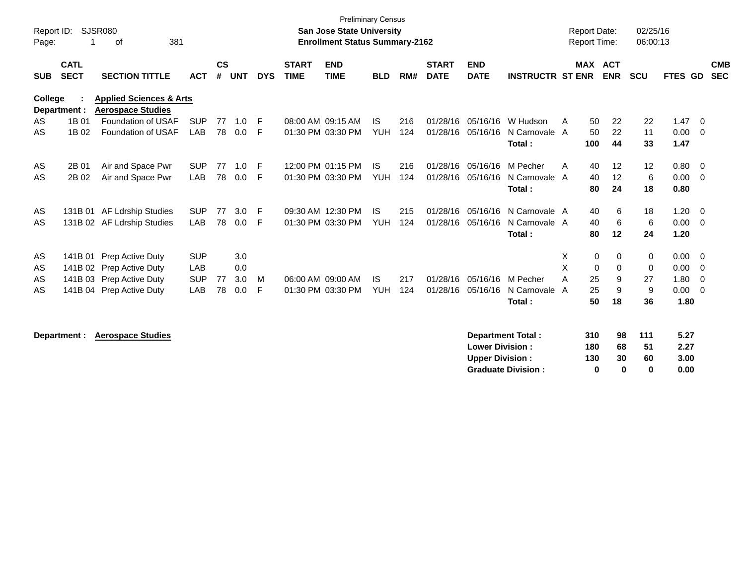| Report ID:<br>Page: |                            | <b>SJSR080</b><br>381<br>οf                                    |            |                |            |            |                             | <b>Preliminary Census</b><br><b>San Jose State University</b><br><b>Enrollment Status Summary-2162</b> |            |     |                             |                           |                          |   | <b>Report Date:</b><br><b>Report Time:</b> |            | 02/25/16<br>06:00:13 |              |          |                          |
|---------------------|----------------------------|----------------------------------------------------------------|------------|----------------|------------|------------|-----------------------------|--------------------------------------------------------------------------------------------------------|------------|-----|-----------------------------|---------------------------|--------------------------|---|--------------------------------------------|------------|----------------------|--------------|----------|--------------------------|
| <b>SUB</b>          | <b>CATL</b><br><b>SECT</b> | <b>SECTION TITTLE</b>                                          | <b>ACT</b> | <b>CS</b><br># | <b>UNT</b> | <b>DYS</b> | <b>START</b><br><b>TIME</b> | <b>END</b><br><b>TIME</b>                                                                              | <b>BLD</b> | RM# | <b>START</b><br><b>DATE</b> | <b>END</b><br><b>DATE</b> | <b>INSTRUCTR ST ENR</b>  |   | MAX ACT                                    | <b>ENR</b> | <b>SCU</b>           | FTES GD      |          | <b>CMB</b><br><b>SEC</b> |
| College             | Department :               | <b>Applied Sciences &amp; Arts</b><br><b>Aerospace Studies</b> |            |                |            |            |                             |                                                                                                        |            |     |                             |                           |                          |   |                                            |            |                      |              |          |                          |
| AS                  | 1B 01                      | Foundation of USAF                                             | <b>SUP</b> | 77             | 1.0        | E          |                             | 08:00 AM 09:15 AM                                                                                      | IS.        | 216 | 01/28/16                    | 05/16/16                  | W Hudson                 | A | 50                                         | 22         | 22                   | 1.47         | - 0      |                          |
| AS                  | 1B 02                      | <b>Foundation of USAF</b>                                      | <b>LAB</b> | 78             | 0.0        | F          |                             | 01:30 PM 03:30 PM                                                                                      | <b>YUH</b> | 124 | 01/28/16                    | 05/16/16                  | N Carnovale A            |   | 50                                         | 22         | 11                   | 0.00         | - 0      |                          |
|                     |                            |                                                                |            |                |            |            |                             |                                                                                                        |            |     |                             |                           | Total:                   |   | 100                                        | 44         | 33                   | 1.47         |          |                          |
| AS                  | 2B 01                      | Air and Space Pwr                                              | <b>SUP</b> | 77             | 1.0        | E          |                             | 12:00 PM 01:15 PM                                                                                      | IS.        | 216 | 01/28/16                    | 05/16/16                  | M Pecher                 | A | 40                                         | 12         | 12                   | 0.80         | - 0      |                          |
| AS                  | 2B 02                      | Air and Space Pwr                                              | <b>LAB</b> | 78             | 0.0        | F          |                             | 01:30 PM 03:30 PM                                                                                      | <b>YUH</b> | 124 | 01/28/16                    | 05/16/16                  | N Carnovale A            |   | 40                                         | 12         | 6                    | 0.00         | - 0      |                          |
|                     |                            |                                                                |            |                |            |            |                             |                                                                                                        |            |     |                             |                           | Total:                   |   | 80                                         | 24         | 18                   | 0.80         |          |                          |
| AS                  |                            | 131B 01 AF Ldrship Studies                                     | <b>SUP</b> | 77             | 3.0        | E          |                             | 09:30 AM 12:30 PM                                                                                      | <b>IS</b>  | 215 | 01/28/16                    | 05/16/16                  | N Carnovale A            |   | 40                                         | 6          | 18                   | 1.20         | - 0      |                          |
| AS                  |                            | 131B 02 AF Ldrship Studies                                     | <b>LAB</b> | 78             | 0.0        | F          |                             | 01:30 PM 03:30 PM                                                                                      | <b>YUH</b> | 124 | 01/28/16                    | 05/16/16                  | N Carnovale A            |   | 40                                         | 6          | 6                    | 0.00         | - 0      |                          |
|                     |                            |                                                                |            |                |            |            |                             |                                                                                                        |            |     |                             |                           | Total:                   |   | 80                                         | 12         | 24                   | 1.20         |          |                          |
| AS                  |                            | 141B 01 Prep Active Duty                                       | <b>SUP</b> |                | 3.0        |            |                             |                                                                                                        |            |     |                             |                           |                          | Χ | 0                                          | 0          | 0                    | 0.00         | - 0      |                          |
| AS                  |                            | 141B 02 Prep Active Duty                                       | <b>LAB</b> |                | 0.0        |            |                             |                                                                                                        |            |     |                             |                           |                          | X | 0                                          | 0          | 0                    | 0.00         | $\Omega$ |                          |
| AS                  |                            | 141B 03 Prep Active Duty                                       | <b>SUP</b> | 77             | 3.0        | м          |                             | 06:00 AM 09:00 AM                                                                                      | <b>IS</b>  | 217 | 01/28/16                    | 05/16/16                  | M Pecher                 | A | 25                                         | 9          | 27                   | 1.80         | $\Omega$ |                          |
| AS                  |                            | 141B 04 Prep Active Duty                                       | <b>LAB</b> | 78             | 0.0        | F          |                             | 01:30 PM 03:30 PM                                                                                      | <b>YUH</b> | 124 | 01/28/16                    | 05/16/16                  | N Carnovale A            |   | 25                                         | 9          | 9                    | 0.00         | $\Omega$ |                          |
|                     |                            |                                                                |            |                |            |            |                             |                                                                                                        |            |     |                             |                           | Total:                   |   | 50                                         | 18         | 36                   | 1.80         |          |                          |
|                     | Department :               | <b>Aerospace Studies</b>                                       |            |                |            |            |                             |                                                                                                        |            |     |                             | <b>Lower Division:</b>    | <b>Department Total:</b> |   | 310<br>180                                 | 98<br>68   | 111<br>51            | 5.27<br>2.27 |          |                          |

**Upper Division : 130 30 60 3.00<br>
Graduate Division : 0 0 0 0.00** 

Graduate Division : 0 0 0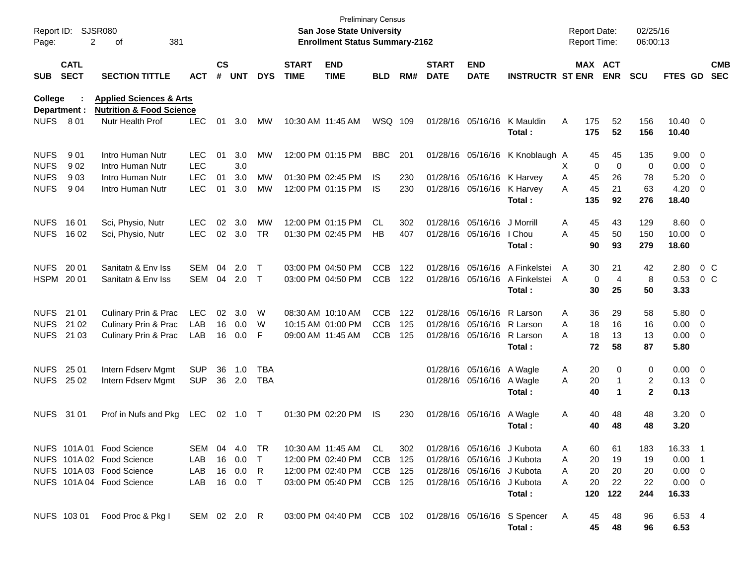| Page:                      | Report ID: SJSR080<br>2           | 381<br>оf                                                                                                        |                          |                    |                                   |                             |                             | <b>Preliminary Census</b><br>San Jose State University<br><b>Enrollment Status Summary-2162</b> |                                         |                   |                             |                                                                                                                      |                                        |                  | <b>Report Date:</b><br>Report Time: |                             | 02/25/16<br>06:00:13                  |                                                            |                                            |                          |
|----------------------------|-----------------------------------|------------------------------------------------------------------------------------------------------------------|--------------------------|--------------------|-----------------------------------|-----------------------------|-----------------------------|-------------------------------------------------------------------------------------------------|-----------------------------------------|-------------------|-----------------------------|----------------------------------------------------------------------------------------------------------------------|----------------------------------------|------------------|-------------------------------------|-----------------------------|---------------------------------------|------------------------------------------------------------|--------------------------------------------|--------------------------|
| <b>SUB</b>                 | <b>CATL</b><br><b>SECT</b>        | <b>SECTION TITTLE</b>                                                                                            | <b>ACT</b>               | $\mathsf{cs}$<br># | <b>UNT</b>                        | <b>DYS</b>                  | <b>START</b><br><b>TIME</b> | <b>END</b><br><b>TIME</b>                                                                       | <b>BLD</b>                              | RM#               | <b>START</b><br><b>DATE</b> | <b>END</b><br><b>DATE</b>                                                                                            | <b>INSTRUCTR ST ENR</b>                |                  | MAX ACT                             | <b>ENR</b>                  | <b>SCU</b>                            | <b>FTES GD</b>                                             |                                            | <b>CMB</b><br><b>SEC</b> |
| <b>College</b>             | Department :                      | <b>Applied Sciences &amp; Arts</b><br><b>Nutrition &amp; Food Science</b>                                        |                          |                    |                                   |                             |                             |                                                                                                 |                                         |                   |                             |                                                                                                                      |                                        |                  |                                     |                             |                                       |                                                            |                                            |                          |
| <b>NUFS</b>                | 8 0 1                             | Nutr Health Prof                                                                                                 | <b>LEC</b>               | 01                 | 3.0                               | MW                          | 10:30 AM 11:45 AM           |                                                                                                 | WSQ 109                                 |                   |                             | 01/28/16 05/16/16                                                                                                    | K Mauldin<br>Total:                    | A                | 175<br>175                          | 52<br>52                    | 156<br>156                            | $10.40 \quad 0$<br>10.40                                   |                                            |                          |
| <b>NUFS</b><br><b>NUFS</b> | 901<br>902                        | Intro Human Nutr<br>Intro Human Nutr                                                                             | <b>LEC</b><br><b>LEC</b> | 01                 | 3.0<br>3.0                        | MW                          |                             | 12:00 PM 01:15 PM                                                                               | <b>BBC</b>                              | 201               |                             |                                                                                                                      | 01/28/16 05/16/16 K Knoblaugh A        | X.               | 45<br>$\mathbf 0$                   | 45<br>$\mathbf 0$           | 135<br>0                              | $9.00 \t 0$<br>$0.00 \t 0$                                 |                                            |                          |
| <b>NUFS</b><br><b>NUFS</b> | 903<br>904                        | Intro Human Nutr<br>Intro Human Nutr                                                                             | <b>LEC</b><br><b>LEC</b> | 01<br>01           | 3.0<br>3.0                        | <b>MW</b><br>MW             |                             | 01:30 PM 02:45 PM<br>12:00 PM 01:15 PM                                                          | IS<br>IS                                | 230<br>230        |                             | 01/28/16 05/16/16<br>01/28/16 05/16/16                                                                               | K Harvey<br>K Harvey<br>Total:         | A<br>A           | 45<br>45<br>135                     | 26<br>21<br>92              | 78<br>63<br>276                       | 5.20<br>4.20<br>18.40                                      | $\overline{0}$<br>$\overline{\phantom{0}}$ |                          |
| <b>NUFS</b><br><b>NUFS</b> | 16 01<br>16 02                    | Sci, Physio, Nutr<br>Sci, Physio, Nutr                                                                           | <b>LEC</b><br><b>LEC</b> | 02<br>02           | 3.0<br>3.0                        | MW<br><b>TR</b>             |                             | 12:00 PM 01:15 PM<br>01:30 PM 02:45 PM                                                          | CL.<br>HB                               | 302<br>407        |                             | 01/28/16 05/16/16<br>01/28/16 05/16/16                                                                               | J Morrill<br>I Chou<br>Total:          | A<br>A           | 45<br>45<br>90                      | 43<br>50<br>93              | 129<br>150<br>279                     | $8.60 \quad 0$<br>$10.00 \t 0$<br>18.60                    |                                            |                          |
| <b>NUFS</b>                | 20 01<br>HSPM 2001                | Sanitatn & Env Iss<br>Sanitatn & Env Iss                                                                         | <b>SEM</b><br>SEM        | 04<br>04           | 2.0<br>2.0                        | Т<br>$\top$                 |                             | 03:00 PM 04:50 PM<br>03:00 PM 04:50 PM                                                          | <b>CCB</b><br><b>CCB</b>                | 122<br>122        |                             | 01/28/16 05/16/16<br>01/28/16 05/16/16                                                                               | A Finkelstei<br>A Finkelstei<br>Total: | A<br>A           | 30<br>$\mathbf 0$<br>30             | 21<br>$\overline{4}$<br>25  | 42<br>8<br>50                         | 2.80<br>0.53<br>3.33                                       |                                            | $0\,C$<br>$0\,$ C        |
| <b>NUFS</b>                | NUFS 21 01<br>21 02<br>NUFS 21 03 | Culinary Prin & Prac<br><b>Culinary Prin &amp; Prac</b><br><b>Culinary Prin &amp; Prac</b>                       | <b>LEC</b><br>LAB<br>LAB | 02<br>16<br>16     | 3.0<br>0.0<br>0.0                 | W<br>W<br>F                 |                             | 08:30 AM 10:10 AM<br>10:15 AM 01:00 PM<br>09:00 AM 11:45 AM                                     | <b>CCB</b><br><b>CCB</b><br><b>CCB</b>  | 122<br>125<br>125 |                             | 01/28/16 05/16/16<br>01/28/16 05/16/16 R Larson<br>01/28/16 05/16/16                                                 | R Larson<br>R Larson<br>Total:         | A<br>A<br>A      | 36<br>18<br>18<br>72                | 29<br>16<br>13<br>58        | 58<br>16<br>13<br>87                  | 5.80 0<br>$0.00 \t 0$<br>$0.00 \t 0$<br>5.80               |                                            |                          |
| <b>NUFS</b>                | 25 01<br>NUFS 25 02               | Intern Fdserv Mgmt<br>Intern Fdserv Mgmt                                                                         | <b>SUP</b><br><b>SUP</b> | 36                 | 1.0<br>36 2.0                     | <b>TBA</b><br><b>TBA</b>    |                             |                                                                                                 |                                         |                   |                             | 01/28/16 05/16/16<br>01/28/16 05/16/16                                                                               | A Wagle<br>A Wagle<br>Total:           | A<br>A           | 20<br>20<br>40                      | 0<br>1<br>1                 | 0<br>$\overline{2}$<br>$\overline{2}$ | $0.00 \t 0$<br>$0.13 \ 0$<br>0.13                          |                                            |                          |
|                            | NUFS 31 01                        | Prof in Nufs and Pkg                                                                                             | LEC                      |                    | 02 1.0 T                          |                             |                             | 01:30 PM 02:20 PM                                                                               | <b>IS</b>                               | 230               |                             | 01/28/16 05/16/16                                                                                                    | A Wagle<br>Total:                      | Α                | 40<br>40                            | 48<br>48                    | 48<br>48                              | $3.20 \ 0$<br>3.20                                         |                                            |                          |
|                            |                                   | NUFS 101A 01 Food Science<br>NUFS 101A 02 Food Science<br>NUFS 101A 03 Food Science<br>NUFS 101A 04 Food Science | SEM<br>LAB<br>LAB<br>LAB | 16                 | 04 4.0<br>0.0<br>16 0.0<br>16 0.0 | TR<br>$\top$<br>R<br>$\top$ |                             | 10:30 AM 11:45 AM<br>12:00 PM 02:40 PM<br>12:00 PM 02:40 PM<br>03:00 PM 05:40 PM                | CL.<br><b>CCB</b><br>CCB 125<br>CCB 125 | 302<br>125        |                             | 01/28/16 05/16/16 J Kubota<br>01/28/16 05/16/16 J Kubota<br>01/28/16 05/16/16 J Kubota<br>01/28/16 05/16/16 J Kubota | Total:                                 | Α<br>A<br>A<br>A | 60<br>20<br>20<br>20<br>120         | 61<br>19<br>20<br>22<br>122 | 183<br>19<br>20<br>22<br>244          | 16.33 1<br>$0.00$ 1<br>$0.00 \t 0$<br>$0.00 \t 0$<br>16.33 |                                            |                          |
|                            | NUFS 103 01                       | Food Proc & Pkg I                                                                                                | SEM 02 2.0 R             |                    |                                   |                             |                             | 03:00 PM 04:40 PM CCB 102                                                                       |                                         |                   |                             |                                                                                                                      | 01/28/16 05/16/16 S Spencer<br>Total:  | A                | 45<br>45                            | 48<br>48                    | 96<br>96                              | 6.53 4<br>6.53                                             |                                            |                          |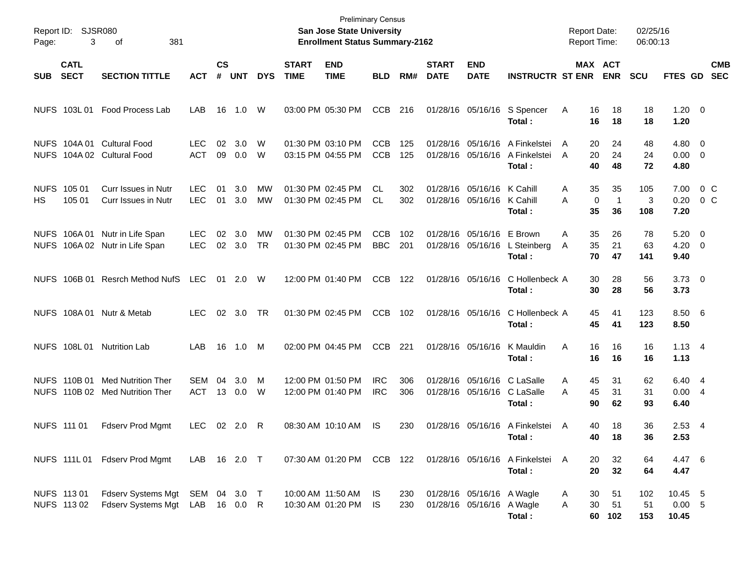| Page:             | Report ID: SJSR080<br>3<br>381<br>οf |                                                                    |                          |                             |               |                        |                             | <b>Preliminary Census</b><br><b>San Jose State University</b><br><b>Enrollment Status Summary-2162</b> |                          |            |                             |                                                        |                                                                      | <b>Report Date:</b><br><b>Report Time:</b> |                         | 02/25/16<br>06:00:13 |                                  |                           |            |
|-------------------|--------------------------------------|--------------------------------------------------------------------|--------------------------|-----------------------------|---------------|------------------------|-----------------------------|--------------------------------------------------------------------------------------------------------|--------------------------|------------|-----------------------------|--------------------------------------------------------|----------------------------------------------------------------------|--------------------------------------------|-------------------------|----------------------|----------------------------------|---------------------------|------------|
| <b>SUB</b>        | <b>CATL</b><br><b>SECT</b>           | <b>SECTION TITTLE</b>                                              | <b>ACT</b>               | $\mathbf{c}\mathbf{s}$<br># | <b>UNT</b>    | <b>DYS</b>             | <b>START</b><br><b>TIME</b> | <b>END</b><br><b>TIME</b>                                                                              | <b>BLD</b>               | RM#        | <b>START</b><br><b>DATE</b> | <b>END</b><br><b>DATE</b>                              | <b>INSTRUCTR ST ENR</b>                                              |                                            | MAX ACT<br><b>ENR</b>   | <b>SCU</b>           | FTES GD SEC                      |                           | <b>CMB</b> |
|                   | NUFS 103L 01                         | <b>Food Process Lab</b>                                            | LAB                      | 16                          | 1.0           | W                      |                             | 03:00 PM 05:30 PM                                                                                      | <b>CCB</b>               | 216        |                             |                                                        | 01/28/16 05/16/16 S Spencer<br>Total:                                | A<br>16<br>16                              | 18<br>18                | 18<br>18             | $1.20 \t 0$<br>1.20              |                           |            |
|                   |                                      | NUFS 104A 01 Cultural Food<br>NUFS 104A 02 Cultural Food           | <b>LEC</b><br><b>ACT</b> | 02<br>09                    | 3.0<br>0.0    | W<br>W                 |                             | 01:30 PM 03:10 PM<br>03:15 PM 04:55 PM                                                                 | <b>CCB</b><br><b>CCB</b> | 125<br>125 |                             | 01/28/16 05/16/16<br>01/28/16 05/16/16                 | A Finkelstei<br>A Finkelstei<br>Total:                               | 20<br>A<br>20<br>A<br>40                   | 24<br>24<br>48          | 48<br>24<br>72       | $4.80\ 0$<br>$0.00 \t 0$<br>4.80 |                           |            |
| <b>NUFS</b><br>HS | 105 01<br>105 01                     | Curr Issues in Nutr<br><b>Curr Issues in Nutr</b>                  | <b>LEC</b><br><b>LEC</b> | 01<br>01                    | 3.0<br>3.0    | <b>MW</b><br><b>MW</b> |                             | 01:30 PM 02:45 PM<br>01:30 PM 02:45 PM                                                                 | CL.<br><b>CL</b>         | 302<br>302 |                             | 01/28/16 05/16/16<br>01/28/16 05/16/16                 | K Cahill<br>K Cahill<br>Total :                                      | 35<br>A<br>0<br>A<br>35                    | 35<br>$\mathbf 1$<br>36 | 105<br>3<br>108      | 7.00<br>0.20<br>7.20             | 0 <sup>o</sup><br>$0\,$ C |            |
|                   |                                      | NUFS 106A 01 Nutr in Life Span<br>NUFS 106A 02 Nutr in Life Span   | <b>LEC</b><br><b>LEC</b> | 02                          | 3.0<br>02 3.0 | MW<br>TR               |                             | 01:30 PM 02:45 PM<br>01:30 PM 02:45 PM                                                                 | <b>CCB</b><br><b>BBC</b> | 102<br>201 |                             | 01/28/16 05/16/16<br>01/28/16 05/16/16                 | E Brown<br>L Steinberg<br>Total:                                     | 35<br>Α<br>35<br>A<br>70                   | 26<br>21<br>47          | 78<br>63<br>141      | $5.20 \ 0$<br>$4.20 \ 0$<br>9.40 |                           |            |
|                   | NUFS 106B 01                         | <b>Resrch Method NufS</b>                                          | LEC                      |                             | 01 2.0        | W                      |                             | 12:00 PM 01:40 PM                                                                                      | <b>CCB</b>               | 122        |                             | 01/28/16 05/16/16                                      | C Hollenbeck A<br>Total :                                            | 30<br>30                                   | 28<br>28                | 56<br>56             | $3.73 \quad 0$<br>3.73           |                           |            |
|                   |                                      | NUFS 108A 01 Nutr & Metab                                          | <b>LEC</b>               | 02                          | 3.0           | TR                     |                             | 01:30 PM 02:45 PM                                                                                      | <b>CCB</b>               | 102        |                             | 01/28/16 05/16/16                                      | C Hollenbeck A<br>Total:                                             | 45<br>45                                   | 41<br>41                | 123<br>123           | 8.50 6<br>8.50                   |                           |            |
|                   |                                      | NUFS 108L 01 Nutrition Lab                                         | LAB                      | 16                          | 1.0           | M                      |                             | 02:00 PM 04:45 PM                                                                                      | <b>CCB</b>               | 221        |                             | 01/28/16 05/16/16                                      | K Mauldin<br>Total :                                                 | Α<br>16<br>16                              | 16<br>16                | 16<br>16             | $1.13 \quad 4$<br>1.13           |                           |            |
|                   |                                      | NUFS 110B 01 Med Nutrition Ther<br>NUFS 110B 02 Med Nutrition Ther | SEM<br>ACT               | 04                          | 3.0<br>13 0.0 | М<br>W                 |                             | 12:00 PM 01:50 PM<br>12:00 PM 01:40 PM                                                                 | <b>IRC</b><br><b>IRC</b> | 306<br>306 |                             | 01/28/16 05/16/16<br>01/28/16 05/16/16                 | C LaSalle<br>C LaSalle<br>Total :                                    | A<br>45<br>45<br>A<br>90                   | 31<br>31<br>62          | 62<br>31<br>93       | 6.40 4<br>0.004<br>6.40          |                           |            |
|                   | NUFS 111 01                          | <b>Fdserv Prod Mgmt</b>                                            | <b>LEC</b>               |                             | 02 2.0        | R                      |                             | 08:30 AM 10:10 AM                                                                                      | <b>IS</b>                | 230        |                             | 01/28/16 05/16/16                                      | A Finkelstei<br>Total :                                              | 40<br>A<br>40                              | 18<br>18                | 36<br>36             | $2.53$ 4<br>2.53                 |                           |            |
|                   |                                      | NUFS 111L 01 Fdserv Prod Mgmt                                      | LAB 16 2.0 T             |                             |               |                        |                             |                                                                                                        |                          |            |                             |                                                        | 07:30 AM 01:20 PM CCB 122 01/28/16 05/16/16 A Finkelstei A<br>Total: | 20<br>20                                   | 32<br>32                | 64<br>64             | 4.47 6<br>4.47                   |                           |            |
|                   | NUFS 11301<br>NUFS 113 02            | Fdserv Systems Mgt SEM 04 3.0 T<br>Fdserv Systems Mgt LAB 16 0.0 R |                          |                             |               |                        |                             | 10:00 AM 11:50 AM<br>10:30 AM 01:20 PM                                                                 | IS.<br>IS.               | 230<br>230 |                             | 01/28/16 05/16/16 A Wagle<br>01/28/16 05/16/16 A Wagle | Total:                                                               | 30<br>A<br>30<br>A                         | 51<br>51<br>60 102      | 102<br>51<br>153     | 10.45 5<br>0.00 5<br>10.45       |                           |            |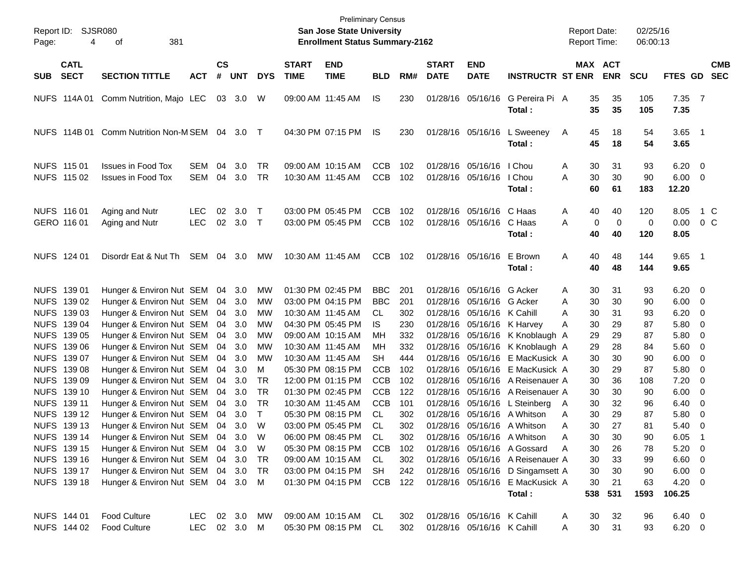| Report ID:<br>Page:                                                                                                                                                                                                                                                        | SJSR080<br>381<br>4<br>οf                                                                                                                                                                                                                                                                                                                                                                                                                                                                                                                                |                            |                                                                      |                                                                                                |                                                                                                               |                             | <b>Preliminary Census</b><br><b>San Jose State University</b><br><b>Enrollment Status Summary-2162</b>                                                                                                                                                                                                                                                                                 |                                                                                                                                                                                                       |                                                                                                                            |                                                                      |                                                                                                           |                                                                                                                                                                                                                                                                                                                                                                                                                                                       | <b>Report Date:</b><br>Report Time:                                                                                                                          |                                                                                                                 | 02/25/16<br>06:00:13                                                                                              |                                                                                                                                                                                                                    |                                                                                                                                                                                                                                                           |
|----------------------------------------------------------------------------------------------------------------------------------------------------------------------------------------------------------------------------------------------------------------------------|----------------------------------------------------------------------------------------------------------------------------------------------------------------------------------------------------------------------------------------------------------------------------------------------------------------------------------------------------------------------------------------------------------------------------------------------------------------------------------------------------------------------------------------------------------|----------------------------|----------------------------------------------------------------------|------------------------------------------------------------------------------------------------|---------------------------------------------------------------------------------------------------------------|-----------------------------|----------------------------------------------------------------------------------------------------------------------------------------------------------------------------------------------------------------------------------------------------------------------------------------------------------------------------------------------------------------------------------------|-------------------------------------------------------------------------------------------------------------------------------------------------------------------------------------------------------|----------------------------------------------------------------------------------------------------------------------------|----------------------------------------------------------------------|-----------------------------------------------------------------------------------------------------------|-------------------------------------------------------------------------------------------------------------------------------------------------------------------------------------------------------------------------------------------------------------------------------------------------------------------------------------------------------------------------------------------------------------------------------------------------------|--------------------------------------------------------------------------------------------------------------------------------------------------------------|-----------------------------------------------------------------------------------------------------------------|-------------------------------------------------------------------------------------------------------------------|--------------------------------------------------------------------------------------------------------------------------------------------------------------------------------------------------------------------|-----------------------------------------------------------------------------------------------------------------------------------------------------------------------------------------------------------------------------------------------------------|
| <b>CATL</b><br><b>SECT</b><br><b>SUB</b>                                                                                                                                                                                                                                   | <b>SECTION TITTLE</b>                                                                                                                                                                                                                                                                                                                                                                                                                                                                                                                                    | <b>ACT</b>                 | <b>CS</b><br>#                                                       | <b>UNT</b>                                                                                     | <b>DYS</b>                                                                                                    | <b>START</b><br><b>TIME</b> | <b>END</b><br><b>TIME</b>                                                                                                                                                                                                                                                                                                                                                              | <b>BLD</b>                                                                                                                                                                                            | RM#                                                                                                                        | <b>START</b><br><b>DATE</b>                                          | <b>END</b><br><b>DATE</b>                                                                                 | <b>INSTRUCTR ST ENR</b>                                                                                                                                                                                                                                                                                                                                                                                                                               |                                                                                                                                                              | MAX ACT<br><b>ENR</b>                                                                                           | SCU                                                                                                               | FTES GD                                                                                                                                                                                                            | <b>CMB</b><br><b>SEC</b>                                                                                                                                                                                                                                  |
| NUFS 114A 01                                                                                                                                                                                                                                                               | Comm Nutrition, Majo LEC                                                                                                                                                                                                                                                                                                                                                                                                                                                                                                                                 |                            |                                                                      | 03 3.0                                                                                         | W                                                                                                             |                             | 09:00 AM 11:45 AM                                                                                                                                                                                                                                                                                                                                                                      | IS.                                                                                                                                                                                                   | 230                                                                                                                        |                                                                      | 01/28/16 05/16/16                                                                                         | G Pereira Pi A<br>Total:                                                                                                                                                                                                                                                                                                                                                                                                                              | 35<br>35                                                                                                                                                     | 35<br>35                                                                                                        | 105<br>105                                                                                                        | 7.35 7<br>7.35                                                                                                                                                                                                     |                                                                                                                                                                                                                                                           |
| NUFS 114B 01                                                                                                                                                                                                                                                               | Comm Nutrition Non-MSEM 04 3.0 T                                                                                                                                                                                                                                                                                                                                                                                                                                                                                                                         |                            |                                                                      |                                                                                                |                                                                                                               |                             | 04:30 PM 07:15 PM                                                                                                                                                                                                                                                                                                                                                                      | IS                                                                                                                                                                                                    | 230                                                                                                                        |                                                                      | 01/28/16 05/16/16                                                                                         | L Sweeney<br>Total:                                                                                                                                                                                                                                                                                                                                                                                                                                   | 45<br>A<br>45                                                                                                                                                | 18<br>18                                                                                                        | 54<br>54                                                                                                          | $3.65$ 1<br>3.65                                                                                                                                                                                                   |                                                                                                                                                                                                                                                           |
| NUFS 115 01<br>NUFS 115 02                                                                                                                                                                                                                                                 | <b>Issues in Food Tox</b><br><b>Issues in Food Tox</b>                                                                                                                                                                                                                                                                                                                                                                                                                                                                                                   | SEM<br>SEM                 | 04<br>04                                                             | 3.0<br>3.0                                                                                     | TR<br>TR                                                                                                      |                             | 09:00 AM 10:15 AM<br>10:30 AM 11:45 AM                                                                                                                                                                                                                                                                                                                                                 | CCB<br><b>CCB</b>                                                                                                                                                                                     | 102<br>102                                                                                                                 |                                                                      | 01/28/16 05/16/16   Chou<br>01/28/16 05/16/16                                                             | I Chou<br>Total:                                                                                                                                                                                                                                                                                                                                                                                                                                      | 30<br>A<br>30<br>A<br>60                                                                                                                                     | 31<br>30<br>61                                                                                                  | 93<br>90<br>183                                                                                                   | $6.20 \quad 0$<br>$6.00 \quad 0$<br>12.20                                                                                                                                                                          |                                                                                                                                                                                                                                                           |
| NUFS 116 01<br>GERO 116 01                                                                                                                                                                                                                                                 | Aging and Nutr<br>Aging and Nutr                                                                                                                                                                                                                                                                                                                                                                                                                                                                                                                         | <b>LEC</b><br><b>LEC</b>   | 02<br>02                                                             | 3.0<br>3.0                                                                                     | $\top$<br>$\top$                                                                                              |                             | 03:00 PM 05:45 PM<br>03:00 PM 05:45 PM                                                                                                                                                                                                                                                                                                                                                 | CCB<br><b>CCB</b>                                                                                                                                                                                     | 102<br>102                                                                                                                 |                                                                      | 01/28/16 05/16/16 C Haas<br>01/28/16 05/16/16 C Haas                                                      | Total:                                                                                                                                                                                                                                                                                                                                                                                                                                                | 40<br>A<br>A<br>40                                                                                                                                           | 40<br>$\mathbf 0$<br>0<br>40                                                                                    | 120<br>$\mathbf 0$<br>120                                                                                         | 8.05<br>0.00<br>8.05                                                                                                                                                                                               | 1 C<br>$0\,$ C                                                                                                                                                                                                                                            |
| NUFS 124 01                                                                                                                                                                                                                                                                | Disordr Eat & Nut Th                                                                                                                                                                                                                                                                                                                                                                                                                                                                                                                                     | SEM 04 3.0                 |                                                                      |                                                                                                | МW                                                                                                            |                             | 10:30 AM 11:45 AM                                                                                                                                                                                                                                                                                                                                                                      | CCB                                                                                                                                                                                                   | 102                                                                                                                        |                                                                      | 01/28/16 05/16/16                                                                                         | E Brown<br>Total:                                                                                                                                                                                                                                                                                                                                                                                                                                     | 40<br>A<br>40                                                                                                                                                | 48<br>48                                                                                                        | 144<br>144                                                                                                        | $9.65$ 1<br>9.65                                                                                                                                                                                                   |                                                                                                                                                                                                                                                           |
| NUFS 139 01<br>NUFS 139 02<br>NUFS 139 03<br>NUFS 139 04<br>NUFS 139 05<br>NUFS 139 06<br>NUFS 139 07<br>NUFS 139 08<br>NUFS 139 09<br>NUFS 139 10<br>NUFS 139 11<br>NUFS 139 12<br>NUFS 139 13<br>NUFS 139 14<br>NUFS 139 15<br>NUFS 139 16<br>NUFS 139 17<br>NUFS 139 18 | Hunger & Environ Nut SEM<br>Hunger & Environ Nut SEM<br>Hunger & Environ Nut SEM<br>Hunger & Environ Nut SEM<br>Hunger & Environ Nut SEM<br>Hunger & Environ Nut SEM<br>Hunger & Environ Nut SEM<br>Hunger & Environ Nut SEM<br>Hunger & Environ Nut SEM<br>Hunger & Environ Nut SEM<br>Hunger & Environ Nut SEM<br>Hunger & Environ Nut SEM<br>Hunger & Environ Nut SEM 04<br>Hunger & Environ Nut SEM 04 3.0<br>Hunger & Environ Nut SEM 04<br>Hunger & Environ Nut SEM 04 3.0<br>Hunger & Environ Nut SEM 04 3.0<br>Hunger & Environ Nut SEM 04 3.0 M |                            | 04<br>04<br>04<br>04<br>04<br>04<br>04<br>04<br>04<br>04<br>04<br>04 | 3.0<br>3.0<br>3.0<br>3.0<br>3.0<br>3.0<br>3.0<br>3.0<br>3.0<br>3.0<br>3.0<br>3.0<br>3.0<br>3.0 | МW<br>МW<br>MW<br>MW<br>MW<br>МW<br>МW<br>M<br><b>TR</b><br>TR<br><b>TR</b><br>T<br>W<br>- W<br>W<br>TR<br>TR |                             | 01:30 PM 02:45 PM<br>03:00 PM 04:15 PM<br>10:30 AM 11:45 AM<br>04:30 PM 05:45 PM<br>09:00 AM 10:15 AM<br>10:30 AM 11:45 AM<br>10:30 AM 11:45 AM<br>05:30 PM 08:15 PM<br>12:00 PM 01:15 PM<br>01:30 PM 02:45 PM<br>10:30 AM 11:45 AM<br>05:30 PM 08:15 PM<br>03:00 PM 05:45 PM<br>06:00 PM 08:45 PM<br>05:30 PM 08:15 PM<br>09:00 AM 10:15 AM<br>03:00 PM 04:15 PM<br>01:30 PM 04:15 PM | <b>BBC</b><br><b>BBC</b><br>CL<br>IS.<br>MН<br>MН<br><b>SH</b><br><b>CCB</b><br><b>CCB</b><br><b>CCB</b><br><b>CCB</b><br><b>CL</b><br><b>CL</b><br>CL<br><b>CCB</b><br>CL<br><b>SH</b><br><b>CCB</b> | 201<br>201<br>302<br>230<br>332<br>332<br>444<br>102<br>102<br>122<br>101<br>302<br>302<br>302<br>102<br>302<br>242<br>122 | 01/28/16<br>01/28/16<br>01/28/16<br>01/28/16<br>01/28/16<br>01/28/16 | 01/28/16 05/16/16 G Acker<br>05/16/16 G Acker<br>01/28/16 05/16/16 K Cahill<br>01/28/16 05/16/16 K Harvey | 01/28/16 05/16/16 K Knoblaugh A<br>01/28/16 05/16/16 K Knoblaugh A<br>01/28/16 05/16/16 E MacKusick A<br>05/16/16 E MacKusick A<br>05/16/16 A Reisenauer A<br>05/16/16 A Reisenauer A<br>05/16/16 L Steinberg<br>05/16/16 A Whitson<br>01/28/16 05/16/16 A Whitson<br>01/28/16 05/16/16 A Whitson<br>01/28/16 05/16/16 A Gossard<br>01/28/16 05/16/16 A Reisenauer A<br>01/28/16 05/16/16 D Singamsett A<br>01/28/16 05/16/16 E MacKusick A<br>Total: | 30<br>A<br>30<br>Α<br>A<br>30<br>30<br>A<br>29<br>29<br>30<br>30<br>30<br>30<br>30<br>A<br>30<br>A<br>30<br>A<br>30<br>A<br>30<br>Α<br>30<br>30<br>30<br>538 | 31<br>30<br>31<br>29<br>29<br>28<br>30<br>29<br>36<br>30<br>32<br>29<br>27<br>30<br>26<br>33<br>30<br>21<br>531 | 93<br>90<br>93<br>87<br>87<br>84<br>90<br>87<br>108<br>90<br>96<br>87<br>81<br>90<br>78<br>99<br>90<br>63<br>1593 | $6.20 \quad 0$<br>$6.00 \quad 0$<br>6.20<br>5.80<br>5.80<br>$5.60$ 0<br>$6.00 \quad 0$<br>5.80 0<br>7.20<br>6.00<br>6.40<br>5.80<br>5.40<br>6.05<br>$5.20 \t 0$<br>$6.60$ 0<br>$6.00 \t 0$<br>$4.20 \ 0$<br>106.25 | $\overline{\phantom{0}}$<br>$\overline{\phantom{0}}$<br>$\overline{\phantom{0}}$<br>$\overline{\phantom{0}}$<br>$\overline{\phantom{0}}$<br>$\overline{\phantom{0}}$<br>$\overline{\phantom{0}}$<br>$\overline{\mathbf{0}}$<br>$\overline{\phantom{0}}$ 1 |
| NUFS 144 01<br>NUFS 144 02                                                                                                                                                                                                                                                 | <b>Food Culture</b><br><b>Food Culture</b>                                                                                                                                                                                                                                                                                                                                                                                                                                                                                                               | <b>LEC</b><br>LEC 02 3.0 M |                                                                      | 02 3.0 MW                                                                                      |                                                                                                               |                             | 09:00 AM 10:15 AM<br>05:30 PM 08:15 PM                                                                                                                                                                                                                                                                                                                                                 | CL<br>CL                                                                                                                                                                                              | 302<br>302                                                                                                                 |                                                                      | 01/28/16 05/16/16 K Cahill<br>01/28/16 05/16/16 K Cahill                                                  |                                                                                                                                                                                                                                                                                                                                                                                                                                                       | 30<br>A<br>30<br>Α                                                                                                                                           | 32<br>31                                                                                                        | 96<br>93                                                                                                          | 6.40 0<br>$6.20\ 0$                                                                                                                                                                                                |                                                                                                                                                                                                                                                           |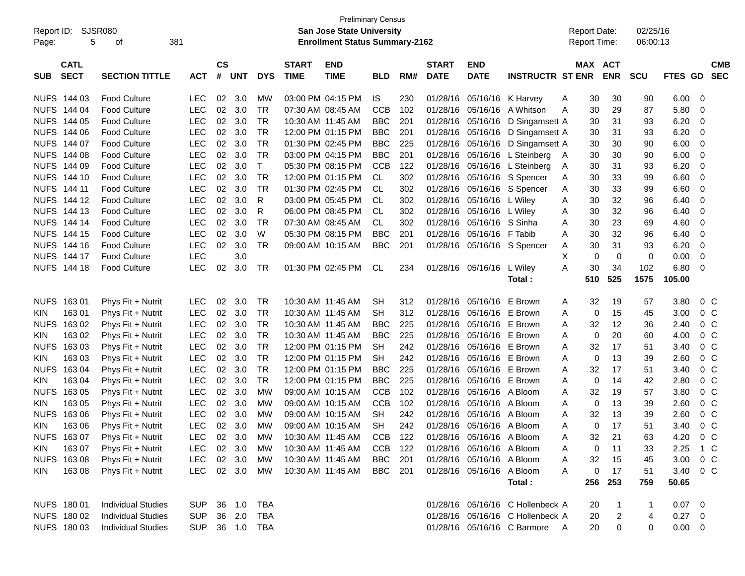| Report ID:<br>Page: | 5                          | SJSR080<br>381<br>οf      |            |                    |            |            |                             | <b>Preliminary Census</b><br><b>San Jose State University</b><br><b>Enrollment Status Summary-2162</b> |                |     |                             |                           |                                  |     | <b>Report Date:</b><br>Report Time: |                              | 02/25/16<br>06:00:13 |         |                          |
|---------------------|----------------------------|---------------------------|------------|--------------------|------------|------------|-----------------------------|--------------------------------------------------------------------------------------------------------|----------------|-----|-----------------------------|---------------------------|----------------------------------|-----|-------------------------------------|------------------------------|----------------------|---------|--------------------------|
| <b>SUB</b>          | <b>CATL</b><br><b>SECT</b> | <b>SECTION TITTLE</b>     | <b>ACT</b> | $\mathsf{cs}$<br># | <b>UNT</b> | <b>DYS</b> | <b>START</b><br><b>TIME</b> | <b>END</b><br><b>TIME</b>                                                                              | <b>BLD</b>     | RM# | <b>START</b><br><b>DATE</b> | <b>END</b><br><b>DATE</b> | <b>INSTRUCTR ST ENR</b>          |     |                                     | <b>MAX ACT</b><br><b>ENR</b> | <b>SCU</b>           | FTES GD | <b>CMB</b><br><b>SEC</b> |
|                     | NUFS 144 03                | <b>Food Culture</b>       | <b>LEC</b> | 02                 | 3.0        | <b>MW</b>  |                             | 03:00 PM 04:15 PM                                                                                      | IS             | 230 | 01/28/16                    | 05/16/16                  | K Harvey                         | A   | 30                                  | 30                           | 90                   | 6.00    | 0                        |
| <b>NUFS</b>         | 144 04                     | <b>Food Culture</b>       | LEC        | 02                 | 3.0        | <b>TR</b>  |                             | 07:30 AM 08:45 AM                                                                                      | <b>CCB</b>     | 102 | 01/28/16                    | 05/16/16                  | A Whitson                        | A   | 30                                  | 29                           | 87                   | 5.80    | 0                        |
| <b>NUFS</b>         | 144 05                     | <b>Food Culture</b>       | <b>LEC</b> | 02                 | 3.0        | <b>TR</b>  |                             | 10:30 AM 11:45 AM                                                                                      | <b>BBC</b>     | 201 | 01/28/16                    | 05/16/16                  | D Singamsett A                   |     | 30                                  | 31                           | 93                   | 6.20    | 0                        |
| <b>NUFS</b>         | 144 06                     | <b>Food Culture</b>       | <b>LEC</b> | 02                 | 3.0        | <b>TR</b>  |                             | 12:00 PM 01:15 PM                                                                                      | <b>BBC</b>     | 201 | 01/28/16                    | 05/16/16                  | D Singamsett A                   |     | 30                                  | 31                           | 93                   | 6.20    | $\mathbf 0$              |
| <b>NUFS</b>         | 144 07                     | <b>Food Culture</b>       | <b>LEC</b> | 02                 | 3.0        | <b>TR</b>  |                             | 01:30 PM 02:45 PM                                                                                      | <b>BBC</b>     | 225 | 01/28/16                    | 05/16/16                  | D Singamsett A                   |     | 30                                  | 30                           | 90                   | 6.00    | 0                        |
| <b>NUFS</b>         | 144 08                     | <b>Food Culture</b>       | <b>LEC</b> | 02                 | 3.0        | <b>TR</b>  |                             | 03:00 PM 04:15 PM                                                                                      | <b>BBC</b>     | 201 | 01/28/16                    | 05/16/16                  | L Steinberg                      | A   | 30                                  | 30                           | 90                   | 6.00    | 0                        |
| <b>NUFS</b>         | 144 09                     | <b>Food Culture</b>       | <b>LEC</b> | 02                 | 3.0        | T          |                             | 05:30 PM 08:15 PM                                                                                      | <b>CCB</b>     | 122 | 01/28/16                    | 05/16/16                  | L Steinberg                      | A   | 30                                  | 31                           | 93                   | 6.20    | $\mathbf 0$              |
| <b>NUFS</b>         | 144 10                     | <b>Food Culture</b>       | <b>LEC</b> | 02                 | 3.0        | <b>TR</b>  |                             | 12:00 PM 01:15 PM                                                                                      | <b>CL</b>      | 302 | 01/28/16                    | 05/16/16                  | S Spencer                        | A   | 30                                  | 33                           | 99                   | 6.60    | $\mathbf 0$              |
| <b>NUFS</b>         | 144 11                     | <b>Food Culture</b>       | <b>LEC</b> | 02                 | 3.0        | <b>TR</b>  |                             | 01:30 PM 02:45 PM                                                                                      | <b>CL</b>      | 302 | 01/28/16                    | 05/16/16                  | S Spencer                        | A   | 30                                  | 33                           | 99                   | 6.60    | 0                        |
| <b>NUFS</b>         | 144 12                     | <b>Food Culture</b>       | <b>LEC</b> | 02                 | 3.0        | R          |                             | 03:00 PM 05:45 PM                                                                                      | <b>CL</b>      | 302 | 01/28/16                    | 05/16/16                  | L Wiley                          | A   | 30                                  | 32                           | 96                   | 6.40    | 0                        |
| <b>NUFS</b>         | 144 13                     | <b>Food Culture</b>       | <b>LEC</b> | 02                 | 3.0        | R          |                             | 06:00 PM 08:45 PM                                                                                      | <b>CL</b>      | 302 | 01/28/16                    | 05/16/16                  | L Wiley                          | A   | 30                                  | 32                           | 96                   | 6.40    | $\mathbf 0$              |
| <b>NUFS</b>         | 144 14                     | <b>Food Culture</b>       | <b>LEC</b> | 02                 | 3.0        | <b>TR</b>  |                             | 07:30 AM 08:45 AM                                                                                      | <b>CL</b>      | 302 | 01/28/16                    | 05/16/16                  | S Sinha                          | A   | 30                                  | 23                           | 69                   | 4.60    | $\mathbf 0$              |
| <b>NUFS</b>         | 144 15                     | <b>Food Culture</b>       | <b>LEC</b> | 02                 | 3.0        | W          |                             | 05:30 PM 08:15 PM                                                                                      | <b>BBC</b>     | 201 | 01/28/16                    | 05/16/16                  | F Tabib                          | A   | 30                                  | 32                           | 96                   | 6.40    | $\mathbf 0$              |
| <b>NUFS</b>         | 144 16                     | <b>Food Culture</b>       | <b>LEC</b> | 02                 | 3.0        | <b>TR</b>  |                             | 09:00 AM 10:15 AM                                                                                      | <b>BBC</b>     | 201 | 01/28/16                    | 05/16/16                  | S Spencer                        | A   | 30                                  | 31                           | 93                   | 6.20    | 0                        |
| <b>NUFS</b>         | 144 17                     | <b>Food Culture</b>       | LEC        |                    | 3.0        |            |                             |                                                                                                        |                |     |                             |                           |                                  | X   | 0                                   | $\mathbf 0$                  | 0                    | 0.00    | $\mathbf 0$              |
|                     | NUFS 144 18                | <b>Food Culture</b>       | <b>LEC</b> | 02                 | 3.0        | <b>TR</b>  |                             | 01:30 PM 02:45 PM                                                                                      | CL             | 234 | 01/28/16                    | 05/16/16                  | L Wiley                          | A   | 30                                  | 34                           | 102                  | 6.80    | $\mathbf 0$              |
|                     |                            |                           |            |                    |            |            |                             |                                                                                                        |                |     |                             |                           | Total:                           |     | 510                                 | 525                          | 1575                 | 105.00  |                          |
| <b>NUFS</b>         | 16301                      | Phys Fit + Nutrit         | <b>LEC</b> | 02                 | 3.0        | <b>TR</b>  |                             | 10:30 AM 11:45 AM                                                                                      | <b>SH</b>      | 312 | 01/28/16                    | 05/16/16                  | E Brown                          | A   | 32                                  | 19                           | 57                   | 3.80    | 0 <sup>o</sup>           |
| KIN                 | 16301                      | Phys Fit + Nutrit         | <b>LEC</b> | 02                 | 3.0        | <b>TR</b>  |                             | 10:30 AM 11:45 AM                                                                                      | <b>SH</b>      | 312 | 01/28/16                    | 05/16/16                  | E Brown                          | A   | 0                                   | 15                           | 45                   | 3.00    | 0 <sup>o</sup>           |
| <b>NUFS</b>         | 163 02                     | Phys Fit + Nutrit         | <b>LEC</b> | 02                 | 3.0        | <b>TR</b>  |                             | 10:30 AM 11:45 AM                                                                                      | <b>BBC</b>     | 225 | 01/28/16                    | 05/16/16                  | E Brown                          | A   | 32                                  | 12                           | 36                   | 2.40    | 0 <sup>o</sup>           |
| KIN                 | 163 02                     | Phys Fit + Nutrit         | <b>LEC</b> | 02                 | 3.0        | <b>TR</b>  |                             | 10:30 AM 11:45 AM                                                                                      | <b>BBC</b>     | 225 | 01/28/16                    | 05/16/16                  | E Brown                          | A   | 0                                   | 20                           | 60                   | 4.00    | 0 <sup>o</sup>           |
| <b>NUFS</b>         | 163 03                     | Phys Fit + Nutrit         | <b>LEC</b> | 02                 | 3.0        | <b>TR</b>  |                             | 12:00 PM 01:15 PM                                                                                      | <b>SH</b>      | 242 | 01/28/16                    | 05/16/16                  | E Brown                          | Α   | 32                                  | 17                           | 51                   | 3.40    | $0\,C$                   |
| KIN                 | 163 03                     | Phys Fit + Nutrit         | <b>LEC</b> | 02                 | 3.0        | <b>TR</b>  |                             | 12:00 PM 01:15 PM                                                                                      | <b>SH</b>      | 242 | 01/28/16                    | 05/16/16                  | E Brown                          | A   | 0                                   | 13                           | 39                   | 2.60    | 0 <sup>o</sup>           |
| <b>NUFS</b>         | 163 04                     | Phys Fit + Nutrit         | <b>LEC</b> | 02                 | 3.0        | <b>TR</b>  |                             | 12:00 PM 01:15 PM                                                                                      | <b>BBC</b>     | 225 | 01/28/16                    | 05/16/16                  | E Brown                          | Α   | 32                                  | 17                           | 51                   | 3.40    | 0 <sup>o</sup>           |
| KIN                 | 163 04                     | Phys Fit + Nutrit         | <b>LEC</b> | 02                 | 3.0        | <b>TR</b>  |                             | 12:00 PM 01:15 PM                                                                                      | <b>BBC</b>     | 225 | 01/28/16                    | 05/16/16                  | E Brown                          | A   | 0                                   | 14                           | 42                   | 2.80    | $0\quad C$               |
| <b>NUFS</b>         | 163 05                     | Phys Fit + Nutrit         | <b>LEC</b> | 02                 | 3.0        | <b>MW</b>  |                             | 09:00 AM 10:15 AM                                                                                      | <b>CCB</b>     | 102 | 01/28/16                    | 05/16/16                  | A Bloom                          | Α   | 32                                  | 19                           | 57                   | 3.80    | $0\,C$                   |
| KIN                 | 163 05                     | Phys Fit + Nutrit         | <b>LEC</b> | 02                 | 3.0        | <b>MW</b>  |                             | 09:00 AM 10:15 AM                                                                                      | <b>CCB</b>     | 102 | 01/28/16                    | 05/16/16                  | A Bloom                          | A   | 0                                   | 13                           | 39                   | 2.60    | $0\quad C$               |
| <b>NUFS</b>         | 163 06                     | Phys Fit + Nutrit         | <b>LEC</b> | 02                 | 3.0        | МW         |                             | 09:00 AM 10:15 AM                                                                                      | <b>SH</b>      | 242 | 01/28/16                    | 05/16/16                  | A Bloom                          | Α   | 32                                  | 13                           | 39                   | 2.60    | $0\quad C$               |
| <b>KIN</b>          | 163 06                     | Phys Fit + Nutrit         | <b>LEC</b> | 02                 | 3.0        | MW         |                             | 09:00 AM 10:15 AM                                                                                      | <b>SH</b>      | 242 | 01/28/16                    | 05/16/16 A Bloom          |                                  | A   | 0                                   | 17                           | 51                   | 3.40    | $0\,C$                   |
|                     | NUFS 163 07                | Phys Fit + Nutrit         | <b>LEC</b> | 02                 | 3.0        | <b>MW</b>  |                             | 10:30 AM 11:45 AM                                                                                      | <b>CCB</b>     | 122 |                             | 01/28/16 05/16/16 A Bloom |                                  | Α   | 32                                  | 21                           | 63                   | 4.20    | 0 <sup>o</sup>           |
| KIN                 | 163 07                     | Phys Fit + Nutrit         | <b>LEC</b> | $02\,$             | 3.0        | МW         |                             | 10:30 AM 11:45 AM                                                                                      | <b>CCB</b>     | 122 |                             | 01/28/16 05/16/16 A Bloom |                                  | Α   | 0                                   | 11                           | 33                   | 2.25    | 1 C                      |
|                     | NUFS 163 08                | Phys Fit + Nutrit         | <b>LEC</b> |                    | 02 3.0     | MW         |                             | 10:30 AM 11:45 AM                                                                                      | <b>BBC</b>     | 201 |                             | 01/28/16 05/16/16 A Bloom |                                  | A   | 32                                  | 15                           | 45                   | 3.00    | $0\,C$                   |
| <b>KIN</b>          | 16308                      | Phys Fit + Nutrit         | <b>LEC</b> |                    | 02 3.0     | MW         | 10:30 AM 11:45 AM           |                                                                                                        | <b>BBC</b> 201 |     |                             | 01/28/16 05/16/16 A Bloom |                                  | Α   | 0                                   | 17                           | 51                   | 3.40    | $0\,C$                   |
|                     |                            |                           |            |                    |            |            |                             |                                                                                                        |                |     |                             |                           | Total:                           |     | 256                                 | 253                          | 759                  | 50.65   |                          |
|                     | NUFS 180 01                | <b>Individual Studies</b> | <b>SUP</b> |                    | 36 1.0     | <b>TBA</b> |                             |                                                                                                        |                |     |                             |                           | 01/28/16 05/16/16 C Hollenbeck A |     | 20                                  | $\mathbf 1$                  | 1                    | 0.07    | - 0                      |
|                     | NUFS 180 02                | <b>Individual Studies</b> | <b>SUP</b> |                    | 36 2.0     | <b>TBA</b> |                             |                                                                                                        |                |     |                             |                           | 01/28/16 05/16/16 C Hollenbeck A |     | 20                                  | 2                            | 4                    | 0.27    | 0                        |
|                     | NUFS 180 03                | <b>Individual Studies</b> | <b>SUP</b> |                    | 36 1.0     | TBA        |                             |                                                                                                        |                |     |                             |                           | 01/28/16 05/16/16 C Barmore      | - A | 20                                  | 0                            | 0                    | 0.00    | $\overline{0}$           |
|                     |                            |                           |            |                    |            |            |                             |                                                                                                        |                |     |                             |                           |                                  |     |                                     |                              |                      |         |                          |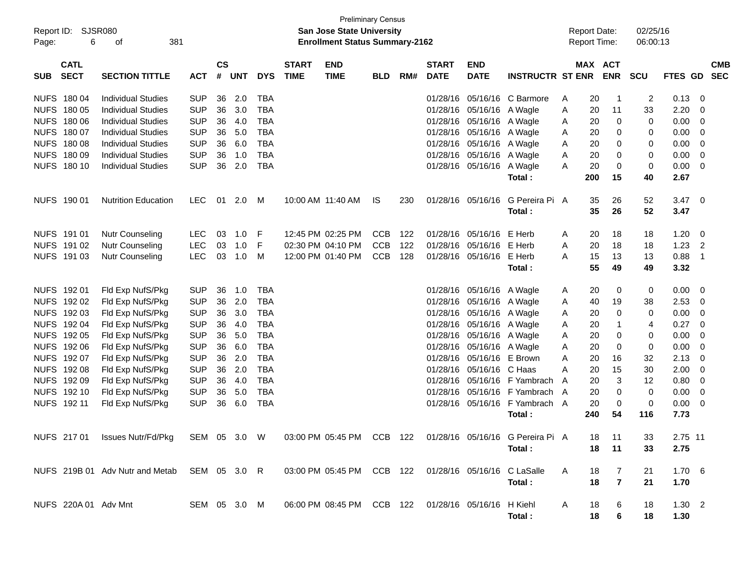| Report ID:<br>Page: | SJSR080<br>6               | 381<br>оf                                    |              |                    |            |            |                             | <b>Preliminary Census</b><br><b>San Jose State University</b><br><b>Enrollment Status Summary-2162</b> |            |     |                             |                           |                                                                         |                | <b>Report Date:</b><br><b>Report Time:</b> |                | 02/25/16<br>06:00:13 |                   |                |                          |
|---------------------|----------------------------|----------------------------------------------|--------------|--------------------|------------|------------|-----------------------------|--------------------------------------------------------------------------------------------------------|------------|-----|-----------------------------|---------------------------|-------------------------------------------------------------------------|----------------|--------------------------------------------|----------------|----------------------|-------------------|----------------|--------------------------|
| <b>SUB</b>          | <b>CATL</b><br><b>SECT</b> | <b>SECTION TITTLE</b>                        | <b>ACT</b>   | $\mathsf{cs}$<br># | <b>UNT</b> | <b>DYS</b> | <b>START</b><br><b>TIME</b> | <b>END</b><br><b>TIME</b>                                                                              | <b>BLD</b> | RM# | <b>START</b><br><b>DATE</b> | <b>END</b><br><b>DATE</b> | <b>INSTRUCTR ST ENR</b>                                                 |                | MAX ACT                                    | <b>ENR</b>     | <b>SCU</b>           | <b>FTES GD</b>    |                | <b>CMB</b><br><b>SEC</b> |
|                     | NUFS 180 04                | <b>Individual Studies</b>                    | <b>SUP</b>   | 36                 | 2.0        | <b>TBA</b> |                             |                                                                                                        |            |     | 01/28/16                    | 05/16/16                  | C Barmore                                                               | A              | 20                                         | $\overline{1}$ | 2                    | 0.13              | - 0            |                          |
|                     | NUFS 180 05                | <b>Individual Studies</b>                    | <b>SUP</b>   | 36                 | 3.0        | <b>TBA</b> |                             |                                                                                                        |            |     | 01/28/16                    | 05/16/16                  | A Wagle                                                                 | A              | 20                                         | 11             | 33                   | 2.20              | - 0            |                          |
|                     | NUFS 180 06                | <b>Individual Studies</b>                    | <b>SUP</b>   | 36                 | 4.0        | <b>TBA</b> |                             |                                                                                                        |            |     | 01/28/16                    | 05/16/16                  | A Wagle                                                                 | A              | 20                                         | 0              | 0                    | 0.00              | - 0            |                          |
|                     | NUFS 180 07                | <b>Individual Studies</b>                    | <b>SUP</b>   | 36                 | 5.0        | <b>TBA</b> |                             |                                                                                                        |            |     | 01/28/16                    | 05/16/16                  | A Wagle                                                                 | A              | 20                                         | 0              | 0                    | 0.00              | - 0            |                          |
|                     | NUFS 180 08                | <b>Individual Studies</b>                    | <b>SUP</b>   | 36                 | 6.0        | <b>TBA</b> |                             |                                                                                                        |            |     | 01/28/16                    | 05/16/16                  | A Wagle                                                                 | A              | 20                                         | 0              | 0                    | 0.00              | - 0            |                          |
|                     | NUFS 180 09                | <b>Individual Studies</b>                    | <b>SUP</b>   | 36                 | 1.0        | <b>TBA</b> |                             |                                                                                                        |            |     | 01/28/16                    | 05/16/16                  | A Wagle                                                                 | A              | 20                                         | 0              | 0                    | 0.00              | - 0            |                          |
|                     | NUFS 180 10                | <b>Individual Studies</b>                    | <b>SUP</b>   | 36                 | 2.0        | <b>TBA</b> |                             |                                                                                                        |            |     | 01/28/16                    | 05/16/16                  | A Wagle                                                                 | A              | 20                                         | 0              | 0                    | 0.00              | - 0            |                          |
|                     |                            |                                              |              |                    |            |            |                             |                                                                                                        |            |     |                             |                           | Total:                                                                  |                | 200                                        | 15             | 40                   | 2.67              |                |                          |
|                     | NUFS 190 01                | <b>Nutrition Education</b>                   | <b>LEC</b>   | 01                 | 2.0        | M          |                             | 10:00 AM 11:40 AM                                                                                      | IS.        | 230 | 01/28/16                    | 05/16/16                  | G Pereira Pi A<br>Total:                                                |                | 35<br>35                                   | 26<br>26       | 52<br>52             | 3.47<br>3.47      | - 0            |                          |
|                     |                            |                                              |              |                    |            |            |                             |                                                                                                        |            |     |                             |                           |                                                                         |                |                                            |                |                      |                   |                |                          |
| NUFS 191 01         |                            | Nutr Counseling                              | <b>LEC</b>   | 03                 | 1.0        | F          |                             | 12:45 PM 02:25 PM                                                                                      | <b>CCB</b> | 122 | 01/28/16                    | 05/16/16                  | E Herb                                                                  | A              | 20                                         | 18             | 18                   | 1.20              | 0              |                          |
|                     | NUFS 191 02                | Nutr Counseling                              | <b>LEC</b>   | 03                 | 1.0        | F          |                             | 02:30 PM 04:10 PM                                                                                      | <b>CCB</b> | 122 | 01/28/16                    | 05/16/16                  | E Herb                                                                  | A              | 20                                         | 18             | 18                   | 1.23              | $\overline{2}$ |                          |
|                     | NUFS 191 03                | <b>Nutr Counseling</b>                       | <b>LEC</b>   | 03                 | 1.0        | M          |                             | 12:00 PM 01:40 PM                                                                                      | <b>CCB</b> | 128 | 01/28/16                    | 05/16/16                  | E Herb<br>Total:                                                        | A              | 15<br>55                                   | 13<br>49       | 13<br>49             | 0.88<br>3.32      | $\overline{1}$ |                          |
|                     | NUFS 192 01                | Fld Exp NufS/Pkg                             | <b>SUP</b>   | 36                 | 1.0        | <b>TBA</b> |                             |                                                                                                        |            |     | 01/28/16                    | 05/16/16 A Wagle          |                                                                         |                | 20                                         | 0              | 0                    | 0.00              | - 0            |                          |
|                     | NUFS 192 02                | Fld Exp NufS/Pkg                             | <b>SUP</b>   | 36                 | 2.0        | <b>TBA</b> |                             |                                                                                                        |            |     | 01/28/16                    | 05/16/16 A Wagle          |                                                                         | A<br>A         | 40                                         | 19             | 38                   | 2.53              | - 0            |                          |
|                     | NUFS 192 03                | Fld Exp NufS/Pkg                             | <b>SUP</b>   | 36                 | 3.0        | <b>TBA</b> |                             |                                                                                                        |            |     | 01/28/16                    | 05/16/16                  | A Wagle                                                                 | A              | 20                                         | 0              | 0                    | 0.00              | - 0            |                          |
|                     | NUFS 192 04                | Fld Exp NufS/Pkg                             | <b>SUP</b>   | 36                 | 4.0        | <b>TBA</b> |                             |                                                                                                        |            |     | 01/28/16                    | 05/16/16                  | A Wagle                                                                 | A              | 20                                         | $\mathbf 1$    | 4                    | 0.27              | - 0            |                          |
|                     | NUFS 192 05                | Fld Exp NufS/Pkg                             | <b>SUP</b>   | 36                 | 5.0        | <b>TBA</b> |                             |                                                                                                        |            |     | 01/28/16                    | 05/16/16                  | A Wagle                                                                 | A              | 20                                         | 0              | 0                    | 0.00              | - 0            |                          |
|                     | NUFS 192 06                | Fld Exp NufS/Pkg                             | <b>SUP</b>   | 36                 | 6.0        | <b>TBA</b> |                             |                                                                                                        |            |     | 01/28/16                    | 05/16/16                  | A Wagle                                                                 | A              | 20                                         | 0              | 0                    | 0.00              | - 0            |                          |
|                     | NUFS 192 07                | Fld Exp NufS/Pkg                             | <b>SUP</b>   | 36                 | 2.0        | <b>TBA</b> |                             |                                                                                                        |            |     | 01/28/16                    | 05/16/16                  | E Brown                                                                 | A              | 20                                         | 16             | 32                   | 2.13              | - 0            |                          |
|                     | NUFS 192 08                | Fld Exp NufS/Pkg                             | <b>SUP</b>   | 36                 | 2.0        | <b>TBA</b> |                             |                                                                                                        |            |     | 01/28/16                    | 05/16/16 C Haas           |                                                                         | A              | 20                                         | 15             | 30                   | 2.00              | - 0            |                          |
|                     | NUFS 192 09                | Fld Exp NufS/Pkg                             | <b>SUP</b>   | 36                 | 4.0        | <b>TBA</b> |                             |                                                                                                        |            |     | 01/28/16                    |                           | 05/16/16 F Yambrach                                                     | A              | 20                                         | 3              | 12                   | 0.80              | 0              |                          |
|                     | NUFS 192 10                | Fld Exp NufS/Pkg                             | <b>SUP</b>   | 36                 | 5.0        | <b>TBA</b> |                             |                                                                                                        |            |     | 01/28/16                    |                           | 05/16/16 F Yambrach                                                     | A              | 20                                         | 0              | 0                    | 0.00              | 0              |                          |
|                     | NUFS 192 11                | Fld Exp NufS/Pkg                             | <b>SUP</b>   | 36                 | 6.0        | <b>TBA</b> |                             |                                                                                                        |            |     | 01/28/16                    |                           | 05/16/16 F Yambrach                                                     | $\overline{A}$ | 20                                         | 0              | 0                    | 0.00              | - 0            |                          |
|                     |                            |                                              |              |                    |            |            |                             |                                                                                                        |            |     |                             |                           | Total:                                                                  |                | 240                                        | 54             | 116                  | 7.73              |                |                          |
|                     |                            | NUFS 217 01 Issues Nutr/Fd/Pkg               |              |                    |            |            |                             |                                                                                                        |            |     |                             |                           | SEM 05 3.0 W 03:00 PM 05:45 PM CCB 122 01/28/16 05/16/16 G Pereira Pi A |                |                                            | 18 11          | 33                   | 2.75 11           |                |                          |
|                     |                            |                                              |              |                    |            |            |                             |                                                                                                        |            |     |                             |                           | Total :                                                                 |                | 18                                         | 11             | 33                   | 2.75              |                |                          |
|                     |                            | NUFS 219B 01 Adv Nutr and Metab SEM 05 3.0 R |              |                    |            |            |                             | 03:00 PM 05:45 PM CCB 122 01/28/16 05/16/16 C LaSalle                                                  |            |     |                             |                           |                                                                         | A              | 18                                         | 7              | 21                   | 1.70 <sub>6</sub> |                |                          |
|                     |                            |                                              |              |                    |            |            |                             |                                                                                                        |            |     |                             |                           | Total :                                                                 |                | 18                                         | $\overline{7}$ | 21                   | 1.70              |                |                          |
|                     | NUFS 220A 01 Adv Mnt       |                                              | SEM 05 3.0 M |                    |            |            |                             | 06:00 PM 08:45 PM CCB 122 01/28/16 05/16/16 H Kiehl                                                    |            |     |                             |                           |                                                                         | A              | 18                                         | 6              | 18                   | $1.30$ 2          |                |                          |
|                     |                            |                                              |              |                    |            |            |                             |                                                                                                        |            |     |                             |                           | Total :                                                                 |                | 18                                         | 6              | 18                   | 1.30              |                |                          |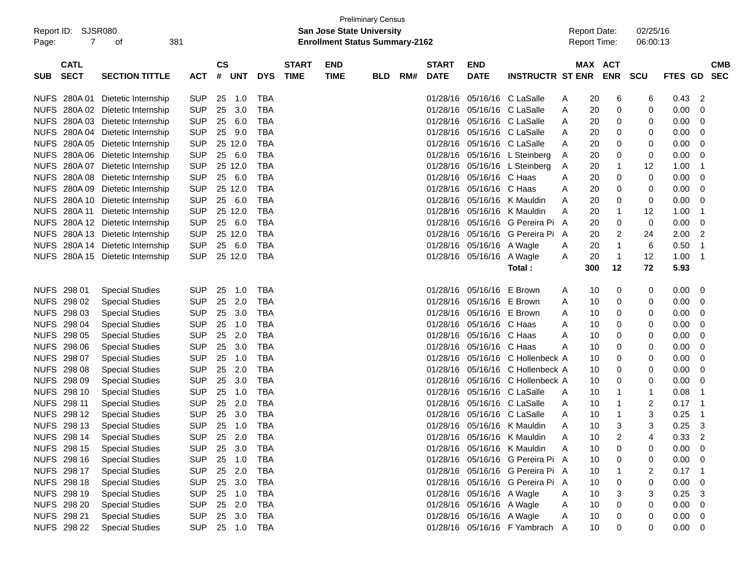| Report ID: SJSR080<br>7<br>Page:         | 381<br>οf                        |            |                              |            |                             | <b>San Jose State University</b><br><b>Enrollment Status Summary-2162</b> | <b>Preliminary Census</b> |     |                             |                           |                                  |   | <b>Report Date:</b><br><b>Report Time:</b> |              | 02/25/16<br>06:00:13 |             |                  |  |
|------------------------------------------|----------------------------------|------------|------------------------------|------------|-----------------------------|---------------------------------------------------------------------------|---------------------------|-----|-----------------------------|---------------------------|----------------------------------|---|--------------------------------------------|--------------|----------------------|-------------|------------------|--|
| <b>CATL</b><br><b>SECT</b><br><b>SUB</b> | <b>SECTION TITTLE</b>            | <b>ACT</b> | <b>CS</b><br>#<br><b>UNT</b> | <b>DYS</b> | <b>START</b><br><b>TIME</b> | <b>END</b><br><b>TIME</b>                                                 | <b>BLD</b>                | RM# | <b>START</b><br><b>DATE</b> | <b>END</b><br><b>DATE</b> | <b>INSTRUCTR ST ENR</b>          |   | MAX ACT                                    | <b>ENR</b>   | <b>SCU</b>           | FTES GD SEC | <b>CMB</b>       |  |
| NUFS 280A 01                             | Dietetic Internship              | <b>SUP</b> | 25<br>1.0                    | TBA        |                             |                                                                           |                           |     | 01/28/16                    |                           | 05/16/16 C LaSalle               | Α | 20                                         | 6            | 6                    | 0.43        | 2                |  |
|                                          | NUFS 280A 02 Dietetic Internship | <b>SUP</b> | 25<br>3.0                    | TBA        |                             |                                                                           |                           |     |                             |                           | 01/28/16 05/16/16 C LaSalle      | Α | 20                                         | 0            | 0                    | 0.00        | 0                |  |
|                                          | NUFS 280A 03 Dietetic Internship | <b>SUP</b> | 6.0<br>25                    | <b>TBA</b> |                             |                                                                           |                           |     | 01/28/16                    |                           | 05/16/16 C LaSalle               | A | 20                                         | 0            | 0                    | 0.00        | 0                |  |
|                                          | NUFS 280A 04 Dietetic Internship | <b>SUP</b> | 9.0<br>25                    | <b>TBA</b> |                             |                                                                           |                           |     | 01/28/16                    |                           | 05/16/16 C LaSalle               | A | 20                                         | 0            | 0                    | 0.00        | 0                |  |
|                                          | NUFS 280A 05 Dietetic Internship | <b>SUP</b> | 25 12.0                      | <b>TBA</b> |                             |                                                                           |                           |     | 01/28/16                    |                           | 05/16/16 C LaSalle               | A | 20                                         | 0            | 0                    | 0.00        | 0                |  |
|                                          | NUFS 280A 06 Dietetic Internship | <b>SUP</b> | 25<br>6.0                    | <b>TBA</b> |                             |                                                                           |                           |     |                             |                           | 01/28/16 05/16/16 L Steinberg    | A | 20                                         | 0            | 0                    | 0.00        | 0                |  |
|                                          | NUFS 280A 07 Dietetic Internship | <b>SUP</b> | 25 12.0                      | <b>TBA</b> |                             |                                                                           |                           |     |                             |                           | 01/28/16 05/16/16 L Steinberg    | Α | 20                                         | $\mathbf{1}$ | 12                   | 1.00        | -1               |  |
|                                          | NUFS 280A 08 Dietetic Internship | <b>SUP</b> | 25<br>6.0                    | <b>TBA</b> |                             |                                                                           |                           |     | 01/28/16                    | 05/16/16 C Haas           |                                  | Α | 20                                         | 0            | 0                    | 0.00        | 0                |  |
|                                          | NUFS 280A 09 Dietetic Internship | <b>SUP</b> | 25 12.0                      | <b>TBA</b> |                             |                                                                           |                           |     | 01/28/16                    | 05/16/16 C Haas           |                                  | A | 20                                         | 0            | 0                    | 0.00        | 0                |  |
|                                          | NUFS 280A 10 Dietetic Internship | <b>SUP</b> | 25<br>6.0                    | <b>TBA</b> |                             |                                                                           |                           |     | 01/28/16                    |                           | 05/16/16 K Mauldin               | A | 20                                         | 0            | 0                    | 0.00        | 0                |  |
| <b>NUFS 280A11</b>                       | Dietetic Internship              | <b>SUP</b> | 25 12.0                      | <b>TBA</b> |                             |                                                                           |                           |     | 01/28/16                    |                           | 05/16/16 K Mauldin               | A | 20                                         | $\mathbf 1$  | 12                   | 1.00        | -1               |  |
|                                          | NUFS 280A 12 Dietetic Internship | <b>SUP</b> | 6.0<br>25                    | <b>TBA</b> |                             |                                                                           |                           |     | 01/28/16                    |                           | 05/16/16 G Pereira Pi A          |   | 20                                         | 0            | 0                    | 0.00        | 0                |  |
|                                          | NUFS 280A 13 Dietetic Internship | <b>SUP</b> | 25 12.0                      | <b>TBA</b> |                             |                                                                           |                           |     | 01/28/16                    |                           | 05/16/16 G Pereira Pi A          |   | 20                                         | 2            | 24                   | 2.00        | 2                |  |
|                                          | NUFS 280A 14 Dietetic Internship | <b>SUP</b> | 25<br>6.0                    | <b>TBA</b> |                             |                                                                           |                           |     |                             | 01/28/16 05/16/16 A Wagle |                                  | Α | 20                                         | $\mathbf 1$  | 6                    | 0.50        | -1               |  |
|                                          | NUFS 280A 15 Dietetic Internship | <b>SUP</b> | 25 12.0                      | <b>TBA</b> |                             |                                                                           |                           |     |                             | 01/28/16 05/16/16 A Wagle |                                  | A | 20                                         | $\mathbf{1}$ | 12                   | 1.00        | -1               |  |
|                                          |                                  |            |                              |            |                             |                                                                           |                           |     |                             |                           | Total:                           |   | 300                                        | 12           | 72                   | 5.93        |                  |  |
|                                          |                                  |            |                              |            |                             |                                                                           |                           |     |                             |                           |                                  |   |                                            |              |                      |             |                  |  |
| NUFS 298 01                              | <b>Special Studies</b>           | <b>SUP</b> | 25<br>1.0                    | TBA        |                             |                                                                           |                           |     |                             | 01/28/16 05/16/16 E Brown |                                  | A | 10                                         | 0            | 0                    | 0.00        | 0                |  |
| NUFS 298 02                              | <b>Special Studies</b>           | <b>SUP</b> | 25<br>2.0                    | <b>TBA</b> |                             |                                                                           |                           |     |                             | 01/28/16 05/16/16 E Brown |                                  | Α | 10                                         | 0            | 0                    | 0.00        | 0                |  |
| NUFS 298 03                              | <b>Special Studies</b>           | <b>SUP</b> | 25<br>3.0                    | <b>TBA</b> |                             |                                                                           |                           |     |                             | 01/28/16 05/16/16 E Brown |                                  | Α | 10                                         | 0            | 0                    | 0.00        | 0                |  |
| NUFS 298 04                              | <b>Special Studies</b>           | <b>SUP</b> | 25<br>1.0                    | <b>TBA</b> |                             |                                                                           |                           |     |                             | 01/28/16 05/16/16 C Haas  |                                  | A | 10                                         | 0            | 0                    | 0.00        | 0                |  |
| NUFS 298 05                              | <b>Special Studies</b>           | <b>SUP</b> | 25<br>2.0                    | <b>TBA</b> |                             |                                                                           |                           |     |                             | 01/28/16 05/16/16 C Haas  |                                  | A | 10                                         | 0            | 0                    | 0.00        | 0                |  |
| NUFS 298 06                              | <b>Special Studies</b>           | <b>SUP</b> | 3.0<br>25                    | <b>TBA</b> |                             |                                                                           |                           |     | 01/28/16                    | 05/16/16 C Haas           |                                  | A | 10                                         | 0            | 0                    | 0.00        | 0                |  |
| NUFS 298 07                              | <b>Special Studies</b>           | <b>SUP</b> | 25<br>1.0                    | <b>TBA</b> |                             |                                                                           |                           |     | 01/28/16                    |                           | 05/16/16 C Hollenbeck A          |   | 10                                         | 0            | 0                    | 0.00        | 0                |  |
| NUFS 298 08                              | <b>Special Studies</b>           | <b>SUP</b> | 25<br>2.0                    | <b>TBA</b> |                             |                                                                           |                           |     |                             |                           | 01/28/16 05/16/16 C Hollenbeck A |   | 10                                         | 0            | 0                    | 0.00        | 0                |  |
| NUFS 298 09                              | <b>Special Studies</b>           | <b>SUP</b> | 3.0<br>25                    | <b>TBA</b> |                             |                                                                           |                           |     | 01/28/16                    |                           | 05/16/16 C Hollenbeck A          |   | 10                                         | 0            | 0                    | 0.00        | 0                |  |
| NUFS 298 10                              | <b>Special Studies</b>           | <b>SUP</b> | 25<br>1.0                    | <b>TBA</b> |                             |                                                                           |                           |     | 01/28/16                    |                           | 05/16/16 C LaSalle               | A | 10                                         | 1            | $\mathbf{1}$         | 0.08        | -1               |  |
| NUFS 298 11                              | <b>Special Studies</b>           | <b>SUP</b> | 2.0<br>25                    | <b>TBA</b> |                             |                                                                           |                           |     | 01/28/16                    |                           | 05/16/16 C LaSalle               | A | 10                                         | -1           | $\overline{c}$       | 0.17        | -1               |  |
| NUFS 298 12                              | <b>Special Studies</b>           | <b>SUP</b> | 3.0<br>25                    | <b>TBA</b> |                             |                                                                           |                           |     | 01/28/16                    |                           | 05/16/16 C LaSalle               | A | 10                                         | $\mathbf 1$  | 3                    | 0.25        | -1               |  |
| NUFS 298 13                              | <b>Special Studies</b>           | <b>SUP</b> | 25<br>1.0                    | <b>TBA</b> |                             |                                                                           |                           |     |                             |                           | 01/28/16 05/16/16 K Mauldin      | A | 10                                         | 3            | 3                    | 0.25        | 3                |  |
| NUFS 298 14                              | <b>Special Studies</b>           |            | SUP 25 2.0                   | <b>TBA</b> |                             |                                                                           |                           |     |                             |                           | 01/28/16 05/16/16 K Mauldin      | Α | 10                                         | 2            | 4                    | 0.33        | $\boldsymbol{2}$ |  |
| NUFS 298 15                              | <b>Special Studies</b>           | <b>SUP</b> | 25<br>3.0                    | TBA        |                             |                                                                           |                           |     |                             |                           | 01/28/16 05/16/16 K Mauldin      | Α | 10                                         | 0            | 0                    | 0.00        | 0                |  |
| NUFS 298 16                              | <b>Special Studies</b>           | <b>SUP</b> | 1.0<br>25                    | <b>TBA</b> |                             |                                                                           |                           |     |                             |                           | 01/28/16 05/16/16 G Pereira Pi A |   | 10                                         | 0            | 0                    | 0.00        | 0                |  |
| NUFS 298 17                              | <b>Special Studies</b>           | <b>SUP</b> | 2.0<br>25                    | <b>TBA</b> |                             |                                                                           |                           |     |                             |                           | 01/28/16 05/16/16 G Pereira Pi A |   | 10                                         |              | 2                    | 0.17        | -1               |  |
| NUFS 298 18                              | <b>Special Studies</b>           | <b>SUP</b> | 3.0<br>25                    | <b>TBA</b> |                             |                                                                           |                           |     |                             |                           | 01/28/16 05/16/16 G Pereira Pi A |   | 10                                         | 0            | 0                    | 0.00        | 0                |  |
| NUFS 298 19                              | <b>Special Studies</b>           | <b>SUP</b> | 25<br>1.0                    | <b>TBA</b> |                             |                                                                           |                           |     |                             | 01/28/16 05/16/16 A Wagle |                                  | Α | 10                                         | 3            | 3                    | 0.25        | 3                |  |
| <b>NUFS 298 20</b>                       | <b>Special Studies</b>           | <b>SUP</b> | 2.0<br>25                    | <b>TBA</b> |                             |                                                                           |                           |     |                             | 01/28/16 05/16/16 A Wagle |                                  | Α | 10                                         | 0            | 0                    | 0.00        | 0                |  |
| NUFS 298 21                              | <b>Special Studies</b>           | <b>SUP</b> | 3.0<br>25                    | <b>TBA</b> |                             |                                                                           |                           |     |                             | 01/28/16 05/16/16 A Wagle |                                  | Α | 10                                         | 0            | 0                    | 0.00        | 0                |  |
| <b>NUFS 298 22</b>                       | <b>Special Studies</b>           | <b>SUP</b> | 25 1.0 TBA                   |            |                             |                                                                           |                           |     |                             |                           | 01/28/16 05/16/16 F Yambrach A   |   | 10                                         | 0            | 0                    | $0.00 \t 0$ |                  |  |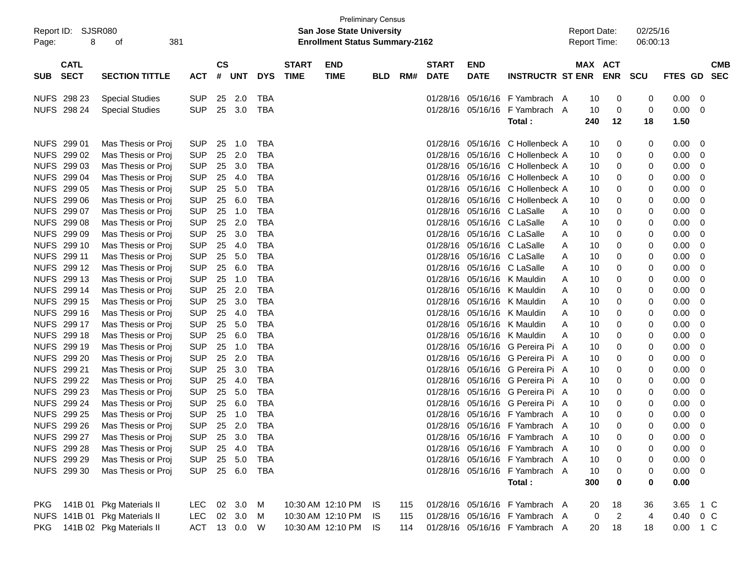| Report ID:<br>Page: | SJSR080<br>8               | 381<br>οf                     |              |                    |          |            |                             | <b>Preliminary Census</b><br><b>San Jose State University</b><br><b>Enrollment Status Summary-2162</b> |            |     |                             |                           |                                |   | <b>Report Date:</b><br><b>Report Time:</b> |                | 02/25/16<br>06:00:13 |                |                          |                          |
|---------------------|----------------------------|-------------------------------|--------------|--------------------|----------|------------|-----------------------------|--------------------------------------------------------------------------------------------------------|------------|-----|-----------------------------|---------------------------|--------------------------------|---|--------------------------------------------|----------------|----------------------|----------------|--------------------------|--------------------------|
| <b>SUB</b>          | <b>CATL</b><br><b>SECT</b> | <b>SECTION TITTLE</b>         | ACT          | $\mathsf{cs}$<br># | UNT      | <b>DYS</b> | <b>START</b><br><b>TIME</b> | <b>END</b><br><b>TIME</b>                                                                              | <b>BLD</b> | RM# | <b>START</b><br><b>DATE</b> | <b>END</b><br><b>DATE</b> | <b>INSTRUCTR ST ENR</b>        |   | MAX ACT                                    | <b>ENR</b>     | <b>SCU</b>           | FTES GD        |                          | <b>CMB</b><br><b>SEC</b> |
|                     | NUFS 298 23                | <b>Special Studies</b>        | <b>SUP</b>   | 25                 | 2.0      | <b>TBA</b> |                             |                                                                                                        |            |     | 01/28/16                    | 05/16/16                  | F Yambrach A                   |   | 10                                         | 0              | 0                    | 0.00           | $\overline{\mathbf{0}}$  |                          |
|                     | NUFS 298 24                | <b>Special Studies</b>        | <b>SUP</b>   | 25                 | 3.0      | <b>TBA</b> |                             |                                                                                                        |            |     |                             | 01/28/16 05/16/16         | F Yambrach A                   |   | 10                                         | 0              | 0                    | 0.00           | - 0                      |                          |
|                     |                            |                               |              |                    |          |            |                             |                                                                                                        |            |     |                             |                           | Total:                         |   | 240                                        | 12             | 18                   | 1.50           |                          |                          |
|                     | NUFS 299 01                | Mas Thesis or Proj            | <b>SUP</b>   | 25                 | 1.0      | <b>TBA</b> |                             |                                                                                                        |            |     | 01/28/16                    |                           | 05/16/16 C Hollenbeck A        |   | 10                                         | 0              | 0                    | 0.00           | $\overline{\mathbf{0}}$  |                          |
|                     | NUFS 299 02                | Mas Thesis or Proj            | <b>SUP</b>   | 25                 | 2.0      | <b>TBA</b> |                             |                                                                                                        |            |     | 01/28/16                    |                           | 05/16/16 C Hollenbeck A        |   | 10                                         | 0              | 0                    | 0.00           | $\overline{0}$           |                          |
| <b>NUFS</b>         | 299 03                     | Mas Thesis or Proj            | <b>SUP</b>   | 25                 | 3.0      | <b>TBA</b> |                             |                                                                                                        |            |     | 01/28/16                    |                           | 05/16/16 C Hollenbeck A        |   | 10                                         | 0              | 0                    | 0.00           | $\overline{0}$           |                          |
| <b>NUFS</b>         | 299 04                     | Mas Thesis or Proj            | <b>SUP</b>   | 25                 | 4.0      | <b>TBA</b> |                             |                                                                                                        |            |     | 01/28/16                    |                           | 05/16/16 C Hollenbeck A        |   | 10                                         | 0              | 0                    | 0.00           | 0                        |                          |
| <b>NUFS</b>         | 299 05                     | Mas Thesis or Proj            | <b>SUP</b>   | 25                 | 5.0      | <b>TBA</b> |                             |                                                                                                        |            |     | 01/28/16                    |                           | 05/16/16 C Hollenbeck A        |   | 10                                         | 0              | 0                    | 0.00           | 0                        |                          |
| <b>NUFS</b>         | 299 06                     | Mas Thesis or Proj            | <b>SUP</b>   | 25                 | 6.0      | <b>TBA</b> |                             |                                                                                                        |            |     | 01/28/16                    |                           | 05/16/16 C Hollenbeck A        |   | 10                                         | 0              | 0                    | 0.00           | 0                        |                          |
| <b>NUFS</b>         | 299 07                     | Mas Thesis or Proj            | <b>SUP</b>   | 25                 | 1.0      | <b>TBA</b> |                             |                                                                                                        |            |     | 01/28/16                    |                           | 05/16/16 C LaSalle             | A | 10                                         | 0              | 0                    | 0.00           | 0                        |                          |
| <b>NUFS</b>         | 299 08                     | Mas Thesis or Proj            | <b>SUP</b>   | 25                 | 2.0      | <b>TBA</b> |                             |                                                                                                        |            |     | 01/28/16                    |                           | 05/16/16 C LaSalle             | A | 10                                         | 0              | 0                    | 0.00           | 0                        |                          |
| <b>NUFS</b>         | 299 09                     | Mas Thesis or Proj            | <b>SUP</b>   | 25                 | 3.0      | <b>TBA</b> |                             |                                                                                                        |            |     | 01/28/16                    |                           | 05/16/16 C LaSalle             | A | 10                                         | 0              | 0                    | 0.00           | 0                        |                          |
| <b>NUFS</b>         | 299 10                     | Mas Thesis or Proj            | <b>SUP</b>   | 25                 | 4.0      | <b>TBA</b> |                             |                                                                                                        |            |     | 01/28/16                    |                           | 05/16/16 C LaSalle             | A | 10                                         | 0              | 0                    | 0.00           | 0                        |                          |
| <b>NUFS</b>         | 299 11                     | Mas Thesis or Proj            | <b>SUP</b>   | 25                 | 5.0      | <b>TBA</b> |                             |                                                                                                        |            |     | 01/28/16                    |                           | 05/16/16 C LaSalle             | A | 10                                         | 0              | 0                    | 0.00           | 0                        |                          |
| <b>NUFS</b>         | 299 12                     | Mas Thesis or Proj            | <b>SUP</b>   | 25                 | 6.0      | <b>TBA</b> |                             |                                                                                                        |            |     | 01/28/16                    |                           | 05/16/16 C LaSalle             | A | 10                                         | 0              | 0                    | 0.00           | 0                        |                          |
| <b>NUFS</b>         | 299 13                     | Mas Thesis or Proj            | <b>SUP</b>   | 25                 | 1.0      | <b>TBA</b> |                             |                                                                                                        |            |     | 01/28/16                    |                           | 05/16/16 K Mauldin             | A | 10                                         | 0              | 0                    | 0.00           | 0                        |                          |
| <b>NUFS</b>         | 299 14                     | Mas Thesis or Proj            | <b>SUP</b>   | 25                 | 2.0      | <b>TBA</b> |                             |                                                                                                        |            |     | 01/28/16                    |                           | 05/16/16 K Mauldin             | A | 10                                         | 0              | 0                    | 0.00           | 0                        |                          |
| <b>NUFS</b>         | 299 15                     | Mas Thesis or Proj            | <b>SUP</b>   | 25                 | 3.0      | <b>TBA</b> |                             |                                                                                                        |            |     | 01/28/16                    |                           | 05/16/16 K Mauldin             | A | 10                                         | 0              | 0                    | 0.00           | 0                        |                          |
| <b>NUFS</b>         | 299 16                     | Mas Thesis or Proj            | <b>SUP</b>   | 25                 | 4.0      | <b>TBA</b> |                             |                                                                                                        |            |     | 01/28/16                    |                           | 05/16/16 K Mauldin             | A | 10                                         | 0              | 0                    | 0.00           | 0                        |                          |
| <b>NUFS</b>         | 299 17                     | Mas Thesis or Proj            | <b>SUP</b>   | 25                 | 5.0      | <b>TBA</b> |                             |                                                                                                        |            |     | 01/28/16                    |                           | 05/16/16 K Mauldin             | A | 10                                         | 0              | 0                    | 0.00           | 0                        |                          |
| <b>NUFS</b>         | 299 18                     | Mas Thesis or Proj            | <b>SUP</b>   | 25                 | 6.0      | <b>TBA</b> |                             |                                                                                                        |            |     | 01/28/16                    |                           | 05/16/16 K Mauldin             | A | 10                                         | 0              | 0                    | 0.00           | 0                        |                          |
| <b>NUFS</b>         | 299 19                     | Mas Thesis or Proj            | <b>SUP</b>   | 25                 | 1.0      | <b>TBA</b> |                             |                                                                                                        |            |     | 01/28/16                    |                           | 05/16/16 G Pereira Pi A        |   | 10                                         | 0              | 0                    | 0.00           | 0                        |                          |
| <b>NUFS</b>         | 299 20                     | Mas Thesis or Proj            | <b>SUP</b>   | 25                 | 2.0      | <b>TBA</b> |                             |                                                                                                        |            |     | 01/28/16                    |                           | 05/16/16 G Pereira Pi A        |   | 10                                         | 0              | 0                    | 0.00           | 0                        |                          |
| <b>NUFS</b>         | 299 21                     | Mas Thesis or Proj            | <b>SUP</b>   | 25                 | 3.0      | <b>TBA</b> |                             |                                                                                                        |            |     | 01/28/16                    |                           | 05/16/16 G Pereira Pi A        |   | 10                                         | 0              | 0                    | 0.00           | 0                        |                          |
| <b>NUFS</b>         | 299 22                     | Mas Thesis or Proj            | <b>SUP</b>   | 25                 | 4.0      | <b>TBA</b> |                             |                                                                                                        |            |     | 01/28/16                    |                           | 05/16/16 G Pereira Pi A        |   | 10                                         | 0              | 0                    | 0.00           | 0                        |                          |
| <b>NUFS</b>         | 299 23                     | Mas Thesis or Proj            | <b>SUP</b>   | 25                 | 5.0      | <b>TBA</b> |                             |                                                                                                        |            |     | 01/28/16                    |                           | 05/16/16 G Pereira Pi A        |   | 10                                         | 0              | 0                    | 0.00           | - 0                      |                          |
| <b>NUFS</b>         | 299 24                     | Mas Thesis or Proj            | <b>SUP</b>   | 25                 | 6.0      | <b>TBA</b> |                             |                                                                                                        |            |     | 01/28/16                    |                           | 05/16/16 G Pereira Pi A        |   | 10                                         | 0              | 0                    | 0.00           | 0                        |                          |
| <b>NUFS</b>         | 299 25                     | Mas Thesis or Proj            | <b>SUP</b>   | 25                 | 1.0      | <b>TBA</b> |                             |                                                                                                        |            |     | 01/28/16                    |                           | 05/16/16 F Yambrach A          |   | 10                                         | 0              | 0                    | 0.00           | 0                        |                          |
|                     | NUFS 299 26                | Mas Thesis or Proj            | <b>SUP</b>   | 25                 | 2.0      | <b>TBA</b> |                             |                                                                                                        |            |     | 01/28/16                    |                           | 05/16/16 F Yambrach A          |   | 10                                         | $\Omega$       | 0                    | 0.00           | 0                        |                          |
|                     | NUFS 299 27                | Mas Thesis or Proj            | SUP 25 3.0   |                    |          | <b>TBA</b> |                             |                                                                                                        |            |     |                             |                           | 01/28/16 05/16/16 F Yambrach A |   | 10                                         | 0              | 0                    | 0.00           | $\overline{\phantom{0}}$ |                          |
|                     | NUFS 299 28                | Mas Thesis or Proj            | <b>SUP</b>   |                    | 25 4.0   | TBA        |                             |                                                                                                        |            |     |                             |                           | 01/28/16 05/16/16 F Yambrach A |   | 10                                         | 0              | 0                    | $0.00 \quad 0$ |                          |                          |
|                     | NUFS 299 29                | Mas Thesis or Proj            | <b>SUP</b>   |                    | 25 5.0   | TBA        |                             |                                                                                                        |            |     |                             |                           | 01/28/16 05/16/16 F Yambrach A |   | 10                                         | 0              | 0                    | $0.00 \quad 0$ |                          |                          |
|                     | NUFS 299 30                | Mas Thesis or Proj            | <b>SUP</b>   |                    | 25 6.0   | TBA        |                             |                                                                                                        |            |     |                             |                           | 01/28/16 05/16/16 F Yambrach A |   | 10                                         | 0              | 0                    | $0.00 \quad 0$ |                          |                          |
|                     |                            |                               |              |                    |          |            |                             |                                                                                                        |            |     |                             |                           | Total:                         |   | 300                                        | 0              | 0                    | 0.00           |                          |                          |
|                     |                            | PKG 141B 01 Pkg Materials II  | LEC          |                    | 02 3.0 M |            |                             | 10:30 AM 12:10 PM IS                                                                                   |            | 115 |                             |                           | 01/28/16 05/16/16 F Yambrach A |   | 20                                         | 18             | 36                   | 3.65           | 1 C                      |                          |
|                     |                            | NUFS 141B 01 Pkg Materials II | LEC.         |                    | 02 3.0   | M          |                             | 10:30 AM 12:10 PM IS                                                                                   |            | 115 |                             |                           | 01/28/16 05/16/16 F Yambrach A |   | 0                                          | $\overline{2}$ | 4                    | 0.40           | $0\,$ C                  |                          |
|                     |                            | PKG 141B 02 Pkg Materials II  | ACT 13 0.0 W |                    |          |            |                             | 10:30 AM 12:10 PM IS                                                                                   |            | 114 |                             |                           | 01/28/16 05/16/16 F Yambrach A |   | 20                                         | 18             | 18                   | $0.00 \t1 C$   |                          |                          |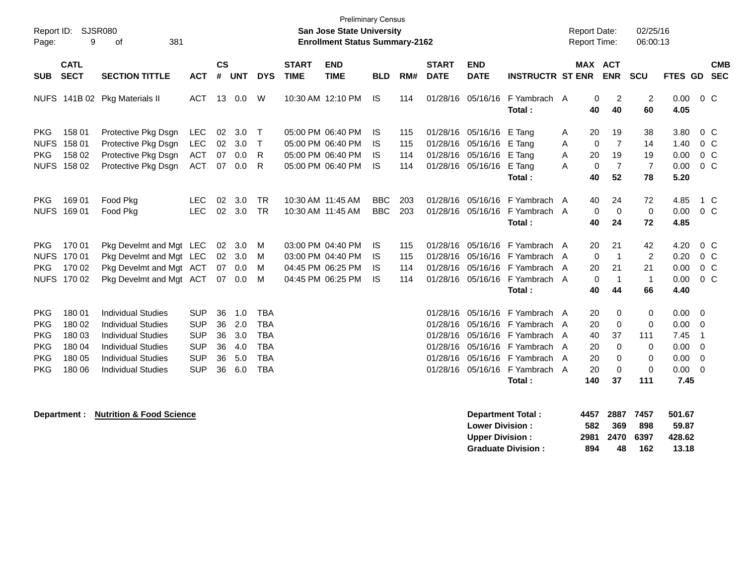| Report ID:<br>Page:                                                              | 9                                                        | SJSR080<br>381<br>οf                                                                                                                                                       |                                                                                  |                                  |                                        |                                                                                  |                             | <b>Preliminary Census</b><br><b>San Jose State University</b><br><b>Enrollment Status Summary-2162</b> |                          |                          |                                                                      |                                                                                     |                                                                                                                                             | <b>Report Date:</b><br><b>Report Time:</b>                     |                                                           | 02/25/16<br>06:00:13                                           |                                                                    |                                                                               |
|----------------------------------------------------------------------------------|----------------------------------------------------------|----------------------------------------------------------------------------------------------------------------------------------------------------------------------------|----------------------------------------------------------------------------------|----------------------------------|----------------------------------------|----------------------------------------------------------------------------------|-----------------------------|--------------------------------------------------------------------------------------------------------|--------------------------|--------------------------|----------------------------------------------------------------------|-------------------------------------------------------------------------------------|---------------------------------------------------------------------------------------------------------------------------------------------|----------------------------------------------------------------|-----------------------------------------------------------|----------------------------------------------------------------|--------------------------------------------------------------------|-------------------------------------------------------------------------------|
| <b>SUB</b>                                                                       | <b>CATL</b><br><b>SECT</b>                               | <b>SECTION TITTLE</b>                                                                                                                                                      | <b>ACT</b>                                                                       | $\mathsf{cs}$<br>#               | <b>UNT</b>                             | <b>DYS</b>                                                                       | <b>START</b><br><b>TIME</b> | <b>END</b><br><b>TIME</b>                                                                              | <b>BLD</b>               | RM#                      | <b>START</b><br><b>DATE</b>                                          | <b>END</b><br><b>DATE</b>                                                           | <b>INSTRUCTR ST ENR</b>                                                                                                                     |                                                                | MAX ACT<br><b>ENR</b>                                     | <b>SCU</b>                                                     | FTES GD                                                            | <b>CMB</b><br><b>SEC</b>                                                      |
|                                                                                  |                                                          | NUFS 141B 02 Pkg Materials II                                                                                                                                              | <b>ACT</b>                                                                       | 13                               | 0.0                                    | W                                                                                |                             | 10:30 AM 12:10 PM                                                                                      | IS.                      | 114                      |                                                                      | 01/28/16 05/16/16                                                                   | F Yambrach A<br>Total:                                                                                                                      | 40                                                             | $\overline{c}$<br>0<br>40                                 | $\overline{2}$<br>60                                           | 0.00<br>4.05                                                       | $0\,$ C                                                                       |
| <b>PKG</b><br><b>NUFS</b><br><b>PKG</b>                                          | 158 01<br>158 01<br>158 02<br>NUFS 158 02                | Protective Pkg Dsgn<br>Protective Pkg Dsgn<br>Protective Pkg Dsgn<br>Protective Pkg Dsgn                                                                                   | <b>LEC</b><br><b>LEC</b><br><b>ACT</b><br><b>ACT</b>                             | 02<br>02<br>07<br>07             | 3.0<br>3.0<br>0.0<br>0.0               | $\mathsf T$<br>$\top$<br>R<br>R                                                  |                             | 05:00 PM 06:40 PM<br>05:00 PM 06:40 PM<br>05:00 PM 06:40 PM<br>05:00 PM 06:40 PM                       | IS.<br>IS.<br>IS.<br>IS  | 115<br>115<br>114<br>114 | 01/28/16<br>01/28/16                                                 | 05/16/16 E Tang<br>05/16/16 E Tang<br>01/28/16 05/16/16 E Tang<br>01/28/16 05/16/16 | E Tang<br>Total:                                                                                                                            | 20<br>A<br>$\Omega$<br>A<br>A<br>20<br>A<br>$\mathbf{0}$<br>40 | 19<br>$\overline{7}$<br>19<br>$\overline{7}$<br>52        | 38<br>14<br>19<br>$\overline{7}$<br>78                         | 3.80<br>1.40<br>0.00<br>0.00<br>5.20                               | $0\,$ C<br>0 <sup>o</sup><br>$0\,$ C<br>$0\,C$                                |
| <b>PKG</b><br><b>NUFS</b>                                                        | 169 01<br>169 01                                         | Food Pkg<br>Food Pkg                                                                                                                                                       | <b>LEC</b><br><b>LEC</b>                                                         | 02<br>02                         | 3.0<br>3.0                             | <b>TR</b><br><b>TR</b>                                                           |                             | 10:30 AM 11:45 AM<br>10:30 AM 11:45 AM                                                                 | <b>BBC</b><br><b>BBC</b> | 203<br>203               | 01/28/16<br>01/28/16                                                 | 05/16/16<br>05/16/16                                                                | F Yambrach<br>F Yambrach A<br>Total:                                                                                                        | 40<br>A<br>$\mathbf 0$<br>40                                   | 24<br>0<br>24                                             | 72<br>$\mathbf 0$<br>72                                        | 4.85<br>0.00<br>4.85                                               | 1 C<br>$0\,C$                                                                 |
| <b>PKG</b><br><b>NUFS</b><br><b>PKG</b>                                          | 170 01<br>170 01<br>170 02<br>NUFS 170 02                | Pkg Develmt and Mgt LEC<br>Pkg Develmt and Mgt LEC<br>Pkg Develmt and Mgt ACT<br>Pkg Develmt and Mgt ACT                                                                   |                                                                                  | 02<br>02<br>07<br>07             | 3.0<br>3.0<br>0.0<br>0.0               | M<br>M<br>M<br>M                                                                 |                             | 03:00 PM 04:40 PM<br>03:00 PM 04:40 PM<br>04:45 PM 06:25 PM<br>04:45 PM 06:25 PM                       | IS.<br>IS.<br>IS<br>IS   | 115<br>115<br>114<br>114 | 01/28/16<br>01/28/16<br>01/28/16                                     | 05/16/16<br>05/16/16                                                                | F Yambrach A<br>F Yambrach<br>05/16/16 F Yambrach A<br>01/28/16 05/16/16 F Yambrach A<br>Total:                                             | 20<br>$\Omega$<br>A<br>20<br>$\mathbf 0$<br>40                 | 21<br>$\overline{1}$<br>21<br>$\mathbf 1$<br>44           | 42<br>2<br>21<br>$\overline{1}$<br>66                          | 4.20<br>0.20<br>0.00<br>0.00<br>4.40                               | 0 <sup>o</sup><br>0 <sup>o</sup><br>$0\,C$<br>$0\,C$                          |
| <b>PKG</b><br><b>PKG</b><br><b>PKG</b><br><b>PKG</b><br><b>PKG</b><br><b>PKG</b> | 180 01<br>180 02<br>180 03<br>180 04<br>180 05<br>180 06 | <b>Individual Studies</b><br><b>Individual Studies</b><br><b>Individual Studies</b><br><b>Individual Studies</b><br><b>Individual Studies</b><br><b>Individual Studies</b> | <b>SUP</b><br><b>SUP</b><br><b>SUP</b><br><b>SUP</b><br><b>SUP</b><br><b>SUP</b> | 36<br>36<br>36<br>36<br>36<br>36 | 1.0<br>2.0<br>3.0<br>4.0<br>5.0<br>6.0 | <b>TBA</b><br><b>TBA</b><br><b>TBA</b><br><b>TBA</b><br><b>TBA</b><br><b>TBA</b> |                             |                                                                                                        |                          |                          | 01/28/16<br>01/28/16<br>01/28/16<br>01/28/16<br>01/28/16<br>01/28/16 | 05/16/16                                                                            | 05/16/16 F Yambrach<br>F Yambrach A<br>05/16/16 F Yambrach A<br>05/16/16 F Yambrach<br>05/16/16 F Yambrach<br>05/16/16 F Yambrach<br>Total: | 20<br>A<br>20<br>40<br>20<br>A<br>20<br>A<br>20<br>A<br>140    | 0<br>$\Omega$<br>37<br>$\Omega$<br>0<br>$\mathbf 0$<br>37 | $\mathbf 0$<br>0<br>111<br>$\Omega$<br>0<br>$\mathbf 0$<br>111 | $0.00 \t 0$<br>0.00<br>7.45<br>0.00<br>0.00<br>$0.00 \t 0$<br>7.45 | $\overline{0}$<br>$\overline{1}$<br>$\overline{\mathbf{0}}$<br>$\overline{0}$ |

**Department : Nutrition & Food Science Department Total : 4457 2887 7457 501.67 Lower Division : 582 369 898 59.87 Upper Division : 2981 2470 6397 428.62 Graduate Division : 894 48 162 13.18**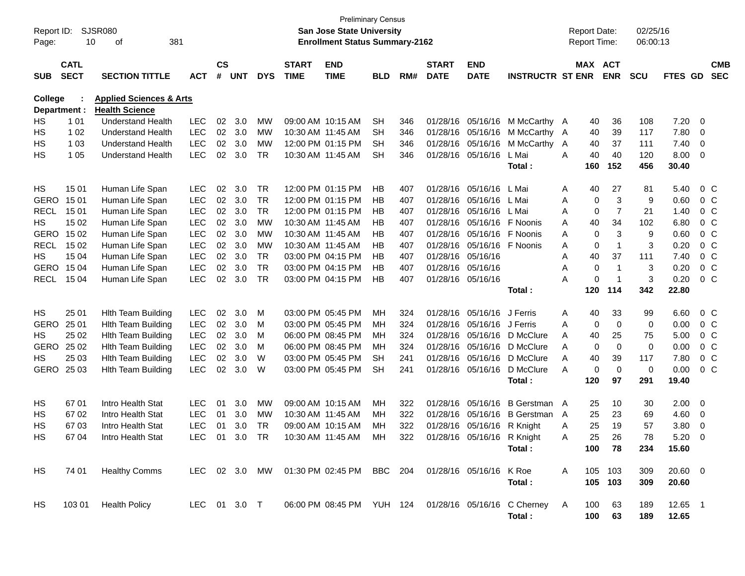| Report ID:<br>Page:     | 10                         | <b>SJSR080</b><br>381<br>оf                                 |              |                    |            |            |                             | <b>Preliminary Census</b><br><b>San Jose State University</b><br><b>Enrollment Status Summary-2162</b> |            |     |                             |                            |                                                         |   | <b>Report Date:</b><br>Report Time: |                | 02/25/16<br>06:00:13 |           |     |                          |
|-------------------------|----------------------------|-------------------------------------------------------------|--------------|--------------------|------------|------------|-----------------------------|--------------------------------------------------------------------------------------------------------|------------|-----|-----------------------------|----------------------------|---------------------------------------------------------|---|-------------------------------------|----------------|----------------------|-----------|-----|--------------------------|
| <b>SUB</b>              | <b>CATL</b><br><b>SECT</b> | <b>SECTION TITTLE</b>                                       | <b>ACT</b>   | $\mathsf{cs}$<br># | <b>UNT</b> | <b>DYS</b> | <b>START</b><br><b>TIME</b> | <b>END</b><br><b>TIME</b>                                                                              | <b>BLD</b> | RM# | <b>START</b><br><b>DATE</b> | <b>END</b><br><b>DATE</b>  | <b>INSTRUCTR ST ENR</b>                                 |   | MAX ACT                             | <b>ENR</b>     | <b>SCU</b>           | FTES GD   |     | <b>CMB</b><br><b>SEC</b> |
| College<br>Department : |                            | <b>Applied Sciences &amp; Arts</b><br><b>Health Science</b> |              |                    |            |            |                             |                                                                                                        |            |     |                             |                            |                                                         |   |                                     |                |                      |           |     |                          |
| HS                      | 1 0 1                      | <b>Understand Health</b>                                    | LEC          | 02                 | 3.0        | MW         |                             | 09:00 AM 10:15 AM                                                                                      | <b>SH</b>  | 346 | 01/28/16                    | 05/16/16                   | M McCarthy A                                            |   | 40                                  | 36             | 108                  | 7.20      | - 0 |                          |
| HS                      | 1 0 2                      | <b>Understand Health</b>                                    | <b>LEC</b>   | 02                 | 3.0        | MW         | 10:30 AM 11:45 AM           |                                                                                                        | <b>SH</b>  | 346 | 01/28/16                    | 05/16/16                   | M McCarthy A                                            |   | 40                                  | 39             | 117                  | 7.80      | 0   |                          |
| НS                      | 1 0 3                      | <b>Understand Health</b>                                    | <b>LEC</b>   | 02                 | 3.0        | MW         |                             | 12:00 PM 01:15 PM                                                                                      | <b>SH</b>  | 346 | 01/28/16                    | 05/16/16                   | M McCarthy A                                            |   | 40                                  | 37             | 111                  | 7.40      | 0   |                          |
| HS                      | 1 0 5                      | <b>Understand Health</b>                                    | <b>LEC</b>   | 02                 | 3.0        | <b>TR</b>  |                             | 10:30 AM 11:45 AM                                                                                      | <b>SH</b>  | 346 | 01/28/16                    | 05/16/16                   | L Mai                                                   | A | 40                                  | 40             | 120                  | 8.00      | 0   |                          |
|                         |                            |                                                             |              |                    |            |            |                             |                                                                                                        |            |     |                             |                            | Total:                                                  |   | 160                                 | 152            | 456                  | 30.40     |     |                          |
| HS                      | 15 01                      | Human Life Span                                             | LEC          | 02                 | 3.0        | <b>TR</b>  |                             | 12:00 PM 01:15 PM                                                                                      | HB         | 407 | 01/28/16                    | 05/16/16                   | L Mai                                                   | A | 40                                  | 27             | 81                   | 5.40      |     | $0\,C$                   |
| <b>GERO</b>             | 15 01                      | Human Life Span                                             | <b>LEC</b>   | 02                 | 3.0        | <b>TR</b>  |                             | 12:00 PM 01:15 PM                                                                                      | HB         | 407 | 01/28/16                    | 05/16/16                   | L Mai                                                   | Α | 0                                   | 3              | 9                    | 0.60      |     | 0 <sup>C</sup>           |
| <b>RECL</b>             | 15 01                      | Human Life Span                                             | <b>LEC</b>   | 02                 | 3.0        | <b>TR</b>  |                             | 12:00 PM 01:15 PM                                                                                      | HB         | 407 | 01/28/16                    | 05/16/16                   | L Mai                                                   | Α | 0                                   | 7              | 21                   | 1.40      |     | 0 <sup>C</sup>           |
| HS                      | 15 02                      | Human Life Span                                             | <b>LEC</b>   | 02                 | 3.0        | МW         | 10:30 AM 11:45 AM           |                                                                                                        | HB         | 407 | 01/28/16                    | 05/16/16                   | F Noonis                                                | A | 40                                  | 34             | 102                  | 6.80      |     | 0 <sup>C</sup>           |
| GERO                    | 15 02                      | Human Life Span                                             | <b>LEC</b>   | 02                 | 3.0        | МW         | 10:30 AM 11:45 AM           |                                                                                                        | HB         | 407 | 01/28/16                    | 05/16/16                   | F Noonis                                                | A | 0                                   | 3              | 9                    | 0.60      |     | 0 <sup>C</sup>           |
| <b>RECL</b>             | 15 02                      | Human Life Span                                             | <b>LEC</b>   | 02                 | 3.0        | <b>MW</b>  | 10:30 AM 11:45 AM           |                                                                                                        | HB         | 407 | 01/28/16                    | 05/16/16                   | F Noonis                                                | Α | 0                                   | $\overline{1}$ | 3                    | 0.20      |     | 0 <sup>C</sup>           |
| HS                      | 15 04                      | Human Life Span                                             | <b>LEC</b>   | 02                 | 3.0        | <b>TR</b>  |                             | 03:00 PM 04:15 PM                                                                                      | HB         | 407 | 01/28/16                    | 05/16/16                   |                                                         | A | 40                                  | 37             | 111                  | 7.40      |     | 0 <sup>C</sup>           |
| GERO                    | 15 04                      | Human Life Span                                             | <b>LEC</b>   | 02                 | 3.0        | <b>TR</b>  |                             | 03:00 PM 04:15 PM                                                                                      | HB         | 407 | 01/28/16                    | 05/16/16                   |                                                         | Α | 0                                   | $\overline{1}$ | 3                    | 0.20      |     | 0 <sup>C</sup>           |
| <b>RECL</b>             | 15 04                      | Human Life Span                                             | <b>LEC</b>   | 02                 | 3.0        | <b>TR</b>  |                             | 03:00 PM 04:15 PM                                                                                      | HB         | 407 |                             | 01/28/16 05/16/16          |                                                         | Α | 0                                   | $\overline{1}$ | 3                    | 0.20      |     | 0 <sup>C</sup>           |
|                         |                            |                                                             |              |                    |            |            |                             |                                                                                                        |            |     |                             |                            | Total:                                                  |   | 120                                 | 114            | 342                  | 22.80     |     |                          |
| HS                      | 25 01                      | <b>Hith Team Building</b>                                   | LEC          | 02                 | 3.0        | М          |                             | 03:00 PM 05:45 PM                                                                                      | MН         | 324 | 01/28/16                    | 05/16/16                   | J Ferris                                                | Α | 40                                  | 33             | 99                   | 6.60      |     | $0\,C$                   |
| GERO                    | 25 01                      | <b>Hith Team Building</b>                                   | <b>LEC</b>   | 02                 | 3.0        | M          |                             | 03:00 PM 05:45 PM                                                                                      | MН         | 324 | 01/28/16                    | 05/16/16                   | J Ferris                                                | A | 0                                   | 0              | 0                    | 0.00      |     | 0 <sup>C</sup>           |
| HS                      | 25 02                      | <b>Hith Team Building</b>                                   | LEC          | 02                 | 3.0        | M          |                             | 06:00 PM 08:45 PM                                                                                      | MН         | 324 | 01/28/16                    | 05/16/16                   | D McClure                                               | A | 40                                  | 25             | 75                   | 5.00      |     | 0 <sup>C</sup>           |
| <b>GERO</b>             | 25 02                      | <b>Hith Team Building</b>                                   | <b>LEC</b>   | 02                 | 3.0        | M          |                             | 06:00 PM 08:45 PM                                                                                      | MН         | 324 | 01/28/16                    | 05/16/16                   | D McClure                                               | A | 0                                   | $\mathbf 0$    | 0                    | 0.00      |     | 0 <sup>C</sup>           |
| HS                      | 25 03                      | <b>Hith Team Building</b>                                   | <b>LEC</b>   | 02                 | 3.0        | W          |                             | 03:00 PM 05:45 PM                                                                                      | <b>SH</b>  | 241 | 01/28/16                    | 05/16/16                   | D McClure                                               | Α | 40                                  | 39             | 117                  | 7.80      |     | 0 <sup>C</sup>           |
| GERO                    | 25 03                      | <b>Hith Team Building</b>                                   | <b>LEC</b>   | 02                 | 3.0        | W          |                             | 03:00 PM 05:45 PM                                                                                      | <b>SH</b>  | 241 |                             | 01/28/16 05/16/16          | D McClure                                               | A | 0                                   | $\mathbf 0$    | 0                    | 0.00      |     | 0 <sup>C</sup>           |
|                         |                            |                                                             |              |                    |            |            |                             |                                                                                                        |            |     |                             |                            | Total:                                                  |   | 120                                 | 97             | 291                  | 19.40     |     |                          |
| HS                      | 67 01                      | Intro Health Stat                                           | <b>LEC</b>   | 01                 | 3.0        | MW         |                             | 09:00 AM 10:15 AM                                                                                      | МH         | 322 | 01/28/16                    | 05/16/16                   | B Gerstman A                                            |   | 25                                  | 10             | 30                   | 2.00      | 0   |                          |
| HS                      | 67 02                      | Intro Health Stat                                           | <b>LEC</b>   | 01                 | 3.0        | <b>MW</b>  | 10:30 AM 11:45 AM           |                                                                                                        | MН         | 322 | 01/28/16                    | 05/16/16                   | B Gerstman A                                            |   | 25                                  | 23             | 69                   | 4.60      | 0   |                          |
| HS                      | 6703                       | Intro Health Stat                                           | <b>LEC</b>   | 01                 | 3.0        | <b>TR</b>  |                             | 09:00 AM 10:15 AM                                                                                      | MН         | 322 |                             | 01/28/16 05/16/16 R Knight |                                                         | Α | 25                                  | 19             | 57                   | 3.80      | 0   |                          |
| HS                      | 67 04                      | Intro Health Stat                                           | <b>LEC</b>   |                    | 01 3.0     | TR         |                             | 10:30 AM 11:45 AM MH                                                                                   |            | 322 |                             | 01/28/16 05/16/16 R Knight |                                                         | A | 25                                  | 26             | 78                   | 5.20      | 0   |                          |
|                         |                            |                                                             |              |                    |            |            |                             |                                                                                                        |            |     |                             |                            | Total:                                                  |   | 100                                 | 78             | 234                  | 15.60     |     |                          |
| HS                      | 74 01                      | <b>Healthy Comms</b>                                        |              |                    |            |            |                             | LEC 02 3.0 MW 01:30 PM 02:45 PM BBC 204 01/28/16 05/16/16 K Roe                                        |            |     |                             |                            |                                                         | A |                                     | 105 103        | 309                  | $20.60$ 0 |     |                          |
|                         |                            |                                                             |              |                    |            |            |                             |                                                                                                        |            |     |                             |                            | Total:                                                  |   |                                     | 105 103        | 309                  | 20.60     |     |                          |
| HS                      | 103 01                     | <b>Health Policy</b>                                        | LEC 01 3.0 T |                    |            |            |                             |                                                                                                        |            |     |                             |                            | 06:00 PM 08:45 PM YUH 124 01/28/16 05/16/16 C Cherney A |   | 100                                 | 63             | 189                  | 12.65 1   |     |                          |
|                         |                            |                                                             |              |                    |            |            |                             |                                                                                                        |            |     |                             |                            | Total:                                                  |   | 100                                 | 63             | 189                  | 12.65     |     |                          |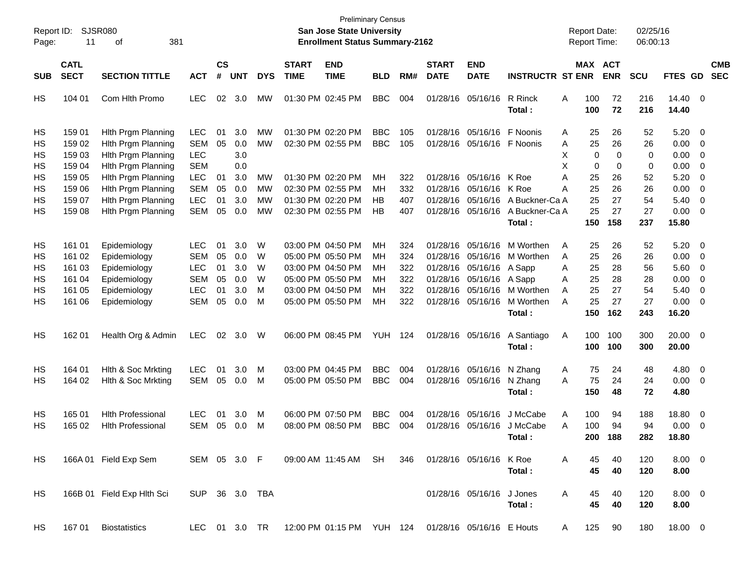| Report ID:<br>Page:                       | 11                                   | <b>SJSR080</b><br>381<br>οf                                                          |                                               |                    |                          |                |                             | <b>Preliminary Census</b><br><b>San Jose State University</b><br><b>Enrollment Status Summary-2162</b> |                                     |                   |                                  |                                           |                                            | <b>Report Date:</b><br><b>Report Time:</b> |                       | 02/25/16<br>06:00:13  |                               |                                                                   |                          |
|-------------------------------------------|--------------------------------------|--------------------------------------------------------------------------------------|-----------------------------------------------|--------------------|--------------------------|----------------|-----------------------------|--------------------------------------------------------------------------------------------------------|-------------------------------------|-------------------|----------------------------------|-------------------------------------------|--------------------------------------------|--------------------------------------------|-----------------------|-----------------------|-------------------------------|-------------------------------------------------------------------|--------------------------|
| <b>SUB</b>                                | <b>CATL</b><br><b>SECT</b>           | <b>SECTION TITTLE</b>                                                                | <b>ACT</b>                                    | $\mathsf{cs}$<br># | <b>UNT</b>               | <b>DYS</b>     | <b>START</b><br><b>TIME</b> | <b>END</b><br><b>TIME</b>                                                                              | <b>BLD</b>                          | RM#               | <b>START</b><br><b>DATE</b>      | <b>END</b><br><b>DATE</b>                 | <b>INSTRUCTR ST ENR</b>                    | MAX ACT                                    | <b>ENR</b>            | <b>SCU</b>            | FTES GD                       |                                                                   | <b>CMB</b><br><b>SEC</b> |
| HS                                        | 104 01                               | Com Hlth Promo                                                                       | <b>LEC</b>                                    | 02                 | 3.0                      | МW             |                             | 01:30 PM 02:45 PM                                                                                      | <b>BBC</b>                          | 004               | 01/28/16                         | 05/16/16                                  | R Rinck<br>Total:                          | A<br>100<br>100                            | 72<br>72              | 216<br>216            | 14.40 0<br>14.40              |                                                                   |                          |
| HS<br>HS<br><b>HS</b>                     | 159 01<br>159 02<br>159 03           | Hith Prgm Planning<br>Hith Prgm Planning<br>Hith Prgm Planning                       | <b>LEC</b><br><b>SEM</b><br><b>LEC</b>        | 01<br>05           | 3.0<br>0.0<br>3.0        | MW<br>MW       |                             | 01:30 PM 02:20 PM<br>02:30 PM 02:55 PM                                                                 | <b>BBC</b><br><b>BBC</b>            | 105<br>105        | 01/28/16<br>01/28/16             | 05/16/16<br>05/16/16                      | F Noonis<br>F Noonis                       | 25<br>Α<br>25<br>Α<br>X<br>0               | 26<br>26<br>0         | 52<br>26<br>0         | 5.20<br>0.00<br>0.00          | $\overline{0}$<br>$\overline{0}$<br>$\overline{0}$                |                          |
| <b>HS</b><br><b>HS</b><br><b>HS</b><br>HS | 159 04<br>159 05<br>159 06<br>159 07 | Hith Prgm Planning<br>Hith Prgm Planning<br>Hith Prgm Planning<br>Hith Prgm Planning | <b>SEM</b><br>LEC<br><b>SEM</b><br><b>LEC</b> | 01<br>05<br>01     | 0.0<br>3.0<br>0.0<br>3.0 | MW<br>MW<br>МW |                             | 01:30 PM 02:20 PM<br>02:30 PM 02:55 PM<br>01:30 PM 02:20 PM                                            | MH<br><b>MH</b><br><b>HB</b>        | 322<br>332<br>407 | 01/28/16<br>01/28/16<br>01/28/16 | 05/16/16<br>05/16/16<br>05/16/16          | K Roe<br>K Roe<br>A Buckner-Ca A           | X<br>0<br>A<br>25<br>25<br>A<br>25         | 0<br>26<br>26<br>27   | 0<br>52<br>26<br>54   | 0.00<br>5.20<br>0.00<br>5.40  | $\overline{0}$<br>$\overline{0}$<br>$\mathbf 0$<br>$\overline{0}$ |                          |
| <b>HS</b>                                 | 159 08                               | Hith Prgm Planning                                                                   | <b>SEM</b>                                    | 05                 | 0.0                      | МW             |                             | 02:30 PM 02:55 PM                                                                                      | HB                                  | 407               | 01/28/16                         | 05/16/16                                  | A Buckner-Ca A<br>Total:                   | 25<br>150                                  | 27<br>158             | 27<br>237             | 0.00<br>15.80                 | $\overline{0}$                                                    |                          |
| HS<br>HS<br>HS                            | 161 01<br>161 02<br>161 03           | Epidemiology<br>Epidemiology<br>Epidemiology                                         | <b>LEC</b><br><b>SEM</b><br>LEC               | 01<br>05<br>01     | 3.0<br>0.0<br>3.0        | W<br>W<br>W    |                             | 03:00 PM 04:50 PM<br>05:00 PM 05:50 PM<br>03:00 PM 04:50 PM                                            | MH<br><b>MH</b><br><b>MH</b>        | 324<br>324<br>322 | 01/28/16<br>01/28/16<br>01/28/16 | 05/16/16<br>05/16/16<br>05/16/16          | M Worthen<br>M Worthen<br>A Sapp           | 25<br>Α<br>25<br>A<br>25<br>Α              | 26<br>26<br>28        | 52<br>26<br>56        | 5.20<br>0.00<br>5.60          | $\overline{0}$<br>$\overline{0}$<br>$\overline{0}$                |                          |
| HS<br>HS<br>HS                            | 161 04<br>161 05<br>161 06           | Epidemiology<br>Epidemiology<br>Epidemiology                                         | <b>SEM</b><br>LEC<br>SEM                      | 05<br>01<br>05     | 0.0<br>3.0<br>0.0        | W<br>M<br>M    |                             | 05:00 PM 05:50 PM<br>03:00 PM 04:50 PM<br>05:00 PM 05:50 PM                                            | <b>MH</b><br><b>MH</b><br><b>MH</b> | 322<br>322<br>322 | 01/28/16<br>01/28/16             | 05/16/16<br>05/16/16<br>01/28/16 05/16/16 | A Sapp<br>M Worthen<br>M Worthen<br>Total: | 25<br>Α<br>25<br>A<br>25<br>A<br>150       | 28<br>27<br>27<br>162 | 28<br>54<br>27<br>243 | 0.00<br>5.40<br>0.00<br>16.20 | $\overline{0}$<br>$\overline{0}$<br>$\overline{0}$                |                          |
| HS                                        | 162 01                               | Health Org & Admin                                                                   | <b>LEC</b>                                    | 02                 | 3.0                      | W              |                             | 06:00 PM 08:45 PM                                                                                      | <b>YUH</b>                          | 124               |                                  | 01/28/16 05/16/16                         | A Santiago<br>Total:                       | Α<br>100<br>100                            | 100<br>100            | 300<br>300            | 20.00<br>20.00                | $\overline{\phantom{0}}$                                          |                          |
| HS<br><b>HS</b>                           | 164 01<br>164 02                     | Hith & Soc Mrkting<br>Hith & Soc Mrkting                                             | <b>LEC</b><br>SEM                             | 01<br>05           | 3.0<br>0.0               | M<br>M         |                             | 03:00 PM 04:45 PM<br>05:00 PM 05:50 PM                                                                 | <b>BBC</b><br><b>BBC</b>            | 004<br>004        | 01/28/16                         | 05/16/16<br>01/28/16 05/16/16             | N Zhang<br>N Zhang<br>Total:               | 75<br>Α<br>75<br>A<br>150                  | 24<br>24<br>48        | 48<br>24<br>72        | 4.80<br>0.00<br>4.80          | $\overline{\mathbf{0}}$<br>$\overline{0}$                         |                          |
| HS<br><b>HS</b>                           | 165 01<br>165 02                     | <b>Hlth Professional</b><br><b>Hith Professional</b>                                 | <b>LEC</b><br>SEM                             | 01<br>05           | 3.0<br>0.0               | M<br>M         |                             | 06:00 PM 07:50 PM<br>08:00 PM 08:50 PM                                                                 | <b>BBC</b><br><b>BBC</b>            | 004<br>004        | 01/28/16                         | 05/16/16<br>01/28/16 05/16/16             | J McCabe<br>J McCabe<br>Total:             | Α<br>100<br>A<br>100<br>200                | 94<br>94<br>188       | 188<br>94<br>282      | 18.80<br>0.00<br>18.80        | $\overline{\mathbf{0}}$<br>0                                      |                          |
| <b>HS</b>                                 |                                      | 166A 01 Field Exp Sem                                                                | SEM 05 3.0 F                                  |                    |                          |                |                             | 09:00 AM 11:45 AM SH                                                                                   |                                     | 346               |                                  | 01/28/16 05/16/16 K Roe                   | Total:                                     | 45<br>A<br>45                              | 40<br>40              | 120<br>120            | $8.00 \t 0$<br>8.00           |                                                                   |                          |
| <b>HS</b>                                 |                                      | 166B 01 Field Exp Hlth Sci                                                           |                                               |                    |                          | SUP 36 3.0 TBA |                             |                                                                                                        |                                     |                   |                                  | 01/28/16 05/16/16 J Jones                 | Total:                                     | 45<br>A<br>45                              | 40<br>40              | 120<br>120            | 8.00 0<br>8.00                |                                                                   |                          |
| HS                                        | 167 01                               | <b>Biostatistics</b>                                                                 |                                               |                    |                          | LEC 01 3.0 TR  |                             | 12:00 PM 01:15 PM YUH 124 01/28/16 05/16/16 E Houts                                                    |                                     |                   |                                  |                                           |                                            | 125<br>A                                   | 90                    | 180                   | 18.00 0                       |                                                                   |                          |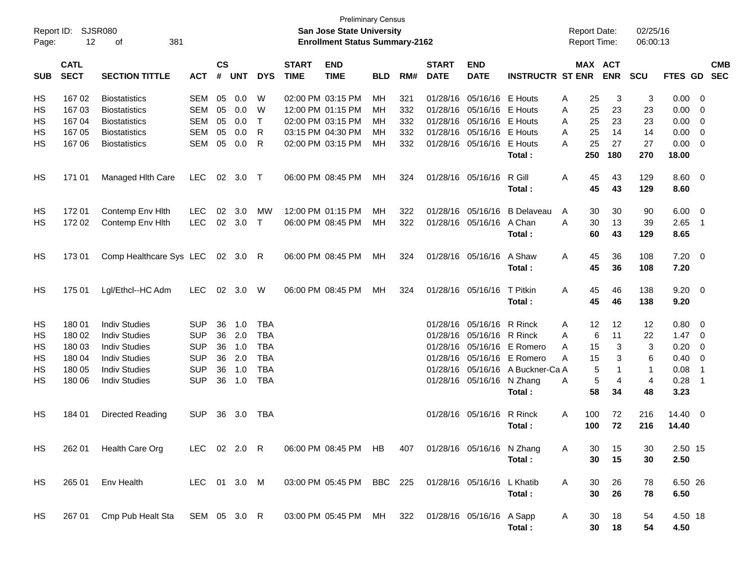| Page:      | Report ID: SJSR080<br>12   | 381<br>of                                    |                          |                |            |             |                             | <b>Preliminary Census</b><br>San Jose State University<br><b>Enrollment Status Summary-2162</b> |          |            |                             |                                                |                                  | <b>Report Date:</b><br>Report Time: |                              | 02/25/16<br>06:00:13 |                 |                              |            |
|------------|----------------------------|----------------------------------------------|--------------------------|----------------|------------|-------------|-----------------------------|-------------------------------------------------------------------------------------------------|----------|------------|-----------------------------|------------------------------------------------|----------------------------------|-------------------------------------|------------------------------|----------------------|-----------------|------------------------------|------------|
| <b>SUB</b> | <b>CATL</b><br><b>SECT</b> | <b>SECTION TITTLE</b>                        | <b>ACT</b>               | <b>CS</b><br># | <b>UNT</b> | <b>DYS</b>  | <b>START</b><br><b>TIME</b> | <b>END</b><br><b>TIME</b>                                                                       | BLD      | RM#        | <b>START</b><br><b>DATE</b> | <b>END</b><br><b>DATE</b>                      | <b>INSTRUCTR ST ENR</b>          |                                     | <b>MAX ACT</b><br><b>ENR</b> | <b>SCU</b>           | FTES GD SEC     |                              | <b>CMB</b> |
| HS         | 16702                      | <b>Biostatistics</b>                         | <b>SEM</b>               | 05             | 0.0<br>0.0 | W           |                             | 02:00 PM 03:15 PM                                                                               | MН       | 321        |                             | 01/28/16 05/16/16 E Houts<br>01/28/16 05/16/16 | E Houts                          | A<br>25                             | 3                            | 3                    | 0.00            | - 0                          |            |
| HS<br>НS   | 16703<br>167 04            | <b>Biostatistics</b><br><b>Biostatistics</b> | <b>SEM</b><br><b>SEM</b> | 05<br>05       | 0.0        | W<br>$\top$ |                             | 12:00 PM 01:15 PM<br>02:00 PM 03:15 PM                                                          | мн<br>мн | 332<br>332 |                             | 01/28/16 05/16/16                              | E Houts                          | 25<br>A<br>25<br>A                  | 23<br>23                     | 23<br>23             | 0.00<br>0.00    | 0<br>$\overline{\mathbf{0}}$ |            |
| HS         | 167 05                     | <b>Biostatistics</b>                         | <b>SEM</b>               | 05             | 0.0        | R           |                             | 03:15 PM 04:30 PM                                                                               | мн       | 332        |                             | 01/28/16 05/16/16                              | E Houts                          | 25<br>A                             | 14                           | 14                   | 0.00            | $\overline{\mathbf{0}}$      |            |
| HS         | 16706                      | <b>Biostatistics</b>                         | <b>SEM</b>               | 05             | 0.0        | R           |                             | 02:00 PM 03:15 PM                                                                               | мн       | 332        |                             | 01/28/16 05/16/16 E Houts                      |                                  | 25<br>A                             | 27                           | 27                   | 0.00            | $\overline{\mathbf{0}}$      |            |
|            |                            |                                              |                          |                |            |             |                             |                                                                                                 |          |            |                             |                                                | Total:                           | 250                                 | 180                          | 270                  | 18.00           |                              |            |
| HS         | 171 01                     | Managed Hith Care                            | <b>LEC</b>               | 02             | 3.0        | $\top$      |                             | 06:00 PM 08:45 PM                                                                               | MН       | 324        |                             | 01/28/16 05/16/16                              | R Gill<br>Total:                 | 45<br>A<br>45                       | 43<br>43                     | 129<br>129           | 8.60<br>8.60    | $\overline{\mathbf{0}}$      |            |
| HS         | 172 01                     | Contemp Env Hith                             | <b>LEC</b>               | 02             | 3.0        | MW          |                             | 12:00 PM 01:15 PM                                                                               | MН       | 322        |                             | 01/28/16 05/16/16                              | <b>B</b> Delaveau                | 30<br>A                             | 30                           | 90                   | 6.00            | $\overline{\mathbf{0}}$      |            |
| HS         | 172 02                     | Contemp Env Hith                             | <b>LEC</b>               | 02             | 3.0        | $\top$      |                             | 06:00 PM 08:45 PM                                                                               | мн       | 322        |                             | 01/28/16 05/16/16                              | A Chan<br>Total:                 | A<br>30<br>60                       | 13<br>43                     | 39<br>129            | 2.65<br>8.65    | $\overline{1}$               |            |
| HS         | 173 01                     | Comp Healthcare Sys LEC                      |                          |                | 02 3.0 R   |             |                             | 06:00 PM 08:45 PM                                                                               | MН       | 324        |                             | 01/28/16 05/16/16                              | A Shaw<br>Total:                 | 45<br>A<br>45                       | 36<br>36                     | 108<br>108           | 7.20<br>7.20    | $\overline{0}$               |            |
| HS         | 175 01                     | Lgl/Ethcl--HC Adm                            | <b>LEC</b>               |                | 02 3.0     | W           |                             | 06:00 PM 08:45 PM                                                                               | MН       | 324        |                             | 01/28/16 05/16/16                              | T Pitkin<br>Total:               | 45<br>A<br>45                       | 46<br>46                     | 138<br>138           | 9.20<br>9.20    | $\overline{0}$               |            |
| HS         | 180 01                     | <b>Indiv Studies</b>                         | <b>SUP</b>               | 36             | 1.0        | <b>TBA</b>  |                             |                                                                                                 |          |            |                             | 01/28/16 05/16/16 R Rinck                      |                                  | 12<br>A                             | 12                           | 12                   | 0.80            | - 0                          |            |
| НS         | 180 02                     | <b>Indiv Studies</b>                         | <b>SUP</b>               | 36             | 2.0        | <b>TBA</b>  |                             |                                                                                                 |          |            |                             | 01/28/16 05/16/16 R Rinck                      |                                  | A                                   | 6<br>11                      | 22                   | 1.47            | $\overline{\mathbf{0}}$      |            |
| НS         | 180 03                     | <b>Indiv Studies</b>                         | <b>SUP</b>               | 36             | 1.0        | <b>TBA</b>  |                             |                                                                                                 |          |            |                             |                                                | 01/28/16 05/16/16 E Romero       | 15<br>A                             | 3                            | 3                    | 0.20            | $\overline{0}$               |            |
| НS         | 180 04                     | <b>Indiv Studies</b>                         | <b>SUP</b>               | 36             | 2.0        | <b>TBA</b>  |                             |                                                                                                 |          |            |                             |                                                | 01/28/16 05/16/16 E Romero       | 15<br>A                             | 3                            | 6                    | 0.40            | $\overline{0}$               |            |
| HS         | 180 05                     | <b>Indiv Studies</b>                         | <b>SUP</b>               | 36             | 1.0        | <b>TBA</b>  |                             |                                                                                                 |          |            |                             |                                                | 01/28/16 05/16/16 A Buckner-Ca A |                                     | 5<br>$\mathbf 1$             | 1                    | 0.08            | $\overline{1}$               |            |
| HS         | 180 06                     | <b>Indiv Studies</b>                         | <b>SUP</b>               | 36             | 1.0        | <b>TBA</b>  |                             |                                                                                                 |          |            |                             | 01/28/16 05/16/16 N Zhang                      | Total:                           | A<br>58                             | 5<br>$\overline{4}$<br>34    | $\overline{4}$<br>48 | 0.28<br>3.23    | $\overline{1}$               |            |
| HS         | 184 01                     | Directed Reading                             | <b>SUP</b>               | 36             | 3.0        | TBA         |                             |                                                                                                 |          |            |                             | 01/28/16 05/16/16                              | R Rinck                          | 100<br>A                            | 72                           | 216                  | 14.40           | $\overline{\phantom{0}}$     |            |
|            |                            |                                              |                          |                |            |             |                             |                                                                                                 |          |            |                             |                                                | Total:                           | 100                                 | 72                           | 216                  | 14.40           |                              |            |
| HS.        |                            | 262 01 Health Care Org                       | LEC 02 2.0 R             |                |            |             |                             | 06:00 PM 08:45 PM HB                                                                            |          | 407        |                             | 01/28/16 05/16/16 N Zhang                      | Total:                           | 30<br>A<br>30                       | 15<br>15                     | 30<br>30             | 2.50 15<br>2.50 |                              |            |
| HS         |                            | 265 01 Env Health                            | LEC 01 3.0 M             |                |            |             |                             | 03:00 PM 05:45 PM BBC 225                                                                       |          |            |                             | 01/28/16 05/16/16 L Khatib                     |                                  | 30<br>A                             | 26                           | 78                   | 6.50 26         |                              |            |
|            |                            |                                              |                          |                |            |             |                             |                                                                                                 |          |            |                             |                                                | Total:                           | 30                                  | 26                           | 78                   | 6.50            |                              |            |
| HS         |                            | 267 01 Cmp Pub Healt Sta                     | SEM 05 3.0 R             |                |            |             |                             | 03:00 PM 05:45 PM MH 322                                                                        |          |            |                             | 01/28/16 05/16/16 A Sapp                       | Total:                           | 30<br>A<br>30                       | 18<br>18                     | 54<br>54             | 4.50 18<br>4.50 |                              |            |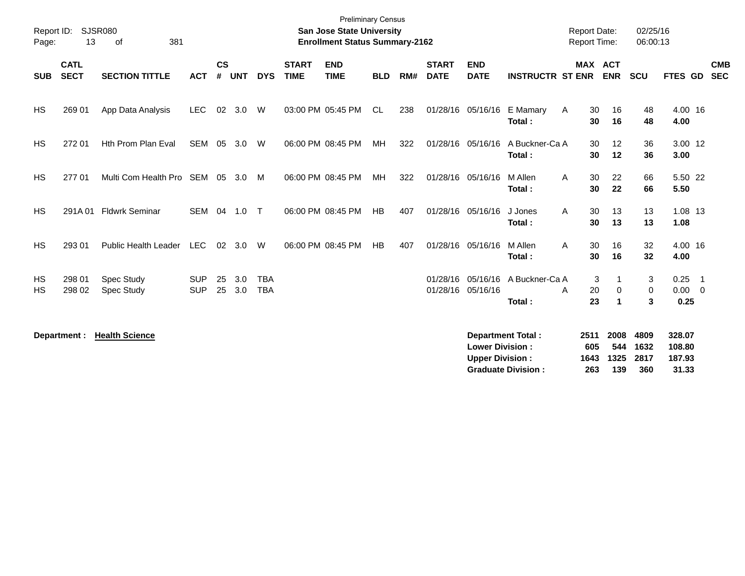| Report ID:<br>Page:    | SJSR080<br>13              |                             |                          |                    |            |                          | <b>Preliminary Census</b><br><b>San Jose State University</b><br><b>Enrollment Status Summary-2162</b> |                           |            |     |                               |                                                  | <b>Report Date:</b><br><b>Report Time:</b>            |                            | 02/25/16<br>06:00:13       |                             |                                                           |                          |
|------------------------|----------------------------|-----------------------------|--------------------------|--------------------|------------|--------------------------|--------------------------------------------------------------------------------------------------------|---------------------------|------------|-----|-------------------------------|--------------------------------------------------|-------------------------------------------------------|----------------------------|----------------------------|-----------------------------|-----------------------------------------------------------|--------------------------|
| <b>SUB</b>             | <b>CATL</b><br><b>SECT</b> | <b>SECTION TITTLE</b>       | <b>ACT</b>               | $\mathsf{cs}$<br># | <b>UNT</b> | <b>DYS</b>               | <b>START</b><br><b>TIME</b>                                                                            | <b>END</b><br><b>TIME</b> | <b>BLD</b> | RM# | <b>START</b><br><b>DATE</b>   | <b>END</b><br><b>DATE</b>                        | <b>INSTRUCTR ST ENR</b>                               | MAX ACT                    | <b>ENR</b>                 | <b>SCU</b>                  | FTES GD                                                   | <b>CMB</b><br><b>SEC</b> |
| <b>HS</b>              | 269 01                     | App Data Analysis           | <b>LEC</b>               | 02                 | 3.0        | W                        |                                                                                                        | 03:00 PM 05:45 PM         | CL.        | 238 |                               | 01/28/16 05/16/16                                | E Mamary<br>Total:                                    | 30<br>A<br>30              | 16<br>16                   | 48<br>48                    | 4.00 16<br>4.00                                           |                          |
| <b>HS</b>              | 272 01                     | <b>Hth Prom Plan Eval</b>   | <b>SEM</b>               | 05                 | 3.0        | W                        |                                                                                                        | 06:00 PM 08:45 PM         | <b>MH</b>  | 322 |                               | 01/28/16 05/16/16                                | A Buckner-Ca A<br>Total:                              | 30<br>30                   | 12<br>12                   | 36<br>36                    | 3.00 12<br>3.00                                           |                          |
| <b>HS</b>              | 27701                      | Multi Com Health Pro SEM    |                          | 05                 | 3.0        | M                        |                                                                                                        | 06:00 PM 08:45 PM         | MH         | 322 | 01/28/16 05/16/16             |                                                  | M Allen<br>Total:                                     | 30<br>A<br>30              | 22<br>22                   | 66<br>66                    | 5.50 22<br>5.50                                           |                          |
| <b>HS</b>              | 291A01                     | <b>Fldwrk Seminar</b>       | SEM                      | 04                 | 1.0        | $\top$                   |                                                                                                        | 06:00 PM 08:45 PM         | HB         | 407 | 01/28/16 05/16/16             |                                                  | J Jones<br>Total:                                     | 30<br>A<br>30              | 13<br>13                   | 13<br>13                    | 1.08 13<br>1.08                                           |                          |
| <b>HS</b>              | 293 01                     | <b>Public Health Leader</b> | LEC                      | 02                 | 3.0        | W                        |                                                                                                        | 06:00 PM 08:45 PM         | HB         | 407 | 01/28/16 05/16/16             |                                                  | M Allen<br>Total:                                     | 30<br>A<br>30              | 16<br>16                   | 32<br>32                    | 4.00 16<br>4.00                                           |                          |
| <b>HS</b><br><b>HS</b> | 298 01<br>298 02           | Spec Study<br>Spec Study    | <b>SUP</b><br><b>SUP</b> | 25<br>25           | 3.0<br>3.0 | <b>TBA</b><br><b>TBA</b> |                                                                                                        |                           |            |     | 01/28/16<br>01/28/16 05/16/16 | 05/16/16                                         | A Buckner-Ca A<br>Total:                              | 3<br>20<br>A<br>23         | 0<br>$\blacktriangleleft$  | 3<br>0<br>3                 | 0.25<br>$\overline{\phantom{0}}$ 1<br>$0.00 \t 0$<br>0.25 |                          |
|                        | Department :               | <b>Health Science</b>       |                          |                    |            |                          |                                                                                                        |                           |            |     |                               | <b>Lower Division:</b><br><b>Upper Division:</b> | <b>Department Total:</b><br><b>Graduate Division:</b> | 2511<br>605<br>1643<br>263 | 2008<br>544<br>1325<br>139 | 4809<br>1632<br>2817<br>360 | 328.07<br>108.80<br>187.93<br>31.33                       |                          |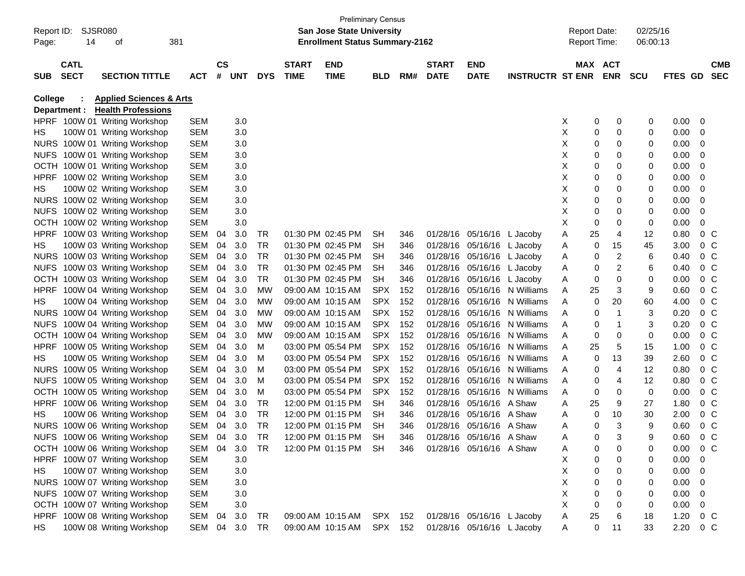| Page:       | SJSR080<br>Report ID:<br>381<br>14<br>οf |                                                                |            |                        |              |            |              | <b>Preliminary Census</b><br><b>San Jose State University</b><br><b>Enrollment Status Summary-2162</b> |                 |            |              |                                             |                         | <b>Report Date:</b><br><b>Report Time:</b> |         |            | 02/25/16<br>06:00:13 |                |                  |            |
|-------------|------------------------------------------|----------------------------------------------------------------|------------|------------------------|--------------|------------|--------------|--------------------------------------------------------------------------------------------------------|-----------------|------------|--------------|---------------------------------------------|-------------------------|--------------------------------------------|---------|------------|----------------------|----------------|------------------|------------|
|             | <b>CATL</b>                              |                                                                |            | $\mathbf{c}\mathbf{s}$ |              |            | <b>START</b> | <b>END</b>                                                                                             |                 |            | <b>START</b> | <b>END</b>                                  |                         |                                            | MAX ACT |            |                      |                |                  | <b>CMB</b> |
| <b>SUB</b>  | <b>SECT</b>                              | <b>SECTION TITTLE</b>                                          | <b>ACT</b> | #                      | <b>UNT</b>   | <b>DYS</b> | <b>TIME</b>  | <b>TIME</b>                                                                                            | <b>BLD</b>      | RM#        | <b>DATE</b>  | <b>DATE</b>                                 | <b>INSTRUCTR ST ENR</b> |                                            |         | <b>ENR</b> | <b>SCU</b>           | <b>FTES GD</b> |                  | <b>SEC</b> |
| College     |                                          | <b>Applied Sciences &amp; Arts</b>                             |            |                        |              |            |              |                                                                                                        |                 |            |              |                                             |                         |                                            |         |            |                      |                |                  |            |
|             | Department :                             | <b>Health Professions</b><br>HPRF 100W 01 Writing Workshop     | SEM        |                        | 3.0          |            |              |                                                                                                        |                 |            |              |                                             |                         |                                            | 0       |            | 0                    | 0.00           |                  |            |
| HS          |                                          | 100W 01 Writing Workshop                                       | SEM        |                        | 3.0          |            |              |                                                                                                        |                 |            |              |                                             |                         | X<br>х                                     | 0       | 0<br>0     | 0                    | 0.00           | - 0<br>0         |            |
|             |                                          | NURS 100W 01 Writing Workshop                                  | SEM        |                        | 3.0          |            |              |                                                                                                        |                 |            |              |                                             |                         | х                                          | 0       | 0          | 0                    | 0.00           | 0                |            |
| <b>NUFS</b> |                                          | 100W 01 Writing Workshop                                       | SEM        |                        | 3.0          |            |              |                                                                                                        |                 |            |              |                                             |                         | х                                          | 0       | 0          | 0                    | 0.00           | 0                |            |
| <b>OCTH</b> |                                          | 100W 01 Writing Workshop                                       | SEM        |                        | 3.0          |            |              |                                                                                                        |                 |            |              |                                             |                         | х                                          | 0       | 0          | 0                    | 0.00           | 0                |            |
| HPRF        |                                          | 100W 02 Writing Workshop                                       | SEM        |                        | 3.0          |            |              |                                                                                                        |                 |            |              |                                             |                         | х                                          | 0       | 0          | 0                    | 0.00           | 0                |            |
| HS          |                                          | 100W 02 Writing Workshop                                       | SEM        |                        | 3.0          |            |              |                                                                                                        |                 |            |              |                                             |                         | х                                          | 0       | 0          | 0                    | 0.00           | 0                |            |
|             |                                          | NURS 100W 02 Writing Workshop                                  | SEM        |                        | 3.0          |            |              |                                                                                                        |                 |            |              |                                             |                         | х                                          | 0       | 0          | 0                    | 0.00           | 0                |            |
| <b>NUFS</b> |                                          | 100W 02 Writing Workshop                                       | SEM        |                        | 3.0          |            |              |                                                                                                        |                 |            |              |                                             |                         | х                                          | 0       | 0          | 0                    | 0.00           | 0                |            |
|             |                                          | OCTH 100W 02 Writing Workshop                                  | SEM        |                        | 3.0          |            |              |                                                                                                        |                 |            |              |                                             |                         | х                                          | 0       | 0          | 0                    | 0.00           | 0                |            |
| <b>HPRF</b> |                                          | 100W 03 Writing Workshop                                       | SEM        | 04                     | 3.0          | TR         |              | 01:30 PM 02:45 PM                                                                                      | SН              | 346        |              | 01/28/16 05/16/16 L Jacoby                  |                         | A                                          | 25      | 4          | 12                   | 0.80           | $0\,C$           |            |
| HS          |                                          | 100W 03 Writing Workshop                                       | SEM        | 04                     | 3.0          | TR         |              | 01:30 PM 02:45 PM                                                                                      | SН              | 346        |              | 01/28/16 05/16/16 L Jacoby                  |                         | A                                          | 0       | 15         | 45                   | 3.00           | $0\,C$           |            |
|             |                                          | NURS 100W 03 Writing Workshop                                  | SEM        | 04                     | 3.0          | TR         |              | 01:30 PM 02:45 PM                                                                                      | SН              | 346        | 01/28/16     | 05/16/16 L Jacoby                           |                         | A                                          | 0       | 2          | 6                    | 0.40           | $0\,C$           |            |
| <b>NUFS</b> |                                          | 100W 03 Writing Workshop                                       | SEM        | 04                     | 3.0          | TR         |              | 01:30 PM 02:45 PM                                                                                      | SН              | 346        | 01/28/16     | 05/16/16 L Jacoby                           |                         | A                                          | 0       | 2          | 6                    | 0.40           | $0\,C$           |            |
|             |                                          | OCTH 100W 03 Writing Workshop                                  | SEM        | 04                     | 3.0          | TR         |              | 01:30 PM 02:45 PM                                                                                      | <b>SH</b>       | 346        | 01/28/16     | 05/16/16 L Jacoby                           |                         | A                                          | 0       | 0          | 0                    | 0.00           | $0\,C$           |            |
| HPRF        |                                          | 100W 04 Writing Workshop                                       | SEM        | 04                     | 3.0          | <b>MW</b>  |              | 09:00 AM 10:15 AM                                                                                      | <b>SPX</b>      | 152        | 01/28/16     |                                             | 05/16/16 N Williams     | A                                          | 25      | 3          | 9                    | 0.60           | $0\,C$           |            |
| HS          |                                          | 100W 04 Writing Workshop                                       | SEM        | 04                     | 3.0          | <b>MW</b>  |              | 09:00 AM 10:15 AM                                                                                      | <b>SPX</b>      | 152        | 01/28/16     |                                             | 05/16/16 N Williams     | A                                          | 0       | 20         | 60                   | 4.00           | $0\,C$           |            |
|             |                                          | NURS 100W 04 Writing Workshop                                  | SEM        | 04                     | 3.0          | <b>MW</b>  |              | 09:00 AM 10:15 AM                                                                                      | <b>SPX</b>      | 152        | 01/28/16     |                                             | 05/16/16 N Williams     | A                                          | 0       | -1         | 3                    | 0.20           | $0\,C$           |            |
| <b>NUFS</b> |                                          | 100W 04 Writing Workshop                                       | SEM        | 04                     | 3.0          | <b>MW</b>  |              | 09:00 AM 10:15 AM                                                                                      | <b>SPX</b>      | 152        | 01/28/16     |                                             | 05/16/16 N Williams     | A                                          | 0       | -1         | 3                    | 0.20           | $0\,C$           |            |
|             |                                          | OCTH 100W 04 Writing Workshop                                  | SEM        | 04                     | 3.0          | <b>MW</b>  |              | 09:00 AM 10:15 AM                                                                                      | <b>SPX</b>      | 152        | 01/28/16     |                                             | 05/16/16 N Williams     | A                                          | 0       | 0          | 0                    | 0.00           | $0\,C$           |            |
| HPRF        |                                          | 100W 05 Writing Workshop                                       | SEM        | 04                     | 3.0          | м          |              | 03:00 PM 05:54 PM                                                                                      | <b>SPX</b>      | 152        | 01/28/16     |                                             | 05/16/16 N Williams     | A                                          | 25      | 5          | 15                   | 1.00           | $0\,C$           |            |
| HS          |                                          | 100W 05 Writing Workshop                                       | SEM        | 04                     | 3.0          | м          |              | 03:00 PM 05:54 PM                                                                                      | <b>SPX</b>      | 152        | 01/28/16     |                                             | 05/16/16 N Williams     | A                                          | 0       | 13         | 39                   | 2.60           | $0\,C$           |            |
|             |                                          | NURS 100W 05 Writing Workshop                                  | SEM        | 04                     | 3.0          | м          |              | 03:00 PM 05:54 PM                                                                                      | <b>SPX</b>      | 152        | 01/28/16     |                                             | 05/16/16 N Williams     | A                                          | 0       | 4          | 12                   | 0.80           | $0\,C$           |            |
| <b>NUFS</b> |                                          | 100W 05 Writing Workshop                                       | SEM        | 04                     | 3.0          | м          |              | 03:00 PM 05:54 PM                                                                                      | <b>SPX</b>      | 152        | 01/28/16     |                                             | 05/16/16 N Williams     | A                                          | 0       | 4          | 12                   | 0.80           | $0\,C$           |            |
| <b>OCTH</b> |                                          | 100W 05 Writing Workshop                                       | SEM        | 04                     | 3.0          | м          |              | 03:00 PM 05:54 PM                                                                                      | <b>SPX</b>      | 152        | 01/28/16     |                                             | 05/16/16 N Williams     | A                                          | 0       | 0          | 0                    | 0.00           | $0\,C$           |            |
| <b>HPRF</b> |                                          | 100W 06 Writing Workshop                                       | SEM        | 04                     | 3.0          | TR         |              | 12:00 PM 01:15 PM                                                                                      | <b>SH</b>       | 346        | 01/28/16     | 05/16/16 A Shaw                             |                         | A                                          | 25      | 9          | 27                   | 1.80           | $0\,C$           |            |
| HS          |                                          | 100W 06 Writing Workshop                                       | SEM        | 04                     | 3.0          | TR         |              | 12:00 PM 01:15 PM                                                                                      | SН              | 346        | 01/28/16     | 05/16/16 A Shaw                             |                         | A                                          | 0       | 10<br>3    | 30                   | 2.00           | $0\,C$           |            |
|             |                                          | NURS 100W 06 Writing Workshop                                  | SEM<br>SEM | 04                     | 3.0<br>- 3.0 | TR<br>TR   |              | 12:00 PM 01:15 PM<br>12:00 PM 01:15 PM                                                                 | <b>SH</b><br>SН | 346<br>346 | 01/28/16     | 05/16/16 A Shaw<br>01/28/16 05/16/16 A Shaw |                         | A                                          | 0       |            | 9<br>q               | 0.60<br>0.60   | $0\,C$<br>$0\,C$ |            |
|             |                                          | NUFS 100W 06 Writing Workshop<br>OCTH 100W 06 Writing Workshop | SEM 04     | 04                     | 3.0          | TR         |              | 12:00 PM 01:15 PM SH                                                                                   |                 | 346        |              | 01/28/16 05/16/16 A Shaw                    |                         | A                                          | 0<br>0  | 0          | 0                    | 0.00           | $0\,$ C          |            |
|             |                                          | HPRF 100W 07 Writing Workshop                                  | SEM        |                        | 3.0          |            |              |                                                                                                        |                 |            |              |                                             |                         | A                                          | 0       | 0          | 0                    | 0.00           | -0               |            |
| HS          |                                          | 100W 07 Writing Workshop                                       | SEM        |                        | 3.0          |            |              |                                                                                                        |                 |            |              |                                             |                         | х<br>X                                     | 0       | 0          | 0                    | 0.00           | - 0              |            |
|             |                                          | NURS 100W 07 Writing Workshop                                  | SEM        |                        | 3.0          |            |              |                                                                                                        |                 |            |              |                                             |                         | X                                          | 0       | 0          | 0                    | 0.00           | $\overline{0}$   |            |
|             |                                          | NUFS 100W 07 Writing Workshop                                  | SEM        |                        | 3.0          |            |              |                                                                                                        |                 |            |              |                                             |                         | X                                          | 0       | 0          | 0                    | 0.00           | 0                |            |
|             |                                          | OCTH 100W 07 Writing Workshop                                  | SEM        |                        | 3.0          |            |              |                                                                                                        |                 |            |              |                                             |                         | X                                          | 0       | 0          | 0                    | 0.00           | 0                |            |
| HPRF        |                                          | 100W 08 Writing Workshop                                       | SEM        | 04                     | 3.0          | TR         |              | 09:00 AM 10:15 AM                                                                                      | SPX 152         |            |              | 01/28/16 05/16/16 L Jacoby                  |                         | A                                          | 25      | 6          | 18                   | 1.20           | 0 C              |            |
| HS.         |                                          | 100W 08 Writing Workshop                                       | SEM        | 04                     | 3.0          | TR         |              | 09:00 AM 10:15 AM                                                                                      | SPX 152         |            |              | 01/28/16 05/16/16 L Jacoby                  |                         | A                                          | 0       | 11         | 33                   | 2.20           | $0\,C$           |            |
|             |                                          |                                                                |            |                        |              |            |              |                                                                                                        |                 |            |              |                                             |                         |                                            |         |            |                      |                |                  |            |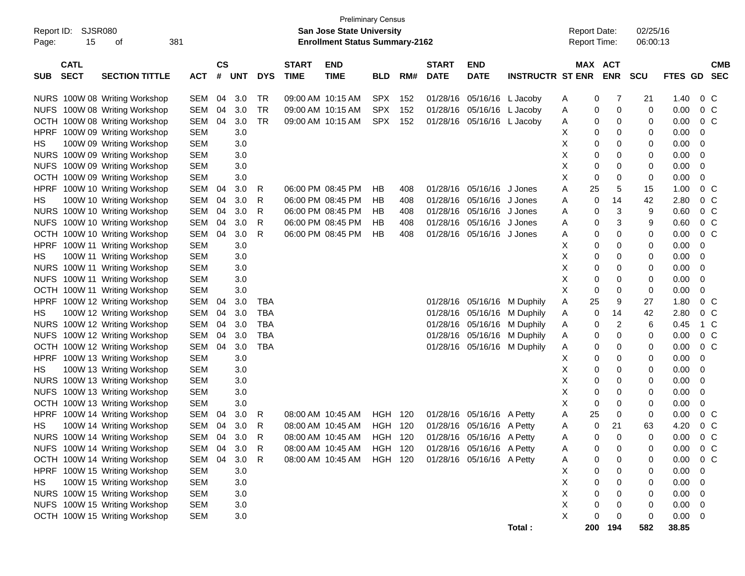|            | <b>Preliminary Census</b> |                               |            |               |            |              |                   |                                       |            |     |              |                            |                             |                     |                     |            |             |                |
|------------|---------------------------|-------------------------------|------------|---------------|------------|--------------|-------------------|---------------------------------------|------------|-----|--------------|----------------------------|-----------------------------|---------------------|---------------------|------------|-------------|----------------|
| Report ID: | SJSR080                   |                               |            |               |            |              |                   | San Jose State University             |            |     |              |                            |                             | <b>Report Date:</b> |                     | 02/25/16   |             |                |
| Page:      | 15<br>381<br>οf           |                               |            |               |            |              |                   | <b>Enrollment Status Summary-2162</b> |            |     |              |                            |                             | <b>Report Time:</b> |                     | 06:00:13   |             |                |
|            |                           |                               |            |               |            |              |                   |                                       |            |     |              |                            |                             |                     |                     |            |             |                |
|            | <b>CATL</b>               |                               |            | $\mathsf{cs}$ |            |              | <b>START</b>      | <b>END</b>                            |            |     | <b>START</b> | <b>END</b>                 |                             |                     | MAX ACT             |            |             | <b>CMB</b>     |
| <b>SUB</b> | <b>SECT</b>               | <b>SECTION TITTLE</b>         | ACT        | #             | <b>UNT</b> | <b>DYS</b>   | <b>TIME</b>       | <b>TIME</b>                           | <b>BLD</b> | RM# | <b>DATE</b>  | <b>DATE</b>                | <b>INSTRUCTR ST ENR</b>     |                     | <b>ENR</b>          | <b>SCU</b> | FTES GD SEC |                |
|            |                           | NURS 100W 08 Writing Workshop | SEM        | 04            | 3.0        | TR           | 09:00 AM 10:15 AM |                                       | <b>SPX</b> | 152 |              | 01/28/16 05/16/16 L Jacoby |                             | Α                   | 7<br>0              | 21         | 1.40        | $0\,$ C        |
|            |                           | NUFS 100W 08 Writing Workshop | <b>SEM</b> | 04            | 3.0        | <b>TR</b>    | 09:00 AM 10:15 AM |                                       | <b>SPX</b> | 152 |              | 01/28/16 05/16/16          | L Jacoby                    | Α                   | 0<br>0              | 0          | 0.00        | 0 <sup>o</sup> |
|            |                           | OCTH 100W 08 Writing Workshop | <b>SEM</b> | 04            | 3.0        | <b>TR</b>    | 09:00 AM 10:15 AM |                                       | <b>SPX</b> | 152 |              | 01/28/16 05/16/16          | L Jacoby                    |                     | 0<br>0              | 0          | 0.00        | $0\,C$         |
|            |                           | HPRF 100W 09 Writing Workshop | <b>SEM</b> |               | 3.0        |              |                   |                                       |            |     |              |                            |                             | Α<br>х              | 0<br>0              | 0          | 0.00        | 0              |
| HS         |                           | 100W 09 Writing Workshop      | <b>SEM</b> |               | 3.0        |              |                   |                                       |            |     |              |                            |                             | х                   | 0<br>0              | 0          | 0.00        | 0              |
|            |                           |                               |            |               |            |              |                   |                                       |            |     |              |                            |                             |                     |                     |            |             |                |
|            |                           | NURS 100W 09 Writing Workshop | <b>SEM</b> |               | 3.0        |              |                   |                                       |            |     |              |                            |                             | х                   | 0<br>0              | 0          | 0.00        | 0              |
|            |                           | NUFS 100W 09 Writing Workshop | <b>SEM</b> |               | 3.0        |              |                   |                                       |            |     |              |                            |                             | х                   | 0<br>0              | 0          | 0.00        | 0              |
|            |                           | OCTH 100W 09 Writing Workshop | <b>SEM</b> |               | 3.0        |              |                   |                                       |            |     |              |                            |                             | х                   | 0<br>0              | 0          | 0.00        | 0              |
|            |                           | HPRF 100W 10 Writing Workshop | <b>SEM</b> | 04            | 3.0        | R            |                   | 06:00 PM 08:45 PM                     | HB         | 408 | 01/28/16     | 05/16/16                   | J Jones                     | 25<br>Α             | 5                   | 15         | 1.00        | $0\,$ C        |
| HS         |                           | 100W 10 Writing Workshop      | <b>SEM</b> | 04            | 3.0        | R            |                   | 06:00 PM 08:45 PM                     | HB         | 408 |              | 01/28/16 05/16/16          | J Jones                     | Α                   | 14<br>0             | 42         | 2.80        | 0 <sup>o</sup> |
|            |                           | NURS 100W 10 Writing Workshop | <b>SEM</b> | 04            | 3.0        | R            |                   | 06:00 PM 08:45 PM                     | HB         | 408 |              | 01/28/16 05/16/16          | J Jones                     | Α                   | 3<br>0              | 9          | 0.60        | 0 <sup>o</sup> |
|            |                           | NUFS 100W 10 Writing Workshop | <b>SEM</b> | 04            | 3.0        | R            |                   | 06:00 PM 08:45 PM                     | HB         | 408 | 01/28/16     | 05/16/16                   | J Jones                     | Α                   | 3<br>0              | 9          | 0.60        | 0 <sup>o</sup> |
|            |                           | OCTH 100W 10 Writing Workshop | <b>SEM</b> | 04            | 3.0        | R            |                   | 06:00 PM 08:45 PM                     | HB         | 408 |              | 01/28/16 05/16/16 J Jones  |                             | Α                   | 0<br>0              | 0          | 0.00        | $0\,C$         |
|            |                           | HPRF 100W 11 Writing Workshop | <b>SEM</b> |               | 3.0        |              |                   |                                       |            |     |              |                            |                             | х                   | 0<br>0              | 0          | 0.00        | 0              |
| НS         |                           | 100W 11 Writing Workshop      | <b>SEM</b> |               | 3.0        |              |                   |                                       |            |     |              |                            |                             | х                   | 0<br>0              | 0          | 0.00        | 0              |
|            |                           | NURS 100W 11 Writing Workshop | <b>SEM</b> |               | 3.0        |              |                   |                                       |            |     |              |                            |                             | х                   | 0<br>0              | 0          | 0.00        | 0              |
|            |                           | NUFS 100W 11 Writing Workshop | <b>SEM</b> |               | 3.0        |              |                   |                                       |            |     |              |                            |                             | х                   | 0<br>0              | 0          | 0.00        | 0              |
|            |                           | OCTH 100W 11 Writing Workshop | <b>SEM</b> |               | 3.0        |              |                   |                                       |            |     |              |                            |                             | х                   | 0<br>0              | 0          | 0.00        | 0              |
|            |                           | HPRF 100W 12 Writing Workshop | <b>SEM</b> | 04            | 3.0        | TBA          |                   |                                       |            |     |              |                            | 01/28/16 05/16/16 M Duphily | 25<br>Α             | 9                   | 27         | 1.80        | $0\,$ C        |
| НS         |                           | 100W 12 Writing Workshop      | SEM        | 04            | 3.0        | <b>TBA</b>   |                   |                                       |            |     |              | 01/28/16 05/16/16          | M Duphily                   | Α                   | 14<br>0             | 42         | 2.80        | 0 <sup>o</sup> |
|            |                           | NURS 100W 12 Writing Workshop | SEM        | 04            | 3.0        | <b>TBA</b>   |                   |                                       |            |     |              | 01/28/16 05/16/16          | M Duphily                   |                     | $\overline{2}$<br>0 | 6          | 0.45        | 1 C            |
|            |                           | NUFS 100W 12 Writing Workshop | SEM        | 04            | 3.0        | <b>TBA</b>   |                   |                                       |            |     |              | 01/28/16 05/16/16          | M Duphily                   |                     | 0<br>0              | 0          | 0.00        | 0 <sup>o</sup> |
|            |                           | OCTH 100W 12 Writing Workshop | SEM        | 04            | 3.0        | <b>TBA</b>   |                   |                                       |            |     |              | 01/28/16 05/16/16          | M Duphily                   | Α                   | 0<br>0              | 0          | 0.00        | 0 <sup>o</sup> |
|            |                           | HPRF 100W 13 Writing Workshop | <b>SEM</b> |               | 3.0        |              |                   |                                       |            |     |              |                            |                             | х                   | 0<br>0              | 0          | 0.00        | 0              |
| НS         |                           | 100W 13 Writing Workshop      | <b>SEM</b> |               | 3.0        |              |                   |                                       |            |     |              |                            |                             | х                   | 0<br>0              | 0          | 0.00        | 0              |
|            |                           | NURS 100W 13 Writing Workshop | <b>SEM</b> |               | 3.0        |              |                   |                                       |            |     |              |                            |                             | х                   | 0<br>0              | 0          | 0.00        | 0              |
|            |                           | NUFS 100W 13 Writing Workshop | <b>SEM</b> |               | 3.0        |              |                   |                                       |            |     |              |                            |                             | х                   | 0<br>0              | 0          | 0.00        | 0              |
|            |                           | OCTH 100W 13 Writing Workshop | <b>SEM</b> |               | 3.0        |              |                   |                                       |            |     |              |                            |                             | х                   | 0<br>0              | 0          | 0.00        | 0              |
|            |                           | HPRF 100W 14 Writing Workshop | SEM        | 04            | 3.0        | R            | 08:00 AM 10:45 AM |                                       | <b>HGH</b> | 120 |              | 01/28/16 05/16/16          | A Petty                     | 25<br>Α             | 0                   | 0          | 0.00        | $0\,$ C        |
| НS         |                           | 100W 14 Writing Workshop      | <b>SEM</b> | 04            | 3.0        | R            | 08:00 AM 10:45 AM |                                       | HGH 120    |     |              | 01/28/16 05/16/16 A Petty  |                             | Α                   | 21<br>0             | 63         | 4.20        | 0 <sup>o</sup> |
|            |                           | NURS 100W 14 Writing Workshop | SEM        | 04            | 3.0        | $\mathsf{R}$ |                   | 08:00 AM 10:45 AM                     | HGH        | 120 |              | 01/28/16 05/16/16 A Petty  |                             | Α                   | 0<br>0              | 0          | 0.00        | $0\,C$         |
|            |                           | NUFS 100W 14 Writing Workshop | SEM        | 04            | 3.0        | R            | 08:00 AM 10:45 AM |                                       | HGH 120    |     |              | 01/28/16 05/16/16 A Petty  |                             | Α                   | 0<br>0              | 0          | 0.00        | $0\,C$         |
|            |                           | OCTH 100W 14 Writing Workshop | SEM        | 04            | 3.0        | R            |                   | 08:00 AM 10:45 AM                     | HGH 120    |     |              | 01/28/16 05/16/16 A Petty  |                             | A                   | 0<br>0              | 0          | 0.00        | $0\,C$         |
|            |                           | HPRF 100W 15 Writing Workshop | <b>SEM</b> |               | 3.0        |              |                   |                                       |            |     |              |                            |                             | Х                   | 0<br>0              | 0          | 0.00        | 0              |
| HS         |                           | 100W 15 Writing Workshop      | <b>SEM</b> |               | 3.0        |              |                   |                                       |            |     |              |                            |                             | X                   | 0<br>0              | 0          | 0.00        | 0              |
|            |                           | NURS 100W 15 Writing Workshop | <b>SEM</b> |               | 3.0        |              |                   |                                       |            |     |              |                            |                             | х                   | 0<br>0              | 0          | 0.00        | 0              |
|            |                           | NUFS 100W 15 Writing Workshop | <b>SEM</b> |               | 3.0        |              |                   |                                       |            |     |              |                            |                             | X                   | 0<br>0              | 0          | 0.00        | 0              |
|            |                           | OCTH 100W 15 Writing Workshop | <b>SEM</b> |               | $3.0\,$    |              |                   |                                       |            |     |              |                            |                             | X                   | 0<br>0              | 0          | 0.00        | 0              |
|            |                           |                               |            |               |            |              |                   |                                       |            |     |              |                            | Total:                      |                     | 200 194             | 582        | 38.85       |                |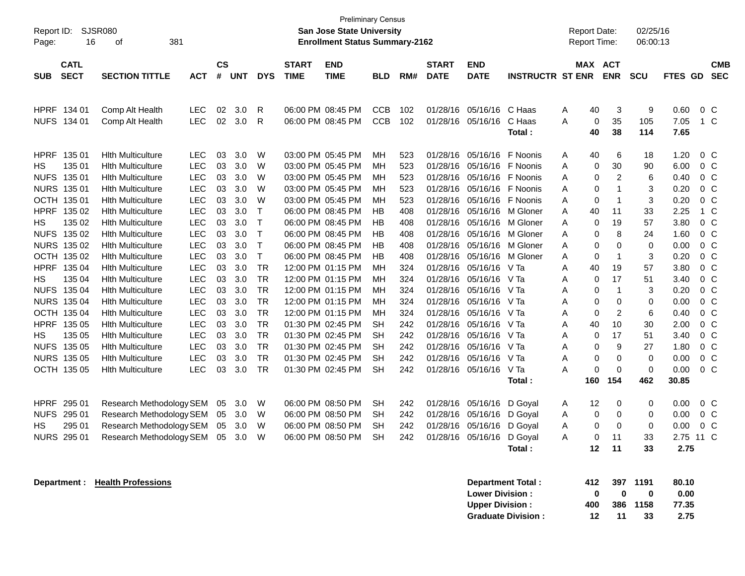| Report ID:<br>Page:                                                                                            | 16                                                                                                                                                                                                                      | <b>SJSR080</b><br>381<br>οf                                                                                                                                                                                                                                                                                                                                                                                                                                                              |                                                                                                                                                                                                                |                                                                                                    |                                                                                                                     |                                                                                                                                                                                |                             | <b>Preliminary Census</b><br><b>San Jose State University</b><br><b>Enrollment Status Summary-2162</b>                                                                                                                                                                                                                                                            |                                                                                                           |                                                                                                                     |                                                                                                                                                                                                          |                                                                                                                                                                                                               |                                                                                                                                                                      | <b>Report Date:</b><br>Report Time:                                               |                                                                                       |                                                                                                                                                                                    | 02/25/16<br>06:00:13                                                                                 |                                                                                                                                      |                                                                                                                                                                                                                                                                                                     |
|----------------------------------------------------------------------------------------------------------------|-------------------------------------------------------------------------------------------------------------------------------------------------------------------------------------------------------------------------|------------------------------------------------------------------------------------------------------------------------------------------------------------------------------------------------------------------------------------------------------------------------------------------------------------------------------------------------------------------------------------------------------------------------------------------------------------------------------------------|----------------------------------------------------------------------------------------------------------------------------------------------------------------------------------------------------------------|----------------------------------------------------------------------------------------------------|---------------------------------------------------------------------------------------------------------------------|--------------------------------------------------------------------------------------------------------------------------------------------------------------------------------|-----------------------------|-------------------------------------------------------------------------------------------------------------------------------------------------------------------------------------------------------------------------------------------------------------------------------------------------------------------------------------------------------------------|-----------------------------------------------------------------------------------------------------------|---------------------------------------------------------------------------------------------------------------------|----------------------------------------------------------------------------------------------------------------------------------------------------------------------------------------------------------|---------------------------------------------------------------------------------------------------------------------------------------------------------------------------------------------------------------|----------------------------------------------------------------------------------------------------------------------------------------------------------------------|-----------------------------------------------------------------------------------|---------------------------------------------------------------------------------------|------------------------------------------------------------------------------------------------------------------------------------------------------------------------------------|------------------------------------------------------------------------------------------------------|--------------------------------------------------------------------------------------------------------------------------------------|-----------------------------------------------------------------------------------------------------------------------------------------------------------------------------------------------------------------------------------------------------------------------------------------------------|
| <b>SUB</b>                                                                                                     | <b>CATL</b><br><b>SECT</b>                                                                                                                                                                                              | <b>SECTION TITTLE</b>                                                                                                                                                                                                                                                                                                                                                                                                                                                                    | <b>ACT</b>                                                                                                                                                                                                     | $\mathsf{cs}$<br>#                                                                                 | <b>UNT</b>                                                                                                          | <b>DYS</b>                                                                                                                                                                     | <b>START</b><br><b>TIME</b> | <b>END</b><br><b>TIME</b>                                                                                                                                                                                                                                                                                                                                         | <b>BLD</b>                                                                                                | RM#                                                                                                                 | <b>START</b><br><b>DATE</b>                                                                                                                                                                              | <b>END</b><br><b>DATE</b>                                                                                                                                                                                     | <b>INSTRUCTR ST ENR</b>                                                                                                                                              |                                                                                   | <b>MAX ACT</b>                                                                        | <b>ENR</b>                                                                                                                                                                         | SCU                                                                                                  | FTES GD                                                                                                                              | <b>CMB</b><br><b>SEC</b>                                                                                                                                                                                                                                                                            |
|                                                                                                                | HPRF 134 01<br>NUFS 134 01                                                                                                                                                                                              | Comp Alt Health<br>Comp Alt Health                                                                                                                                                                                                                                                                                                                                                                                                                                                       | <b>LEC</b><br><b>LEC</b>                                                                                                                                                                                       | 02<br>02                                                                                           | 3.0<br>3.0                                                                                                          | R<br>R                                                                                                                                                                         |                             | 06:00 PM 08:45 PM<br>06:00 PM 08:45 PM                                                                                                                                                                                                                                                                                                                            | <b>CCB</b><br><b>CCB</b>                                                                                  | 102<br>102                                                                                                          | 01/28/16<br>01/28/16                                                                                                                                                                                     | 05/16/16<br>05/16/16                                                                                                                                                                                          | C Haas<br>C Haas<br>Total:                                                                                                                                           | A<br>A                                                                            | 40<br>0<br>40                                                                         | 3<br>35<br>38                                                                                                                                                                      | 9<br>105<br>114                                                                                      | 0.60<br>7.05<br>7.65                                                                                                                 | $0\,C$<br>$1\,C$                                                                                                                                                                                                                                                                                    |
| <b>HPRF</b><br>НS<br><b>HPRF</b><br>НS<br><b>NUFS</b><br><b>HPRF</b><br>НS<br><b>NUFS</b><br><b>HPRF</b><br>НS | 135 01<br>135 01<br>NUFS 135 01<br><b>NURS 135 01</b><br>OCTH 135 01<br>135 02<br>135 02<br>135 02<br>NURS 135 02<br>OCTH 135 02<br>135 04<br>135 04<br>135 04<br><b>NURS 135 04</b><br>OCTH 135 04<br>135 05<br>135 05 | <b>Hith Multiculture</b><br><b>Hith Multiculture</b><br><b>Hith Multiculture</b><br><b>Hith Multiculture</b><br><b>Hith Multiculture</b><br><b>Hith Multiculture</b><br><b>Hith Multiculture</b><br><b>Hith Multiculture</b><br><b>Hith Multiculture</b><br><b>Hith Multiculture</b><br><b>Hith Multiculture</b><br><b>Hith Multiculture</b><br><b>Hith Multiculture</b><br><b>Hith Multiculture</b><br><b>Hith Multiculture</b><br><b>Hith Multiculture</b><br><b>Hith Multiculture</b> | <b>LEC</b><br>LEC<br><b>LEC</b><br>LEC<br><b>LEC</b><br><b>LEC</b><br><b>LEC</b><br><b>LEC</b><br><b>LEC</b><br>LEC<br>LEC<br><b>LEC</b><br><b>LEC</b><br><b>LEC</b><br><b>LEC</b><br><b>LEC</b><br><b>LEC</b> | 03<br>03<br>03<br>03<br>03<br>03<br>03<br>03<br>03<br>03<br>03<br>03<br>03<br>03<br>03<br>03<br>03 | 3.0<br>3.0<br>3.0<br>3.0<br>3.0<br>3.0<br>3.0<br>3.0<br>3.0<br>3.0<br>3.0<br>3.0<br>3.0<br>3.0<br>3.0<br>3.0<br>3.0 | W<br>W<br>W<br>W<br>W<br>Т<br>$\mathsf T$<br>$\top$<br>$\mathsf{T}$<br>$\mathsf{T}$<br><b>TR</b><br><b>TR</b><br><b>TR</b><br><b>TR</b><br><b>TR</b><br><b>TR</b><br><b>TR</b> |                             | 03:00 PM 05:45 PM<br>03:00 PM 05:45 PM<br>03:00 PM 05:45 PM<br>03:00 PM 05:45 PM<br>03:00 PM 05:45 PM<br>06:00 PM 08:45 PM<br>06:00 PM 08:45 PM<br>06:00 PM 08:45 PM<br>06:00 PM 08:45 PM<br>06:00 PM 08:45 PM<br>12:00 PM 01:15 PM<br>12:00 PM 01:15 PM<br>12:00 PM 01:15 PM<br>12:00 PM 01:15 PM<br>12:00 PM 01:15 PM<br>01:30 PM 02:45 PM<br>01:30 PM 02:45 PM | MН<br>MН<br>MН<br>MН<br>MН<br>HB<br>HB<br>HB<br>HB<br>HB<br>MН<br>MН<br>MН<br>MН<br>MН<br>SH<br><b>SH</b> | 523<br>523<br>523<br>523<br>523<br>408<br>408<br>408<br>408<br>408<br>324<br>324<br>324<br>324<br>324<br>242<br>242 | 01/28/16<br>01/28/16<br>01/28/16<br>01/28/16<br>01/28/16<br>01/28/16<br>01/28/16<br>01/28/16<br>01/28/16<br>01/28/16<br>01/28/16<br>01/28/16<br>01/28/16<br>01/28/16<br>01/28/16<br>01/28/16<br>01/28/16 | 05/16/16<br>05/16/16<br>05/16/16<br>05/16/16<br>05/16/16<br>05/16/16<br>05/16/16<br>05/16/16<br>05/16/16<br>05/16/16<br>05/16/16<br>05/16/16 V Ta<br>05/16/16<br>05/16/16<br>05/16/16<br>05/16/16<br>05/16/16 | F Noonis<br>F Noonis<br>F Noonis<br>F Noonis<br>F Noonis<br>M Gloner<br>M Gloner<br>M Gloner<br>M Gloner<br>M Gloner<br>V Ta<br>V Ta<br>V Ta<br>V Ta<br>V Ta<br>V Ta | Α<br>A<br>A<br>A<br>A<br>A<br>A<br>A<br>Α<br>A<br>A<br>Α<br>Α<br>Α<br>A<br>A<br>A | 40<br>0<br>0<br>0<br>0<br>40<br>0<br>0<br>0<br>0<br>40<br>0<br>0<br>0<br>0<br>40<br>0 | 6<br>30<br>$\overline{2}$<br>$\mathbf{1}$<br>$\mathbf{1}$<br>11<br>19<br>8<br>$\mathbf 0$<br>$\mathbf{1}$<br>19<br>17<br>$\mathbf{1}$<br>$\mathbf 0$<br>$\overline{c}$<br>10<br>17 | 18<br>90<br>6<br>3<br>3<br>33<br>57<br>24<br>$\mathbf 0$<br>3<br>57<br>51<br>3<br>0<br>6<br>30<br>51 | 1.20<br>6.00<br>0.40<br>0.20<br>0.20<br>2.25<br>3.80<br>1.60<br>0.00<br>0.20<br>3.80<br>3.40<br>0.20<br>0.00<br>0.40<br>2.00<br>3.40 | 0 <sup>C</sup><br>0 <sup>o</sup><br>0 <sup>o</sup><br>0 <sup>o</sup><br>0 <sup>o</sup><br>1 C<br>0 <sup>o</sup><br>0 <sup>o</sup><br>0 <sub>C</sub><br>0 <sup>o</sup><br>0 <sup>o</sup><br>0 <sup>o</sup><br>0 <sup>o</sup><br>0 <sup>o</sup><br>0 <sup>o</sup><br>0 <sup>o</sup><br>0 <sup>o</sup> |
|                                                                                                                | NUFS 135 05<br><b>NURS 135 05</b><br>OCTH 135 05                                                                                                                                                                        | <b>Hith Multiculture</b><br><b>Hith Multiculture</b><br><b>Hith Multiculture</b>                                                                                                                                                                                                                                                                                                                                                                                                         | <b>LEC</b><br><b>LEC</b><br><b>LEC</b>                                                                                                                                                                         | 03<br>03<br>03                                                                                     | 3.0<br>3.0<br>3.0                                                                                                   | <b>TR</b><br><b>TR</b><br>TR                                                                                                                                                   |                             | 01:30 PM 02:45 PM<br>01:30 PM 02:45 PM<br>01:30 PM 02:45 PM                                                                                                                                                                                                                                                                                                       | <b>SH</b><br>SH<br><b>SH</b>                                                                              | 242<br>242<br>242                                                                                                   | 01/28/16<br>01/28/16<br>01/28/16                                                                                                                                                                         | 05/16/16<br>05/16/16<br>05/16/16                                                                                                                                                                              | V Ta<br>V Ta<br>V Ta<br>Total:                                                                                                                                       | A<br>A<br>A                                                                       | 0<br>0<br>0<br>160                                                                    | $\boldsymbol{9}$<br>$\mathbf 0$<br>$\mathbf 0$<br>154                                                                                                                              | 27<br>$\mathbf 0$<br>0<br>462                                                                        | 1.80<br>0.00<br>0.00<br>30.85                                                                                                        | 0 <sup>o</sup><br>0 <sup>o</sup><br>0 <sup>o</sup>                                                                                                                                                                                                                                                  |
| <b>HPRF</b><br><b>NUFS</b><br>НS                                                                               | 295 01<br>295 01<br>295 01<br>NURS 295 01                                                                                                                                                                               | Research Methodology SEM<br>Research Methodology SEM<br>Research Methodology SEM<br>Research Methodology SEM                                                                                                                                                                                                                                                                                                                                                                             |                                                                                                                                                                                                                | 05<br>05<br>05<br>05                                                                               | 3.0<br>3.0<br>3.0<br>3.0                                                                                            | W<br>W<br>W<br>W                                                                                                                                                               |                             | 06:00 PM 08:50 PM<br>06:00 PM 08:50 PM<br>06:00 PM 08:50 PM<br>06:00 PM 08:50 PM                                                                                                                                                                                                                                                                                  | SН<br><b>SH</b><br><b>SH</b><br><b>SH</b>                                                                 | 242<br>242<br>242<br>242                                                                                            | 01/28/16<br>01/28/16<br>01/28/16<br>01/28/16 05/16/16                                                                                                                                                    | 05/16/16<br>05/16/16<br>05/16/16                                                                                                                                                                              | D Goyal<br>D Goyal<br>D Goyal<br>D Goyal<br>Total:                                                                                                                   | A<br>A<br>A<br>A                                                                  | 12<br>0<br>0<br>0<br>$12 \,$                                                          | 0<br>$\mathbf 0$<br>$\mathbf 0$<br>11<br>11                                                                                                                                        | 0<br>0<br>$\mathbf 0$<br>33<br>33                                                                    | 0.00<br>0.00<br>0.00<br>2.75 11 C<br>2.75                                                                                            | 0 <sup>C</sup><br>$0\,C$<br>0 <sup>o</sup>                                                                                                                                                                                                                                                          |

**Department : Health Professions** 

| Department Total:         | 412 |              | 397 1191 | 80.10 |
|---------------------------|-----|--------------|----------|-------|
| <b>Lower Division:</b>    | n   | $\mathbf{u}$ | o        | 0.00  |
| <b>Upper Division:</b>    | 400 |              | 386 1158 | 77.35 |
| <b>Graduate Division:</b> | 12  | 11           | -33      | 2.75  |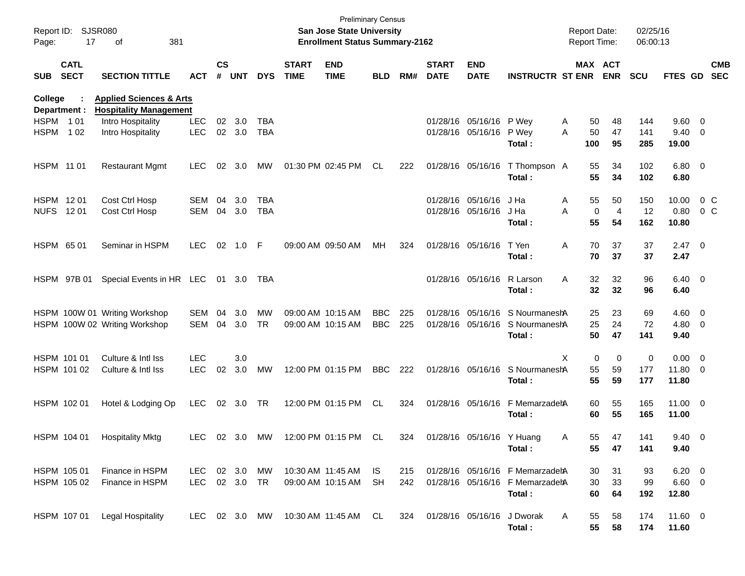| Page:       | Report ID: SJSR080<br>17   | 381<br>οf                                                           |               |                    |            |            |                             | <b>Preliminary Census</b><br>San Jose State University<br><b>Enrollment Status Summary-2162</b> |            |     |                             |                           |                                 |   | <b>Report Date:</b><br><b>Report Time:</b> |                      | 02/25/16<br>06:00:13 |                         |                          |
|-------------|----------------------------|---------------------------------------------------------------------|---------------|--------------------|------------|------------|-----------------------------|-------------------------------------------------------------------------------------------------|------------|-----|-----------------------------|---------------------------|---------------------------------|---|--------------------------------------------|----------------------|----------------------|-------------------------|--------------------------|
| <b>SUB</b>  | <b>CATL</b><br><b>SECT</b> | <b>SECTION TITTLE</b>                                               | <b>ACT</b>    | $\mathsf{cs}$<br># | <b>UNT</b> | <b>DYS</b> | <b>START</b><br><b>TIME</b> | <b>END</b><br><b>TIME</b>                                                                       | <b>BLD</b> | RM# | <b>START</b><br><b>DATE</b> | <b>END</b><br><b>DATE</b> | <b>INSTRUCTR ST ENR</b>         |   | MAX ACT                                    | <b>ENR</b>           | <b>SCU</b>           | <b>FTES GD</b>          | <b>CMB</b><br><b>SEC</b> |
| College     | Department :               | <b>Applied Sciences &amp; Arts</b><br><b>Hospitality Management</b> |               |                    |            |            |                             |                                                                                                 |            |     |                             |                           |                                 |   |                                            |                      |                      |                         |                          |
|             | HSPM 101                   | Intro Hospitality                                                   | <b>LEC</b>    | 02                 | 3.0        | TBA        |                             |                                                                                                 |            |     |                             | 01/28/16 05/16/16 P Wey   |                                 | Α | 50                                         | 48                   | 144                  | $9.60 \quad 0$          |                          |
| <b>HSPM</b> | 1 0 2                      | Intro Hospitality                                                   | <b>LEC</b>    |                    | 02 3.0     | TBA        |                             |                                                                                                 |            |     |                             | 01/28/16 05/16/16         | P Wey<br>Total:                 | A | 50<br>100                                  | 47<br>95             | 141<br>285           | $9.40 \quad 0$<br>19.00 |                          |
|             | HSPM 11 01                 | <b>Restaurant Mgmt</b>                                              | <b>LEC</b>    | 02                 | 3.0        | МW         |                             | 01:30 PM 02:45 PM                                                                               | CL         | 222 |                             | 01/28/16 05/16/16         | T Thompson A<br>Total:          |   | 55<br>55                                   | 34<br>34             | 102<br>102           | $6.80$ 0<br>6.80        |                          |
|             |                            |                                                                     |               |                    |            |            |                             |                                                                                                 |            |     |                             |                           |                                 |   |                                            |                      |                      |                         |                          |
|             | HSPM 1201                  | Cost Ctrl Hosp                                                      | <b>SEM</b>    | 04                 | 3.0        | TBA        |                             |                                                                                                 |            |     |                             | 01/28/16 05/16/16         | J Ha                            | Α | 55                                         | 50                   | 150                  | 10.00                   | 0 <sup>o</sup>           |
|             | NUFS 1201                  | Cost Ctrl Hosp                                                      | SEM           |                    | 04 3.0     | TBA        |                             |                                                                                                 |            |     |                             | 01/28/16 05/16/16         | J Ha<br>Total:                  | A | 0<br>55                                    | $\overline{4}$<br>54 | 12<br>162            | 0.80<br>10.80           | $0\,C$                   |
|             | HSPM 65 01                 | Seminar in HSPM                                                     | LEC.          | 02                 | 1.0 F      |            |                             | 09:00 AM 09:50 AM                                                                               | МH         | 324 |                             | 01/28/16 05/16/16         | T Yen<br>Total:                 | Α | 70<br>70                                   | 37<br>37             | 37<br>37             | $2.47 \quad 0$<br>2.47  |                          |
|             | HSPM 97B 01                | Special Events in HR LEC 01 3.0                                     |               |                    |            | TBA        |                             |                                                                                                 |            |     |                             | 01/28/16 05/16/16         | R Larson<br>Total:              | Α | 32<br>32                                   | 32<br>32             | 96<br>96             | $6.40 \quad 0$<br>6.40  |                          |
|             |                            | HSPM 100W 01 Writing Workshop                                       | <b>SEM</b>    | 04                 | 3.0        | MW         |                             | 09:00 AM 10:15 AM                                                                               | <b>BBC</b> | 225 |                             | 01/28/16 05/16/16         | S NourmaneshA                   |   | 25                                         | 23                   | 69                   | $4.60$ 0                |                          |
|             |                            | HSPM 100W 02 Writing Workshop                                       | SEM           | 04                 | 3.0        | TR         |                             | 09:00 AM 10:15 AM                                                                               | <b>BBC</b> | 225 |                             | 01/28/16 05/16/16         | S NourmaneshA                   |   | 25                                         | 24                   | 72                   | $4.80\ 0$               |                          |
|             |                            |                                                                     |               |                    |            |            |                             |                                                                                                 |            |     |                             |                           | Total:                          |   | 50                                         | 47                   | 141                  | 9.40                    |                          |
|             | HSPM 101 01                | Culture & Intl Iss                                                  | <b>LEC</b>    |                    | 3.0        |            |                             |                                                                                                 |            |     |                             |                           |                                 | X | 0                                          | 0                    | 0                    | $0.00 \t 0$             |                          |
|             | HSPM 101 02                | Culture & Intl Iss                                                  | <b>LEC</b>    | 02                 | 3.0        | МW         |                             | 12:00 PM 01:15 PM                                                                               | <b>BBC</b> | 222 |                             | 01/28/16 05/16/16         | S NourmaneshA                   |   | 55                                         | 59                   | 177                  | 11.80 0                 |                          |
|             |                            |                                                                     |               |                    |            |            |                             |                                                                                                 |            |     |                             |                           | Total :                         |   | 55                                         | 59                   | 177                  | 11.80                   |                          |
|             | HSPM 102 01                | Hotel & Lodging Op                                                  | <b>LEC</b>    |                    | 02 3.0     | TR         |                             | 12:00 PM 01:15 PM                                                                               | CL         | 324 |                             | 01/28/16 05/16/16         | F MemarzadehA                   |   | 60                                         | 55                   | 165                  | $11.00 \t 0$            |                          |
|             |                            |                                                                     |               |                    |            |            |                             |                                                                                                 |            |     |                             |                           | Total :                         |   | 60                                         | 55                   | 165                  | 11.00                   |                          |
|             | HSPM 104 01                | <b>Hospitality Mktg</b>                                             | LEC 02 3.0 MW |                    |            |            |                             | 12:00 PM 01:15 PM                                                                               | CL         | 324 |                             | 01/28/16 05/16/16 Y Huang |                                 | A | 55                                         | 47                   | 141                  | $9.40 \quad 0$          |                          |
|             |                            |                                                                     |               |                    |            |            |                             |                                                                                                 |            |     |                             |                           | Total:                          |   | 55                                         | 47                   | 141                  | 9.40                    |                          |
|             | HSPM 105 01                | Finance in HSPM                                                     | LEC 02 3.0 MW |                    |            |            |                             | 10:30 AM 11:45 AM IS                                                                            |            | 215 |                             |                           | 01/28/16 05/16/16 F MemarzadehA |   | 30                                         | 31                   | 93                   | $6.20 \t 0$             |                          |
|             | HSPM 105 02                | Finance in HSPM                                                     | LEC 02 3.0 TR |                    |            |            |                             | 09:00 AM 10:15 AM                                                                               | SH         | 242 |                             |                           | 01/28/16 05/16/16 F MemarzadehA |   | 30                                         | 33                   | 99                   | $6.60$ 0                |                          |
|             |                            |                                                                     |               |                    |            |            |                             |                                                                                                 |            |     |                             |                           | Total:                          |   | 60                                         | 64                   | 192                  | 12.80                   |                          |
|             | HSPM 107 01                | <b>Legal Hospitality</b>                                            |               |                    |            |            |                             | LEC 02 3.0 MW 10:30 AM 11:45 AM CL                                                              |            |     |                             |                           | 324 01/28/16 05/16/16 J Dworak  | A | 55                                         | 58                   | 174                  | 11.60 0                 |                          |
|             |                            |                                                                     |               |                    |            |            |                             |                                                                                                 |            |     |                             |                           | Total:                          |   | 55                                         | 58                   | 174                  | 11.60                   |                          |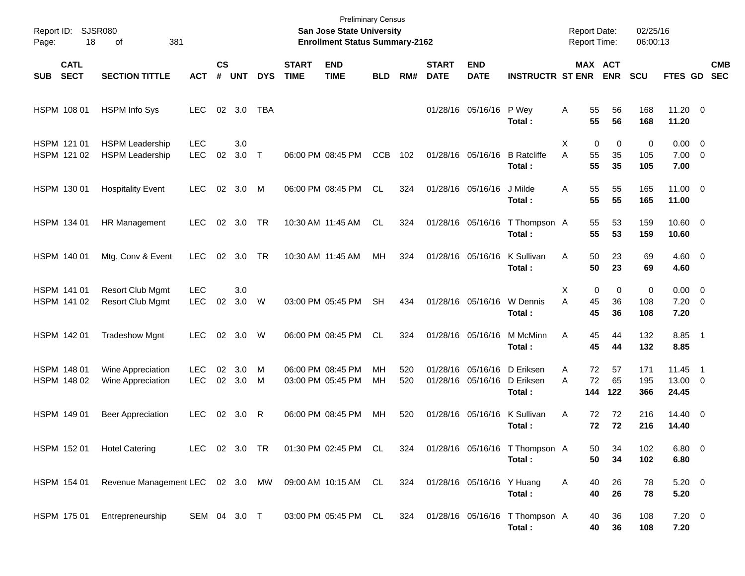| Page:                      | Report ID: SJSR080<br>18   | 381<br>оf                                             |                          |                    |               |            |                             | <b>Preliminary Census</b><br><b>San Jose State University</b><br><b>Enrollment Status Summary-2162</b> |                 |            |                             |                               |                                              | <b>Report Date:</b><br><b>Report Time:</b> |                       | 02/25/16<br>06:00:13 |                                    |                  |                          |
|----------------------------|----------------------------|-------------------------------------------------------|--------------------------|--------------------|---------------|------------|-----------------------------|--------------------------------------------------------------------------------------------------------|-----------------|------------|-----------------------------|-------------------------------|----------------------------------------------|--------------------------------------------|-----------------------|----------------------|------------------------------------|------------------|--------------------------|
| <b>SUB</b>                 | <b>CATL</b><br><b>SECT</b> | <b>SECTION TITTLE</b>                                 | <b>ACT</b>               | $\mathsf{cs}$<br># | <b>UNT</b>    | <b>DYS</b> | <b>START</b><br><b>TIME</b> | <b>END</b><br><b>TIME</b>                                                                              | <b>BLD</b>      | RM#        | <b>START</b><br><b>DATE</b> | <b>END</b><br><b>DATE</b>     | <b>INSTRUCTR ST ENR</b>                      |                                            | MAX ACT<br><b>ENR</b> | <b>SCU</b>           | <b>FTES GD</b>                     |                  | <b>CMB</b><br><b>SEC</b> |
| HSPM 108 01                |                            | <b>HSPM Info Sys</b>                                  | <b>LEC</b>               |                    | 02 3.0        | <b>TBA</b> |                             |                                                                                                        |                 |            |                             | 01/28/16 05/16/16             | P Wey<br>Total:                              | 55<br>Α<br>55                              | 56<br>56              | 168<br>168           | $11.20 \t 0$<br>11.20              |                  |                          |
| HSPM 121 01<br>HSPM 121 02 |                            | <b>HSPM Leadership</b><br><b>HSPM Leadership</b>      | <b>LEC</b><br><b>LEC</b> | 02                 | 3.0<br>3.0    | $\top$     |                             | 06:00 PM 08:45 PM                                                                                      | <b>CCB</b>      | 102        | 01/28/16 05/16/16           |                               | <b>B</b> Ratcliffe<br>Total:                 | Х<br>55<br>A<br>55                         | 0<br>0<br>35<br>35    | 0<br>105<br>105      | $0.00 \t 0$<br>$7.00 \t 0$<br>7.00 |                  |                          |
| HSPM 130 01                |                            | <b>Hospitality Event</b>                              | <b>LEC</b>               | 02                 | 3.0           | M          |                             | 06:00 PM 08:45 PM                                                                                      | CL.             | 324        | 01/28/16 05/16/16           |                               | J Milde<br>Total:                            | 55<br>Α<br>55                              | 55<br>55              | 165<br>165           | $11.00 \t 0$<br>11.00              |                  |                          |
| HSPM 134 01                |                            | HR Management                                         | <b>LEC</b>               | 02                 | 3.0           | TR         |                             | 10:30 AM 11:45 AM                                                                                      | CL.             | 324        | 01/28/16 05/16/16           |                               | T Thompson A<br>Total:                       | 55<br>55                                   | 53<br>53              | 159<br>159           | $10.60 \t 0$<br>10.60              |                  |                          |
| HSPM 140 01                |                            | Mtg, Conv & Event                                     | <b>LEC</b>               | 02                 | 3.0           | TR         |                             | 10:30 AM 11:45 AM                                                                                      | MH              | 324        | 01/28/16 05/16/16           |                               | K Sullivan<br>Total:                         | 50<br>Α<br>50                              | 23<br>23              | 69<br>69             | $4.60$ 0<br>4.60                   |                  |                          |
| HSPM 141 01<br>HSPM 141 02 |                            | <b>Resort Club Mgmt</b><br><b>Resort Club Mgmt</b>    | <b>LEC</b><br><b>LEC</b> | 02                 | 3.0<br>3.0    | W          |                             | 03:00 PM 05:45 PM                                                                                      | <b>SH</b>       | 434        | 01/28/16 05/16/16           |                               | W Dennis<br>Total:                           | Х<br>45<br>A<br>45                         | 0<br>0<br>36<br>36    | 0<br>108<br>108      | $0.00 \t 0$<br>$7.20 \t 0$<br>7.20 |                  |                          |
| HSPM 142 01                |                            | <b>Tradeshow Mgnt</b>                                 | <b>LEC</b>               | 02                 | 3.0           | W          |                             | 06:00 PM 08:45 PM                                                                                      | CL.             | 324        | 01/28/16 05/16/16           |                               | M McMinn<br>Total:                           | Α<br>45<br>45                              | 44<br>44              | 132<br>132           | 8.85 1<br>8.85                     |                  |                          |
| HSPM 148 01<br>HSPM 148 02 |                            | Wine Appreciation<br>Wine Appreciation                | <b>LEC</b><br><b>LEC</b> | 02                 | 3.0<br>02 3.0 | M<br>M     |                             | 06:00 PM 08:45 PM<br>03:00 PM 05:45 PM                                                                 | <b>MH</b><br>MH | 520<br>520 | 01/28/16 05/16/16           | 01/28/16 05/16/16             | D Eriksen<br>D Eriksen<br>Total:             | 72<br>Α<br>72<br>A<br>144                  | 57<br>65<br>122       | 171<br>195<br>366    | 11.45<br>13.00 0<br>24.45          | $\blacksquare$ 1 |                          |
| HSPM 149 01                |                            | <b>Beer Appreciation</b>                              | <b>LEC</b>               | 02                 | 3.0           | R          |                             | 06:00 PM 08:45 PM                                                                                      | MH              | 520        | 01/28/16 05/16/16           |                               | K Sullivan<br>Total:                         | A<br>72<br>72                              | 72<br>72              | 216<br>216           | $14.40 \ 0$<br>14.40               |                  |                          |
| HSPM 152 01                |                            | <b>Hotel Catering</b>                                 | LEC 02 3.0 TR            |                    |               |            |                             | 01:30 PM 02:45 PM CL                                                                                   |                 | 324        |                             |                               | 01/28/16 05/16/16 T Thompson A<br>Total:     | 50<br>50                                   | 34<br>34              | 102<br>102           | 6.80 0<br>6.80                     |                  |                          |
| HSPM 154 01                |                            | Revenue Management LEC 02 3.0 MW 09:00 AM 10:15 AM CL |                          |                    |               |            |                             |                                                                                                        |                 |            |                             | 324 01/28/16 05/16/16 Y Huang | Total:                                       | 40<br>A<br>40                              | 26<br>26              | 78<br>78             | $5.20 \t 0$<br>5.20                |                  |                          |
| HSPM 175 01                |                            | Entrepreneurship                                      | SEM 04 3.0 T             |                    |               |            |                             | 03:00 PM 05:45 PM CL                                                                                   |                 |            |                             |                               | 324 01/28/16 05/16/16 T Thompson A<br>Total: | 40<br>40                                   | 36<br>36              | 108<br>108           | $7.20 \t 0$<br>7.20                |                  |                          |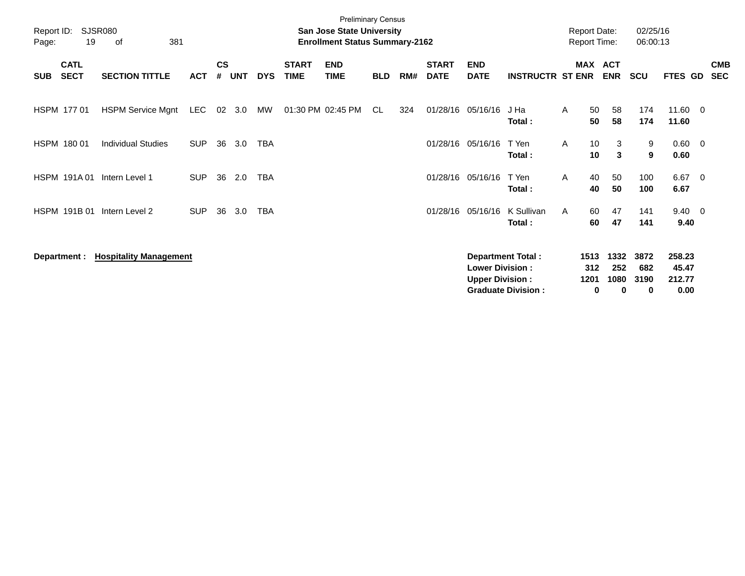| Report ID:<br>Page: | 19                         | SJSR080<br>381<br>οf          |            |                    |            |            |                             | <b>Preliminary Census</b><br><b>San Jose State University</b><br><b>Enrollment Status Summary-2162</b> |            |     |                             |                                                  |                                                       |   | <b>Report Date:</b><br><b>Report Time:</b> |                          | 02/25/16<br>06:00:13     |                                   |                          |
|---------------------|----------------------------|-------------------------------|------------|--------------------|------------|------------|-----------------------------|--------------------------------------------------------------------------------------------------------|------------|-----|-----------------------------|--------------------------------------------------|-------------------------------------------------------|---|--------------------------------------------|--------------------------|--------------------------|-----------------------------------|--------------------------|
| <b>SUB</b>          | <b>CATL</b><br><b>SECT</b> | <b>SECTION TITTLE</b>         | <b>ACT</b> | $\mathsf{cs}$<br># | <b>UNT</b> | <b>DYS</b> | <b>START</b><br><b>TIME</b> | <b>END</b><br><b>TIME</b>                                                                              | <b>BLD</b> | RM# | <b>START</b><br><b>DATE</b> | <b>END</b><br><b>DATE</b>                        | <b>INSTRUCTR ST ENR</b>                               |   | MAX ACT                                    | <b>ENR</b>               | <b>SCU</b>               | FTES GD                           | <b>CMB</b><br><b>SEC</b> |
|                     | HSPM 177 01                | <b>HSPM Service Mgnt</b>      | LEC        | 02                 | 3.0        | MW         |                             | 01:30 PM 02:45 PM                                                                                      | CL         | 324 | 01/28/16                    | 05/16/16                                         | J Ha<br>Total:                                        | A | 50<br>50                                   | 58<br>58                 | 174<br>174               | $11.60 \t 0$<br>11.60             |                          |
|                     | HSPM 180 01                | <b>Individual Studies</b>     | <b>SUP</b> | 36                 | 3.0        | <b>TBA</b> |                             |                                                                                                        |            |     | 01/28/16                    | 05/16/16                                         | T Yen<br>Total:                                       | A | 10<br>10                                   | 3<br>3                   | 9<br>9                   | $0.60 \t 0$<br>0.60               |                          |
|                     | HSPM 191A01                | Intern Level 1                | <b>SUP</b> | 36                 | 2.0        | <b>TBA</b> |                             |                                                                                                        |            |     | 01/28/16                    | 05/16/16                                         | T Yen<br>Total:                                       | A | 40<br>40                                   | 50<br>50                 | 100<br>100               | 6.67 0<br>6.67                    |                          |
|                     | HSPM 191B 01               | Intern Level 2                | <b>SUP</b> | 36                 | 3.0        | <b>TBA</b> |                             |                                                                                                        |            |     | 01/28/16                    | 05/16/16                                         | K Sullivan<br>Total:                                  | A | 60<br>60                                   | 47<br>47                 | 141<br>141               | $9.40 \quad 0$<br>9.40            |                          |
|                     | Department :               | <b>Hospitality Management</b> |            |                    |            |            |                             |                                                                                                        |            |     |                             | <b>Lower Division:</b><br><b>Upper Division:</b> | <b>Department Total:</b><br><b>Graduate Division:</b> |   | 1513<br>312<br>1201<br>0                   | 1332<br>252<br>1080<br>0 | 3872<br>682<br>3190<br>0 | 258.23<br>45.47<br>212.77<br>0.00 |                          |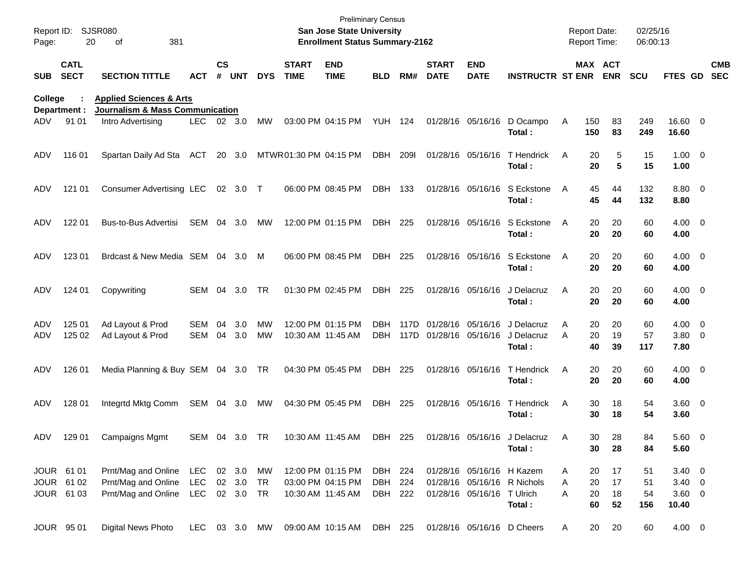| Report ID:<br>Page: | 20                                     | <b>SJSR080</b><br>381<br>of                                       |                             |               |                  |                 |                             | <b>Preliminary Census</b><br><b>San Jose State University</b><br><b>Enrollment Status Summary-2162</b> |                               |      |                             |                                                  |                                                                    |             | <b>Report Date:</b><br><b>Report Time:</b> |                      | 02/25/16<br>06:00:13  |                                                 |                          |
|---------------------|----------------------------------------|-------------------------------------------------------------------|-----------------------------|---------------|------------------|-----------------|-----------------------------|--------------------------------------------------------------------------------------------------------|-------------------------------|------|-----------------------------|--------------------------------------------------|--------------------------------------------------------------------|-------------|--------------------------------------------|----------------------|-----------------------|-------------------------------------------------|--------------------------|
| <b>SUB</b>          | <b>CATL</b><br><b>SECT</b>             | <b>SECTION TITTLE</b>                                             | ACT                         | $\mathsf{cs}$ | # UNT            | <b>DYS</b>      | <b>START</b><br><b>TIME</b> | <b>END</b><br><b>TIME</b>                                                                              | <b>BLD</b>                    | RM#  | <b>START</b><br><b>DATE</b> | <b>END</b><br><b>DATE</b>                        | <b>INSTRUCTR ST ENR</b>                                            |             | MAX ACT                                    | <b>ENR</b>           | <b>SCU</b>            | <b>FTES GD</b>                                  | <b>CMB</b><br><b>SEC</b> |
| College             |                                        | <b>Applied Sciences &amp; Arts</b>                                |                             |               |                  |                 |                             |                                                                                                        |                               |      |                             |                                                  |                                                                    |             |                                            |                      |                       |                                                 |                          |
| ADV.                | Department :<br>91 01                  | Journalism & Mass Communication<br>Intro Advertising              | LEC.                        |               | $02 \quad 3.0$   | МW              |                             | 03:00 PM 04:15 PM                                                                                      | <b>YUH 124</b>                |      |                             | 01/28/16 05/16/16                                | D Ocampo<br>Total:                                                 | A           | 150<br>150                                 | 83<br>83             | 249<br>249            | 16.60 0<br>16.60                                |                          |
| ADV                 | 116 01                                 | Spartan Daily Ad Sta                                              | ACT                         |               | 20 3.0           |                 | MTWR01:30 PM 04:15 PM       |                                                                                                        | DBH                           | 209I |                             | 01/28/16 05/16/16                                | T Hendrick<br>Total:                                               | Α           | 20<br>20                                   | 5<br>5               | 15<br>15              | $1.00 \t 0$<br>1.00                             |                          |
| ADV                 | 121 01                                 | Consumer Advertising LEC                                          |                             |               | 02 3.0 T         |                 |                             | 06:00 PM 08:45 PM                                                                                      | DBH                           | 133  |                             | 01/28/16 05/16/16                                | S Eckstone<br>Total:                                               | A           | 45<br>45                                   | 44<br>44             | 132<br>132            | 8.80 0<br>8.80                                  |                          |
| ADV                 | 122 01                                 | Bus-to-Bus Advertisi                                              | SEM                         | 04            | 3.0              | MW              |                             | 12:00 PM 01:15 PM                                                                                      | DBH                           | 225  |                             | 01/28/16 05/16/16                                | S Eckstone<br>Total:                                               | A           | 20<br>20                                   | 20<br>20             | 60<br>60              | $4.00 \ 0$<br>4.00                              |                          |
| ADV                 | 123 01                                 | Brdcast & New Media SEM 04 3.0                                    |                             |               |                  | M               |                             | 06:00 PM 08:45 PM                                                                                      | DBH                           | 225  |                             | 01/28/16 05/16/16                                | S Eckstone<br>Total:                                               | A           | 20<br>20                                   | 20<br>20             | 60<br>60              | $4.00 \ 0$<br>4.00                              |                          |
| ADV                 | 124 01                                 | Copywriting                                                       | SEM                         | 04            | 3.0              | TR              |                             | 01:30 PM 02:45 PM                                                                                      | DBH                           | 225  |                             | 01/28/16 05/16/16                                | J Delacruz<br>Total:                                               | Α           | 20<br>20                                   | 20<br>20             | 60<br>60              | $4.00 \ 0$<br>4.00                              |                          |
| ADV<br>ADV          | 125 01<br>125 02                       | Ad Layout & Prod<br>Ad Layout & Prod                              | <b>SEM</b><br>SEM           | 04<br>04      | 3.0<br>3.0       | <b>MW</b><br>MW |                             | 12:00 PM 01:15 PM<br>10:30 AM 11:45 AM                                                                 | DBH.<br>DBH.                  |      |                             | 117D 01/28/16 05/16/16<br>117D 01/28/16 05/16/16 | J Delacruz<br>J Delacruz<br>Total :                                | Α<br>A      | 20<br>20<br>40                             | 20<br>19<br>39       | 60<br>57<br>117       | $4.00 \ 0$<br>$3.80\ 0$<br>7.80                 |                          |
| ADV                 | 126 01                                 | Media Planning & Buy SEM 04 3.0 TR                                |                             |               |                  |                 |                             | 04:30 PM 05:45 PM                                                                                      | DBH 225                       |      |                             | 01/28/16 05/16/16                                | T Hendrick<br>Total :                                              | Α           | 20<br>20                                   | 20<br>20             | 60<br>60              | $4.00 \ 0$<br>4.00                              |                          |
| ADV                 | 128 01                                 | Integrtd Mktg Comm                                                | SEM 04 3.0                  |               |                  | МW              |                             | 04:30 PM 05:45 PM                                                                                      | DBH 225                       |      |                             | 01/28/16 05/16/16                                | T Hendrick<br>Total :                                              | Α           | 30<br>30                                   | 18<br>18             | 54<br>54              | 3.60 0<br>3.60                                  |                          |
| ADV                 | 129 01                                 | Campaigns Mgmt                                                    | SEM 04 3.0 TR               |               |                  |                 |                             | 10:30 AM 11:45 AM                                                                                      | DBH                           | 225  |                             |                                                  | 01/28/16 05/16/16 J Delacruz<br>Total:                             | A           | 30<br>30                                   | 28<br>28             | 84<br>84              | $5.60 \quad 0$<br>5.60                          |                          |
|                     | JOUR 61 01<br>JOUR 61 02<br>JOUR 61 03 | Prnt/Mag and Online<br>Prnt/Mag and Online<br>Prnt/Mag and Online | LEC<br>LEC<br>LEC 02 3.0 TR |               | 02 3.0<br>02 3.0 | MW<br>TR        |                             | 12:00 PM 01:15 PM<br>03:00 PM 04:15 PM<br>10:30 AM 11:45 AM                                            | DBH 224<br>DBH 224<br>DBH 222 |      |                             | 01/28/16 05/16/16 T Ulrich                       | 01/28/16 05/16/16 H Kazem<br>01/28/16 05/16/16 R Nichols<br>Total: | A<br>Α<br>A | 20<br>20<br>20<br>60                       | 17<br>17<br>18<br>52 | 51<br>51<br>54<br>156 | $3.40 \ 0$<br>$3.40 \ 0$<br>$3.60 \ 0$<br>10.40 |                          |
|                     | JOUR 95 01                             | Digital News Photo                                                |                             |               |                  | LEC 03 3.0 MW   |                             | 09:00 AM 10:15 AM DBH 225                                                                              |                               |      |                             |                                                  | 01/28/16 05/16/16 D Cheers                                         | A           | 20                                         | 20                   | 60                    | 4.00 0                                          |                          |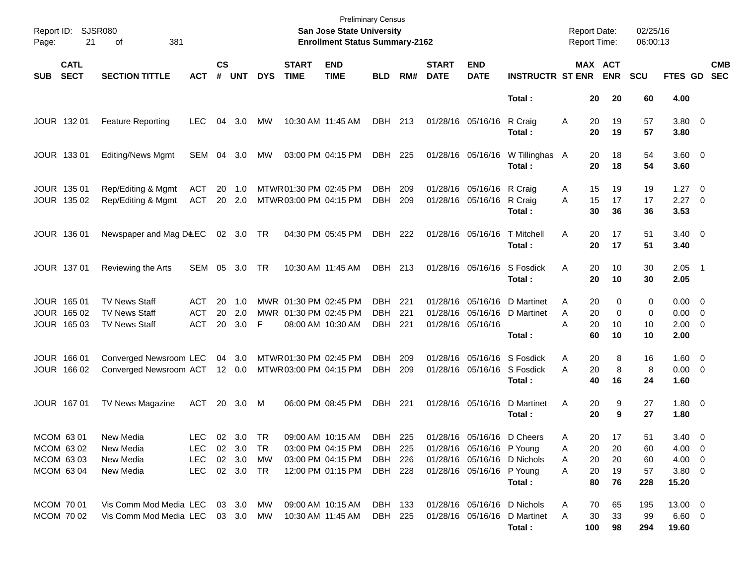| Report ID:<br>21<br>Page:                            | SJSR080<br>381<br>οf                                                 |                                                      |                |                                         |                |                                                 | <b>San Jose State University</b><br><b>Enrollment Status Summary-2162</b>        | <b>Preliminary Census</b>       |                   |                             |                                                             |                                                                       | <b>Report Date:</b><br><b>Report Time:</b> |                                                          | 02/25/16<br>06:00:13        |                                                              |                          |
|------------------------------------------------------|----------------------------------------------------------------------|------------------------------------------------------|----------------|-----------------------------------------|----------------|-------------------------------------------------|----------------------------------------------------------------------------------|---------------------------------|-------------------|-----------------------------|-------------------------------------------------------------|-----------------------------------------------------------------------|--------------------------------------------|----------------------------------------------------------|-----------------------------|--------------------------------------------------------------|--------------------------|
| <b>CATL</b><br><b>SECT</b><br><b>SUB</b>             | <b>SECTION TITTLE</b>                                                | <b>ACT</b>                                           | <b>CS</b><br># | <b>UNT</b>                              | <b>DYS</b>     | <b>START</b><br><b>TIME</b>                     | <b>END</b><br><b>TIME</b>                                                        | <b>BLD</b>                      | RM#               | <b>START</b><br><b>DATE</b> | <b>END</b><br><b>DATE</b>                                   | <b>INSTRUCTR ST ENR</b>                                               |                                            | <b>MAX ACT</b><br><b>ENR</b>                             | <b>SCU</b>                  | FTES GD                                                      | <b>CMB</b><br><b>SEC</b> |
|                                                      |                                                                      |                                                      |                |                                         |                |                                                 |                                                                                  |                                 |                   |                             |                                                             | Total:                                                                |                                            | 20<br>20                                                 | 60                          | 4.00                                                         |                          |
| JOUR 132 01                                          | <b>Feature Reporting</b>                                             | <b>LEC</b>                                           | 04             | 3.0                                     | MW             |                                                 | 10:30 AM 11:45 AM                                                                | DBH 213                         |                   |                             | 01/28/16 05/16/16                                           | R Craig<br>Total:                                                     | A                                          | 20<br>19<br>20<br>19                                     | 57<br>57                    | $3.80\ 0$<br>3.80                                            |                          |
| JOUR 133 01                                          | <b>Editing/News Mgmt</b>                                             | SEM 04 3.0                                           |                |                                         | MW             |                                                 | 03:00 PM 04:15 PM                                                                | DBH 225                         |                   |                             | 01/28/16 05/16/16                                           | W Tillinghas A<br>Total:                                              |                                            | 18<br>20<br>20<br>18                                     | 54<br>54                    | $3.60 \ 0$<br>3.60                                           |                          |
| JOUR 135 01<br>JOUR 135 02                           | Rep/Editing & Mgmt<br>Rep/Editing & Mgmt                             | ACT<br>ACT                                           | 20             | -1.0<br>20 2.0                          |                | MTWR01:30 PM 02:45 PM<br>MTWR03:00 PM 04:15 PM  |                                                                                  | <b>DBH</b><br><b>DBH</b>        | 209<br>209        |                             | 01/28/16 05/16/16 R Craig<br>01/28/16 05/16/16              | R Craig<br>Total:                                                     | A<br>A                                     | 15<br>19<br>15<br>17<br>30<br>36                         | 19<br>17<br>36              | 1.27<br>$2.27 \t 0$<br>3.53                                  | $\overline{\phantom{0}}$ |
| JOUR 136 01                                          | Newspaper and Mag D&EC                                               |                                                      |                | 02 3.0 TR                               |                |                                                 | 04:30 PM 05:45 PM                                                                | DBH                             | 222               |                             | 01/28/16 05/16/16                                           | T Mitchell<br>Total:                                                  | A                                          | 17<br>20<br>20<br>17                                     | 51<br>51                    | $3.40 \ 0$<br>3.40                                           |                          |
| <b>JOUR 13701</b>                                    | Reviewing the Arts                                                   | SEM 05 3.0                                           |                |                                         | TR             | 10:30 AM 11:45 AM                               |                                                                                  | DBH 213                         |                   |                             | 01/28/16 05/16/16                                           | S Fosdick<br>Total:                                                   | A                                          | 20<br>10<br>20<br>10                                     | 30<br>30                    | $2.05$ 1<br>2.05                                             |                          |
| <b>JOUR 165 01</b><br>JOUR 165 02<br>JOUR 165 03     | <b>TV News Staff</b><br><b>TV News Staff</b><br><b>TV News Staff</b> | ACT<br>ACT<br><b>ACT</b>                             | 20<br>20<br>20 | 1.0<br>2.0<br>3.0                       | F              | MWR 01:30 PM 02:45 PM<br>MWR 01:30 PM 02:45 PM  | 08:00 AM 10:30 AM                                                                | DBH<br><b>DBH</b><br><b>DBH</b> | 221<br>221<br>221 |                             | 01/28/16 05/16/16<br>01/28/16 05/16/16<br>01/28/16 05/16/16 | D Martinet<br>D Martinet<br>Total:                                    | A<br>A<br>A                                | 20<br>0<br>20<br>$\mathbf 0$<br>20<br>10<br>60<br>10     | 0<br>0<br>10<br>10          | $0.00 \quad 0$<br>$0.00 \t 0$<br>$2.00 \t 0$<br>2.00         |                          |
| JOUR 166 01<br>JOUR 166 02                           | Converged Newsroom LEC<br>Converged Newsroom ACT 12 0.0              |                                                      | 04             | 3.0                                     |                | MTWR 01:30 PM 02:45 PM<br>MTWR03:00 PM 04:15 PM |                                                                                  | DBH.<br><b>DBH</b>              | 209<br>209        |                             |                                                             | 01/28/16 05/16/16 S Fosdick<br>01/28/16 05/16/16 S Fosdick<br>Total:  | A<br>A                                     | 8<br>20<br>8<br>20<br>40<br>16                           | 16<br>8<br>24               | $1.60 \t 0$<br>$0.00 \t 0$<br>1.60                           |                          |
| <b>JOUR 16701</b>                                    | TV News Magazine                                                     | ACT                                                  |                | 20 3.0                                  | М              |                                                 | 06:00 PM 08:45 PM                                                                | DBH                             | 221               |                             | 01/28/16 05/16/16                                           | D Martinet<br>Total:                                                  | A                                          | 9<br>20<br>20<br>9                                       | 27<br>27                    | $1.80 \ 0$<br>1.80                                           |                          |
| MCOM 63 01<br>MCOM 63 02<br>MCOM 63 03<br>MCOM 63 04 | New Media<br>New Media<br>New Media<br>New Media                     | <b>LEC</b><br><b>LEC</b><br><b>LEC</b><br><b>LEC</b> |                | 02 3.0<br>02 3.0<br>02 3.0<br>02 3.0 TR | TR<br>TR<br>МW |                                                 | 09:00 AM 10:15 AM<br>03:00 PM 04:15 PM<br>03:00 PM 04:15 PM<br>12:00 PM 01:15 PM | DBH<br>DBH<br>DBH<br>DBH 228    | 225<br>225<br>226 |                             | 01/28/16 05/16/16 P Young<br>01/28/16 05/16/16 P Young      | 01/28/16 05/16/16 D Cheers<br>01/28/16 05/16/16 D Nichols<br>Total:   | A<br>Α<br>Α<br>Α                           | 20<br>17<br>20<br>20<br>20<br>20<br>20<br>19<br>80<br>76 | 51<br>60<br>60<br>57<br>228 | $3.40 \ 0$<br>$4.00 \ 0$<br>$4.00 \ 0$<br>$3.80\ 0$<br>15.20 |                          |
| MCOM 70 01<br>MCOM 70 02                             | Vis Comm Mod Media LEC<br>Vis Comm Mod Media LEC 03 3.0              |                                                      |                | 03 3.0                                  | МW<br>MW       |                                                 | 09:00 AM 10:15 AM<br>10:30 AM 11:45 AM                                           | DBH 133<br>DBH 225              |                   |                             |                                                             | 01/28/16 05/16/16 D Nichols<br>01/28/16 05/16/16 D Martinet<br>Total: | A<br>A<br>100                              | 70<br>65<br>30<br>33<br>98                               | 195<br>99<br>294            | 13.00 0<br>$6.60$ 0<br>19.60                                 |                          |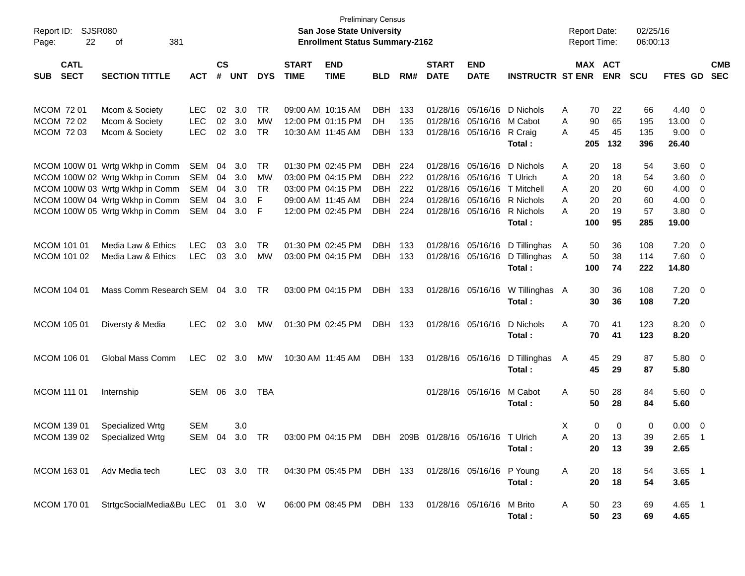| Report ID:<br>22<br>Page:                | SJSR080<br>381<br>οf                                                                                                                                                   |                                        |                            |                                 |                                        |                             | <b>Preliminary Census</b><br><b>San Jose State University</b><br><b>Enrollment Status Summary-2162</b> |                                                             |                                 |                                              |                                                                    |                                                                         | <b>Report Date:</b><br><b>Report Time:</b>                 |                                  | 02/25/16<br>06:00:13              |                                                        |                                                     |                          |
|------------------------------------------|------------------------------------------------------------------------------------------------------------------------------------------------------------------------|----------------------------------------|----------------------------|---------------------------------|----------------------------------------|-----------------------------|--------------------------------------------------------------------------------------------------------|-------------------------------------------------------------|---------------------------------|----------------------------------------------|--------------------------------------------------------------------|-------------------------------------------------------------------------|------------------------------------------------------------|----------------------------------|-----------------------------------|--------------------------------------------------------|-----------------------------------------------------|--------------------------|
| <b>CATL</b><br><b>SECT</b><br><b>SUB</b> | <b>SECTION TITTLE</b>                                                                                                                                                  | <b>ACT</b>                             | $\mathsf{cs}$<br>#         | <b>UNT</b>                      | <b>DYS</b>                             | <b>START</b><br><b>TIME</b> | <b>END</b><br><b>TIME</b>                                                                              | <b>BLD</b>                                                  | RM#                             | <b>START</b><br><b>DATE</b>                  | <b>END</b><br><b>DATE</b>                                          | <b>INSTRUCTR ST ENR</b>                                                 |                                                            | MAX ACT<br><b>ENR</b>            | <b>SCU</b>                        | FTES GD                                                |                                                     | <b>CMB</b><br><b>SEC</b> |
| MCOM 72 01<br>MCOM 72 02<br>MCOM 72 03   | Mcom & Society<br>Mcom & Society<br>Mcom & Society                                                                                                                     | <b>LEC</b><br><b>LEC</b><br><b>LEC</b> | 02<br>02<br>02             | 3.0<br>3.0<br>3.0               | <b>TR</b><br>MW<br>TR                  |                             | 09:00 AM 10:15 AM<br>12:00 PM 01:15 PM<br>10:30 AM 11:45 AM                                            | <b>DBH</b><br>DH<br><b>DBH</b>                              | 133<br>135<br>133               | 01/28/16                                     | 05/16/16<br>01/28/16 05/16/16 M Cabot<br>01/28/16 05/16/16 R Craig | D Nichols<br>Total:                                                     | 70<br>A<br>90<br>A<br>45<br>A<br>205                       | 22<br>65<br>45<br>132            | 66<br>195<br>135<br>396           | 4.40 0<br>13.00<br>9.00<br>26.40                       | $\overline{\mathbf{0}}$<br>$\overline{\phantom{0}}$ |                          |
|                                          | MCOM 100W 01 Wrtg Wkhp in Comm<br>MCOM 100W 02 Wrtg Wkhp in Comm<br>MCOM 100W 03 Wrtg Wkhp in Comm<br>MCOM 100W 04 Wrtg Wkhp in Comm<br>MCOM 100W 05 Wrtg Wkhp in Comm | SEM<br>SEM<br>SEM<br>SEM<br>SEM        | 04<br>04<br>04<br>04<br>04 | 3.0<br>3.0<br>3.0<br>3.0<br>3.0 | <b>TR</b><br>MW<br><b>TR</b><br>F<br>F |                             | 01:30 PM 02:45 PM<br>03:00 PM 04:15 PM<br>03:00 PM 04:15 PM<br>09:00 AM 11:45 AM<br>12:00 PM 02:45 PM  | <b>DBH</b><br><b>DBH</b><br><b>DBH</b><br><b>DBH</b><br>DBH | 224<br>222<br>222<br>224<br>224 | 01/28/16<br>01/28/16<br>01/28/16<br>01/28/16 | 05/16/16<br>05/16/16<br>05/16/16<br>05/16/16<br>01/28/16 05/16/16  | D Nichols<br>T Ulrich<br>T Mitchell<br>R Nichols<br>R Nichols<br>Total: | Α<br>20<br>Α<br>20<br>20<br>A<br>20<br>Α<br>A<br>20<br>100 | 18<br>18<br>20<br>20<br>19<br>95 | 54<br>54<br>60<br>60<br>57<br>285 | 3.60 0<br>3.60 0<br>4.00<br>4.00<br>$3.80\ 0$<br>19.00 | $\overline{\mathbf{0}}$<br>$\overline{\mathbf{0}}$  |                          |
| MCOM 101 01<br>MCOM 101 02               | Media Law & Ethics<br>Media Law & Ethics                                                                                                                               | <b>LEC</b><br><b>LEC</b>               | 03                         | 3.0<br>03 3.0                   | <b>TR</b><br>MW                        | 01:30 PM 02:45 PM           | 03:00 PM 04:15 PM                                                                                      | <b>DBH</b><br><b>DBH</b>                                    | 133<br>133                      |                                              | 01/28/16 05/16/16<br>01/28/16 05/16/16                             | D Tillinghas<br>D Tillinghas<br>Total:                                  | 50<br>A<br>50<br>A<br>100                                  | 36<br>38<br>74                   | 108<br>114<br>222                 | 7.20<br>$7.60 \t 0$<br>14.80                           | $\overline{\phantom{0}}$                            |                          |
| MCOM 104 01                              | Mass Comm Research SEM 04 3.0                                                                                                                                          |                                        |                            |                                 | TR                                     |                             | 03:00 PM 04:15 PM                                                                                      | DBH 133                                                     |                                 |                                              | 01/28/16 05/16/16                                                  | W Tillinghas A<br>Total:                                                | 30<br>30                                                   | 36<br>36                         | 108<br>108                        | $7.20 \t 0$<br>7.20                                    |                                                     |                          |
| MCOM 105 01                              | Diversty & Media                                                                                                                                                       | <b>LEC</b>                             |                            | 02 3.0                          | МW                                     |                             | 01:30 PM 02:45 PM                                                                                      | DBH 133                                                     |                                 |                                              | 01/28/16 05/16/16                                                  | D Nichols<br>Total:                                                     | A<br>70<br>70                                              | 41<br>41                         | 123<br>123                        | $8.20 \ 0$<br>8.20                                     |                                                     |                          |
| MCOM 106 01                              | Global Mass Comm                                                                                                                                                       | <b>LEC</b>                             |                            | 02 3.0                          | MW                                     |                             | 10:30 AM 11:45 AM                                                                                      | DBH                                                         | 133                             |                                              | 01/28/16 05/16/16                                                  | D Tillinghas<br>Total:                                                  | 45<br>A<br>45                                              | 29<br>29                         | 87<br>87                          | 5.80 0<br>5.80                                         |                                                     |                          |
| <b>MCOM 111 01</b>                       | Internship                                                                                                                                                             | SEM                                    |                            | 06 3.0                          | TBA                                    |                             |                                                                                                        |                                                             |                                 |                                              | 01/28/16 05/16/16                                                  | M Cabot<br>Total:                                                       | 50<br>A<br>50                                              | 28<br>28                         | 84<br>84                          | 5.60 0<br>5.60                                         |                                                     |                          |
| MCOM 139 01                              | Specialized Wrtg<br>MCOM 139 02 Specialized Wrtg                                                                                                                       | <b>SEM</b><br>SEM 04 3.0 TR            |                            | 3.0                             |                                        |                             | 03:00 PM 04:15 PM DBH 209B 01/28/16 05/16/16 T Ulrich                                                  |                                                             |                                 |                                              |                                                                    | Total :                                                                 | Χ<br>0<br>20<br>A<br>20                                    | 0<br>13<br>13                    | 0<br>39<br>39                     | $0.00 \t 0$<br>$2.65$ 1<br>2.65                        |                                                     |                          |
| MCOM 163 01                              | Adv Media tech                                                                                                                                                         |                                        |                            |                                 |                                        |                             | LEC 03 3.0 TR  04:30 PM  05:45 PM  DBH  133  01/28/16  05/16/16  P  Young                              |                                                             |                                 |                                              |                                                                    | Total:                                                                  | A<br>20<br>20                                              | 18<br>18                         | 54<br>54                          | $3.65$ 1<br>3.65                                       |                                                     |                          |
|                                          | MCOM 170 01 StrtgcSocialMedia&Bu LEC 01 3.0 W 06:00 PM 08:45 PM DBH 133 01/28/16 05/16/16 M Brito                                                                      |                                        |                            |                                 |                                        |                             |                                                                                                        |                                                             |                                 |                                              |                                                                    | Total:                                                                  | A<br>50<br>50                                              | 23<br>23                         | 69<br>69                          | 4.65 1<br>4.65                                         |                                                     |                          |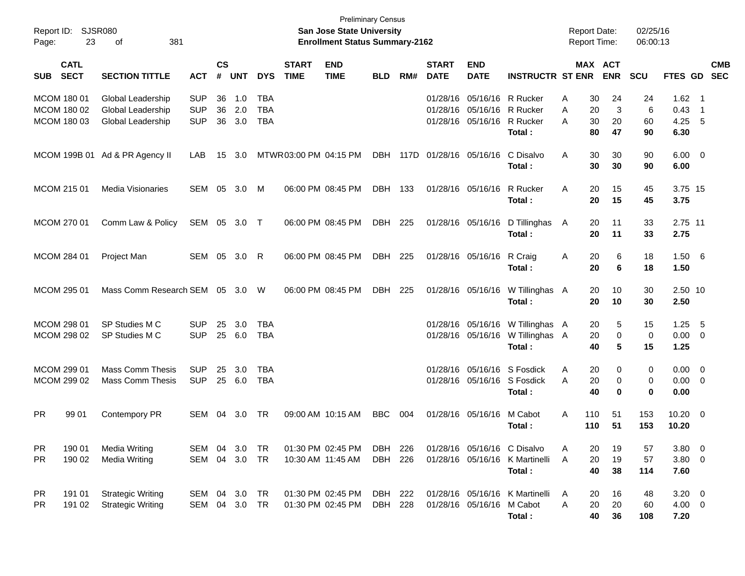| Report ID:<br>Page:                       | 23                         | <b>SJSR080</b><br>381<br>οf                                 |                                        |                    |                   |                                        |                             | <b>Preliminary Census</b><br><b>San Jose State University</b><br><b>Enrollment Status Summary-2162</b> |                |      |                             |                                                                      |                                                       | <b>Report Date:</b><br><b>Report Time:</b> |                      |                       | 02/25/16<br>06:00:13 |                                  |                                                    |                          |
|-------------------------------------------|----------------------------|-------------------------------------------------------------|----------------------------------------|--------------------|-------------------|----------------------------------------|-----------------------------|--------------------------------------------------------------------------------------------------------|----------------|------|-----------------------------|----------------------------------------------------------------------|-------------------------------------------------------|--------------------------------------------|----------------------|-----------------------|----------------------|----------------------------------|----------------------------------------------------|--------------------------|
| <b>SUB</b>                                | <b>CATL</b><br><b>SECT</b> | <b>SECTION TITTLE</b>                                       | <b>ACT</b>                             | $\mathsf{cs}$<br># | <b>UNT</b>        | <b>DYS</b>                             | <b>START</b><br><b>TIME</b> | <b>END</b><br><b>TIME</b>                                                                              | <b>BLD</b>     | RM#  | <b>START</b><br><b>DATE</b> | <b>END</b><br><b>DATE</b>                                            | <b>INSTRUCTR ST ENR</b>                               |                                            |                      | MAX ACT<br><b>ENR</b> | <b>SCU</b>           | FTES GD                          |                                                    | <b>CMB</b><br><b>SEC</b> |
| MCOM 180 01<br>MCOM 180 02<br>MCOM 180 03 |                            | Global Leadership<br>Global Leadership<br>Global Leadership | <b>SUP</b><br><b>SUP</b><br><b>SUP</b> | 36<br>36<br>36     | 1.0<br>2.0<br>3.0 | <b>TBA</b><br><b>TBA</b><br><b>TBA</b> |                             |                                                                                                        |                |      |                             | 01/28/16 05/16/16 R Rucker<br>01/28/16 05/16/16<br>01/28/16 05/16/16 | R Rucker<br>R Rucker                                  | Α<br>Α<br>А                                | 30<br>20<br>30<br>80 | 24<br>3<br>20<br>47   | 24<br>6<br>60        | 1.62<br>0.43<br>4.25             | - 1<br>$\overline{1}$<br>- 5                       |                          |
|                                           | MCOM 199B 01               | Ad & PR Agency II                                           | LAB                                    | 15                 | 3.0               |                                        | MTWR03:00 PM 04:15 PM       |                                                                                                        | <b>DBH</b>     | 117D | 01/28/16 05/16/16           |                                                                      | Total:<br>C Disalvo<br>Total:                         | Α                                          | 30<br>30             | 30<br>30              | 90<br>90<br>90       | 6.30<br>$6.00 \quad 0$<br>6.00   |                                                    |                          |
| MCOM 215 01                               |                            | Media Visionaries                                           | SEM                                    | 05                 | 3.0               | M                                      |                             | 06:00 PM 08:45 PM                                                                                      | <b>DBH</b>     | 133  |                             | 01/28/16 05/16/16                                                    | R Rucker<br>Total:                                    | Α                                          | 20<br>20             | 15<br>15              | 45<br>45             | 3.75 15<br>3.75                  |                                                    |                          |
| MCOM 270 01                               |                            | Comm Law & Policy                                           | SEM                                    | 05                 | 3.0               | $\top$                                 |                             | 06:00 PM 08:45 PM                                                                                      | DBH            | 225  |                             | 01/28/16 05/16/16                                                    | D Tillinghas<br>Total:                                | A                                          | 20<br>20             | 11<br>11              | 33<br>33             | 2.75 11<br>2.75                  |                                                    |                          |
| MCOM 284 01                               |                            | Project Man                                                 | SEM                                    | 05                 | 3.0               | R                                      |                             | 06:00 PM 08:45 PM                                                                                      | DBH            | 225  |                             | 01/28/16 05/16/16                                                    | R Craig<br>Total:                                     | Α                                          | 20<br>20             | 6<br>6                | 18<br>18             | $1.50\ 6$<br>1.50                |                                                    |                          |
| MCOM 295 01                               |                            | Mass Comm Research SEM                                      |                                        | 05                 | 3.0               | W                                      | 06:00 PM 08:45 PM           |                                                                                                        | <b>DBH</b>     | 225  |                             | 01/28/16 05/16/16                                                    | W Tillinghas A<br>Total:                              |                                            | 20<br>20             | 10<br>10              | 30<br>30             | 2.50 10<br>2.50                  |                                                    |                          |
| MCOM 298 01<br>MCOM 298 02                |                            | SP Studies M C<br>SP Studies M C                            | <b>SUP</b><br><b>SUP</b>               | 25<br>25           | 3.0<br>6.0        | <b>TBA</b><br><b>TBA</b>               |                             |                                                                                                        |                |      |                             | 01/28/16 05/16/16<br>01/28/16 05/16/16                               | W Tillinghas A<br>W Tillinghas A<br>Total:            |                                            | 20<br>20<br>40       | 5<br>0<br>5           | 15<br>0<br>15        | 1.25<br>0.00<br>1.25             | - 5<br>$\overline{\mathbf{0}}$                     |                          |
| MCOM 299 01<br>MCOM 299 02                |                            | <b>Mass Comm Thesis</b><br>Mass Comm Thesis                 | <b>SUP</b><br><b>SUP</b>               | 25<br>25           | 3.0<br>6.0        | TBA<br><b>TBA</b>                      |                             |                                                                                                        |                |      |                             | 01/28/16 05/16/16<br>01/28/16 05/16/16                               | S Fosdick<br>S Fosdick<br>Total:                      | A<br>Α                                     | 20<br>20<br>40       | 0<br>0<br>0           | 0<br>0<br>0          | 0.00<br>0.00<br>0.00             | $\overline{\mathbf{0}}$<br>$\overline{\mathbf{0}}$ |                          |
| PR.                                       | 99 01                      | Contempory PR                                               | SEM                                    | 04                 | 3.0               | TR                                     | 09:00 AM 10:15 AM           |                                                                                                        | <b>BBC</b>     | 004  |                             | 01/28/16 05/16/16                                                    | M Cabot<br>Total:                                     | A                                          | 110<br>110           | 51<br>51              | 153<br>153           | 10.20<br>10.20                   | $\overline{\phantom{0}}$                           |                          |
| PR.<br><b>PR</b>                          | 190 01<br>190 02           | <b>Media Writing</b><br><b>Media Writing</b>                | SEM 04 3.0<br>SEM                      |                    | 04 3.0            | TR<br>TR                               |                             | 01:30 PM 02:45 PM<br>10:30 AM 11:45 AM                                                                 | DBH 226<br>DBH | 226  |                             | 01/28/16 05/16/16                                                    | 01/28/16 05/16/16 C Disalvo<br>K Martinelli<br>Total: | Α<br>Α                                     | 20<br>20<br>40       | 19<br>19<br>38        | 57<br>57<br>114      | $3.80\ 0$<br>3.80 0<br>7.60      |                                                    |                          |
| PR.<br>PR.                                | 191 01<br>191 02           | <b>Strategic Writing</b><br><b>Strategic Writing</b>        | SEM 04 3.0<br>SEM                      | 04                 | 3.0               | TR<br><b>TR</b>                        |                             | 01:30 PM 02:45 PM<br>01:30 PM 02:45 PM                                                                 | DBH 222<br>DBH | 228  |                             | 01/28/16 05/16/16                                                    | 01/28/16 05/16/16 K Martinelli<br>M Cabot<br>Total:   | A<br>Α                                     | 20<br>20<br>40       | 16<br>20<br>36        | 48<br>60<br>108      | $3.20 \ 0$<br>$4.00 \ 0$<br>7.20 |                                                    |                          |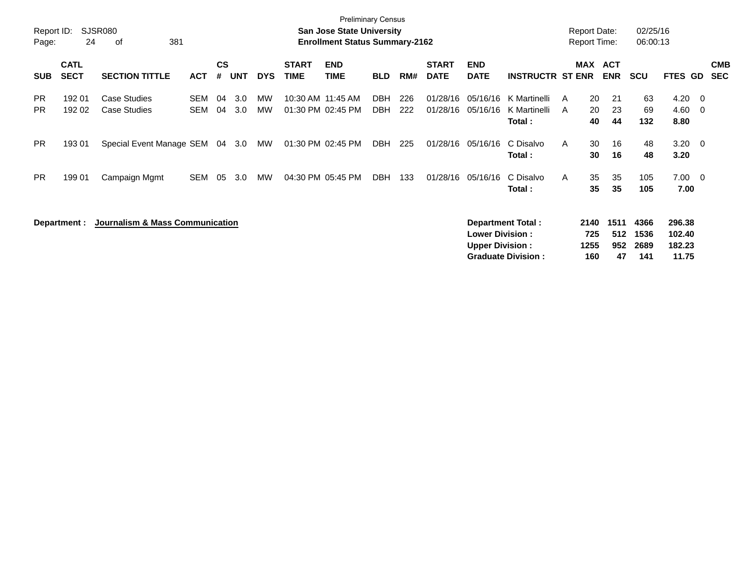| Report ID:<br>Page:    | <b>Preliminary Census</b><br><b>SJSR080</b><br><b>San Jose State University</b><br>24<br>381<br><b>Enrollment Status Summary-2162</b><br>0f |                                            |                          |                |            |                        |                             |                                        |                          |            |                             |                                                  |                                                       |        | <b>Report Date:</b><br><b>Report Time:</b> |                          | 02/25/16<br>06:00:13        |                                     |                          |                          |
|------------------------|---------------------------------------------------------------------------------------------------------------------------------------------|--------------------------------------------|--------------------------|----------------|------------|------------------------|-----------------------------|----------------------------------------|--------------------------|------------|-----------------------------|--------------------------------------------------|-------------------------------------------------------|--------|--------------------------------------------|--------------------------|-----------------------------|-------------------------------------|--------------------------|--------------------------|
| <b>SUB</b>             | <b>CATL</b><br><b>SECT</b>                                                                                                                  | <b>SECTION TITTLE</b>                      | <b>ACT</b>               | <b>CS</b><br># | <b>UNT</b> | <b>DYS</b>             | <b>START</b><br><b>TIME</b> | <b>END</b><br><b>TIME</b>              | <b>BLD</b>               | RM#        | <b>START</b><br><b>DATE</b> | <b>END</b><br><b>DATE</b>                        | <b>INSTRUCTR ST ENR</b>                               |        | <b>MAX</b>                                 | <b>ACT</b><br><b>ENR</b> | <b>SCU</b>                  | <b>FTES GD</b>                      |                          | <b>CMB</b><br><b>SEC</b> |
| <b>PR</b><br><b>PR</b> | 192 01<br>192 02                                                                                                                            | <b>Case Studies</b><br><b>Case Studies</b> | <b>SEM</b><br><b>SEM</b> | 04<br>04       | 3.0<br>3.0 | <b>MW</b><br><b>MW</b> |                             | 10:30 AM 11:45 AM<br>01:30 PM 02:45 PM | <b>DBH</b><br><b>DBH</b> | 226<br>222 | 01/28/16<br>01/28/16        | 05/16/16<br>05/16/16                             | K Martinelli<br>K Martinelli<br>Total:                | A<br>A | 20<br>20<br>40                             | 21<br>23<br>44           | 63<br>69<br>132             | 4.20<br>4.60<br>8.80                | $\overline{0}$<br>- 0    |                          |
| <b>PR</b>              | 193 01                                                                                                                                      | Special Event Manage SEM                   |                          | 04             | 3.0        | MW                     | 01:30 PM 02:45 PM           |                                        | <b>DBH</b>               | 225        | 01/28/16                    | 05/16/16                                         | C Disalvo<br>Total:                                   | A      | 30<br>30                                   | 16<br>16                 | 48<br>48                    | 3.20<br>3.20                        | $\overline{\phantom{0}}$ |                          |
| <b>PR</b>              | 199 01                                                                                                                                      | Campaign Mgmt                              | <b>SEM</b>               | 05             | 3.0        | <b>MW</b>              |                             | 04:30 PM 05:45 PM                      | <b>DBH</b>               | 133        | 01/28/16                    | 05/16/16                                         | C Disalvo<br>Total:                                   | A      | 35<br>35                                   | 35<br>35                 | 105<br>105                  | $7.00 \t 0$<br>7.00                 |                          |                          |
|                        | Department :                                                                                                                                | Journalism & Mass Communication            |                          |                |            |                        |                             |                                        |                          |            |                             | <b>Lower Division:</b><br><b>Upper Division:</b> | <b>Department Total:</b><br><b>Graduate Division:</b> |        | 2140<br>725<br>1255<br>160                 | 1511<br>512<br>952<br>47 | 4366<br>1536<br>2689<br>141 | 296.38<br>102.40<br>182.23<br>11.75 |                          |                          |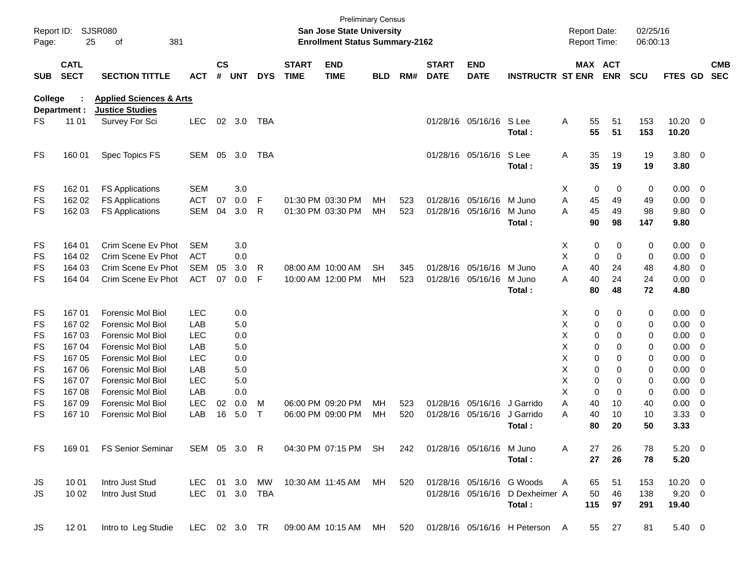| Page:          | Report ID:                 | <b>SJSR080</b><br>25<br>381<br>of                            |                |                    |            |            |                             | San Jose State University<br><b>Enrollment Status Summary-2162</b> | <b>Preliminary Census</b> |     |                             |                           |                                                                       | <b>Report Date:</b> |          | Report Time:          | 02/25/16<br>06:00:13 |                       |                          |                          |
|----------------|----------------------------|--------------------------------------------------------------|----------------|--------------------|------------|------------|-----------------------------|--------------------------------------------------------------------|---------------------------|-----|-----------------------------|---------------------------|-----------------------------------------------------------------------|---------------------|----------|-----------------------|----------------------|-----------------------|--------------------------|--------------------------|
| <b>SUB</b>     | <b>CATL</b><br><b>SECT</b> | <b>SECTION TITTLE</b>                                        | <b>ACT</b>     | $\mathsf{cs}$<br># | <b>UNT</b> | <b>DYS</b> | <b>START</b><br><b>TIME</b> | <b>END</b><br><b>TIME</b>                                          | <b>BLD</b>                | RM# | <b>START</b><br><b>DATE</b> | <b>END</b><br><b>DATE</b> | <b>INSTRUCTR ST ENR</b>                                               |                     |          | MAX ACT<br><b>ENR</b> | <b>SCU</b>           | <b>FTES GD</b>        |                          | <b>CMB</b><br><b>SEC</b> |
| <b>College</b> | Department :               | <b>Applied Sciences &amp; Arts</b><br><b>Justice Studies</b> |                |                    |            |            |                             |                                                                    |                           |     |                             |                           |                                                                       |                     |          |                       |                      |                       |                          |                          |
| FS             | 11 01                      | Survey For Sci                                               | <b>LEC</b>     | 02                 | 3.0        | TBA        |                             |                                                                    |                           |     |                             | 01/28/16 05/16/16         | S Lee<br>Total:                                                       | Α                   | 55<br>55 | 51<br>51              | 153<br>153           | $10.20 \t 0$<br>10.20 |                          |                          |
| <b>FS</b>      | 160 01                     | Spec Topics FS                                               | SEM            | 05                 | 3.0        | TBA        |                             |                                                                    |                           |     |                             | 01/28/16 05/16/16         | S Lee<br>Total:                                                       | Α                   | 35<br>35 | 19<br>19              | 19<br>19             | 3.80 0<br>3.80        |                          |                          |
| FS             | 162 01                     | <b>FS Applications</b>                                       | <b>SEM</b>     |                    | 3.0        |            |                             |                                                                    |                           |     |                             |                           |                                                                       | X                   | 0        | 0                     | 0                    | $0.00 \t 0$           |                          |                          |
| FS             | 162 02                     | <b>FS Applications</b>                                       | <b>ACT</b>     | 07                 | 0.0        | F          |                             | 01:30 PM 03:30 PM                                                  | MН                        | 523 |                             | 01/28/16 05/16/16         | M Juno                                                                | A                   | 45       | 49                    | 49                   | 0.00                  | $\overline{\phantom{0}}$ |                          |
| <b>FS</b>      | 162 03                     | <b>FS Applications</b>                                       | <b>SEM</b>     | 04                 | 3.0        | R          |                             | 01:30 PM 03:30 PM                                                  | MH                        | 523 |                             | 01/28/16 05/16/16         | M Juno<br>Total:                                                      | A                   | 45<br>90 | 49<br>98              | 98<br>147            | 9.80 0<br>9.80        |                          |                          |
| FS             | 164 01                     | Crim Scene Ev Phot                                           | <b>SEM</b>     |                    | 3.0        |            |                             |                                                                    |                           |     |                             |                           |                                                                       | Χ                   | 0        | 0                     | 0                    | $0.00 \t 0$           |                          |                          |
| FS             | 164 02                     | Crim Scene Ev Phot                                           | <b>ACT</b>     |                    | 0.0        |            |                             |                                                                    |                           |     |                             |                           |                                                                       | X                   | 0        | 0                     | 0                    | 0.00                  | $\overline{\phantom{0}}$ |                          |
| FS             | 164 03                     | Crim Scene Ev Phot                                           | <b>SEM</b>     | 05                 | 3.0        | R          |                             | 08:00 AM 10:00 AM                                                  | <b>SH</b>                 | 345 |                             | 01/28/16 05/16/16         | M Juno                                                                | A                   | 40       | 24                    | 48                   | 4.80                  | $\overline{0}$           |                          |
| <b>FS</b>      | 164 04                     | Crim Scene Ev Phot                                           | <b>ACT</b>     | 07                 | 0.0        | F          |                             | 10:00 AM 12:00 PM                                                  | MH                        | 523 |                             | 01/28/16 05/16/16         | M Juno<br>Total:                                                      | A                   | 40<br>80 | 24<br>48              | 24<br>72             | $0.00 \t 0$<br>4.80   |                          |                          |
| FS             | 16701                      | Forensic Mol Biol                                            | <b>LEC</b>     |                    | 0.0        |            |                             |                                                                    |                           |     |                             |                           |                                                                       | Χ                   | 0        | 0                     | 0                    | $0.00 \t 0$           |                          |                          |
| FS             | 167 02                     | Forensic Mol Biol                                            | LAB            |                    | 5.0        |            |                             |                                                                    |                           |     |                             |                           |                                                                       | Χ                   | 0        | 0                     | 0                    | $0.00 \t 0$           |                          |                          |
| FS             | 167 03                     | Forensic Mol Biol                                            | <b>LEC</b>     |                    | 0.0        |            |                             |                                                                    |                           |     |                             |                           |                                                                       | X                   | 0        | 0                     | 0                    | 0.00                  | $\overline{\phantom{0}}$ |                          |
| <b>FS</b>      | 167 04                     | Forensic Mol Biol                                            | LAB            |                    | 5.0        |            |                             |                                                                    |                           |     |                             |                           |                                                                       | X                   | 0        | $\Omega$              | 0                    | 0.00                  | $\overline{\phantom{0}}$ |                          |
| <b>FS</b>      | 167 05                     | Forensic Mol Biol                                            | <b>LEC</b>     |                    | 0.0        |            |                             |                                                                    |                           |     |                             |                           |                                                                       | X                   | 0        | $\Omega$              | 0                    | 0.00                  | $\overline{0}$           |                          |
| <b>FS</b>      | 167 06                     | Forensic Mol Biol                                            | LAB            |                    | 5.0        |            |                             |                                                                    |                           |     |                             |                           |                                                                       | X                   | 0        | $\Omega$              | 0                    | 0.00                  | $\overline{\phantom{0}}$ |                          |
| <b>FS</b>      | 167 07                     | Forensic Mol Biol                                            | <b>LEC</b>     |                    | 5.0        |            |                             |                                                                    |                           |     |                             |                           |                                                                       | X                   | 0        | $\Omega$              | 0                    | 0.00                  | $\overline{\phantom{0}}$ |                          |
| <b>FS</b>      | 167 08                     | Forensic Mol Biol                                            | LAB            |                    | 0.0        |            |                             |                                                                    |                           |     |                             |                           |                                                                       | X                   | 0        | 0                     | 0                    | 0.00                  | $\overline{0}$           |                          |
| FS             | 167 09                     | Forensic Mol Biol                                            | <b>LEC</b>     | 02                 | 0.0        | M          |                             | 06:00 PM 09:20 PM                                                  | MН                        | 523 |                             | 01/28/16 05/16/16         | J Garrido                                                             | Α                   | 40       | 10                    | 40                   | 0.00                  | $\overline{0}$           |                          |
| <b>FS</b>      | 167 10                     | Forensic Mol Biol                                            | LAB            | 16                 | 5.0        | $\top$     |                             | 06:00 PM 09:00 PM                                                  | MН                        | 520 |                             | 01/28/16 05/16/16         | J Garrido<br>Total :                                                  | A                   | 40<br>80 | 10<br>20              | 10<br>50             | 3.33<br>3.33          | $\overline{0}$           |                          |
| FS             | 169 01                     | FS Senior Seminar                                            | SEM 05 3.0 R   |                    |            |            |                             | 04:30 PM 07:15 PM SH                                               |                           | 242 |                             | 01/28/16 05/16/16 M Juno  | Total:                                                                | Α                   | 27<br>27 | 26<br>26              | 78<br>78             | $5.20 \ 0$<br>5.20    |                          |                          |
| JS             | 10 01                      | Intro Just Stud                                              |                |                    |            |            |                             | LEC 01 3.0 MW 10:30 AM 11:45 AM MH                                 |                           | 520 |                             |                           | 01/28/16 05/16/16 G Woods                                             | A                   | 65       | 51                    | 153                  | $10.20 \t 0$          |                          |                          |
| JS             | 10 02                      | Intro Just Stud                                              | LEC 01 3.0 TBA |                    |            |            |                             |                                                                    |                           |     |                             |                           | 01/28/16 05/16/16 D Dexheimer A                                       |                     | 50       | 46                    | 138                  | $9.20 \ 0$            |                          |                          |
|                |                            |                                                              |                |                    |            |            |                             |                                                                    |                           |     |                             |                           | Total:                                                                |                     | 115      | 97                    | 291                  | 19.40                 |                          |                          |
| JS             | 1201                       | Intro to Leg Studie                                          |                |                    |            |            |                             |                                                                    |                           |     |                             |                           | LEC 02 3.0 TR 09:00 AM 10:15 AM MH 520 01/28/16 05/16/16 H Peterson A |                     |          | 55 27                 | 81                   | 5.40 0                |                          |                          |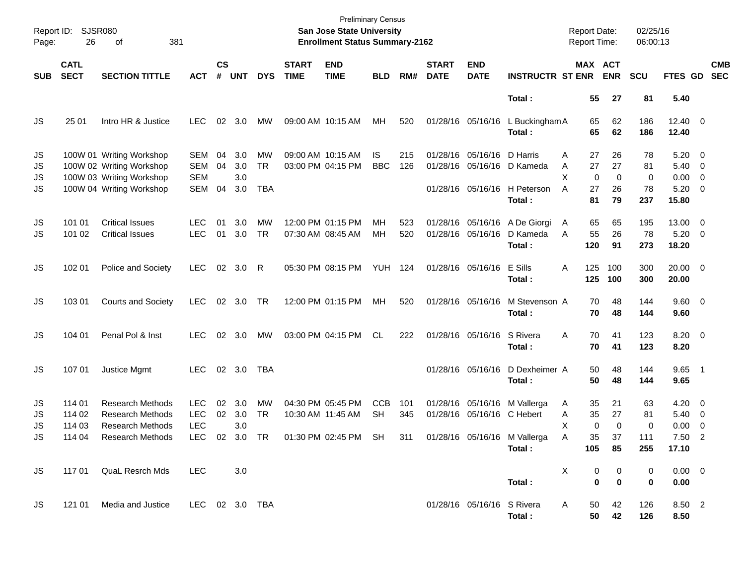| Page:                | Report ID: SJSR080<br>26   | 381<br>оf                                                                                                    |                                                      |                    |                          |                               |                                        | <b>Preliminary Census</b><br><b>San Jose State University</b><br><b>Enrollment Status Summary-2162</b> |                  |            |                             |                                                             |                                    | <b>Report Date:</b><br><b>Report Time:</b>        |                       | 02/25/16<br>06:00:13 |                                                 |                          |
|----------------------|----------------------------|--------------------------------------------------------------------------------------------------------------|------------------------------------------------------|--------------------|--------------------------|-------------------------------|----------------------------------------|--------------------------------------------------------------------------------------------------------|------------------|------------|-----------------------------|-------------------------------------------------------------|------------------------------------|---------------------------------------------------|-----------------------|----------------------|-------------------------------------------------|--------------------------|
| <b>SUB</b>           | <b>CATL</b><br><b>SECT</b> | <b>SECTION TITTLE</b>                                                                                        | <b>ACT</b>                                           | $\mathsf{cs}$<br># | <b>UNT</b>               | <b>DYS</b>                    | <b>START</b><br><b>TIME</b>            | <b>END</b><br><b>TIME</b>                                                                              | <b>BLD</b>       | RM#        | <b>START</b><br><b>DATE</b> | <b>END</b><br><b>DATE</b>                                   | <b>INSTRUCTR ST ENR</b>            |                                                   | MAX ACT<br><b>ENR</b> | <b>SCU</b>           | FTES GD                                         | <b>CMB</b><br><b>SEC</b> |
|                      |                            |                                                                                                              |                                                      |                    |                          |                               |                                        |                                                                                                        |                  |            |                             |                                                             | Total:                             | 55                                                | 27                    | 81                   | 5.40                                            |                          |
| JS                   | 25 01                      | Intro HR & Justice                                                                                           | <b>LEC</b>                                           | 02                 | 3.0                      | МW                            | 09:00 AM 10:15 AM                      |                                                                                                        | МH               | 520        |                             | 01/28/16 05/16/16                                           | L Buckingham A<br>Total:           | 65<br>65                                          | 62<br>62              | 186<br>186           | $12.40 \t 0$<br>12.40                           |                          |
| JS<br>JS<br>JS<br>JS |                            | 100W 01 Writing Workshop<br>100W 02 Writing Workshop<br>100W 03 Writing Workshop<br>100W 04 Writing Workshop | <b>SEM</b><br><b>SEM</b><br><b>SEM</b><br><b>SEM</b> | 04<br>04<br>04     | 3.0<br>3.0<br>3.0<br>3.0 | MW<br><b>TR</b><br><b>TBA</b> | 09:00 AM 10:15 AM<br>03:00 PM 04:15 PM |                                                                                                        | IS<br><b>BBC</b> | 215<br>126 |                             | 01/28/16 05/16/16<br>01/28/16 05/16/16<br>01/28/16 05/16/16 | D Harris<br>D Kameda<br>H Peterson | 27<br>Α<br>27<br>Α<br>X<br>$\mathbf 0$<br>A<br>27 | 26<br>27<br>0<br>26   | 78<br>81<br>0<br>78  | $5.20 \ 0$<br>$5.40 \ 0$<br>$0.00 \t 0$<br>5.20 | $\overline{\phantom{0}}$ |
|                      |                            |                                                                                                              |                                                      |                    |                          |                               |                                        |                                                                                                        |                  |            |                             |                                                             | Total:                             | 81                                                | 79                    | 237                  | 15.80                                           |                          |
| JS<br>JS             | 101 01<br>101 02           | <b>Critical Issues</b><br><b>Critical Issues</b>                                                             | <b>LEC</b><br><b>LEC</b>                             | 01<br>01           | 3.0<br>3.0               | MW<br><b>TR</b>               | 12:00 PM 01:15 PM<br>07:30 AM 08:45 AM |                                                                                                        | МH<br>МH         | 523<br>520 |                             | 01/28/16 05/16/16<br>01/28/16 05/16/16                      | A De Giorgi<br>D Kameda<br>Total:  | 65<br>A<br>55<br>A<br>120                         | 65<br>26<br>91        | 195<br>78<br>273     | 13.00 0<br>$5.20 \ 0$<br>18.20                  |                          |
| JS                   | 102 01                     | Police and Society                                                                                           | LEC.                                                 | 02                 | 3.0                      | R                             | 05:30 PM 08:15 PM                      |                                                                                                        | <b>YUH 124</b>   |            |                             | 01/28/16 05/16/16                                           | E Sills<br>Total:                  | 125<br>Α<br>125                                   | 100<br>100            | 300<br>300           | $20.00 \t 0$<br>20.00                           |                          |
| JS                   | 103 01                     | <b>Courts and Society</b>                                                                                    | <b>LEC</b>                                           |                    | 02 3.0                   | TR                            | 12:00 PM 01:15 PM                      |                                                                                                        | МH               | 520        |                             | 01/28/16 05/16/16                                           | M Stevenson A<br>Total:            | 70<br>70                                          | 48<br>48              | 144<br>144           | 9.60 0<br>9.60                                  |                          |
| JS                   | 104 01                     | Penal Pol & Inst                                                                                             | LEC.                                                 |                    | 02 3.0                   | МW                            | 03:00 PM 04:15 PM                      |                                                                                                        | CL               | 222        |                             | 01/28/16 05/16/16                                           | S Rivera<br>Total:                 | 70<br>Α<br>70                                     | 41<br>41              | 123<br>123           | $8.20 \ 0$<br>8.20                              |                          |
| JS                   | 107 01                     | Justice Mgmt                                                                                                 | <b>LEC</b>                                           |                    | 02 3.0                   | TBA                           |                                        |                                                                                                        |                  |            |                             | 01/28/16 05/16/16                                           | D Dexheimer A<br>Total:            | 50<br>50                                          | 48<br>48              | 144<br>144           | $9.65$ 1<br>9.65                                |                          |
| JS                   | 114 01                     | <b>Research Methods</b>                                                                                      | <b>LEC</b>                                           | 02                 | 3.0                      | MW                            | 04:30 PM 05:45 PM                      |                                                                                                        | <b>CCB</b>       | 101        |                             | 01/28/16 05/16/16                                           | M Vallerga                         | 35<br>A                                           | 21                    | 63                   | $4.20 \ 0$                                      |                          |
| JS                   | 114 02                     | <b>Research Methods</b>                                                                                      | <b>LEC</b>                                           | 02                 | 3.0                      | <b>TR</b>                     | 10:30 AM 11:45 AM                      |                                                                                                        | <b>SH</b>        | 345        |                             | 01/28/16 05/16/16 C Hebert                                  |                                    | 35<br>Α                                           | 27                    | 81                   | $5.40 \ 0$                                      |                          |
| JS                   | 114 03                     | <b>Research Methods</b>                                                                                      | <b>LEC</b>                                           |                    | 3.0                      |                               |                                        |                                                                                                        |                  |            |                             |                                                             |                                    | X<br>$\mathbf 0$                                  | $\mathbf 0$           | 0                    | 0.00                                            | $\overline{\mathbf{0}}$  |
| JS                   | 114 04                     | Research Methods                                                                                             | LEC                                                  | 02                 | 3.0 TR                   |                               |                                        | 01:30 PM 02:45 PM                                                                                      | SH               | 311        |                             |                                                             | 01/28/16 05/16/16 M Vallerga       | 35<br>A                                           | 37                    | 111                  | 7.50                                            | - 2                      |
|                      |                            |                                                                                                              |                                                      |                    |                          |                               |                                        |                                                                                                        |                  |            |                             |                                                             | Total:                             | 105                                               | 85                    | 255                  | 17.10                                           |                          |
| JS                   | 117 01                     | QuaL Resrch Mds                                                                                              | <b>LEC</b>                                           |                    | 3.0                      |                               |                                        |                                                                                                        |                  |            |                             |                                                             |                                    | X                                                 | 0<br>0                | 0                    | $0.00 \t 0$                                     |                          |
|                      |                            |                                                                                                              |                                                      |                    |                          |                               |                                        |                                                                                                        |                  |            |                             |                                                             | Total:                             |                                                   | 0<br>$\bf{0}$         | 0                    | 0.00                                            |                          |
| JS                   |                            | 121 01 Media and Justice                                                                                     | LEC 02 3.0 TBA                                       |                    |                          |                               |                                        |                                                                                                        |                  |            |                             | 01/28/16 05/16/16 S Rivera                                  | Total:                             | A<br>50<br>50                                     | 42<br>42              | 126<br>126           | 8.50 2<br>8.50                                  |                          |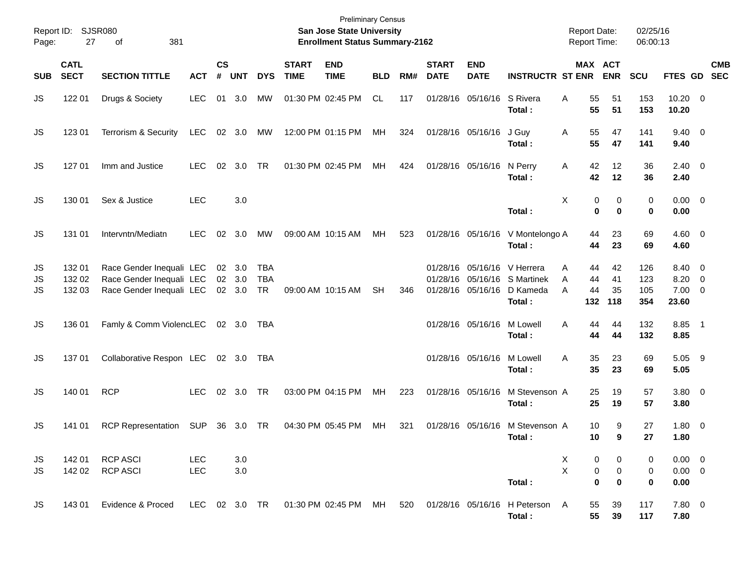| Report ID:<br>Page: | 27                         | SJSR080<br>381<br>of                                                                         |                   |                |                               |                          |                             | <b>Preliminary Census</b><br>San Jose State University<br><b>Enrollment Status Summary-2162</b> |            |     |                             |                            |                                                                                                     | <b>Report Date:</b><br>Report Time:  |                                          | 02/25/16<br>06:00:13     |                                              |                           |
|---------------------|----------------------------|----------------------------------------------------------------------------------------------|-------------------|----------------|-------------------------------|--------------------------|-----------------------------|-------------------------------------------------------------------------------------------------|------------|-----|-----------------------------|----------------------------|-----------------------------------------------------------------------------------------------------|--------------------------------------|------------------------------------------|--------------------------|----------------------------------------------|---------------------------|
| <b>SUB</b>          | <b>CATL</b><br><b>SECT</b> | <b>SECTION TITTLE</b>                                                                        | <b>ACT</b>        | <b>CS</b><br># | <b>UNT</b>                    | <b>DYS</b>               | <b>START</b><br><b>TIME</b> | <b>END</b><br><b>TIME</b>                                                                       | <b>BLD</b> | RM# | <b>START</b><br><b>DATE</b> | <b>END</b><br><b>DATE</b>  | <b>INSTRUCTR ST ENR</b>                                                                             |                                      | MAX ACT<br><b>ENR</b>                    | <b>SCU</b>               |                                              | <b>CMB</b><br>FTES GD SEC |
| JS                  | 122 01                     | Drugs & Society                                                                              | <b>LEC</b>        |                | 01 3.0                        | <b>MW</b>                |                             | 01:30 PM 02:45 PM                                                                               | CL         | 117 |                             | 01/28/16 05/16/16 S Rivera | Total:                                                                                              | 55<br>Α<br>55                        | 51<br>51                                 | 153<br>153               | $10.20 \t 0$<br>10.20                        |                           |
| <b>JS</b>           | 123 01                     | Terrorism & Security                                                                         | LEC               |                | 02 3.0 MW                     |                          |                             | 12:00 PM 01:15 PM                                                                               | MН         | 324 |                             | 01/28/16 05/16/16          | J Guy<br>Total:                                                                                     | 55<br>A<br>55                        | 47<br>47                                 | 141<br>141               | $9.40 \quad 0$<br>9.40                       |                           |
| <b>JS</b>           | 127 01                     | Imm and Justice                                                                              | <b>LEC</b>        | 02             | 3.0                           | <b>TR</b>                |                             | 01:30 PM 02:45 PM                                                                               | МH         | 424 |                             | 01/28/16 05/16/16          | N Perry<br>Total:                                                                                   | 42<br>A<br>42                        | 12<br>12                                 | 36<br>36                 | $2.40 \ 0$<br>2.40                           |                           |
| JS                  | 130 01                     | Sex & Justice                                                                                | <b>LEC</b>        |                | 3.0                           |                          |                             |                                                                                                 |            |     |                             |                            | Total:                                                                                              | Х                                    | 0<br>0<br>$\bf{0}$<br>0                  | 0<br>0                   | $0.00 \t 0$<br>0.00                          |                           |
| <b>JS</b>           | 131 01                     | Intervntn/Mediatn                                                                            | <b>LEC</b>        | 02             | 3.0                           | MW                       |                             | 09:00 AM 10:15 AM                                                                               | МH         | 523 |                             |                            | 01/28/16 05/16/16 V Montelongo A<br>Total:                                                          | 44<br>44                             | 23<br>23                                 | 69<br>69                 | $4.60$ 0<br>4.60                             |                           |
| JS<br>JS<br>JS      | 132 01<br>132 02<br>132 03 | Race Gender Inequali LEC<br>Race Gender Inequali LEC<br>Race Gender Inequali LEC             |                   |                | 02 3.0<br>02 3.0<br>02 3.0 TR | <b>TBA</b><br><b>TBA</b> |                             | 09:00 AM 10:15 AM                                                                               | <b>SH</b>  | 346 |                             |                            | 01/28/16 05/16/16 V Herrera<br>01/28/16 05/16/16 S Martinek<br>01/28/16 05/16/16 D Kameda<br>Total: | 44<br>A<br>44<br>A<br>44<br>A<br>132 | 42<br>41<br>35<br>118                    | 126<br>123<br>105<br>354 | 8.40 0<br>$8.20 \ 0$<br>$7.00 \t 0$<br>23.60 |                           |
| <b>JS</b>           | 136 01                     | Famly & Comm ViolencLEC                                                                      |                   |                | 02 3.0 TBA                    |                          |                             |                                                                                                 |            |     |                             | 01/28/16 05/16/16          | M Lowell<br>Total:                                                                                  | 44<br>Α<br>44                        | 44<br>44                                 | 132<br>132               | 8.85 1<br>8.85                               |                           |
| JS                  | 13701                      | Collaborative Respon LEC 02 3.0 TBA                                                          |                   |                |                               |                          |                             |                                                                                                 |            |     |                             | 01/28/16 05/16/16          | M Lowell<br>Total:                                                                                  | 35<br>Α<br>35                        | 23<br>23                                 | 69<br>69                 | 5.05 9<br>5.05                               |                           |
| <b>JS</b>           | 140 01                     | <b>RCP</b>                                                                                   | <b>LEC</b>        |                | 02 3.0                        | <b>TR</b>                |                             | 03:00 PM 04:15 PM                                                                               | МH         | 223 |                             | 01/28/16 05/16/16          | M Stevenson A<br>Total:                                                                             | 25<br>25                             | 19<br>19                                 | 57<br>57                 | $3.80\ 0$<br>3.80                            |                           |
| JS                  | 141 01                     | <b>RCP Representation</b>                                                                    | <b>SUP</b>        |                | 36 3.0 TR                     |                          |                             | 04:30 PM 05:45 PM                                                                               | МH         | 321 |                             | 01/28/16 05/16/16          | M Stevenson A<br>Total :                                                                            | 10<br>10                             | 9<br>9                                   | 27<br>27                 | $1.80 \ 0$<br>1.80                           |                           |
| JS<br>JS            | 142 01                     | <b>RCP ASCI</b><br>142 02 RCP ASCI                                                           | <b>LEC</b><br>LEC |                | 3.0<br>3.0                    |                          |                             |                                                                                                 |            |     |                             |                            | Total:                                                                                              | X<br>X                               | 0<br>0<br>0<br>0<br>$\bf{0}$<br>$\bf{0}$ | 0<br>0                   | $0.00 \t 0$<br>$0.00 \t 0$<br>0.00           |                           |
| JS                  |                            | 143 01 Evidence & Proced LEC 02 3.0 TR 01:30 PM 02:45 PM MH 520 01/28/16 05/16/16 H Peterson |                   |                |                               |                          |                             |                                                                                                 |            |     |                             |                            | Total:                                                                                              | 55<br>A<br>55                        | 39<br>39                                 | 117<br>117               | 7.80 0<br>7.80                               |                           |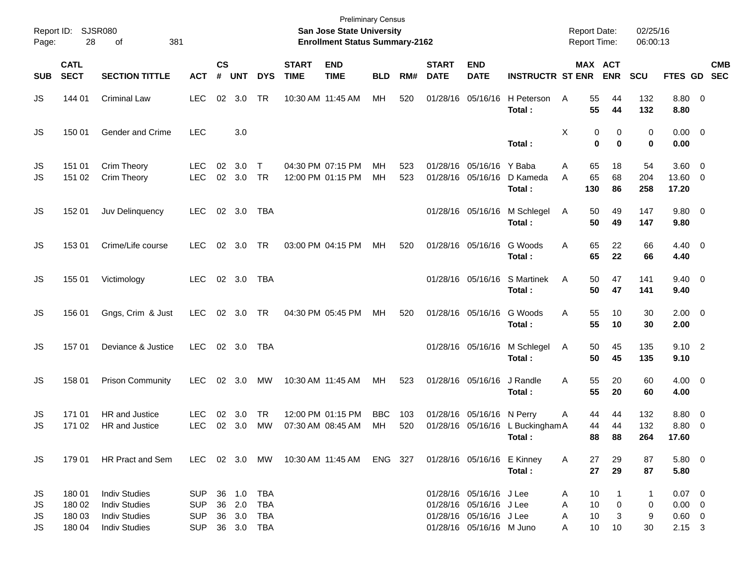| Report ID:<br>Page:  | 28                                   | SJSR080<br>381<br>οf                                                                         |                                                      |                    |                            |                                               |                             | <b>Preliminary Census</b><br>San Jose State University<br><b>Enrollment Status Summary-2162</b> |                  |            |                             |                                                                                                           |                                            | <b>Report Date:</b><br><b>Report Time:</b>            |                       | 02/25/16<br>06:00:13 |                                                          |                           |
|----------------------|--------------------------------------|----------------------------------------------------------------------------------------------|------------------------------------------------------|--------------------|----------------------------|-----------------------------------------------|-----------------------------|-------------------------------------------------------------------------------------------------|------------------|------------|-----------------------------|-----------------------------------------------------------------------------------------------------------|--------------------------------------------|-------------------------------------------------------|-----------------------|----------------------|----------------------------------------------------------|---------------------------|
| <b>SUB</b>           | <b>CATL</b><br><b>SECT</b>           | <b>SECTION TITTLE</b>                                                                        | <b>ACT</b>                                           | $\mathsf{cs}$<br># | <b>UNT</b>                 | <b>DYS</b>                                    | <b>START</b><br><b>TIME</b> | <b>END</b><br><b>TIME</b>                                                                       | <b>BLD</b>       | RM#        | <b>START</b><br><b>DATE</b> | <b>END</b><br><b>DATE</b>                                                                                 | <b>INSTRUCTR ST ENR</b>                    |                                                       | MAX ACT<br><b>ENR</b> | SCU                  |                                                          | <b>CMB</b><br>FTES GD SEC |
| JS                   | 144 01                               | <b>Criminal Law</b>                                                                          | <b>LEC</b>                                           |                    | 02 3.0                     | TR                                            |                             | 10:30 AM 11:45 AM                                                                               | MH               | 520        |                             | 01/28/16 05/16/16                                                                                         | H Peterson<br>Total:                       | 55<br>A<br>55                                         | 44<br>44              | 132<br>132           | 8.80 0<br>8.80                                           |                           |
| JS                   | 150 01                               | Gender and Crime                                                                             | <b>LEC</b>                                           |                    | 3.0                        |                                               |                             |                                                                                                 |                  |            |                             |                                                                                                           | Total:                                     | Х<br>0<br>$\bf{0}$                                    | 0<br>$\bf{0}$         | 0<br>0               | $0.00 \t 0$<br>0.00                                      |                           |
| JS<br>JS             | 151 01<br>151 02                     | Crim Theory<br>Crim Theory                                                                   | LEC<br><b>LEC</b>                                    | 02<br>02           | 3.0<br>3.0                 | $\top$<br><b>TR</b>                           |                             | 04:30 PM 07:15 PM<br>12:00 PM 01:15 PM                                                          | MН<br>MH         | 523<br>523 |                             | 01/28/16 05/16/16 Y Baba                                                                                  | 01/28/16 05/16/16 D Kameda<br>Total:       | 65<br>Α<br>65<br>A<br>130                             | 18<br>68<br>86        | 54<br>204<br>258     | $3.60 \ 0$<br>13.60 0<br>17.20                           |                           |
| JS                   | 152 01                               | Juv Delinquency                                                                              | <b>LEC</b>                                           |                    | 02 3.0                     | TBA                                           |                             |                                                                                                 |                  |            |                             |                                                                                                           | 01/28/16 05/16/16 M Schlegel<br>Total:     | 50<br>A<br>50                                         | 49<br>49              | 147<br>147           | 9.80 0<br>9.80                                           |                           |
| JS                   | 153 01                               | Crime/Life course                                                                            | <b>LEC</b>                                           | 02                 | 3.0                        | <b>TR</b>                                     |                             | 03:00 PM 04:15 PM                                                                               | MH               | 520        |                             | 01/28/16 05/16/16                                                                                         | G Woods<br>Total:                          | 65<br>A<br>65                                         | 22<br>22              | 66<br>66             | $4.40 \quad 0$<br>4.40                                   |                           |
| JS                   | 155 01                               | Victimology                                                                                  | <b>LEC</b>                                           |                    | 02 3.0                     | <b>TBA</b>                                    |                             |                                                                                                 |                  |            |                             |                                                                                                           | 01/28/16 05/16/16 S Martinek<br>Total:     | 50<br>A<br>50                                         | 47<br>47              | 141<br>141           | $9.40 \quad 0$<br>9.40                                   |                           |
| JS                   | 156 01                               | Gngs, Crim & Just                                                                            | <b>LEC</b>                                           | 02                 | 3.0                        | <b>TR</b>                                     |                             | 04:30 PM 05:45 PM                                                                               | MH               | 520        |                             | 01/28/16 05/16/16                                                                                         | G Woods<br>Total:                          | 55<br>A<br>55                                         | 10<br>10              | 30<br>30             | $2.00 \t 0$<br>2.00                                      |                           |
| JS                   | 15701                                | Deviance & Justice                                                                           | <b>LEC</b>                                           |                    | 02 3.0                     | TBA                                           |                             |                                                                                                 |                  |            |                             | 01/28/16 05/16/16                                                                                         | M Schlegel<br>Total:                       | 50<br>A<br>50                                         | 45<br>45              | 135<br>135           | $9.10$ 2<br>9.10                                         |                           |
| JS                   | 158 01                               | <b>Prison Community</b>                                                                      | LEC                                                  | 02                 | 3.0                        | MW                                            | 10:30 AM 11:45 AM           |                                                                                                 | MН               | 523        |                             | 01/28/16 05/16/16                                                                                         | J Randle<br>Total:                         | 55<br>A<br>55                                         | 20<br>20              | 60<br>60             | $4.00 \ 0$<br>4.00                                       |                           |
| JS<br>JS             | 171 01<br>171 02                     | HR and Justice<br>HR and Justice                                                             | LEC<br><b>LEC</b>                                    | 02<br>02           | 3.0<br>3.0                 | <b>TR</b><br><b>MW</b>                        |                             | 12:00 PM 01:15 PM<br>07:30 AM 08:45 AM                                                          | <b>BBC</b><br>MH | 103<br>520 | 01/28/16                    | 05/16/16 N Perry                                                                                          | 01/28/16 05/16/16 L Buckingham A<br>Total: | 44<br>Α<br>44<br>88                                   | 44<br>44<br>88        | 132<br>132<br>264    | 8.80 0<br>8.80 0<br>17.60                                |                           |
| JS                   | 179 01                               | HR Pract and Sem                                                                             |                                                      |                    |                            |                                               |                             | LEC 02 3.0 MW 10:30 AM 11:45 AM                                                                 | ENG 327          |            |                             | 01/28/16 05/16/16 E Kinney                                                                                | Total:                                     | 27<br>A<br>27                                         | 29<br>29              | 87<br>87             | 5.80 0<br>5.80                                           |                           |
| JS<br>JS<br>JS<br>JS | 180 01<br>180 02<br>180 03<br>180 04 | <b>Indiv Studies</b><br><b>Indiv Studies</b><br><b>Indiv Studies</b><br><b>Indiv Studies</b> | <b>SUP</b><br><b>SUP</b><br><b>SUP</b><br><b>SUP</b> |                    | 36 1.0<br>36 2.0<br>36 3.0 | <b>TBA</b><br><b>TBA</b><br>TBA<br>36 3.0 TBA |                             |                                                                                                 |                  |            |                             | 01/28/16 05/16/16 J Lee<br>01/28/16 05/16/16 J Lee<br>01/28/16 05/16/16 J Lee<br>01/28/16 05/16/16 M Juno |                                            | 10<br>A<br>10<br>Α<br>10<br>A<br>10 <sub>1</sub><br>A | 1<br>0<br>3<br>10     | 1<br>0<br>9<br>30    | $0.07$ 0<br>$0.00 \t 0$<br>$0.60 \t 0$<br>$2.15 \quad 3$ |                           |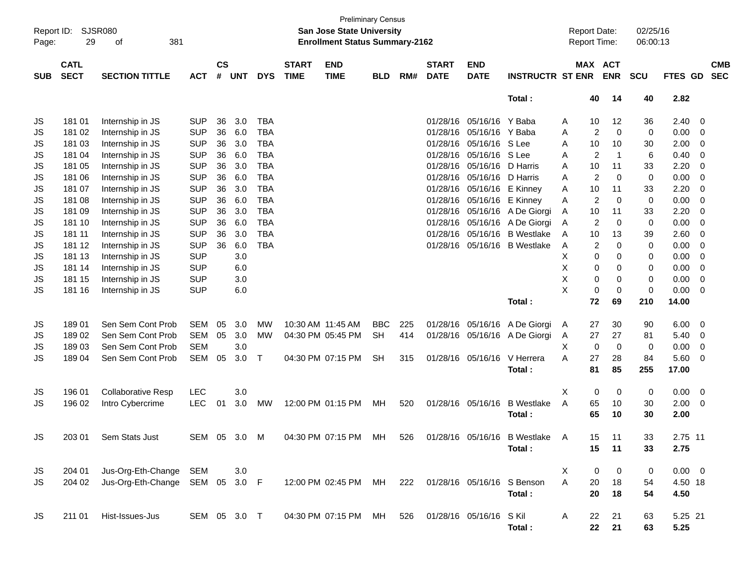| Report ID:<br>Page: | <b>SJSR080</b><br>29       |                                 |              |                    |            |            | <b>Preliminary Census</b><br>San Jose State University<br><b>Enrollment Status Summary-2162</b> |                           |            |     |                             |                           |                               | <b>Report Date:</b> | <b>Report Time:</b> | 02/25/16<br>06:00:13  |             |             |                         |                          |
|---------------------|----------------------------|---------------------------------|--------------|--------------------|------------|------------|-------------------------------------------------------------------------------------------------|---------------------------|------------|-----|-----------------------------|---------------------------|-------------------------------|---------------------|---------------------|-----------------------|-------------|-------------|-------------------------|--------------------------|
| <b>SUB</b>          | <b>CATL</b><br><b>SECT</b> | <b>SECTION TITTLE</b>           | <b>ACT</b>   | $\mathsf{cs}$<br># | <b>UNT</b> | <b>DYS</b> | <b>START</b><br><b>TIME</b>                                                                     | <b>END</b><br><b>TIME</b> | <b>BLD</b> | RM# | <b>START</b><br><b>DATE</b> | <b>END</b><br><b>DATE</b> | <b>INSTRUCTR ST ENR</b>       |                     |                     | MAX ACT<br><b>ENR</b> | <b>SCU</b>  | FTES GD     |                         | <b>CMB</b><br><b>SEC</b> |
|                     |                            |                                 |              |                    |            |            |                                                                                                 |                           |            |     |                             |                           | Total:                        |                     | 40                  | 14                    | 40          | 2.82        |                         |                          |
| JS                  | 181 01                     | Internship in JS                | <b>SUP</b>   | 36                 | 3.0        | <b>TBA</b> |                                                                                                 |                           |            |     |                             | 01/28/16 05/16/16 Y Baba  |                               | A                   | 10                  | 12                    | 36          | 2.40        | $\overline{\mathbf{0}}$ |                          |
| JS                  | 181 02                     | Internship in JS                | <b>SUP</b>   | 36                 | 6.0        | <b>TBA</b> |                                                                                                 |                           |            |     | 01/28/16                    | 05/16/16                  | Y Baba                        | A                   | $\overline{2}$      | 0                     | 0           | 0.00        | - 0                     |                          |
| JS                  | 181 03                     | Internship in JS                | <b>SUP</b>   | 36                 | 3.0        | <b>TBA</b> |                                                                                                 |                           |            |     | 01/28/16                    | 05/16/16                  | S Lee                         | A                   | 10                  | 10                    | 30          | 2.00        | 0                       |                          |
| JS                  | 181 04                     | Internship in JS                | <b>SUP</b>   | 36                 | 6.0        | <b>TBA</b> |                                                                                                 |                           |            |     | 01/28/16                    | 05/16/16                  | S Lee                         | A                   | $\overline{2}$      | $\overline{1}$        | 6           | 0.40        | 0                       |                          |
| JS                  | 181 05                     | Internship in JS                | <b>SUP</b>   | 36                 | 3.0        | <b>TBA</b> |                                                                                                 |                           |            |     | 01/28/16                    | 05/16/16                  | D Harris                      | A                   | 10                  | 11                    | 33          | 2.20        | 0                       |                          |
| JS                  | 181 06                     | Internship in JS                | <b>SUP</b>   | 36                 | 6.0        | <b>TBA</b> |                                                                                                 |                           |            |     | 01/28/16                    | 05/16/16                  | D Harris                      | A                   | $\overline{2}$      | 0                     | 0           | 0.00        | 0                       |                          |
| JS                  | 181 07                     | Internship in JS                | <b>SUP</b>   | 36                 | 3.0        | <b>TBA</b> |                                                                                                 |                           |            |     | 01/28/16                    | 05/16/16                  | E Kinney                      | A                   | 10                  | 11                    | 33          | 2.20        | 0                       |                          |
| JS                  | 181 08                     | Internship in JS                | <b>SUP</b>   | 36                 | 6.0        | <b>TBA</b> |                                                                                                 |                           |            |     | 01/28/16                    | 05/16/16                  | E Kinney                      | A                   | $\overline{2}$      | 0                     | 0           | 0.00        | 0                       |                          |
| JS                  | 181 09                     | Internship in JS                | <b>SUP</b>   | 36                 | 3.0        | <b>TBA</b> |                                                                                                 |                           |            |     |                             | 01/28/16 05/16/16         | A De Giorgi                   | A                   | 10                  | 11                    | 33          | 2.20        | 0                       |                          |
| JS                  | 181 10                     | Internship in JS                | <b>SUP</b>   | 36                 | 6.0        | <b>TBA</b> |                                                                                                 |                           |            |     | 01/28/16                    | 05/16/16                  | A De Giorgi                   | A                   | $\overline{2}$      | 0                     | 0           | 0.00        | 0                       |                          |
| JS                  | 181 11                     | Internship in JS                | <b>SUP</b>   | 36                 | 3.0        | <b>TBA</b> |                                                                                                 |                           |            |     | 01/28/16                    | 05/16/16                  | <b>B</b> Westlake             | A                   | 10                  | 13                    | 39          | 2.60        | 0                       |                          |
| JS                  | 181 12                     | Internship in JS                | <b>SUP</b>   | 36                 | 6.0        | <b>TBA</b> |                                                                                                 |                           |            |     | 01/28/16                    |                           | 05/16/16 B Westlake           | A                   | 2                   | 0                     | 0           | 0.00        | 0                       |                          |
| JS                  | 181 13                     | Internship in JS                | <b>SUP</b>   |                    | 3.0        |            |                                                                                                 |                           |            |     |                             |                           |                               | Х                   | 0                   | 0                     | 0           | 0.00        | 0                       |                          |
| JS                  | 181 14                     | Internship in JS                | <b>SUP</b>   |                    | 6.0        |            |                                                                                                 |                           |            |     |                             |                           |                               | Х                   | 0                   | 0                     | 0           | 0.00        | 0                       |                          |
| JS                  | 181 15                     | Internship in JS                | <b>SUP</b>   |                    | 3.0        |            |                                                                                                 |                           |            |     |                             |                           |                               | X                   | 0                   | 0                     | 0           | 0.00        | 0                       |                          |
| JS                  | 181 16                     | Internship in JS                | <b>SUP</b>   |                    | 6.0        |            |                                                                                                 |                           |            |     |                             |                           |                               | X                   | 0                   | 0                     | $\mathbf 0$ | 0.00        | - 0                     |                          |
|                     |                            |                                 |              |                    |            |            |                                                                                                 |                           |            |     |                             |                           | Total:                        |                     | 72                  | 69                    | 210         | 14.00       |                         |                          |
| JS                  | 18901                      | Sen Sem Cont Prob               | <b>SEM</b>   | 05                 | 3.0        | MW         |                                                                                                 | 10:30 AM 11:45 AM         | <b>BBC</b> | 225 |                             | 01/28/16 05/16/16         | A De Giorgi                   | A                   | 27                  | 30                    | 90          | 6.00        | $\overline{\mathbf{0}}$ |                          |
| JS                  | 18902                      | Sen Sem Cont Prob               | <b>SEM</b>   | 05                 | 3.0        | MW         |                                                                                                 | 04:30 PM 05:45 PM         | <b>SH</b>  | 414 |                             |                           | 01/28/16 05/16/16 A De Giorgi | A                   | 27                  | 27                    | 81          | 5.40        | - 0                     |                          |
| JS                  | 18903                      | Sen Sem Cont Prob               | <b>SEM</b>   |                    | 3.0        |            |                                                                                                 |                           |            |     |                             |                           |                               | Х                   | $\mathbf 0$         | $\mathbf 0$           | 0           | 0.00        | 0                       |                          |
| JS                  | 18904                      | Sen Sem Cont Prob               | <b>SEM</b>   | 05                 | 3.0        | $\top$     |                                                                                                 | 04:30 PM 07:15 PM         | <b>SH</b>  | 315 |                             | 01/28/16 05/16/16         | V Herrera                     | Α                   | 27                  | 28                    | 84          | 5.60        | 0                       |                          |
|                     |                            |                                 |              |                    |            |            |                                                                                                 |                           |            |     |                             |                           | Total :                       |                     | 81                  | 85                    | 255         | 17.00       |                         |                          |
| JS                  | 196 01                     | <b>Collaborative Resp</b>       | <b>LEC</b>   |                    | 3.0        |            |                                                                                                 |                           |            |     |                             |                           |                               | Χ                   | 0                   | 0                     | 0           | 0.00        | $\overline{\mathbf{0}}$ |                          |
| JS                  | 196 02                     | Intro Cybercrime                | <b>LEC</b>   | 01                 | 3.0        | MW         |                                                                                                 | 12:00 PM 01:15 PM         | МH         | 520 |                             | 01/28/16 05/16/16         | <b>B</b> Westlake             | A                   | 65                  | 10                    | 30          | 2.00        | 0                       |                          |
|                     |                            |                                 |              |                    |            |            |                                                                                                 |                           |            |     |                             |                           | Total :                       |                     | 65                  | 10                    | 30          | 2.00        |                         |                          |
| JS                  | 203 01                     | Sem Stats Just                  | SEM          |                    | 05 3.0     | M          |                                                                                                 | 04:30 PM 07:15 PM         | MН         | 526 |                             | 01/28/16 05/16/16         | B Westlake A                  |                     | 15                  | 11                    | 33          | 2.75 11     |                         |                          |
|                     |                            |                                 |              |                    |            |            |                                                                                                 |                           |            |     |                             |                           | Total:                        |                     | 15                  | 11                    | 33          | 2.75        |                         |                          |
| JS                  | 204 01                     | Jus-Org-Eth-Change              | SEM          |                    | 3.0        |            |                                                                                                 |                           |            |     |                             |                           |                               | X                   | 0                   | 0                     | 0           | $0.00 \t 0$ |                         |                          |
| JS                  | 204 02                     | Jus-Org-Eth-Change SEM 05 3.0 F |              |                    |            |            |                                                                                                 | 12:00 PM 02:45 PM MH      |            | 222 | 01/28/16 05/16/16           |                           | S Benson                      | A                   | 20                  | 18                    | 54          | 4.50 18     |                         |                          |
|                     |                            |                                 |              |                    |            |            |                                                                                                 |                           |            |     |                             |                           | Total:                        |                     | 20                  | 18                    | 54          | 4.50        |                         |                          |
| JS                  | 211 01                     | Hist-Issues-Jus                 | SEM 05 3.0 T |                    |            |            |                                                                                                 | 04:30 PM 07:15 PM MH      |            | 526 |                             | 01/28/16 05/16/16 SKil    |                               | A                   | 22                  | 21                    | 63          | 5.25 21     |                         |                          |
|                     |                            |                                 |              |                    |            |            |                                                                                                 |                           |            |     |                             |                           | Total:                        |                     | 22                  | 21                    | 63          | 5.25        |                         |                          |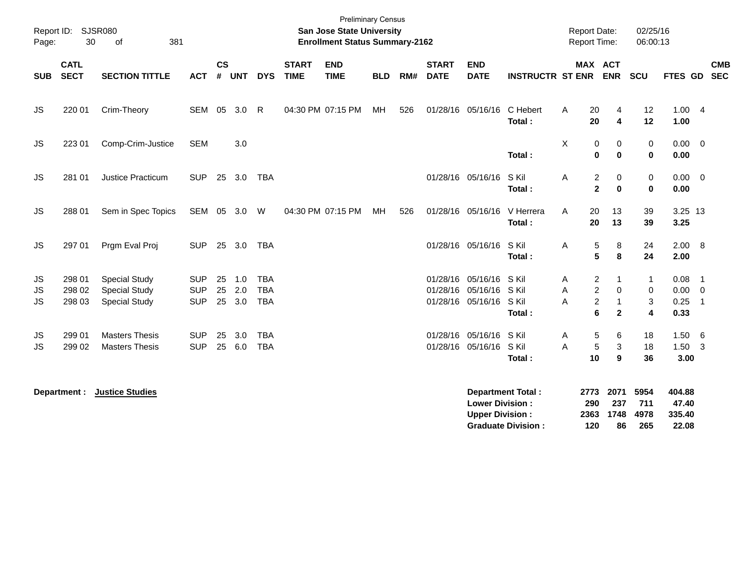| Page:      | Report ID: SJSR080<br>30   | 381<br>of              |            |                    |            |            |                             | <b>Preliminary Census</b><br><b>San Jose State University</b><br><b>Enrollment Status Summary-2162</b> |            |     |                             |                                                  |                                                       |   | <b>Report Date:</b><br>Report Time: |                              | 02/25/16<br>06:00:13       |                                    |                            |                          |
|------------|----------------------------|------------------------|------------|--------------------|------------|------------|-----------------------------|--------------------------------------------------------------------------------------------------------|------------|-----|-----------------------------|--------------------------------------------------|-------------------------------------------------------|---|-------------------------------------|------------------------------|----------------------------|------------------------------------|----------------------------|--------------------------|
| <b>SUB</b> | <b>CATL</b><br><b>SECT</b> | <b>SECTION TITTLE</b>  | <b>ACT</b> | $\mathsf{cs}$<br># | <b>UNT</b> | <b>DYS</b> | <b>START</b><br><b>TIME</b> | <b>END</b><br><b>TIME</b>                                                                              | <b>BLD</b> | RM# | <b>START</b><br><b>DATE</b> | <b>END</b><br><b>DATE</b>                        | <b>INSTRUCTR ST ENR</b>                               |   | MAX ACT                             | <b>ENR</b>                   | <b>SCU</b>                 | <b>FTES GD</b>                     |                            | <b>CMB</b><br><b>SEC</b> |
| JS         | 220 01                     | Crim-Theory            | SEM 05 3.0 |                    |            | R          |                             | 04:30 PM 07:15 PM                                                                                      | MН         | 526 |                             | 01/28/16 05/16/16                                | C Hebert<br>Total:                                    | A | 20<br>20                            | 4<br>$\overline{\mathbf{4}}$ | 12<br>12                   | 1.004<br>1.00                      |                            |                          |
| JS         | 223 01                     | Comp-Crim-Justice      | <b>SEM</b> |                    | 3.0        |            |                             |                                                                                                        |            |     |                             |                                                  | Total:                                                | Χ | 0<br>$\bf{0}$                       | 0<br>$\bf{0}$                | 0<br>$\mathbf 0$           | $0.00 \t 0$<br>0.00                |                            |                          |
| <b>JS</b>  | 281 01                     | Justice Practicum      | <b>SUP</b> |                    | 25 3.0     | <b>TBA</b> |                             |                                                                                                        |            |     |                             | 01/28/16 05/16/16                                | S Kil<br>Total:                                       | Α | 2<br>$\overline{\mathbf{2}}$        | 0<br>$\bf{0}$                | $\pmb{0}$<br>$\mathbf 0$   | $0.00 \t 0$<br>0.00                |                            |                          |
| JS         | 288 01                     | Sem in Spec Topics     | SEM 05 3.0 |                    |            | W          |                             | 04:30 PM 07:15 PM                                                                                      | MН         | 526 |                             | 01/28/16 05/16/16                                | V Herrera<br>Total:                                   | A | 20<br>20                            | 13<br>13                     | 39<br>39                   | 3.25 13<br>3.25                    |                            |                          |
| <b>JS</b>  | 297 01                     | Prgm Eval Proj         | <b>SUP</b> |                    | 25 3.0     | <b>TBA</b> |                             |                                                                                                        |            |     |                             | 01/28/16 05/16/16                                | S Kil<br>Total:                                       | Α | 5<br>5                              | 8<br>8                       | 24<br>24                   | 2.00 8<br>2.00                     |                            |                          |
| JS         | 298 01                     | <b>Special Study</b>   | <b>SUP</b> | 25                 | 1.0        | <b>TBA</b> |                             |                                                                                                        |            |     |                             | 01/28/16 05/16/16                                | S Kil                                                 | Α | $\overline{c}$                      | $\mathbf{1}$                 | $\mathbf{1}$               | 0.08                               | $\overline{\phantom{0}}$ 1 |                          |
| JS         | 298 02                     | <b>Special Study</b>   | <b>SUP</b> | 25                 | 2.0        | <b>TBA</b> |                             |                                                                                                        |            |     |                             | 01/28/16 05/16/16                                | S Kil                                                 | A | $\boldsymbol{2}$                    | 0                            | 0                          | $0.00 \t 0$                        |                            |                          |
| <b>JS</b>  | 298 03                     | <b>Special Study</b>   | <b>SUP</b> | 25                 | 3.0        | <b>TBA</b> |                             |                                                                                                        |            |     |                             | 01/28/16 05/16/16 S Kil                          | Total:                                                | Α | $\overline{c}$<br>6                 | $\mathbf{1}$<br>$\mathbf{2}$ | 3<br>4                     | 0.25<br>0.33                       | $\overline{1}$             |                          |
| JS         | 299 01                     | <b>Masters Thesis</b>  | <b>SUP</b> | 25                 | 3.0        | <b>TBA</b> |                             |                                                                                                        |            |     |                             | 01/28/16 05/16/16                                | S Kil                                                 | Α | $\,$ 5 $\,$                         | 6                            | 18                         | 1.50                               | $6\overline{6}$            |                          |
| <b>JS</b>  | 299 02                     | <b>Masters Thesis</b>  | <b>SUP</b> | 25                 | 6.0        | <b>TBA</b> |                             |                                                                                                        |            |     |                             | 01/28/16 05/16/16                                | S Kil                                                 | Α | 5                                   | 3                            | 18                         | 1.50                               | $\overline{\mathbf{3}}$    |                          |
|            |                            |                        |            |                    |            |            |                             |                                                                                                        |            |     |                             |                                                  | Total:                                                |   | 10                                  | 9                            | 36                         | 3.00                               |                            |                          |
|            | Department :               | <b>Justice Studies</b> |            |                    |            |            |                             |                                                                                                        |            |     |                             | <b>Lower Division:</b><br><b>Upper Division:</b> | <b>Department Total:</b><br><b>Graduate Division:</b> |   | 2773<br>290<br>2363<br>120          | 2071<br>237<br>1748<br>86    | 5954<br>711<br>4978<br>265 | 404.88<br>47.40<br>335.40<br>22.08 |                            |                          |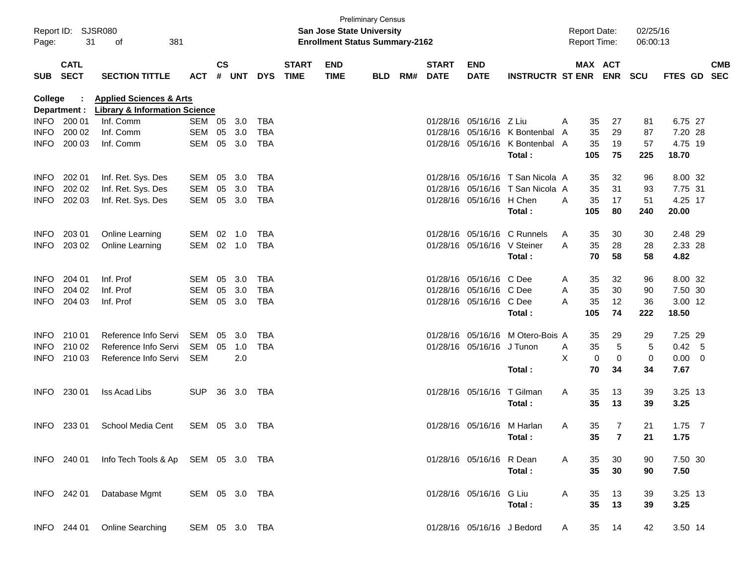| Page:       | Report ID: SJSR080<br>31   | 381<br>οf                                       |                |               |        |            |                             | <b>San Jose State University</b><br><b>Enrollment Status Summary-2162</b> | <b>Preliminary Census</b> |     |                             |                           |                             |   | <b>Report Date:</b><br><b>Report Time:</b> |                | 02/25/16<br>06:00:13 |                  |                          |
|-------------|----------------------------|-------------------------------------------------|----------------|---------------|--------|------------|-----------------------------|---------------------------------------------------------------------------|---------------------------|-----|-----------------------------|---------------------------|-----------------------------|---|--------------------------------------------|----------------|----------------------|------------------|--------------------------|
| <b>SUB</b>  | <b>CATL</b><br><b>SECT</b> | <b>SECTION TITTLE</b>                           | <b>ACT</b>     | $\mathsf{cs}$ | # UNT  | <b>DYS</b> | <b>START</b><br><b>TIME</b> | <b>END</b><br><b>TIME</b>                                                 | <b>BLD</b>                | RM# | <b>START</b><br><b>DATE</b> | <b>END</b><br><b>DATE</b> | <b>INSTRUCTR ST ENR</b>     |   | MAX ACT                                    | <b>ENR</b>     | <b>SCU</b>           | FTES GD          | <b>CMB</b><br><b>SEC</b> |
| College     |                            | <b>Applied Sciences &amp; Arts</b>              |                |               |        |            |                             |                                                                           |                           |     |                             |                           |                             |   |                                            |                |                      |                  |                          |
|             | Department :               | <b>Library &amp; Information Science</b>        |                |               |        |            |                             |                                                                           |                           |     |                             |                           |                             |   |                                            |                |                      |                  |                          |
| <b>INFO</b> | 200 01                     | Inf. Comm                                       | SEM 05         |               | 3.0    | TBA        |                             |                                                                           |                           |     | 01/28/16                    | 05/16/16 Z Liu            |                             | A | 35                                         | 27             | 81                   | 6.75 27          |                          |
| <b>INFO</b> | 200 02                     | Inf. Comm                                       | SEM            | 05            | 3.0    | <b>TBA</b> |                             |                                                                           |                           |     | 01/28/16                    | 05/16/16                  | K Bontenbal                 | A | 35                                         | 29             | 87                   | 7.20 28          |                          |
| <b>INFO</b> | 200 03                     | Inf. Comm                                       | SEM            | 05            | 3.0    | <b>TBA</b> |                             |                                                                           |                           |     |                             | 01/28/16 05/16/16         | K Bontenbal A<br>Total:     |   | 35<br>105                                  | 19<br>75       | 57<br>225            | 4.75 19<br>18.70 |                          |
| <b>INFO</b> | 202 01                     | Inf. Ret. Sys. Des                              | SEM            | 05            | 3.0    | TBA        |                             |                                                                           |                           |     | 01/28/16                    | 05/16/16                  | T San Nicola A              |   | 35                                         | 32             | 96                   | 8.00 32          |                          |
| <b>INFO</b> | 202 02                     | Inf. Ret. Sys. Des                              | <b>SEM</b>     | 05            | 3.0    | <b>TBA</b> |                             |                                                                           |                           |     | 01/28/16                    |                           | 05/16/16 T San Nicola A     |   | 35                                         | 31             | 93                   | 7.75 31          |                          |
| <b>INFO</b> | 202 03                     | Inf. Ret. Sys. Des                              | SEM            | 05            | 3.0    | TBA        |                             |                                                                           |                           |     |                             | 01/28/16 05/16/16 H Chen  |                             | A | 35                                         | 17             | 51                   | 4.25 17          |                          |
|             |                            |                                                 |                |               |        |            |                             |                                                                           |                           |     |                             |                           | Total:                      |   | 105                                        | 80             | 240                  | 20.00            |                          |
| <b>INFO</b> | 203 01                     | Online Learning                                 | SEM            | 02            | 1.0    | TBA        |                             |                                                                           |                           |     | 01/28/16                    | 05/16/16                  | C Runnels                   | A | 35                                         | 30             | 30                   | 2.48 29          |                          |
| <b>INFO</b> | 203 02                     | Online Learning                                 | SEM            |               | 02 1.0 | TBA        |                             |                                                                           |                           |     |                             |                           | 01/28/16 05/16/16 V Steiner | A | 35                                         | 28             | 28                   | 2.33 28          |                          |
|             |                            |                                                 |                |               |        |            |                             |                                                                           |                           |     |                             |                           | Total:                      |   | 70                                         | 58             | 58                   | 4.82             |                          |
| <b>INFO</b> | 204 01                     | Inf. Prof                                       | SEM            | 05            | 3.0    | TBA        |                             |                                                                           |                           |     | 01/28/16                    | 05/16/16                  | C Dee                       | A | 35                                         | 32             | 96                   | 8.00 32          |                          |
| <b>INFO</b> | 204 02                     | Inf. Prof                                       | <b>SEM</b>     | 05            | 3.0    | <b>TBA</b> |                             |                                                                           |                           |     | 01/28/16                    | 05/16/16                  | C Dee                       | A | 35                                         | 30             | 90                   | 7.50 30          |                          |
| <b>INFO</b> | 204 03                     | Inf. Prof                                       | SEM            | 05            | 3.0    | TBA        |                             |                                                                           |                           |     |                             | 01/28/16 05/16/16         | C Dee                       | A | 35                                         | 12             | 36                   | 3.00 12          |                          |
|             |                            |                                                 |                |               |        |            |                             |                                                                           |                           |     |                             |                           | Total :                     |   | 105                                        | 74             | 222                  | 18.50            |                          |
| <b>INFO</b> | 210 01                     | Reference Info Servi                            | SEM            | 05            | 3.0    | <b>TBA</b> |                             |                                                                           |                           |     | 01/28/16                    | 05/16/16                  | M Otero-Bois A              |   | 35                                         | 29             | 29                   | 7.25 29          |                          |
| <b>INFO</b> | 210 02                     | Reference Info Servi                            | SEM            | 05            | 1.0    | <b>TBA</b> |                             |                                                                           |                           |     |                             | 01/28/16 05/16/16 J Tunon |                             | Α | 35                                         | 5              | 5                    | 0.42 5           |                          |
| <b>INFO</b> | 210 03                     | Reference Info Servi                            | <b>SEM</b>     |               | 2.0    |            |                             |                                                                           |                           |     |                             |                           |                             | X | $\mathbf 0$                                | 0              | 0                    | $0.00 \t 0$      |                          |
|             |                            |                                                 |                |               |        |            |                             |                                                                           |                           |     |                             |                           | Total:                      |   | 70                                         | 34             | 34                   | 7.67             |                          |
| <b>INFO</b> | 230 01                     | Iss Acad Libs                                   | <b>SUP</b>     | 36            | 3.0    | TBA        |                             |                                                                           |                           |     |                             | 01/28/16 05/16/16         | T Gilman                    | Α | 35                                         | 13             | 39                   | 3.25 13          |                          |
|             |                            |                                                 |                |               |        |            |                             |                                                                           |                           |     |                             |                           | Total :                     |   | 35                                         | 13             | 39                   | 3.25             |                          |
| <b>INFO</b> | 233 01                     | School Media Cent                               | SEM 05         |               | 3.0    | TBA        |                             |                                                                           |                           |     |                             | 01/28/16 05/16/16         | M Harlan                    | A | 35                                         | 7              | 21                   | $1.75$ 7         |                          |
|             |                            |                                                 |                |               |        |            |                             |                                                                           |                           |     |                             |                           | Total :                     |   | 35                                         | $\overline{7}$ | 21                   | 1.75             |                          |
|             |                            | INFO 240 01 Info Tech Tools & Ap SEM 05 3.0 TBA |                |               |        |            |                             |                                                                           |                           |     |                             | 01/28/16 05/16/16 R Dean  |                             | A | 35                                         | 30             | 90                   | 7.50 30          |                          |
|             |                            |                                                 |                |               |        |            |                             |                                                                           |                           |     |                             |                           | Total:                      |   | 35                                         | 30             | 90                   | 7.50             |                          |
|             | INFO 242 01                | Database Mgmt                                   | SEM 05 3.0 TBA |               |        |            |                             |                                                                           |                           |     |                             | 01/28/16 05/16/16 G Liu   |                             | A | 35                                         | 13             | 39                   | 3.25 13          |                          |
|             |                            |                                                 |                |               |        |            |                             |                                                                           |                           |     |                             |                           | Total:                      |   | 35                                         | 13             | 39                   | 3.25             |                          |
|             | INFO 244 01                | <b>Online Searching</b>                         | SEM 05 3.0 TBA |               |        |            |                             |                                                                           |                           |     |                             |                           | 01/28/16 05/16/16 J Bedord  | A |                                            | 35 14          | 42                   | 3.50 14          |                          |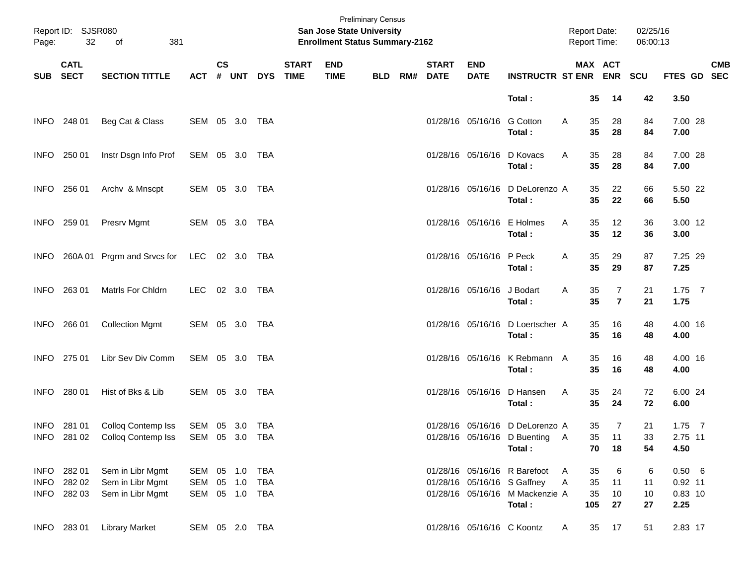| Page:       | Report ID: SJSR080<br>32<br>381<br>of |                                                          |                                     |               |        |            |                             | San Jose State University<br><b>Enrollment Status Summary-2162</b> | <b>Preliminary Census</b> |     |                             |                            |                                                                                                          | <b>Report Date:</b><br>Report Time: |                            | 02/25/16<br>06:00:13 |                                          |            |
|-------------|---------------------------------------|----------------------------------------------------------|-------------------------------------|---------------|--------|------------|-----------------------------|--------------------------------------------------------------------|---------------------------|-----|-----------------------------|----------------------------|----------------------------------------------------------------------------------------------------------|-------------------------------------|----------------------------|----------------------|------------------------------------------|------------|
| SUB         | <b>CATL</b><br><b>SECT</b>            | <b>SECTION TITTLE</b>                                    | <b>ACT</b>                          | $\mathsf{cs}$ | # UNT  | <b>DYS</b> | <b>START</b><br><b>TIME</b> | <b>END</b><br><b>TIME</b>                                          | <b>BLD</b>                | RM# | <b>START</b><br><b>DATE</b> | <b>END</b><br><b>DATE</b>  | <b>INSTRUCTR ST ENR ENR</b>                                                                              |                                     | MAX ACT                    | SCU                  | FTES GD SEC                              | <b>CMB</b> |
|             |                                       |                                                          |                                     |               |        |            |                             |                                                                    |                           |     |                             |                            | Total:                                                                                                   | 35                                  | 14                         | 42                   | 3.50                                     |            |
| <b>INFO</b> | 248 01                                | Beg Cat & Class                                          | SEM 05 3.0                          |               |        | TBA        |                             |                                                                    |                           |     |                             | 01/28/16 05/16/16          | <b>G</b> Cotton<br>Total:                                                                                | 35<br>Α<br>35                       | 28<br>28                   | 84<br>84             | 7.00 28<br>7.00                          |            |
| INFO.       | 250 01                                | Instr Dsgn Info Prof                                     | SEM 05 3.0                          |               |        | TBA        |                             |                                                                    |                           |     |                             | 01/28/16 05/16/16          | D Kovacs<br>Total:                                                                                       | 35<br>Α<br>35                       | 28<br>28                   | 84<br>84             | 7.00 28<br>7.00                          |            |
| INFO.       | 256 01                                | Archv & Mnscpt                                           | SEM 05 3.0                          |               |        | TBA        |                             |                                                                    |                           |     |                             |                            | 01/28/16 05/16/16 D DeLorenzo A<br>Total:                                                                | 35<br>35                            | 22<br>22                   | 66<br>66             | 5.50 22<br>5.50                          |            |
| INFO.       | 259 01                                | Presrv Mgmt                                              | SEM 05 3.0                          |               |        | TBA        |                             |                                                                    |                           |     |                             |                            | 01/28/16 05/16/16 E Holmes<br>Total:                                                                     | 35<br>Α<br>35                       | 12<br>12                   | 36<br>36             | 3.00 12<br>3.00                          |            |
| INFO.       | 260A 01                               | Prgrm and Srvcs for                                      | LEC 02 3.0                          |               |        | TBA        |                             |                                                                    |                           |     |                             | 01/28/16 05/16/16 P Peck   | Total:                                                                                                   | 35<br>Α<br>35                       | 29<br>29                   | 87<br>87             | 7.25 29<br>7.25                          |            |
| <b>INFO</b> | 263 01                                | Matrls For Chldrn                                        | LEC                                 |               | 02 3.0 | TBA        |                             |                                                                    |                           |     |                             | 01/28/16 05/16/16          | J Bodart<br>Total:                                                                                       | 35<br>Α<br>35                       | 7<br>$\overline{7}$        | 21<br>21             | $1.75$ 7<br>1.75                         |            |
| <b>INFO</b> | 266 01                                | <b>Collection Mgmt</b>                                   | SEM 05 3.0 TBA                      |               |        |            |                             |                                                                    |                           |     |                             | 01/28/16 05/16/16          | D Loertscher A<br>Total:                                                                                 | 35<br>35                            | 16<br>16                   | 48<br>48             | 4.00 16<br>4.00                          |            |
|             | INFO 275 01                           | Libr Sev Div Comm                                        | SEM 05 3.0                          |               |        | TBA        |                             |                                                                    |                           |     |                             |                            | 01/28/16 05/16/16 K Rebmann A<br>Total:                                                                  | 35<br>35                            | 16<br>16                   | 48<br>48             | 4.00 16<br>4.00                          |            |
| <b>INFO</b> | 280 01                                | Hist of Bks & Lib                                        | SEM 05 3.0                          |               |        | TBA        |                             |                                                                    |                           |     |                             | 01/28/16 05/16/16          | D Hansen<br>Total:                                                                                       | 35<br>Α<br>35                       | 24<br>24                   | 72<br>72             | 6.00 24<br>6.00                          |            |
| INFO.       | 281 01                                | Colloq Contemp Iss<br>INFO 281 02 Colloq Contemp Iss     | SEM 05 3.0 TBA<br>SEM 05 3.0 TBA    |               |        |            |                             |                                                                    |                           |     |                             |                            | 01/28/16 05/16/16 D DeLorenzo A<br>01/28/16 05/16/16 D Buenting<br>Total:                                | 35<br>$\mathsf{A}$<br>35<br>70      | $\overline{7}$<br>11<br>18 | 21<br>33<br>54       | $1.75$ 7<br>2.75 11<br>4.50              |            |
| INFO        | INFO 282 01<br>282 02<br>INFO 282 03  | Sem in Libr Mgmt<br>Sem in Libr Mgmt<br>Sem in Libr Mgmt | SEM 05 1.0<br>SEM<br>SEM 05 1.0 TBA | 05 1.0        |        | TBA<br>TBA |                             |                                                                    |                           |     |                             |                            | 01/28/16 05/16/16 R Barefoot<br>01/28/16 05/16/16 S Gaffney<br>01/28/16 05/16/16 M Mackenzie A<br>Total: | 35<br>A<br>35<br>Α<br>35<br>105     | 6<br>11<br>10<br>27        | 6<br>11<br>10<br>27  | 0.50 6<br>$0.92$ 11<br>$0.83$ 10<br>2.25 |            |
|             | INFO 283 01                           | <b>Library Market</b>                                    | SEM 05 2.0 TBA                      |               |        |            |                             |                                                                    |                           |     |                             | 01/28/16 05/16/16 C Koontz |                                                                                                          | 35<br>A                             | 17                         | 51                   | 2.83 17                                  |            |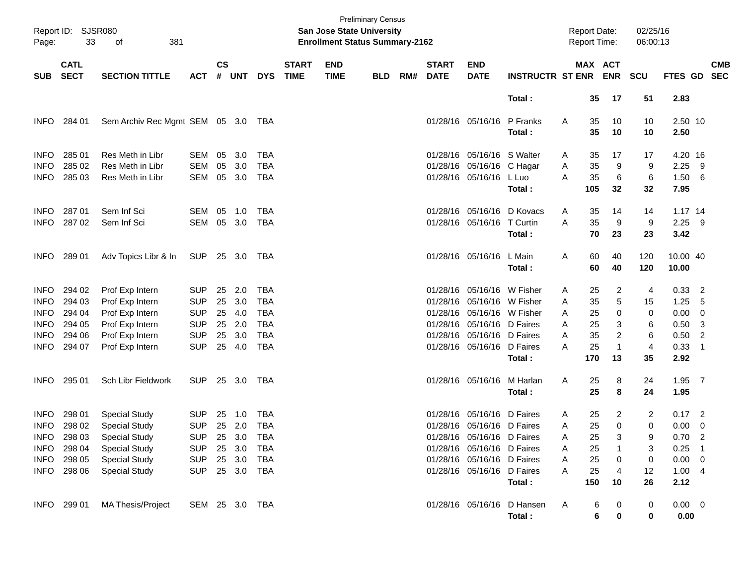| Report ID:<br>Page: | <b>SJSR080</b><br>33       | 381<br>οf                          |                |                    |            |            |                             | <b>San Jose State University</b><br><b>Enrollment Status Summary-2162</b> | <b>Preliminary Census</b> |     |                             |                            |                                      |   | <b>Report Date:</b><br>Report Time: |                      | 02/25/16<br>06:00:13 |                     |                            |            |
|---------------------|----------------------------|------------------------------------|----------------|--------------------|------------|------------|-----------------------------|---------------------------------------------------------------------------|---------------------------|-----|-----------------------------|----------------------------|--------------------------------------|---|-------------------------------------|----------------------|----------------------|---------------------|----------------------------|------------|
| <b>SUB</b>          | <b>CATL</b><br><b>SECT</b> | <b>SECTION TITTLE</b>              | <b>ACT</b>     | $\mathsf{cs}$<br># | <b>UNT</b> | <b>DYS</b> | <b>START</b><br><b>TIME</b> | <b>END</b><br><b>TIME</b>                                                 | <b>BLD</b>                | RM# | <b>START</b><br><b>DATE</b> | <b>END</b><br><b>DATE</b>  | <b>INSTRUCTR ST ENR</b>              |   | MAX ACT                             | <b>ENR</b>           | SCU                  | FTES GD SEC         |                            | <b>CMB</b> |
|                     |                            |                                    |                |                    |            |            |                             |                                                                           |                           |     |                             |                            | Total:                               |   | 35                                  | 17                   | 51                   | 2.83                |                            |            |
| <b>INFO</b>         | 284 01                     | Sem Archiv Rec Mgmt SEM 05 3.0 TBA |                |                    |            |            |                             |                                                                           |                           |     |                             | 01/28/16 05/16/16          | P Franks<br>Total:                   | Α | 35<br>35                            | 10<br>10             | 10<br>10             | 2.50 10<br>2.50     |                            |            |
| <b>INFO</b>         | 285 01                     | Res Meth in Libr                   | SEM            | 05                 | 3.0        | <b>TBA</b> |                             |                                                                           |                           |     | 01/28/16                    | 05/16/16 S Walter          |                                      | A | 35                                  | 17                   | 17                   | 4.20 16             |                            |            |
| <b>INFO</b>         | 285 02                     | Res Meth in Libr                   | <b>SEM</b>     | 05                 | 3.0        | <b>TBA</b> |                             |                                                                           |                           |     | 01/28/16                    | 05/16/16 C Hagar           |                                      | Α | 35                                  | 9                    | 9                    | $2.25$ 9            |                            |            |
| <b>INFO</b>         | 285 03                     | Res Meth in Libr                   | SEM            | 05                 | 3.0        | <b>TBA</b> |                             |                                                                           |                           |     |                             | 01/28/16 05/16/16 L Luo    |                                      | A | 35                                  | $\,6$                | 6                    | 1.50 6              |                            |            |
|                     |                            |                                    |                |                    |            |            |                             |                                                                           |                           |     |                             |                            | Total:                               |   | 105                                 | 32                   | 32                   | 7.95                |                            |            |
| <b>INFO</b>         | 287 01                     | Sem Inf Sci                        | SEM            | 05                 | 1.0        | <b>TBA</b> |                             |                                                                           |                           |     | 01/28/16                    | 05/16/16                   | D Kovacs                             | A | 35                                  | 14                   | 14                   | $1.17$ 14           |                            |            |
| <b>INFO</b>         | 287 02                     | Sem Inf Sci                        | SEM            | 05                 | 3.0        | <b>TBA</b> |                             |                                                                           |                           |     |                             | 01/28/16 05/16/16 T Curtin |                                      | A | 35                                  | 9                    | 9                    | $2.25$ 9            |                            |            |
|                     |                            |                                    |                |                    |            |            |                             |                                                                           |                           |     |                             |                            | Total:                               |   | 70                                  | 23                   | 23                   | 3.42                |                            |            |
| <b>INFO</b>         | 289 01                     | Adv Topics Libr & In               | SUP            |                    | 25 3.0     | TBA        |                             |                                                                           |                           |     |                             | 01/28/16 05/16/16 L Main   |                                      | Α | 60                                  | 40                   | 120                  | 10.00 40            |                            |            |
|                     |                            |                                    |                |                    |            |            |                             |                                                                           |                           |     |                             |                            | Total:                               |   | 60                                  | 40                   | 120                  | 10.00               |                            |            |
| <b>INFO</b>         | 294 02                     | Prof Exp Intern                    | <b>SUP</b>     | 25                 | 2.0        | <b>TBA</b> |                             |                                                                           |                           |     | 01/28/16                    | 05/16/16 W Fisher          |                                      | A | 25                                  | $\overline{c}$       | 4                    | 0.33                | $\overline{2}$             |            |
| <b>INFO</b>         | 294 03                     | Prof Exp Intern                    | <b>SUP</b>     | 25                 | 3.0        | <b>TBA</b> |                             |                                                                           |                           |     | 01/28/16                    |                            | 05/16/16 W Fisher                    | Α | 35                                  | 5                    | 15                   | 1.25                | 5                          |            |
| <b>INFO</b>         | 294 04                     | Prof Exp Intern                    | <b>SUP</b>     | 25                 | 4.0        | <b>TBA</b> |                             |                                                                           |                           |     | 01/28/16                    | 05/16/16 W Fisher          |                                      | A | 25                                  | 0                    | 0                    | 0.00                | $\overline{0}$             |            |
| <b>INFO</b>         | 294 05                     | Prof Exp Intern                    | <b>SUP</b>     | 25                 | 2.0        | <b>TBA</b> |                             |                                                                           |                           |     | 01/28/16                    | 05/16/16 D Faires          |                                      | A | 25                                  | 3                    | 6                    | 0.50                | -3                         |            |
| <b>INFO</b>         | 294 06                     | Prof Exp Intern                    | <b>SUP</b>     | 25                 | 3.0        | <b>TBA</b> |                             |                                                                           |                           |     | 01/28/16                    | 05/16/16 D Faires          |                                      | A | 35                                  | $\overline{c}$       | 6                    | 0.50                | $\overline{2}$             |            |
| INFO                | 294 07                     | Prof Exp Intern                    | <b>SUP</b>     | 25                 | 4.0        | <b>TBA</b> |                             |                                                                           |                           |     |                             | 01/28/16 05/16/16 D Faires | Total:                               | A | 25<br>170                           | $\overline{1}$<br>13 | $\overline{4}$<br>35 | 0.33<br>2.92        | $\overline{1}$             |            |
| INFO.               | 295 01                     | Sch Libr Fieldwork                 | <b>SUP</b>     |                    | 25 3.0     | TBA        |                             |                                                                           |                           |     | 01/28/16 05/16/16           |                            | M Harlan                             | Α | 25                                  | 8                    | 24                   | $1.95$ 7            |                            |            |
|                     |                            |                                    |                |                    |            |            |                             |                                                                           |                           |     |                             |                            | Total:                               |   | 25                                  | 8                    | 24                   | 1.95                |                            |            |
| <b>INFO</b>         | 298 01                     | <b>Special Study</b>               | <b>SUP</b>     | 25                 | 1.0        | <b>TBA</b> |                             |                                                                           |                           |     | 01/28/16                    | 05/16/16                   | D Faires                             | A | 25                                  | 2                    | $\overline{2}$       | $0.17$ 2            |                            |            |
| <b>INFO</b>         | 298 02                     | <b>Special Study</b>               | <b>SUP</b>     |                    | 25 2.0     | <b>TBA</b> |                             |                                                                           |                           |     |                             | 01/28/16 05/16/16 D Faires |                                      | A | 25                                  | $\Omega$             | 0                    | 0.00                | $\overline{0}$             |            |
| <b>INFO</b>         | 298 03                     | <b>Special Study</b>               | <b>SUP</b>     |                    | 25 3.0     | TBA        |                             |                                                                           |                           |     |                             | 01/28/16 05/16/16 D Faires |                                      | A | 25                                  | 3                    | 9                    | 0.70                | $\overline{\phantom{0}}^2$ |            |
| <b>INFO</b>         | 298 04                     | <b>Special Study</b>               | <b>SUP</b>     |                    | 25 3.0     | TBA        |                             |                                                                           |                           |     |                             | 01/28/16 05/16/16 D Faires |                                      | Α | 25                                  | 1                    | 3                    | 0.25                | $\overline{\phantom{0}}$ 1 |            |
| <b>INFO</b>         | 298 05                     | <b>Special Study</b>               | <b>SUP</b>     |                    | 25 3.0     | <b>TBA</b> |                             |                                                                           |                           |     |                             | 01/28/16 05/16/16 D Faires |                                      | A | 25                                  | 0                    | 0                    | $0.00 \t 0$         |                            |            |
| INFO                | 298 06                     | <b>Special Study</b>               | <b>SUP</b>     |                    | 25 3.0     | TBA        |                             |                                                                           |                           |     |                             | 01/28/16 05/16/16 D Faires |                                      | Α | 25                                  | 4                    | 12                   | 1.004               |                            |            |
|                     |                            |                                    |                |                    |            |            |                             |                                                                           |                           |     |                             |                            | Total:                               |   | 150                                 | 10                   | 26                   | 2.12                |                            |            |
|                     | INFO 299 01                | <b>MA Thesis/Project</b>           | SEM 25 3.0 TBA |                    |            |            |                             |                                                                           |                           |     |                             |                            | 01/28/16 05/16/16 D Hansen<br>Total: | A | 6<br>6                              | 0<br>$\pmb{0}$       | 0<br>$\pmb{0}$       | $0.00 \t 0$<br>0.00 |                            |            |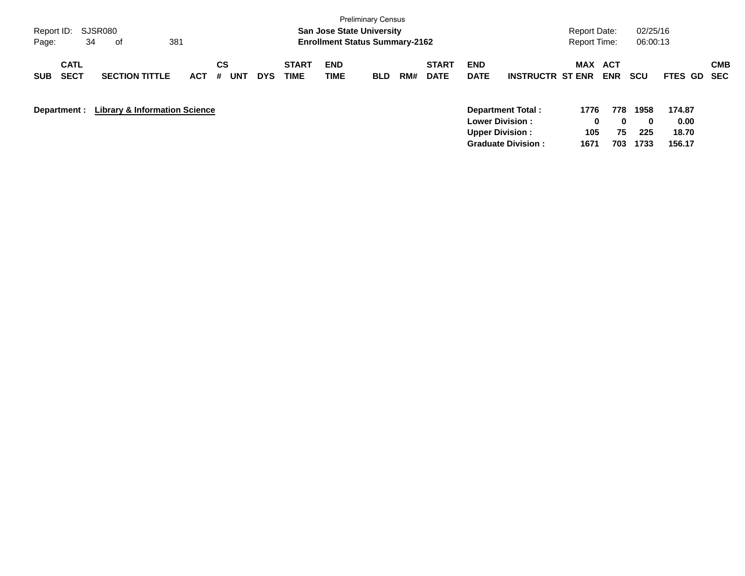|                                          |                                          |            |                |            |                             |                                       | <b>Preliminary Census</b> |     |                             |                           |                                             |              |                          |                  |                |                          |
|------------------------------------------|------------------------------------------|------------|----------------|------------|-----------------------------|---------------------------------------|---------------------------|-----|-----------------------------|---------------------------|---------------------------------------------|--------------|--------------------------|------------------|----------------|--------------------------|
| Report ID:                               | SJSR080                                  |            |                |            |                             | <b>San Jose State University</b>      |                           |     |                             |                           |                                             | Report Date: |                          | 02/25/16         |                |                          |
| 34<br>Page:                              | 381<br>оf                                |            |                |            |                             | <b>Enrollment Status Summary-2162</b> |                           |     |                             |                           |                                             | Report Time: |                          | 06:00:13         |                |                          |
| <b>CATL</b><br><b>SECT</b><br><b>SUB</b> | <b>SECTION TITTLE</b>                    | <b>ACT</b> | CS<br>#<br>UNT | <b>DYS</b> | <b>START</b><br><b>TIME</b> | <b>END</b><br>TIME                    | <b>BLD</b>                | RM# | <b>START</b><br><b>DATE</b> | <b>END</b><br><b>DATE</b> | <b>INSTRUCTR ST ENR</b>                     | MAX          | <b>ACT</b><br><b>ENR</b> | <b>SCU</b>       | <b>FTES GD</b> | <b>CMB</b><br><b>SEC</b> |
| Department :                             | <b>Library &amp; Information Science</b> |            |                |            |                             |                                       |                           |     |                             |                           | Department Total:<br><b>Lower Division:</b> | 1776<br>0    | 778<br>0                 | 1958<br>$\bf{0}$ | 174.87<br>0.00 |                          |
|                                          |                                          |            |                |            |                             |                                       |                           |     |                             |                           | <b>Upper Division:</b>                      | 105          | 75                       | 225              | 18.70          |                          |
|                                          |                                          |            |                |            |                             |                                       |                           |     |                             |                           | <b>Graduate Division:</b>                   | 1671         | 703                      | 1733             | 156.17         |                          |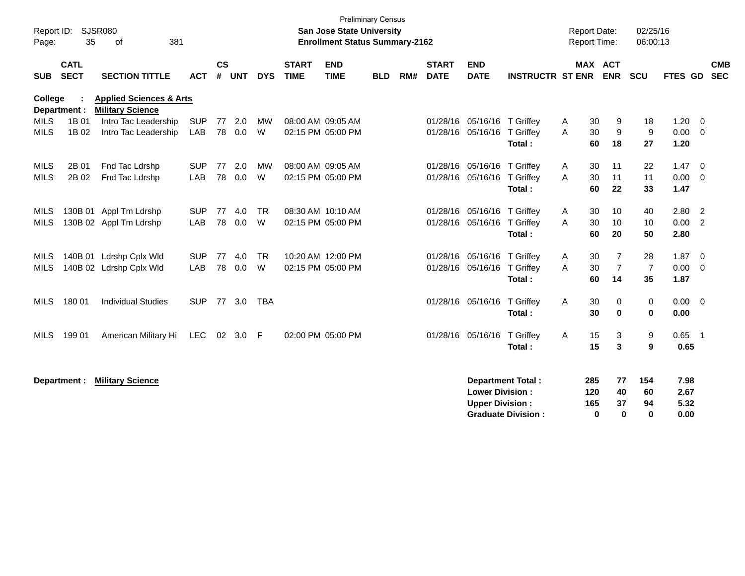|                |              |                                    |            |           |          |            |              | <b>Preliminary Census</b>             |            |     |              |                             |                            |                     |          |                |                |                  |                |            |
|----------------|--------------|------------------------------------|------------|-----------|----------|------------|--------------|---------------------------------------|------------|-----|--------------|-----------------------------|----------------------------|---------------------|----------|----------------|----------------|------------------|----------------|------------|
| Report ID:     |              | SJSR080                            |            |           |          |            |              | San Jose State University             |            |     |              |                             |                            | <b>Report Date:</b> |          |                | 02/25/16       |                  |                |            |
| Page:          | 35           | 381<br>of                          |            |           |          |            |              | <b>Enrollment Status Summary-2162</b> |            |     |              |                             |                            | <b>Report Time:</b> |          |                | 06:00:13       |                  |                |            |
|                | <b>CATL</b>  |                                    |            | <b>CS</b> |          |            | <b>START</b> | <b>END</b>                            |            |     | <b>START</b> | <b>END</b>                  |                            |                     |          | <b>MAX ACT</b> |                |                  |                | <b>CMB</b> |
| <b>SUB</b>     | <b>SECT</b>  | <b>SECTION TITTLE</b>              | <b>ACT</b> |           | # UNT    | <b>DYS</b> | <b>TIME</b>  | <b>TIME</b>                           | <b>BLD</b> | RM# | <b>DATE</b>  | <b>DATE</b>                 | <b>INSTRUCTR ST ENR</b>    |                     |          | <b>ENR</b>     | <b>SCU</b>     | FTES GD          |                | <b>SEC</b> |
|                |              |                                    |            |           |          |            |              |                                       |            |     |              |                             |                            |                     |          |                |                |                  |                |            |
| <b>College</b> |              | <b>Applied Sciences &amp; Arts</b> |            |           |          |            |              |                                       |            |     |              |                             |                            |                     |          |                |                |                  |                |            |
|                | Department : | <b>Military Science</b>            |            |           |          |            |              |                                       |            |     |              |                             |                            |                     |          |                |                |                  |                |            |
| <b>MILS</b>    | 1B 01        | Intro Tac Leadership               | <b>SUP</b> | 77        | 2.0      | <b>MW</b>  |              | 08:00 AM 09:05 AM                     |            |     |              | 01/28/16 05/16/16 T Griffey |                            | Α                   | 30       | 9              | 18             | 1.20             | $\mathbf{0}$   |            |
| <b>MILS</b>    | 1B 02        | Intro Tac Leadership               | <b>LAB</b> | 78        | 0.0      | W          |              | 02:15 PM 05:00 PM                     |            |     |              | 01/28/16 05/16/16           | T Griffey                  | A                   | 30       | 9              | 9              | 0.00             | $\mathbf{0}$   |            |
|                |              |                                    |            |           |          |            |              |                                       |            |     |              |                             | Total:                     |                     | 60       | 18             | 27             | 1.20             |                |            |
| MILS           | 2B 01        | Fnd Tac Ldrshp                     | <b>SUP</b> | 77        | 2.0      | <b>MW</b>  |              | 08:00 AM 09:05 AM                     |            |     |              | 01/28/16 05/16/16           | <b>T</b> Griffey           | A                   | 30       | 11             | 22             | 1.47             | 0              |            |
| <b>MILS</b>    | 2B 02        | Fnd Tac Ldrshp                     | <b>LAB</b> | 78        | 0.0      | W          |              | 02:15 PM 05:00 PM                     |            |     |              | 01/28/16 05/16/16           | T Griffey                  | A                   | 30       | 11             | 11             | 0.00             | $\overline{0}$ |            |
|                |              |                                    |            |           |          |            |              |                                       |            |     |              |                             | Total:                     |                     | 60       | 22             | 33             | 1.47             |                |            |
|                |              |                                    |            |           |          |            |              |                                       |            |     |              |                             |                            |                     |          |                |                |                  |                |            |
| MILS           |              | 130B 01 Appl Tm Ldrshp             | <b>SUP</b> | 77        | 4.0      | <b>TR</b>  |              | 08:30 AM 10:10 AM                     |            |     |              | 01/28/16 05/16/16           | T Griffey                  | Α                   | 30       | 10             | 40             | 2.80             | $\overline{2}$ |            |
| <b>MILS</b>    |              | 130B 02 Appl Tm Ldrshp             | LAB        | 78        | 0.0      | W          |              | 02:15 PM 05:00 PM                     |            |     |              | 01/28/16 05/16/16           | T Griffey                  | A                   | 30       | 10             | 10             | 0.00             | $\overline{2}$ |            |
|                |              |                                    |            |           |          |            |              |                                       |            |     |              |                             | Total:                     |                     | 60       | 20             | 50             | 2.80             |                |            |
| MILS           |              | 140B 01 Ldrshp Cplx Wld            | <b>SUP</b> | 77        | 4.0      | <b>TR</b>  |              | 10:20 AM 12:00 PM                     |            |     | 01/28/16     | 05/16/16 T Griffey          |                            | Α                   | 30       | $\overline{7}$ | 28             | 1.87             | $\overline{0}$ |            |
| <b>MILS</b>    |              | 140B 02 Ldrshp Cplx Wld            | <b>LAB</b> | 78        | 0.0      | W          |              | 02:15 PM 05:00 PM                     |            |     |              | 01/28/16 05/16/16 T Griffey |                            | A                   | 30       | $\overline{7}$ | $\overline{7}$ | 0.00             | $\mathbf{0}$   |            |
|                |              |                                    |            |           |          |            |              |                                       |            |     |              |                             | Total:                     |                     | 60       | 14             | 35             | 1.87             |                |            |
|                |              |                                    |            |           |          |            |              |                                       |            |     |              |                             |                            |                     |          |                |                |                  |                |            |
| <b>MILS</b>    | 180 01       | <b>Individual Studies</b>          | <b>SUP</b> |           | 77 3.0   | <b>TBA</b> |              |                                       |            |     |              | 01/28/16 05/16/16           | T Griffey                  | Α                   | 30       | 0              | 0              | 0.00             | - 0            |            |
|                |              |                                    |            |           |          |            |              |                                       |            |     |              |                             | Total:                     |                     | 30       | $\bf{0}$       | $\bf{0}$       | 0.00             |                |            |
|                |              |                                    |            |           |          |            |              |                                       |            |     |              |                             |                            |                     |          |                |                |                  |                |            |
| <b>MILS</b>    | 199 01       | American Military Hi               | <b>LEC</b> |           | 02 3.0 F |            |              | 02:00 PM 05:00 PM                     |            |     |              | 01/28/16 05/16/16           | <b>T</b> Griffey<br>Total: | A                   | 15<br>15 | 3<br>3         | 9<br>9         | $0.65$ 1<br>0.65 |                |            |
|                |              |                                    |            |           |          |            |              |                                       |            |     |              |                             |                            |                     |          |                |                |                  |                |            |
|                |              |                                    |            |           |          |            |              |                                       |            |     |              |                             |                            |                     |          |                |                |                  |                |            |
|                | Department : | <b>Military Science</b>            |            |           |          |            |              |                                       |            |     |              |                             | <b>Department Total:</b>   |                     | 285      | 77             | 154            | 7.98             |                |            |
|                |              |                                    |            |           |          |            |              |                                       |            |     |              | <b>Lower Division:</b>      |                            |                     | 120      | 40             | 60             | 2.67             |                |            |
|                |              |                                    |            |           |          |            |              |                                       |            |     |              | <b>Upper Division:</b>      |                            |                     | 165      | 37             | 94             | 5.32             |                |            |
|                |              |                                    |            |           |          |            |              |                                       |            |     |              |                             | <b>Graduate Division:</b>  |                     | 0        | $\bf{0}$       | 0              | 0.00             |                |            |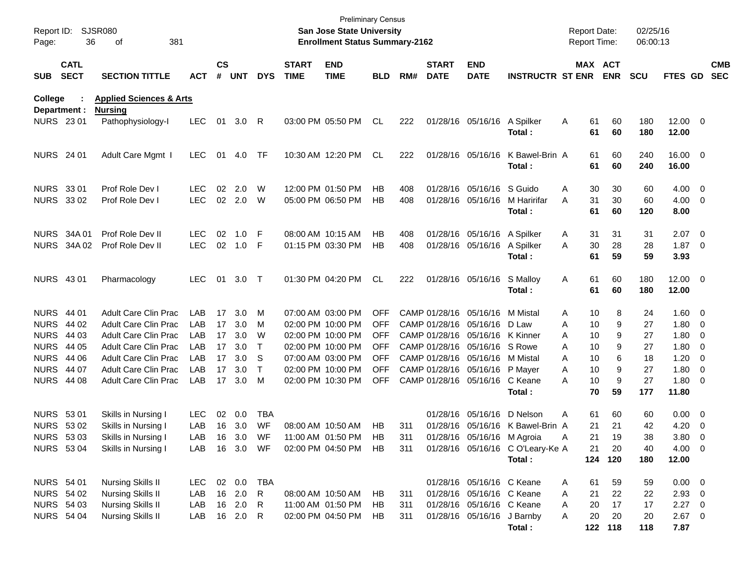| Report ID:<br>Page: | 36                         | <b>SJSR080</b><br>381<br>οf                          |               |                    |            |              |                             | <b>Preliminary Census</b><br>San Jose State University<br><b>Enrollment Status Summary-2162</b> |            |     |                             |                                 |                                  | <b>Report Date:</b><br>Report Time: |                       | 02/25/16<br>06:00:13 |                       |                          |                          |
|---------------------|----------------------------|------------------------------------------------------|---------------|--------------------|------------|--------------|-----------------------------|-------------------------------------------------------------------------------------------------|------------|-----|-----------------------------|---------------------------------|----------------------------------|-------------------------------------|-----------------------|----------------------|-----------------------|--------------------------|--------------------------|
| <b>SUB</b>          | <b>CATL</b><br><b>SECT</b> | <b>SECTION TITTLE</b>                                | <b>ACT</b>    | $\mathsf{cs}$<br># | <b>UNT</b> | <b>DYS</b>   | <b>START</b><br><b>TIME</b> | <b>END</b><br><b>TIME</b>                                                                       | <b>BLD</b> | RM# | <b>START</b><br><b>DATE</b> | <b>END</b><br><b>DATE</b>       | <b>INSTRUCTR ST ENR</b>          |                                     | MAX ACT<br><b>ENR</b> | <b>SCU</b>           | FTES GD               |                          | <b>CMB</b><br><b>SEC</b> |
| College             | Department :               | <b>Applied Sciences &amp; Arts</b><br><b>Nursing</b> |               |                    |            |              |                             |                                                                                                 |            |     |                             |                                 |                                  |                                     |                       |                      |                       |                          |                          |
| NURS 23 01          |                            | Pathophysiology-l                                    | <b>LEC</b>    | 01                 | 3.0        | R            |                             | 03:00 PM 05:50 PM                                                                               | CL         | 222 |                             | 01/28/16 05/16/16               | A Spilker<br>Total:              | 61<br>A<br>61                       | 60<br>60              | 180<br>180           | $12.00 \t 0$<br>12.00 |                          |                          |
| <b>NURS</b> 24 01   |                            | Adult Care Mgmt I                                    | <b>LEC</b>    | 01                 | 4.0        | TF           |                             | 10:30 AM 12:20 PM                                                                               | CL         | 222 |                             | 01/28/16 05/16/16               | K Bawel-Brin A<br>Total:         | 61<br>61                            | 60<br>60              | 240<br>240           | 16.00 0<br>16.00      |                          |                          |
| NURS 33 01          |                            | Prof Role Dev I                                      | <b>LEC</b>    | 02                 | 2.0        | W            |                             | 12:00 PM 01:50 PM                                                                               | HВ         | 408 |                             | 01/28/16 05/16/16 S Guido       |                                  | 30<br>A                             | 30                    | 60                   | $4.00 \ 0$            |                          |                          |
| <b>NURS 3302</b>    |                            | Prof Role Dev I                                      | <b>LEC</b>    |                    | 02 2.0     | W            |                             | 05:00 PM 06:50 PM                                                                               | HВ         | 408 |                             | 01/28/16 05/16/16               | M Haririfar<br>Total :           | 31<br>A<br>61                       | 30<br>60              | 60<br>120            | $4.00 \ 0$<br>8.00    |                          |                          |
|                     | <b>NURS 34A01</b>          | Prof Role Dev II                                     | <b>LEC</b>    | 02                 | 1.0        | -F           |                             | 08:00 AM 10:15 AM                                                                               | HB         | 408 |                             | 01/28/16 05/16/16               | A Spilker                        | 31<br>A                             | 31                    | 31                   | $2.07$ 0              |                          |                          |
|                     | NURS 34A 02                | Prof Role Dev II                                     | <b>LEC</b>    | 02                 | 1.0        | -F           |                             | 01:15 PM 03:30 PM                                                                               | НB         | 408 |                             | 01/28/16 05/16/16               | A Spilker<br>Total:              | 30<br>A<br>61                       | 28<br>59              | 28<br>59             | $1.87 \ 0$<br>3.93    |                          |                          |
| <b>NURS 4301</b>    |                            | Pharmacology                                         | <b>LEC</b>    | 01                 | 3.0        | $\top$       |                             | 01:30 PM 04:20 PM                                                                               | CL         | 222 |                             | 01/28/16 05/16/16               | S Malloy<br>Total:               | 61<br>Α<br>61                       | 60<br>60              | 180<br>180           | $12.00 \t 0$<br>12.00 |                          |                          |
| <b>NURS 44 01</b>   |                            | <b>Adult Care Clin Prac</b>                          | LAB           | 17                 | 3.0        | M            |                             | 07:00 AM 03:00 PM                                                                               | <b>OFF</b> |     |                             | CAMP 01/28/16 05/16/16 M Mistal |                                  | 10<br>A                             | 8                     | 24                   | 1.60 0                |                          |                          |
| NURS 44 02          |                            | <b>Adult Care Clin Prac</b>                          | LAB           | 17                 | 3.0        | M            |                             | 02:00 PM 10:00 PM                                                                               | <b>OFF</b> |     |                             | CAMP 01/28/16 05/16/16 D Law    |                                  | 10<br>A                             | 9                     | 27                   | $1.80 \ 0$            |                          |                          |
| <b>NURS</b>         | 44 03                      | <b>Adult Care Clin Prac</b>                          | LAB           | 17                 | 3.0        | W            |                             | 02:00 PM 10:00 PM                                                                               | <b>OFF</b> |     |                             | CAMP 01/28/16 05/16/16 K Kinner |                                  | 10<br>A                             | 9                     | 27                   | $1.80 \ 0$            |                          |                          |
| <b>NURS</b>         | 44 05                      | <b>Adult Care Clin Prac</b>                          | LAB           | 17 <sup>7</sup>    | 3.0        | $\top$       |                             | 02:00 PM 10:00 PM                                                                               | <b>OFF</b> |     |                             | CAMP 01/28/16 05/16/16 S Rowe   |                                  | 10<br>A                             | 9                     | 27                   | $1.80 \ 0$            |                          |                          |
| <b>NURS</b>         | 44 06                      | Adult Care Clin Prac                                 | LAB           | 17                 | 3.0        | S            |                             | 07:00 AM 03:00 PM                                                                               | <b>OFF</b> |     |                             | CAMP 01/28/16 05/16/16 M Mistal |                                  | 10<br>A                             | 6                     | 18                   | 1.20                  | $\overline{\phantom{0}}$ |                          |
| <b>NURS</b>         | 44 07                      | Adult Care Clin Prac                                 | LAB           | 17                 | 3.0        | $\mathsf{T}$ |                             | 02:00 PM 10:00 PM                                                                               | <b>OFF</b> |     |                             | CAMP 01/28/16 05/16/16 P Mayer  |                                  | 10<br>A                             | 9                     | 27                   | 1.80                  | $\overline{\phantom{0}}$ |                          |
| <b>NURS 44 08</b>   |                            | <b>Adult Care Clin Prac</b>                          | LAB           |                    | 17 3.0     | M            |                             | 02:00 PM 10:30 PM                                                                               | <b>OFF</b> |     |                             | CAMP 01/28/16 05/16/16          | C Keane                          | 10<br>A                             | 9                     | 27                   | $1.80 \ 0$            |                          |                          |
|                     |                            |                                                      |               |                    |            |              |                             |                                                                                                 |            |     |                             |                                 | Total :                          | 70                                  | 59                    | 177                  | 11.80                 |                          |                          |
| <b>NURS 5301</b>    |                            | Skills in Nursing I                                  | <b>LEC</b>    | 02                 | 0.0        | <b>TBA</b>   |                             |                                                                                                 |            |     |                             | 01/28/16 05/16/16 D Nelson      |                                  | 61<br>Α                             | 60                    | 60                   | $0.00 \t 0$           |                          |                          |
| NURS 53 02          |                            | Skills in Nursing I                                  | LAB           |                    | 16 3.0     | WF           |                             | 08:00 AM 10:50 AM                                                                               | HB         | 311 |                             |                                 | 01/28/16 05/16/16 K Bawel-Brin A | 21                                  | 21                    | 42                   | 4.20                  | $\overline{\phantom{0}}$ |                          |
|                     | NURS 53 03                 | Skills in Nursing I                                  | LAB.          |                    | 16 3.0     | WF           |                             | 11:00 AM 01:50 PM                                                                               | HB.        | 311 |                             | 01/28/16 05/16/16 M Agroia      |                                  | 21<br>A                             | 19                    | 38                   | 3.80 0                |                          |                          |
|                     | NURS 53 04                 | Skills in Nursing I                                  | LAB 16 3.0 WF |                    |            |              |                             | 02:00 PM 04:50 PM HB                                                                            |            | 311 |                             |                                 | 01/28/16 05/16/16 C O'Leary-Ke A | 21                                  | 20                    | 40                   | $4.00 \ 0$            |                          |                          |
|                     |                            |                                                      |               |                    |            |              |                             |                                                                                                 |            |     |                             |                                 | Total:                           |                                     | 124 120               | 180                  | 12.00                 |                          |                          |
| NURS 54 01          |                            | <b>Nursing Skills II</b>                             | LEC 02 0.0    |                    |            | TBA          |                             |                                                                                                 |            |     |                             | 01/28/16 05/16/16 C Keane       |                                  | 61<br>A                             | 59                    | 59                   | $0.00 \t 0$           |                          |                          |
|                     | NURS 54 02                 | <b>Nursing Skills II</b>                             | LAB           |                    | 16 2.0     | $\mathsf{R}$ |                             | 08:00 AM 10:50 AM                                                                               | HB.        | 311 |                             | 01/28/16 05/16/16 C Keane       |                                  | 21<br>A                             | 22                    | 22                   | $2.93$ 0              |                          |                          |
|                     | <b>NURS 54 03</b>          | <b>Nursing Skills II</b>                             | LAB           |                    | 16 2.0     | R            |                             | 11:00 AM 01:50 PM                                                                               | HB.        | 311 |                             | 01/28/16 05/16/16 C Keane       |                                  | 20<br>A                             | 17                    | 17                   | $2.27$ 0              |                          |                          |
|                     | <b>NURS 54 04</b>          | <b>Nursing Skills II</b>                             | LAB           |                    | 16 2.0 R   |              |                             | 02:00 PM 04:50 PM                                                                               | HB.        | 311 |                             | 01/28/16 05/16/16 J Barnby      |                                  | 20<br>A                             | 20                    | 20                   | $2.67$ 0              |                          |                          |
|                     |                            |                                                      |               |                    |            |              |                             |                                                                                                 |            |     |                             |                                 | Total :                          |                                     | 122 118               | 118                  | 7.87                  |                          |                          |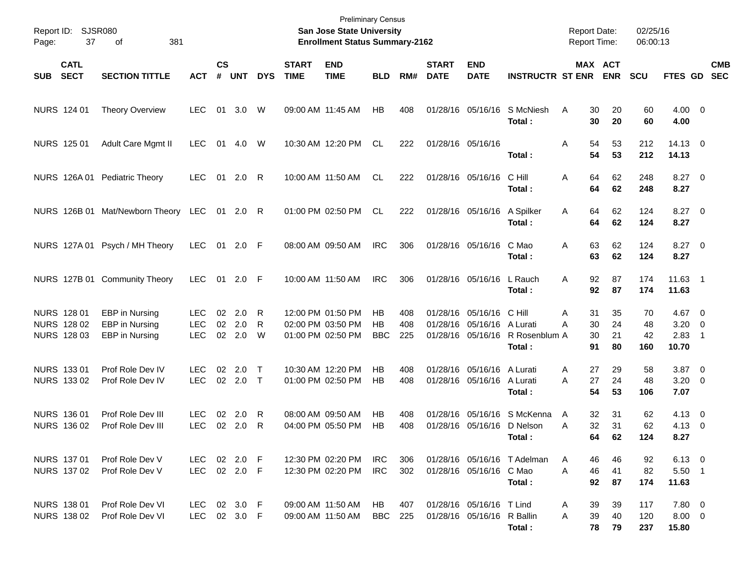| Page:      | Report ID: SJSR080<br>37   | 381<br>οf                           |              |                    |            |            |                             | <b>Preliminary Census</b><br>San Jose State University<br><b>Enrollment Status Summary-2162</b> |            |     |                             |                            |                             | <b>Report Date:</b><br><b>Report Time:</b> |          |                       | 02/25/16<br>06:00:13 |                    |                          |            |
|------------|----------------------------|-------------------------------------|--------------|--------------------|------------|------------|-----------------------------|-------------------------------------------------------------------------------------------------|------------|-----|-----------------------------|----------------------------|-----------------------------|--------------------------------------------|----------|-----------------------|----------------------|--------------------|--------------------------|------------|
| <b>SUB</b> | <b>CATL</b><br><b>SECT</b> | <b>SECTION TITTLE</b>               | <b>ACT</b>   | $\mathsf{cs}$<br># | <b>UNT</b> | <b>DYS</b> | <b>START</b><br><b>TIME</b> | <b>END</b><br><b>TIME</b>                                                                       | <b>BLD</b> | RM# | <b>START</b><br><b>DATE</b> | <b>END</b><br><b>DATE</b>  | <b>INSTRUCTR ST ENR</b>     |                                            |          | MAX ACT<br><b>ENR</b> | <b>SCU</b>           | FTES GD SEC        |                          | <b>CMB</b> |
|            | NURS 124 01                | <b>Theory Overview</b>              | <b>LEC</b>   | 01                 | 3.0        | W          | 09:00 AM 11:45 AM           |                                                                                                 | HB         | 408 |                             | 01/28/16 05/16/16          | S McNiesh<br>Total:         | A                                          | 30<br>30 | 20<br>20              | 60<br>60             | $4.00 \ 0$<br>4.00 |                          |            |
|            | NURS 125 01                | Adult Care Mgmt II                  | <b>LEC</b>   | 01                 | 4.0        | W          |                             | 10:30 AM 12:20 PM                                                                               | CL         | 222 | 01/28/16 05/16/16           |                            | Total :                     | Α                                          | 54<br>54 | 53<br>53              | 212<br>212           | $14.13$ 0<br>14.13 |                          |            |
|            |                            | NURS 126A 01 Pediatric Theory       | <b>LEC</b>   | 01                 | 2.0        | R          |                             | 10:00 AM 11:50 AM                                                                               | CL.        | 222 |                             | 01/28/16 05/16/16          | C Hill<br>Total :           | Α                                          | 64<br>64 | 62<br>62              | 248<br>248           | $8.27$ 0<br>8.27   |                          |            |
|            |                            | NURS 126B 01 Mat/Newborn Theory LEC |              |                    | 01 2.0 R   |            |                             | 01:00 PM 02:50 PM                                                                               | CL         | 222 |                             | 01/28/16 05/16/16          | A Spilker<br>Total:         | A                                          | 64<br>64 | 62<br>62              | 124<br>124           | $8.27$ 0<br>8.27   |                          |            |
|            |                            | NURS 127A 01 Psych / MH Theory      | <b>LEC</b>   |                    | 01 2.0 F   |            |                             | 08:00 AM 09:50 AM                                                                               | <b>IRC</b> | 306 |                             | 01/28/16 05/16/16          | C Mao<br>Total:             | Α                                          | 63<br>63 | 62<br>62              | 124<br>124           | $8.27$ 0<br>8.27   |                          |            |
|            |                            | NURS 127B 01 Community Theory       | LEC.         |                    | 01 2.0 F   |            |                             | 10:00 AM 11:50 AM                                                                               | <b>IRC</b> | 306 |                             | 01/28/16 05/16/16          | L Rauch<br>Total:           | Α                                          | 92<br>92 | 87<br>87              | 174<br>174           | 11.63 1<br>11.63   |                          |            |
|            | NURS 128 01                | EBP in Nursing                      | <b>LEC</b>   | 02                 | 2.0        | R          |                             | 12:00 PM 01:50 PM                                                                               | HB         | 408 |                             | 01/28/16 05/16/16          | C Hill                      | Α                                          | 31       | 35                    | 70                   | $4.67$ 0           |                          |            |
|            | NURS 128 02                | EBP in Nursing                      | <b>LEC</b>   | 02                 | 2.0        | R          |                             | 02:00 PM 03:50 PM                                                                               | HВ         | 408 |                             | 01/28/16 05/16/16          | A Lurati                    | A                                          | 30       | 24                    | 48                   | $3.20 \ 0$         |                          |            |
|            | <b>NURS 128 03</b>         | EBP in Nursing                      | <b>LEC</b>   |                    | 02 2.0     | W          |                             | 01:00 PM 02:50 PM                                                                               | <b>BBC</b> | 225 |                             | 01/28/16 05/16/16          | R Rosenblum A<br>Total:     |                                            | 30<br>91 | 21<br>80              | 42<br>160            | 2.83<br>10.70      | $\overline{\phantom{1}}$ |            |
|            | NURS 133 01                | Prof Role Dev IV                    | <b>LEC</b>   | 02                 | 2.0        | $\top$     |                             | 10:30 AM 12:20 PM                                                                               | HB         | 408 |                             | 01/28/16 05/16/16          | A Lurati                    | A                                          | 27       | 29                    | 58                   | 3.87 0             |                          |            |
|            | NURS 133 02                | Prof Role Dev IV                    | <b>LEC</b>   |                    | 02 2.0 T   |            |                             | 01:00 PM 02:50 PM                                                                               | НB         | 408 |                             | 01/28/16 05/16/16          | A Lurati                    | A                                          | 27       | 24                    | 48                   | $3.20 \ 0$         |                          |            |
|            |                            |                                     |              |                    |            |            |                             |                                                                                                 |            |     |                             |                            | Total:                      |                                            | 54       | 53                    | 106                  | 7.07               |                          |            |
|            | NURS 136 01                | Prof Role Dev III                   | <b>LEC</b>   | 02                 | 2.0        | R          |                             | 08:00 AM 09:50 AM                                                                               | HB         | 408 |                             | 01/28/16 05/16/16          | S McKenna                   | A                                          | 32       | 31                    | 62                   | $4.13 \ 0$         |                          |            |
|            | NURS 136 02                | Prof Role Dev III                   | <b>LEC</b>   |                    | 02 2.0     | R          |                             | 04:00 PM 05:50 PM                                                                               | HВ         | 408 |                             | 01/28/16 05/16/16          | D Nelson                    | A                                          | 32       | 31                    | 62                   | $4.13 \ 0$         |                          |            |
|            |                            |                                     |              |                    |            |            |                             |                                                                                                 |            |     |                             |                            | Total :                     |                                            | 64       | 62                    | 124                  | 8.27               |                          |            |
|            | NURS 137 01                | Prof Role Dev V                     | LEC 02 2.0 F |                    |            |            |                             | 12:30 PM_02:20 PM                                                                               | IRC        | 306 |                             |                            | 01/28/16 05/16/16 T Adelman | A                                          | 46       | 46                    | 92                   | $6.13 \quad 0$     |                          |            |
|            | NURS 137 02                | Prof Role Dev V                     | LEC 02 2.0 F |                    |            |            |                             | 12:30 PM 02:20 PM                                                                               | IRC        | 302 |                             | 01/28/16 05/16/16 C Mao    |                             | A                                          | 46       | 41                    | 82                   | $5.50$ 1           |                          |            |
|            |                            |                                     |              |                    |            |            |                             |                                                                                                 |            |     |                             |                            | Total:                      |                                            | 92       | 87                    | 174                  | 11.63              |                          |            |
|            | NURS 138 01                | Prof Role Dev VI                    | LEC 02 3.0 F |                    |            |            |                             | 09:00 AM 11:50 AM                                                                               | HB.        | 407 |                             | 01/28/16 05/16/16 T Lind   |                             | A                                          | 39       | 39                    | 117                  | $7.80\quad 0$      |                          |            |
|            | NURS 138 02                | Prof Role Dev VI                    | LEC 02 3.0 F |                    |            |            | 09:00 AM 11:50 AM           |                                                                                                 | BBC 225    |     |                             | 01/28/16 05/16/16 R Ballin |                             | A                                          | 39       | 40                    | 120                  | $8.00 \t 0$        |                          |            |
|            |                            |                                     |              |                    |            |            |                             |                                                                                                 |            |     |                             |                            | Total:                      |                                            | 78       | 79                    | 237                  | 15.80              |                          |            |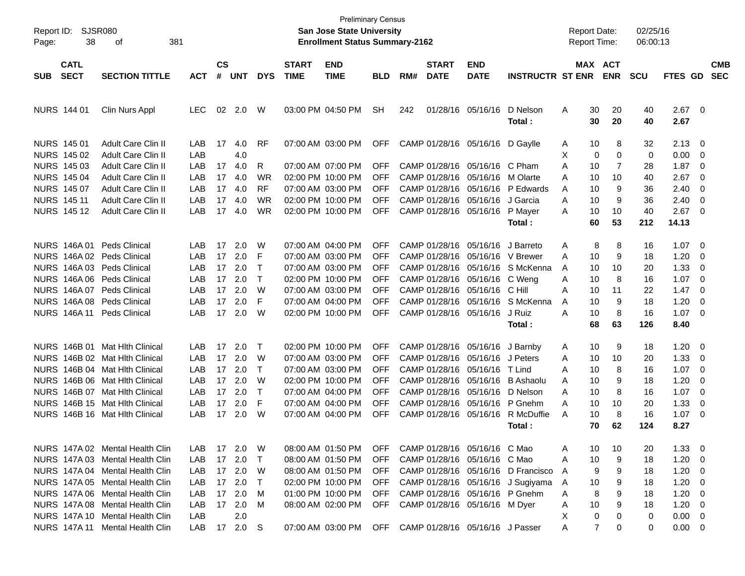| Report ID:<br>Page:                      | SJSR080<br>381<br>38<br>οf                             |            |                    |            |              |                             | <b>Preliminary Census</b><br><b>San Jose State University</b><br><b>Enrollment Status Summary-2162</b> |            |     |                             |                                     |                                    | <b>Report Date:</b><br>Report Time: |                             | 02/25/16<br>06:00:13 |                  |                                  |                          |
|------------------------------------------|--------------------------------------------------------|------------|--------------------|------------|--------------|-----------------------------|--------------------------------------------------------------------------------------------------------|------------|-----|-----------------------------|-------------------------------------|------------------------------------|-------------------------------------|-----------------------------|----------------------|------------------|----------------------------------|--------------------------|
| <b>CATL</b><br><b>SECT</b><br><b>SUB</b> | <b>SECTION TITTLE</b>                                  | <b>ACT</b> | $\mathsf{cs}$<br># | <b>UNT</b> | <b>DYS</b>   | <b>START</b><br><b>TIME</b> | <b>END</b><br><b>TIME</b>                                                                              | <b>BLD</b> | RM# | <b>START</b><br><b>DATE</b> | <b>END</b><br><b>DATE</b>           | <b>INSTRUCTR ST ENR</b>            |                                     | MAX ACT<br><b>ENR</b>       | <b>SCU</b>           | FTES GD          |                                  | <b>CMB</b><br><b>SEC</b> |
| NURS 144 01                              | Clin Nurs Appl                                         | <b>LEC</b> | 02                 | 2.0        | W            |                             | 03:00 PM 04:50 PM                                                                                      | <b>SH</b>  | 242 |                             | 01/28/16 05/16/16                   | D Nelson<br>Total:                 | Α                                   | 30<br>20<br>30<br>20        | 40<br>40             | $2.67$ 0<br>2.67 |                                  |                          |
| NURS 145 01<br>NURS 145 02               | <b>Adult Care Clin II</b><br><b>Adult Care Clin II</b> | LAB<br>LAB | 17                 | 4.0<br>4.0 | <b>RF</b>    |                             | 07:00 AM 03:00 PM                                                                                      | <b>OFF</b> |     |                             | CAMP 01/28/16 05/16/16 D Gaylle     |                                    | A<br>X                              | 10<br>8<br>$\mathbf 0$<br>0 | 32<br>0              | 2.13<br>0.00     | $\overline{0}$<br>$\overline{0}$ |                          |
| NURS 145 03                              | <b>Adult Care Clin II</b>                              | LAB        | 17                 | 4.0        | R            |                             | 07:00 AM 07:00 PM                                                                                      | OFF        |     |                             | CAMP 01/28/16 05/16/16 C Pham       |                                    | Α                                   | 10<br>7                     | 28                   | 1.87             | 0                                |                          |
| NURS 145 04                              | <b>Adult Care Clin II</b>                              | LAB        | 17                 | 4.0        | WR           |                             | 02:00 PM 10:00 PM                                                                                      | <b>OFF</b> |     |                             | CAMP 01/28/16 05/16/16 M Olarte     |                                    | Α                                   | 10<br>10                    | 40                   | 2.67             | 0                                |                          |
| NURS 145 07                              | <b>Adult Care Clin II</b>                              | LAB        | 17                 | 4.0        | <b>RF</b>    |                             | 07:00 AM 03:00 PM                                                                                      | OFF        |     |                             |                                     | CAMP 01/28/16 05/16/16 P Edwards   | A                                   | 10<br>9                     | 36                   | 2.40             | 0                                |                          |
| <b>NURS 14511</b>                        | <b>Adult Care Clin II</b>                              | LAB        | 17                 | 4.0        | WR           |                             | 02:00 PM 10:00 PM                                                                                      | OFF        |     |                             | CAMP 01/28/16 05/16/16              | J Garcia                           | Α                                   | 9<br>10                     | 36                   | 2.40             | 0                                |                          |
| NURS 145 12                              | <b>Adult Care Clin II</b>                              | LAB        | 17                 | 4.0        | WR           |                             | 02:00 PM 10:00 PM                                                                                      | <b>OFF</b> |     |                             | CAMP 01/28/16 05/16/16              | P Mayer                            | 10<br>Α                             | 10                          | 40                   | 2.67             | - 0                              |                          |
|                                          |                                                        |            |                    |            |              |                             |                                                                                                        |            |     |                             |                                     | Total:                             | 60                                  | 53                          | 212                  | 14.13            |                                  |                          |
|                                          | NURS 146A 01 Peds Clinical                             | LAB        | 17                 | 2.0        | W            |                             | 07:00 AM 04:00 PM                                                                                      | OFF        |     |                             | CAMP 01/28/16 05/16/16              | J Barreto                          | Α                                   | 8<br>8                      | 16                   | 1.07             | $\overline{\phantom{0}}$         |                          |
|                                          | NURS 146A 02 Peds Clinical                             | LAB        | 17                 | 2.0        | F            |                             | 07:00 AM 03:00 PM                                                                                      | OFF        |     |                             | CAMP 01/28/16 05/16/16 V Brewer     |                                    | Α                                   | 10<br>9                     | 18                   | 1.20             | $\overline{0}$                   |                          |
|                                          | NURS 146A 03 Peds Clinical                             | LAB        | 17                 | 2.0        | $\mathsf{T}$ |                             | 07:00 AM 03:00 PM                                                                                      | OFF        |     |                             |                                     | CAMP 01/28/16 05/16/16 S McKenna   | A                                   | 10<br>10                    | 20                   | 1.33             | 0                                |                          |
|                                          | NURS 146A 06 Peds Clinical                             | LAB        | 17                 | 2.0        | $\mathsf{T}$ |                             | 02:00 PM 10:00 PM                                                                                      | OFF        |     |                             | CAMP 01/28/16 05/16/16 C Weng       |                                    | Α                                   | 8<br>10                     | 16                   | 1.07             | $\overline{0}$                   |                          |
|                                          | NURS 146A 07 Peds Clinical                             | LAB        | 17                 | 2.0        | W            |                             | 07:00 AM 03:00 PM                                                                                      | <b>OFF</b> |     |                             | CAMP 01/28/16 05/16/16 C Hill       |                                    | Α                                   | 10<br>11                    | 22                   | 1.47             | - 0                              |                          |
| NURS 146A 08                             | <b>Peds Clinical</b>                                   | LAB        | 17                 | 2.0        | F            |                             | 07:00 AM 04:00 PM                                                                                      | OFF        |     |                             |                                     | CAMP 01/28/16 05/16/16 S McKenna   | A                                   | 9<br>10                     | 18                   | 1.20             | $\overline{0}$                   |                          |
|                                          | NURS 146A 11 Peds Clinical                             | LAB        | 17                 | 2.0        | W            |                             | 02:00 PM 10:00 PM                                                                                      | <b>OFF</b> |     |                             | CAMP 01/28/16 05/16/16              | J Ruiz                             | А                                   | 10<br>8                     | 16                   | 1.07             | $\overline{\phantom{0}}$         |                          |
|                                          |                                                        |            |                    |            |              |                             |                                                                                                        |            |     |                             |                                     | Total:                             | 68                                  | 63                          | 126                  | 8.40             |                                  |                          |
|                                          | NURS 146B 01 Mat Hith Clinical                         | LAB        | 17                 | 2.0        | Т            |                             | 02:00 PM 10:00 PM                                                                                      | OFF        |     |                             | CAMP 01/28/16 05/16/16              | J Barnby                           |                                     | 10<br>9                     |                      | 1.20             | - 0                              |                          |
|                                          | NURS 146B 02 Mat Hith Clinical                         | LAB        | 17                 | 2.0        | W            |                             | 07:00 AM 03:00 PM                                                                                      | OFF        |     |                             | CAMP 01/28/16 05/16/16              | J Peters                           | A<br>10<br>Α                        | 10                          | 18<br>20             | 1.33             | 0                                |                          |
|                                          | NURS 146B 04 Mat Hlth Clinical                         | LAB        | 17                 | 2.0        | $\mathsf{T}$ |                             | 07:00 AM 03:00 PM                                                                                      | OFF        |     |                             | CAMP 01/28/16 05/16/16              | T Lind                             | A                                   | 8<br>10                     | 16                   | 1.07             | - 0                              |                          |
|                                          | NURS 146B 06 Mat Hith Clinical                         | LAB        | 17                 | 2.0        | W            |                             | 02:00 PM 10:00 PM                                                                                      | OFF        |     |                             | CAMP 01/28/16 05/16/16              | <b>B</b> Ashaolu                   | A                                   | 10<br>9                     | 18                   | 1.20             | 0                                |                          |
|                                          | NURS 146B 07 Mat Hith Clinical                         | LAB        | 17                 | 2.0        | $\mathsf{T}$ |                             | 07:00 AM 04:00 PM                                                                                      | OFF        |     |                             | CAMP 01/28/16 05/16/16              | D Nelson                           | Α                                   | 8<br>10                     | 16                   | 1.07             | - 0                              |                          |
|                                          | NURS 146B 15 Mat Hith Clinical                         | LAB        | 17                 | 2.0        | F            |                             | 07:00 AM 04:00 PM                                                                                      | OFF        |     |                             |                                     | CAMP 01/28/16 05/16/16 P Gnehm     | Α                                   | 10<br>10                    | 20                   | 1.33             | 0                                |                          |
|                                          | NURS 146B 16 Mat Hith Clinical                         | LAB        | 17                 | 2.0        | W            |                             | 07:00 AM 04:00 PM                                                                                      | OFF        |     |                             | CAMP 01/28/16 05/16/16              | R McDuffie                         | А                                   | 8<br>10                     | 16                   | 1.07             | $\overline{\phantom{0}}$         |                          |
|                                          |                                                        |            |                    |            |              |                             |                                                                                                        |            |     |                             |                                     | Total :                            |                                     | 70<br>62                    | 124                  | 8.27             |                                  |                          |
|                                          |                                                        |            |                    |            |              |                             |                                                                                                        |            |     |                             |                                     |                                    |                                     |                             |                      |                  |                                  |                          |
|                                          | NURS 147A 02 Mental Health Clin                        | LAB.       |                    | 17  2.0  W |              |                             | 08:00 AM 01:50 PM                                                                                      | <b>OFF</b> |     |                             | CAMP 01/28/16 05/16/16 C Mao        |                                    | 10<br>Α                             | 10                          | 20                   | $1.33 \ 0$       |                                  |                          |
|                                          | NURS 147A 03 Mental Health Clin                        | LAB        |                    | 17 2.0     | $\top$       |                             | 08:00 AM 01:50 PM                                                                                      | <b>OFF</b> |     |                             | CAMP 01/28/16 05/16/16 C Mao        |                                    | 10<br>Α                             | 9                           | 18                   | $1.20 \t 0$      |                                  |                          |
|                                          | NURS 147A 04 Mental Health Clin                        | LAB        |                    | 17 2.0     | - W          |                             | 08:00 AM 01:50 PM                                                                                      | <b>OFF</b> |     |                             |                                     | CAMP 01/28/16 05/16/16 D Francisco | A                                   | 9<br>9                      | 18                   | $1.20 \t 0$      |                                  |                          |
|                                          | NURS 147A 05 Mental Health Clin                        | LAB        |                    | 17 2.0     | $\top$       |                             | 02:00 PM 10:00 PM                                                                                      | <b>OFF</b> |     |                             |                                     | CAMP 01/28/16 05/16/16 J Sugiyama  | 10<br>A                             | 9                           | 18                   | $1.20 \t 0$      |                                  |                          |
|                                          | NURS 147A 06 Mental Health Clin                        | LAB        |                    | 17 2.0     | M            |                             | 01:00 PM 10:00 PM                                                                                      | <b>OFF</b> |     |                             |                                     | CAMP 01/28/16 05/16/16 P Gnehm     | Α                                   | 8<br>9                      | 18                   | $1.20 \t 0$      |                                  |                          |
|                                          | NURS 147A 08 Mental Health Clin                        | LAB        |                    | 17 2.0     | M            |                             | 08:00 AM 02:00 PM                                                                                      | <b>OFF</b> |     |                             | CAMP 01/28/16 05/16/16 M Dyer       |                                    | 10<br>Α                             | 9                           | 18                   | $1.20 \t 0$      |                                  |                          |
|                                          | NURS 147A 10 Mental Health Clin                        | LAB        |                    | 2.0        |              |                             |                                                                                                        |            |     |                             |                                     |                                    | Χ                                   | 0<br>0                      | 0                    | $0.00 \t 0$      |                                  |                          |
|                                          | NURS 147A 11 Mental Health Clin                        | LAB        |                    | 17 2.0 S   |              |                             | 07:00 AM 03:00 PM                                                                                      |            |     |                             | OFF CAMP 01/28/16 05/16/16 J Passer |                                    | A                                   | $\overline{7}$<br>0         | 0                    | $0.00 \t 0$      |                                  |                          |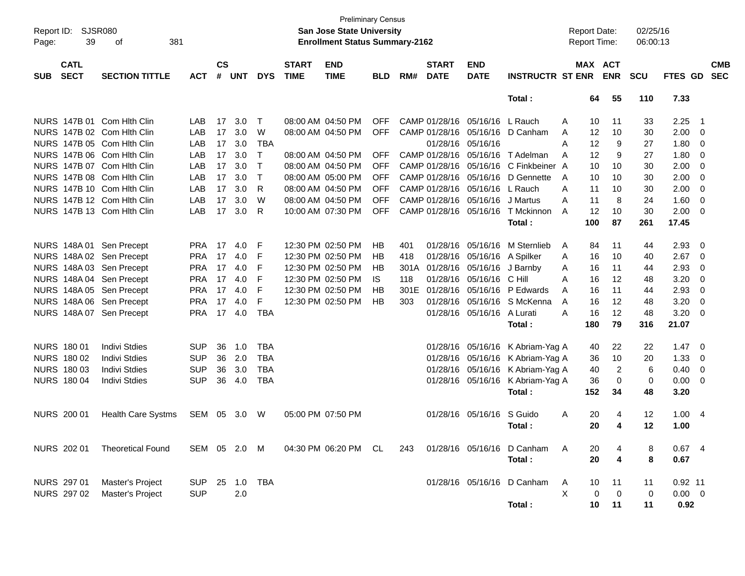| Page:      | Report ID: SJSR080<br>39   | 381<br>of                  |            |                |     |              |                             | <b>San Jose State University</b><br><b>Enrollment Status Summary-2162</b> | <b>Preliminary Census</b> |      |                             |                            |                                  | <b>Report Date:</b><br>Report Time: |                         | 02/25/16<br>06:00:13 |           |                           |
|------------|----------------------------|----------------------------|------------|----------------|-----|--------------|-----------------------------|---------------------------------------------------------------------------|---------------------------|------|-----------------------------|----------------------------|----------------------------------|-------------------------------------|-------------------------|----------------------|-----------|---------------------------|
| <b>SUB</b> | <b>CATL</b><br><b>SECT</b> | <b>SECTION TITTLE</b>      | <b>ACT</b> | <b>CS</b><br># | UNT | <b>DYS</b>   | <b>START</b><br><b>TIME</b> | <b>END</b><br><b>TIME</b>                                                 | <b>BLD</b>                | RM#  | <b>START</b><br><b>DATE</b> | <b>END</b><br><b>DATE</b>  | <b>INSTRUCTR ST ENR</b>          |                                     | MAX ACT<br><b>ENR</b>   | <b>SCU</b>           |           | <b>CMB</b><br>FTES GD SEC |
|            |                            |                            |            |                |     |              |                             |                                                                           |                           |      |                             |                            | Total:                           | 64                                  | 55                      | 110                  | 7.33      |                           |
|            |                            | NURS 147B 01 Com Hith Clin | LAB        | 17             | 3.0 | $\top$       |                             | 08:00 AM 04:50 PM                                                         | <b>OFF</b>                |      |                             | CAMP 01/28/16 05/16/16     | L Rauch                          | 10<br>Α                             | 11                      | 33                   | 2.25      | $\overline{\phantom{0}}$  |
|            |                            | NURS 147B 02 Com Hith Clin | LAB        | 17             | 3.0 | W            |                             | 08:00 AM 04:50 PM                                                         | <b>OFF</b>                |      |                             | CAMP 01/28/16 05/16/16     | D Canham                         | 12<br>A                             | 10                      | 30                   | 2.00      | $\mathbf 0$               |
|            |                            | NURS 147B 05 Com Hith Clin | LAB        | 17             | 3.0 | <b>TBA</b>   |                             |                                                                           |                           |      |                             | 01/28/16 05/16/16          |                                  | 12<br>A                             | 9                       | 27                   | 1.80      | $\overline{0}$            |
|            |                            | NURS 147B 06 Com Hith Clin | LAB        | 17             | 3.0 | $\mathsf{T}$ |                             | 08:00 AM 04:50 PM                                                         | <b>OFF</b>                |      |                             | CAMP 01/28/16 05/16/16     | T Adelman                        | 12<br>A                             | 9                       | 27                   | 1.80      | $\mathbf{0}$              |
|            |                            | NURS 147B 07 Com Hith Clin | LAB        | 17             | 3.0 | $\mathsf{T}$ |                             | 08:00 AM 04:50 PM                                                         | <b>OFF</b>                |      |                             | CAMP 01/28/16 05/16/16     | C Finkbeiner                     | $\overline{A}$<br>10                | 10                      | 30                   | 2.00      | $\mathbf 0$               |
|            |                            | NURS 147B 08 Com Hith Clin | LAB        | 17             | 3.0 | $\mathsf{T}$ |                             | 08:00 AM 05:00 PM                                                         | <b>OFF</b>                |      |                             | CAMP 01/28/16 05/16/16     | D Gennette                       | 10<br>A                             | 10                      | 30                   | 2.00      | $\mathbf 0$               |
|            |                            | NURS 147B 10 Com Hlth Clin | LAB        | 17             | 3.0 | R            |                             | 08:00 AM 04:50 PM                                                         | <b>OFF</b>                |      |                             | CAMP 01/28/16 05/16/16     | L Rauch                          | A<br>11                             | 10                      | 30                   | 2.00      | $\mathbf 0$               |
|            |                            | NURS 147B 12 Com Hith Clin | LAB        | 17             | 3.0 | W            |                             | 08:00 AM 04:50 PM                                                         | <b>OFF</b>                |      |                             | CAMP 01/28/16 05/16/16     | J Martus                         | A<br>11                             | 8                       | 24                   | 1.60      | $\Omega$                  |
|            |                            | NURS 147B 13 Com Hith Clin | LAB        | 17             | 3.0 | R            |                             | 10:00 AM 07:30 PM                                                         | <b>OFF</b>                |      |                             | CAMP 01/28/16 05/16/16     | T Mckinnon                       | 12<br>A                             | 10                      | 30                   | 2.00      | $\mathbf 0$               |
|            |                            |                            |            |                |     |              |                             |                                                                           |                           |      |                             |                            | Total:                           | 100                                 | 87                      | 261                  | 17.45     |                           |
|            |                            | NURS 148A 01 Sen Precept   | <b>PRA</b> | 17             | 4.0 | F            |                             | 12:30 PM 02:50 PM                                                         | НB                        | 401  |                             | 01/28/16 05/16/16          | M Sternlieb                      | Α<br>84                             | 11                      | 44                   | 2.93      | $\mathbf 0$               |
|            |                            | NURS 148A 02 Sen Precept   | <b>PRA</b> | 17             | 4.0 | F            |                             | 12:30 PM 02:50 PM                                                         | НB                        | 418  |                             | 01/28/16 05/16/16          | A Spilker                        | A<br>16                             | 10                      | 40                   | 2.67      | $\overline{0}$            |
|            |                            | NURS 148A 03 Sen Precept   | <b>PRA</b> | 17             | 4.0 | F            |                             | 12:30 PM 02:50 PM                                                         | HB                        |      |                             | 301A 01/28/16 05/16/16     | J Barnby                         | A<br>16                             | 11                      | 44                   | 2.93      | $\mathbf 0$               |
|            |                            | NURS 148A 04 Sen Precept   | <b>PRA</b> | 17             | 4.0 | F            |                             | 12:30 PM 02:50 PM                                                         | IS                        | 118  |                             | 01/28/16 05/16/16          | C Hill                           | 16<br>A                             | 12                      | 48                   | 3.20      | $\Omega$                  |
|            |                            | NURS 148A 05 Sen Precept   | <b>PRA</b> | 17             | 4.0 | F            |                             | 12:30 PM 02:50 PM                                                         | HB                        | 301E |                             | 01/28/16 05/16/16          | P Edwards                        | A<br>16                             | 11                      | 44                   | 2.93      | 0                         |
|            |                            | NURS 148A 06 Sen Precept   | <b>PRA</b> | 17             | 4.0 | F            |                             | 12:30 PM 02:50 PM                                                         | HB                        | 303  |                             |                            | 01/28/16 05/16/16 S McKenna      | A<br>16                             | 12                      | 48                   | 3.20      | $\mathbf 0$               |
|            |                            | NURS 148A 07 Sen Precept   | <b>PRA</b> | 17             | 4.0 | <b>TBA</b>   |                             |                                                                           |                           |      |                             | 01/28/16 05/16/16 A Lurati |                                  | A<br>16                             | 12                      | 48                   | 3.20      | $\mathbf{0}$              |
|            |                            |                            |            |                |     |              |                             |                                                                           |                           |      |                             |                            | Total:                           | 180                                 | 79                      | 316                  | 21.07     |                           |
|            |                            |                            |            |                |     |              |                             |                                                                           |                           |      |                             |                            |                                  |                                     |                         |                      |           |                           |
|            | <b>NURS 180 01</b>         | <b>Indivi Stdies</b>       | <b>SUP</b> | 36             | 1.0 | <b>TBA</b>   |                             |                                                                           |                           |      |                             |                            | 01/28/16 05/16/16 K Abriam-Yag A | 40                                  | 22                      | 22                   | 1.47      | $\overline{0}$            |
|            | NURS 180 02                | <b>Indivi Stdies</b>       | <b>SUP</b> | 36             | 2.0 | <b>TBA</b>   |                             |                                                                           |                           |      |                             |                            | 01/28/16 05/16/16 K Abriam-Yag A | 36                                  | 10                      | 20                   | 1.33      | $\mathbf 0$               |
|            | <b>NURS 180 03</b>         | <b>Indivi Stdies</b>       | <b>SUP</b> | 36             | 3.0 | <b>TBA</b>   |                             |                                                                           |                           |      |                             |                            | 01/28/16 05/16/16 K Abriam-Yag A | 40                                  | $\overline{2}$          | 6                    | 0.40      | 0                         |
|            | <b>NURS 18004</b>          | <b>Indivi Stdies</b>       | <b>SUP</b> | 36             | 4.0 | <b>TBA</b>   |                             |                                                                           |                           |      |                             |                            | 01/28/16 05/16/16 K Abriam-Yag A | 36                                  | $\mathbf 0$             | $\mathbf 0$          | 0.00      | $\overline{0}$            |
|            |                            |                            |            |                |     |              |                             |                                                                           |                           |      |                             |                            | Total:                           | 152                                 | 34                      | 48                   | 3.20      |                           |
|            | <b>NURS 200 01</b>         | <b>Health Care Systms</b>  | SEM 05 3.0 |                |     | - W          |                             | 05:00 PM 07:50 PM                                                         |                           |      |                             | 01/28/16 05/16/16 S Guido  |                                  | 20<br>A                             | 4                       | 12                   | 1.00      | -4                        |
|            |                            |                            |            |                |     |              |                             |                                                                           |                           |      |                             |                            | Total:                           | 20                                  | 4                       | 12                   | 1.00      |                           |
|            |                            |                            |            |                |     |              |                             |                                                                           |                           |      |                             |                            |                                  |                                     |                         |                      |           |                           |
|            | <b>NURS 202 01</b>         | <b>Theoretical Found</b>   | <b>SEM</b> | 05             | 2.0 | M            |                             | 04:30 PM 06:20 PM                                                         | CL                        | 243  |                             | 01/28/16 05/16/16          | D Canham                         | 20<br>A                             | 4                       | 8                    | 0.67      | -4                        |
|            |                            |                            |            |                |     |              |                             |                                                                           |                           |      |                             |                            | Total:                           | 20                                  | 4                       | 8                    | 0.67      |                           |
|            | NURS 297 01                | Master's Project           | <b>SUP</b> | 25             | 1.0 | <b>TBA</b>   |                             |                                                                           |                           |      |                             | 01/28/16 05/16/16          | D Canham                         | Α<br>10                             | 11                      | 11                   | $0.92$ 11 |                           |
|            | NURS 297 02                | Master's Project           | <b>SUP</b> |                | 2.0 |              |                             |                                                                           |                           |      |                             |                            |                                  | X                                   | $\mathbf 0$<br>$\Omega$ | $\Omega$             | 0.00      | $\overline{\mathbf{0}}$   |
|            |                            |                            |            |                |     |              |                             |                                                                           |                           |      |                             |                            | Total :                          | 10                                  | 11                      | 11                   | 0.92      |                           |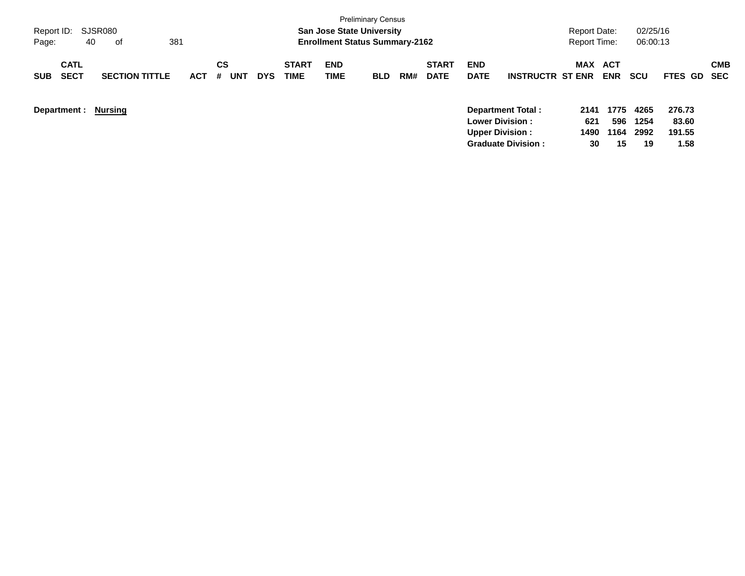| Report ID: SJSR080<br>40<br>Page:        | 0f                    | 381        |                |            |                             | <b>San Jose State University</b><br><b>Enrollment Status Summary-2162</b> | <b>Preliminary Census</b> |     |                             |                                                      | Report Date:<br><b>Report Time:</b> |                   | 02/25/16<br>06:00:13 |                 |                   |
|------------------------------------------|-----------------------|------------|----------------|------------|-----------------------------|---------------------------------------------------------------------------|---------------------------|-----|-----------------------------|------------------------------------------------------|-------------------------------------|-------------------|----------------------|-----------------|-------------------|
| <b>CATL</b><br><b>SECT</b><br><b>SUB</b> | <b>SECTION TITTLE</b> | <b>ACT</b> | CS<br>UNT<br># | <b>DYS</b> | <b>START</b><br><b>TIME</b> | <b>END</b><br>TIME                                                        | <b>BLD</b>                | RM# | <b>START</b><br><b>DATE</b> | <b>END</b><br><b>DATE</b><br><b>INSTRUCTR ST ENR</b> | MAX                                 | ACT<br><b>ENR</b> | <b>SCU</b>           | <b>FTES GD</b>  | <b>CMB</b><br>SEC |
| Department :                             | Nursing               |            |                |            |                             |                                                                           |                           |     |                             | <b>Department Total:</b><br><b>Lower Division:</b>   | 2141<br>621                         | 1775<br>596       | 4265<br>1254         | 276.73<br>83.60 |                   |
|                                          |                       |            |                |            |                             |                                                                           |                           |     |                             | <b>Upper Division:</b><br><b>Graduate Division:</b>  | 1490<br>30                          | 1164<br>15        | 2992<br>19           | 191.55<br>1.58  |                   |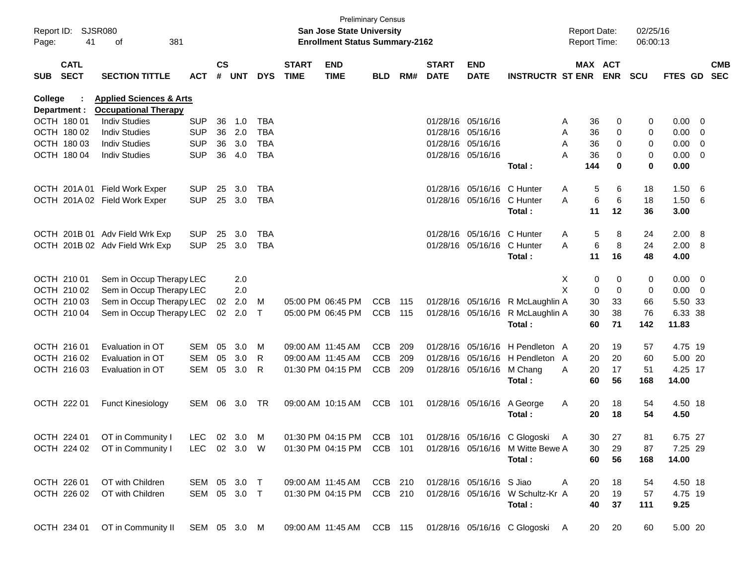| Page:      | Report ID: SJSR080<br>41   | 381<br>0f                                                         |              |               |        |            |                             | <b>Preliminary Census</b><br><b>San Jose State University</b><br><b>Enrollment Status Summary-2162</b> |            |         |                             |                            |                                                            |   | <b>Report Date:</b><br>Report Time: |                       | 02/25/16<br>06:00:13 |             |                          |            |
|------------|----------------------------|-------------------------------------------------------------------|--------------|---------------|--------|------------|-----------------------------|--------------------------------------------------------------------------------------------------------|------------|---------|-----------------------------|----------------------------|------------------------------------------------------------|---|-------------------------------------|-----------------------|----------------------|-------------|--------------------------|------------|
| <b>SUB</b> | <b>CATL</b><br><b>SECT</b> | <b>SECTION TITTLE</b>                                             | <b>ACT</b>   | $\mathsf{cs}$ | # UNT  | <b>DYS</b> | <b>START</b><br><b>TIME</b> | <b>END</b><br><b>TIME</b>                                                                              | <b>BLD</b> | RM#     | <b>START</b><br><b>DATE</b> | <b>END</b><br><b>DATE</b>  | <b>INSTRUCTR ST ENR</b>                                    |   |                                     | MAX ACT<br><b>ENR</b> | <b>SCU</b>           | FTES GD SEC |                          | <b>CMB</b> |
| College    | Department :               | <b>Applied Sciences &amp; Arts</b><br><b>Occupational Therapy</b> |              |               |        |            |                             |                                                                                                        |            |         |                             |                            |                                                            |   |                                     |                       |                      |             |                          |            |
|            | OCTH 180 01                | <b>Indiv Studies</b>                                              | <b>SUP</b>   | 36            | 1.0    | TBA        |                             |                                                                                                        |            |         |                             | 01/28/16 05/16/16          |                                                            | Α | 36                                  | 0                     | 0                    | 0.00        | $\overline{\phantom{0}}$ |            |
|            | OCTH 180 02                | <b>Indiv Studies</b>                                              | <b>SUP</b>   | 36            | 2.0    | <b>TBA</b> |                             |                                                                                                        |            |         |                             | 01/28/16 05/16/16          |                                                            | Α | 36                                  | 0                     | 0                    | 0.00        | $\overline{\mathbf{0}}$  |            |
|            | OCTH 180 03                | <b>Indiv Studies</b>                                              | <b>SUP</b>   | 36            | 3.0    | <b>TBA</b> |                             |                                                                                                        |            |         |                             | 01/28/16 05/16/16          |                                                            | A | 36                                  | 0                     | 0                    | 0.00        | - 0                      |            |
|            | OCTH 180 04                | <b>Indiv Studies</b>                                              | <b>SUP</b>   | 36            | 4.0    | <b>TBA</b> |                             |                                                                                                        |            |         |                             | 01/28/16 05/16/16          |                                                            | A | 36                                  | 0                     | 0                    | 0.00        | $\overline{\mathbf{0}}$  |            |
|            |                            |                                                                   |              |               |        |            |                             |                                                                                                        |            |         |                             |                            | Total:                                                     |   | 144                                 | 0                     | 0                    | 0.00        |                          |            |
|            |                            | OCTH 201A 01 Field Work Exper                                     | <b>SUP</b>   | 25            | 3.0    | TBA        |                             |                                                                                                        |            |         |                             | 01/28/16 05/16/16 C Hunter |                                                            | Α | 5                                   | 6                     | 18                   | 1.50        | - 6                      |            |
|            |                            | OCTH 201A 02 Field Work Exper                                     | <b>SUP</b>   | 25            | 3.0    | TBA        |                             |                                                                                                        |            |         |                             | 01/28/16 05/16/16 C Hunter |                                                            | A | 6                                   | 6                     | 18                   | 1.50        | - 6                      |            |
|            |                            |                                                                   |              |               |        |            |                             |                                                                                                        |            |         |                             |                            | Total:                                                     |   | 11                                  | 12                    | 36                   | 3.00        |                          |            |
|            |                            | OCTH 201B 01 Adv Field Wrk Exp                                    | <b>SUP</b>   | 25            | 3.0    | TBA        |                             |                                                                                                        |            |         |                             | 01/28/16 05/16/16 C Hunter |                                                            | A | 5                                   | 8                     | 24                   | 2.00        | - 8                      |            |
|            |                            | OCTH 201B 02 Adv Field Wrk Exp                                    | <b>SUP</b>   | 25            | 3.0    | TBA        |                             |                                                                                                        |            |         |                             | 01/28/16 05/16/16 C Hunter |                                                            | A | 6                                   | 8                     | 24                   | 2.00 8      |                          |            |
|            |                            |                                                                   |              |               |        |            |                             |                                                                                                        |            |         |                             |                            | Total:                                                     |   | 11                                  | 16                    | 48                   | 4.00        |                          |            |
|            | OCTH 210 01                | Sem in Occup Therapy LEC                                          |              |               | 2.0    |            |                             |                                                                                                        |            |         |                             |                            |                                                            | X | 0                                   | 0                     | 0                    | $0.00 \t 0$ |                          |            |
|            | OCTH 210 02                | Sem in Occup Therapy LEC                                          |              |               | 2.0    |            |                             |                                                                                                        |            |         |                             |                            |                                                            | X | 0                                   | 0                     | 0                    | $0.00 \t 0$ |                          |            |
|            | OCTH 210 03                | Sem in Occup Therapy LEC                                          |              | 02            | 2.0    | M          |                             | 05:00 PM 06:45 PM                                                                                      | <b>CCB</b> | 115     |                             |                            | 01/28/16 05/16/16 R McLaughlin A                           |   | 30                                  | 33                    | 66                   | 5.50 33     |                          |            |
|            | OCTH 210 04                | Sem in Occup Therapy LEC                                          |              |               | 02 2.0 | $\top$     |                             | 05:00 PM 06:45 PM                                                                                      | <b>CCB</b> | 115     |                             |                            | 01/28/16 05/16/16 R McLaughlin A                           |   | 30                                  | 38                    | 76                   | 6.33 38     |                          |            |
|            |                            |                                                                   |              |               |        |            |                             |                                                                                                        |            |         |                             |                            | Total:                                                     |   | 60                                  | 71                    | 142                  | 11.83       |                          |            |
|            | OCTH 216 01                | Evaluation in OT                                                  | SEM          | 05            | 3.0    | M          |                             | 09:00 AM 11:45 AM                                                                                      | <b>CCB</b> | 209     |                             |                            | 01/28/16 05/16/16 H Pendleton A                            |   | 20                                  | 19                    | 57                   | 4.75 19     |                          |            |
|            | OCTH 216 02                | Evaluation in OT                                                  | SEM          | 05            | 3.0    | R          |                             | 09:00 AM 11:45 AM                                                                                      | <b>CCB</b> | 209     |                             |                            | 01/28/16 05/16/16 H Pendleton A                            |   | 20                                  | 20                    | 60                   | 5.00 20     |                          |            |
|            | OCTH 216 03                | Evaluation in OT                                                  | SEM          | 05            | 3.0    | R          |                             | 01:30 PM 04:15 PM                                                                                      | <b>CCB</b> | 209     |                             | 01/28/16 05/16/16 M Chang  |                                                            | Α | 20                                  | 17                    | 51                   | 4.25 17     |                          |            |
|            |                            |                                                                   |              |               |        |            |                             |                                                                                                        |            |         |                             |                            | Total:                                                     |   | 60                                  | 56                    | 168                  | 14.00       |                          |            |
|            | OCTH 222 01                | <b>Funct Kinesiology</b>                                          | SEM 06       |               | 3.0    | TR         |                             | 09:00 AM 10:15 AM                                                                                      | <b>CCB</b> | 101     |                             | 01/28/16 05/16/16          | A George                                                   | A | 20                                  | 18                    | 54                   | 4.50 18     |                          |            |
|            |                            |                                                                   |              |               |        |            |                             |                                                                                                        |            |         |                             |                            | Total:                                                     |   | 20                                  | 18                    | 54                   | 4.50        |                          |            |
|            | OCTH 224 01                | OT in Community I                                                 | LEC 02 3.0 M |               |        |            |                             | 01:30 PM 04:15 PM                                                                                      |            | CCB 101 |                             |                            | 01/28/16 05/16/16 C Glogoski                               | A | 30                                  | 27                    | 81                   | 6.75 27     |                          |            |
|            |                            | OCTH 224 02 OT in Community I LEC 02 3.0 W                        |              |               |        |            |                             |                                                                                                        |            |         |                             |                            | 01:30 PM 04:15 PM CCB 101 01/28/16 05/16/16 M Witte Bewe A |   |                                     | 30 29                 | 87                   | 7.25 29     |                          |            |
|            |                            |                                                                   |              |               |        |            |                             |                                                                                                        |            |         |                             |                            | Total:                                                     |   |                                     | 60 56                 | 168                  | 14.00       |                          |            |
|            |                            | OCTH 226 01 OT with Children                                      | SEM 05 3.0 T |               |        |            |                             | 09:00 AM 11:45 AM CCB 210 01/28/16 05/16/16 S Jiao                                                     |            |         |                             |                            |                                                            | A | 20                                  | 18                    | 54                   | 4.50 18     |                          |            |
|            |                            | OCTH 226 02 OT with Children                                      | SEM 05 3.0 T |               |        |            |                             |                                                                                                        |            |         |                             |                            | 01:30 PM 04:15 PM CCB 210 01/28/16 05/16/16 W Schultz-Kr A |   | 20                                  | 19                    | 57                   | 4.75 19     |                          |            |
|            |                            |                                                                   |              |               |        |            |                             |                                                                                                        |            |         |                             |                            | Total:                                                     |   |                                     | 40 37                 | 111                  | 9.25        |                          |            |
|            |                            | OCTH 234 01 OT in Community II SEM 05 3.0 M                       |              |               |        |            |                             |                                                                                                        |            |         |                             |                            | 09:00 AM 11:45 AM CCB 115 01/28/16 05/16/16 C Glogoski A   |   |                                     | 20 20                 | 60                   | 5.00 20     |                          |            |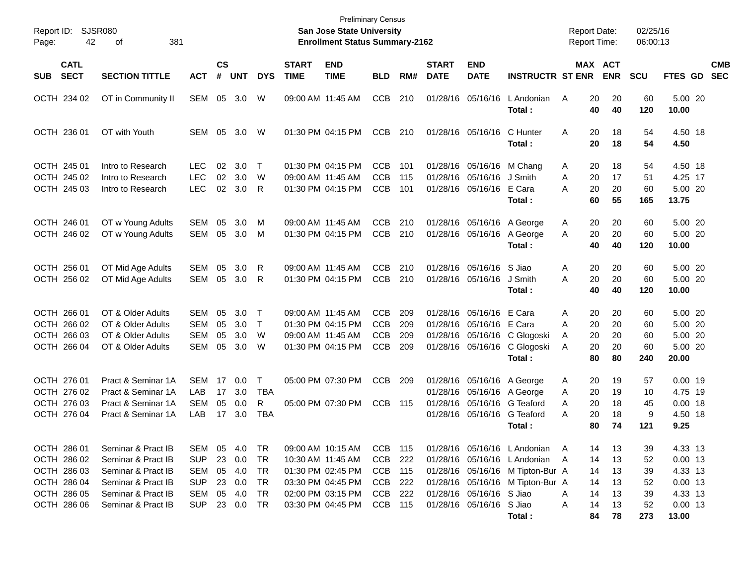| Report ID:<br>42<br>Page:                                                              | SJSR080<br>381<br>οf                                                                                                             |                                                                    |                                   |                                            |                                                       |                             | <b>Preliminary Census</b><br><b>San Jose State University</b><br><b>Enrollment Status Summary-2162</b>                     |                                                                 |                                   |                             |                                                                           |                                                                                                                                                | <b>Report Date:</b><br><b>Report Time:</b>            |                                        | 02/25/16<br>06:00:13                    |                                                                               |                          |
|----------------------------------------------------------------------------------------|----------------------------------------------------------------------------------------------------------------------------------|--------------------------------------------------------------------|-----------------------------------|--------------------------------------------|-------------------------------------------------------|-----------------------------|----------------------------------------------------------------------------------------------------------------------------|-----------------------------------------------------------------|-----------------------------------|-----------------------------|---------------------------------------------------------------------------|------------------------------------------------------------------------------------------------------------------------------------------------|-------------------------------------------------------|----------------------------------------|-----------------------------------------|-------------------------------------------------------------------------------|--------------------------|
| <b>CATL</b><br><b>SECT</b><br><b>SUB</b>                                               | <b>SECTION TITTLE</b>                                                                                                            | <b>ACT</b>                                                         | <b>CS</b><br>#                    | <b>UNT</b>                                 | <b>DYS</b>                                            | <b>START</b><br><b>TIME</b> | <b>END</b><br><b>TIME</b>                                                                                                  | <b>BLD</b>                                                      | RM#                               | <b>START</b><br><b>DATE</b> | <b>END</b><br><b>DATE</b>                                                 | <b>INSTRUCTR ST ENR</b>                                                                                                                        |                                                       | MAX ACT<br><b>ENR</b>                  | <b>SCU</b>                              | FTES GD                                                                       | <b>CMB</b><br><b>SEC</b> |
| OCTH 234 02                                                                            | OT in Community II                                                                                                               | SEM                                                                | 05                                | 3.0                                        | W                                                     |                             | 09:00 AM 11:45 AM                                                                                                          | <b>CCB</b>                                                      | 210                               |                             | 01/28/16 05/16/16                                                         | L Andonian<br>Total:                                                                                                                           | A<br>20<br>40                                         | 20<br>40                               | 60<br>120                               | 5.00 20<br>10.00                                                              |                          |
| OCTH 236 01                                                                            | OT with Youth                                                                                                                    | SEM                                                                | 05                                | 3.0                                        | W                                                     |                             | 01:30 PM 04:15 PM                                                                                                          | <b>CCB</b>                                                      | 210                               |                             | 01/28/16 05/16/16                                                         | C Hunter<br>Total:                                                                                                                             | A<br>20<br>20                                         | 18<br>18                               | 54<br>54                                | 4.50 18<br>4.50                                                               |                          |
| OCTH 245 01<br>OCTH 245 02<br>OCTH 245 03                                              | Intro to Research<br>Intro to Research<br>Intro to Research                                                                      | <b>LEC</b><br><b>LEC</b><br><b>LEC</b>                             | 02<br>02<br>02                    | 3.0<br>3.0<br>3.0                          | $\mathsf{T}$<br>W<br>R                                |                             | 01:30 PM 04:15 PM<br>09:00 AM 11:45 AM<br>01:30 PM 04:15 PM                                                                | <b>CCB</b><br>CCB<br>CCB                                        | 101<br>115<br>101                 |                             | 01/28/16 05/16/16<br>01/28/16 05/16/16<br>01/28/16 05/16/16               | M Chang<br>J Smith<br>E Cara<br>Total:                                                                                                         | 20<br>A<br>20<br>A<br>20<br>А<br>60                   | 18<br>17<br>20<br>55                   | 54<br>51<br>60<br>165                   | 4.50 18<br>4.25 17<br>5.00 20<br>13.75                                        |                          |
| OCTH 246 01<br>OCTH 246 02                                                             | OT w Young Adults<br>OT w Young Adults                                                                                           | <b>SEM</b><br>SEM                                                  | 05<br>05                          | 3.0<br>3.0                                 | M<br>M                                                |                             | 09:00 AM 11:45 AM<br>01:30 PM 04:15 PM                                                                                     | <b>CCB</b><br>CCB                                               | 210<br>210                        |                             | 01/28/16 05/16/16                                                         | 01/28/16 05/16/16 A George<br>A George<br>Total:                                                                                               | 20<br>A<br>20<br>A<br>40                              | 20<br>20<br>40                         | 60<br>60<br>120                         | 5.00 20<br>5.00 20<br>10.00                                                   |                          |
| OCTH 256 01<br>OCTH 256 02                                                             | OT Mid Age Adults<br>OT Mid Age Adults                                                                                           | <b>SEM</b><br>SEM                                                  | 05<br>05                          | 3.0<br>3.0                                 | R<br>R                                                |                             | 09:00 AM 11:45 AM<br>01:30 PM 04:15 PM                                                                                     | <b>CCB</b><br><b>CCB</b>                                        | 210<br>210                        |                             | 01/28/16 05/16/16 S Jiao<br>01/28/16 05/16/16                             | J Smith<br>Total :                                                                                                                             | 20<br>Α<br>20<br>А<br>40                              | 20<br>20<br>40                         | 60<br>60<br>120                         | 5.00 20<br>5.00 20<br>10.00                                                   |                          |
| OCTH 266 01<br>OCTH 266 02<br>OCTH 266 03<br>OCTH 266 04                               | OT & Older Adults<br>OT & Older Adults<br>OT & Older Adults<br>OT & Older Adults                                                 | <b>SEM</b><br><b>SEM</b><br><b>SEM</b><br>SEM                      | 05<br>05<br>05<br>05              | 3.0<br>3.0<br>3.0<br>3.0                   | $\mathsf{T}$<br>$\mathsf{T}$<br>W<br>W                |                             | 09:00 AM 11:45 AM<br>01:30 PM 04:15 PM<br>09:00 AM 11:45 AM<br>01:30 PM 04:15 PM                                           | CCB<br>CCB<br>CCB<br>CCB                                        | 209<br>209<br>209<br>209          |                             | 01/28/16 05/16/16 E Cara<br>01/28/16 05/16/16 E Cara<br>01/28/16 05/16/16 | 01/28/16 05/16/16 C Glogoski<br>C Glogoski<br>Total:                                                                                           | 20<br>Α<br>20<br>A<br>20<br>A<br>20<br>A<br>80        | 20<br>20<br>20<br>20<br>80             | 60<br>60<br>60<br>60<br>240             | 5.00 20<br>5.00 20<br>5.00 20<br>5.00 20<br>20.00                             |                          |
| OCTH 276 01<br>OCTH 276 02<br>OCTH 276 03<br>OCTH 276 04                               | Pract & Seminar 1A<br>Pract & Seminar 1A<br>Pract & Seminar 1A<br>Pract & Seminar 1A                                             | <b>SEM</b><br>LAB<br><b>SEM</b><br>LAB                             | 17<br>17<br>05<br>17 <sup>2</sup> | 0.0<br>3.0<br>0.0<br>3.0                   | $\mathsf{T}$<br><b>TBA</b><br>R<br><b>TBA</b>         |                             | 05:00 PM 07:30 PM<br>05:00 PM 07:30 PM                                                                                     | <b>CCB</b><br><b>CCB</b>                                        | 209<br>115                        | 01/28/16                    | 05/16/16<br>01/28/16 05/16/16                                             | 01/28/16 05/16/16 A George<br>01/28/16 05/16/16 A George<br>G Teaford<br>G Teaford<br>Total :                                                  | 20<br>A<br>20<br>A<br>A<br>20<br>20<br>Α<br>80        | 19<br>19<br>18<br>18<br>74             | 57<br>10<br>45<br>9<br>121              | $0.00$ 19<br>4.75 19<br>$0.00$ 18<br>4.50 18<br>9.25                          |                          |
| OCTH 286 01<br>OCTH 286 02<br>OCTH 286 03<br>OCTH 286 04<br>OCTH 286 05<br>OCTH 286 06 | Seminar & Pract IB<br>Seminar & Pract IB<br>Seminar & Pract IB<br>Seminar & Pract IB<br>Seminar & Pract IB<br>Seminar & Pract IB | SEM<br><b>SUP</b><br>SEM<br><b>SUP</b><br><b>SEM</b><br><b>SUP</b> | 05<br>23<br>05<br>23<br>05        | -4.0<br>0.0<br>4.0<br>0.0<br>4.0<br>23 0.0 | TR<br>TR<br><b>TR</b><br><b>TR</b><br><b>TR</b><br>TR |                             | 09:00 AM 10:15 AM<br>10:30 AM 11:45 AM<br>01:30 PM 02:45 PM<br>03:30 PM 04:45 PM<br>02:00 PM 03:15 PM<br>03:30 PM 04:45 PM | CCB<br>CCB<br><b>CCB</b><br><b>CCB</b><br><b>CCB</b><br>CCB 115 | - 115<br>222<br>115<br>222<br>222 |                             | 01/28/16 05/16/16 S Jiao<br>01/28/16 05/16/16 S Jiao                      | 01/28/16 05/16/16 L Andonian<br>01/28/16 05/16/16 L Andonian<br>01/28/16 05/16/16 M Tipton-Bur A<br>01/28/16 05/16/16 M Tipton-Bur A<br>Total: | 14<br>14<br>A<br>14<br>14<br>A<br>14<br>Α<br>14<br>84 | 13<br>13<br>13<br>13<br>13<br>13<br>78 | 39<br>52<br>39<br>52<br>39<br>52<br>273 | 4.33 13<br>$0.00$ 13<br>4.33 13<br>$0.00$ 13<br>4.33 13<br>$0.00$ 13<br>13.00 |                          |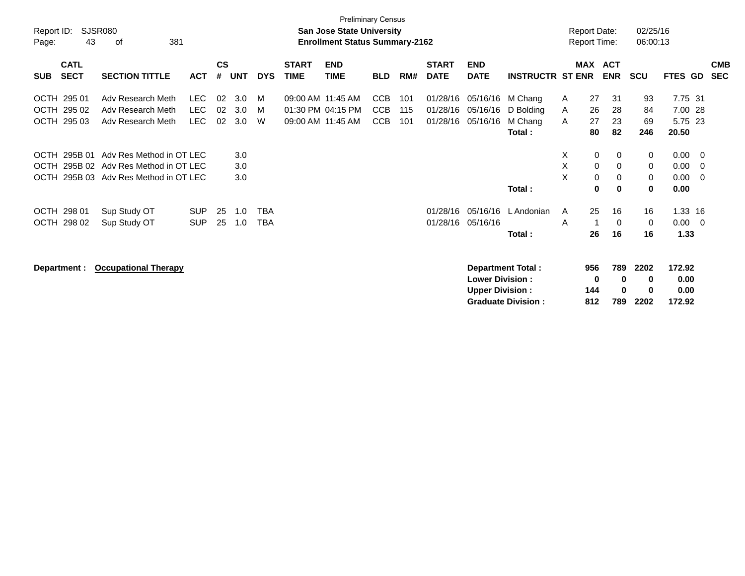| Report ID:<br>43<br>Page:                 | SJSR080<br>381<br>оf                                                                             |                                  |                    |                   |                          |                             | <b>Preliminary Census</b><br><b>San Jose State University</b><br><b>Enrollment Status Summary-2162</b> |                                        |                   |                                  |                                                  |                                                       | <b>Report Date:</b><br><b>Report Time:</b> |                                                    | 02/25/16<br>06:00:13    |                                        |                                        |                          |
|-------------------------------------------|--------------------------------------------------------------------------------------------------|----------------------------------|--------------------|-------------------|--------------------------|-----------------------------|--------------------------------------------------------------------------------------------------------|----------------------------------------|-------------------|----------------------------------|--------------------------------------------------|-------------------------------------------------------|--------------------------------------------|----------------------------------------------------|-------------------------|----------------------------------------|----------------------------------------|--------------------------|
| <b>CATL</b><br><b>SECT</b><br><b>SUB</b>  | <b>SECTION TITTLE</b>                                                                            | <b>ACT</b>                       | $\mathsf{cs}$<br># | <b>UNT</b>        | <b>DYS</b>               | <b>START</b><br><b>TIME</b> | <b>END</b><br><b>TIME</b>                                                                              | <b>BLD</b>                             | RM#               | <b>START</b><br><b>DATE</b>      | <b>END</b><br><b>DATE</b>                        | <b>INSTRUCTR ST ENR</b>                               | <b>MAX</b>                                 | <b>ACT</b><br><b>ENR</b>                           | <b>SCU</b>              | FTES GD                                |                                        | <b>CMB</b><br><b>SEC</b> |
| OCTH 295 01<br>OCTH 295 02<br>OCTH 295 03 | Adv Research Meth<br>Adv Research Meth<br>Adv Research Meth                                      | <b>LEC</b><br>LEC.<br><b>LEC</b> | 02<br>02<br>02     | 3.0<br>3.0<br>3.0 | M<br>M<br>W              |                             | 09:00 AM 11:45 AM<br>01:30 PM 04:15 PM<br>09:00 AM 11:45 AM                                            | <b>CCB</b><br><b>CCB</b><br><b>CCB</b> | 101<br>115<br>101 | 01/28/16<br>01/28/16<br>01/28/16 | 05/16/16<br>05/16/16<br>05/16/16                 | M Chang<br>D Bolding<br>M Chang<br>Total:             | 27<br>A<br>26<br>A<br>27<br>A<br>80        | 31<br>28<br>23<br>82                               | 93<br>84<br>69<br>246   | 7.75 31<br>7.00 28<br>5.75 23<br>20.50 |                                        |                          |
| OCTH 295B 01<br>OCTH<br><b>OCTH</b>       | Adv Res Method in OT LEC<br>295B 02 Adv Res Method in OT LEC<br>295B 03 Adv Res Method in OT LEC |                                  |                    | 3.0<br>3.0<br>3.0 |                          |                             |                                                                                                        |                                        |                   |                                  |                                                  | Total:                                                | X<br>X<br>X                                | 0<br>0<br>0<br>0<br>0<br>0<br>$\bf{0}$<br>$\bf{0}$ | 0<br>0<br>0<br>$\bf{0}$ | 0.00<br>0.00<br>0.00<br>0.00           | $\overline{\phantom{0}}$<br>- 0<br>- 0 |                          |
| OCTH 298 01<br>OCTH 298 02                | Sup Study OT<br>Sup Study OT                                                                     | <b>SUP</b><br><b>SUP</b>         | 25<br>25           | 1.0<br>1.0        | <b>TBA</b><br><b>TBA</b> |                             |                                                                                                        |                                        |                   | 01/28/16<br>01/28/16             | 05/16/16<br>05/16/16                             | L Andonian<br>Total:                                  | 25<br>Α<br>A<br>26                         | 16<br>0<br>16                                      | 16<br>0<br>16           | 1.33 16<br>$0.00 \t 0$<br>1.33         |                                        |                          |
| Department :                              | <b>Occupational Therapy</b>                                                                      |                                  |                    |                   |                          |                             |                                                                                                        |                                        |                   |                                  | <b>Lower Division:</b><br><b>Upper Division:</b> | <b>Department Total:</b><br><b>Graduate Division:</b> | 956<br>144<br>812                          | 789<br>0<br>0<br>0<br>789                          | 2202<br>0<br>0<br>2202  | 172.92<br>0.00<br>0.00<br>172.92       |                                        |                          |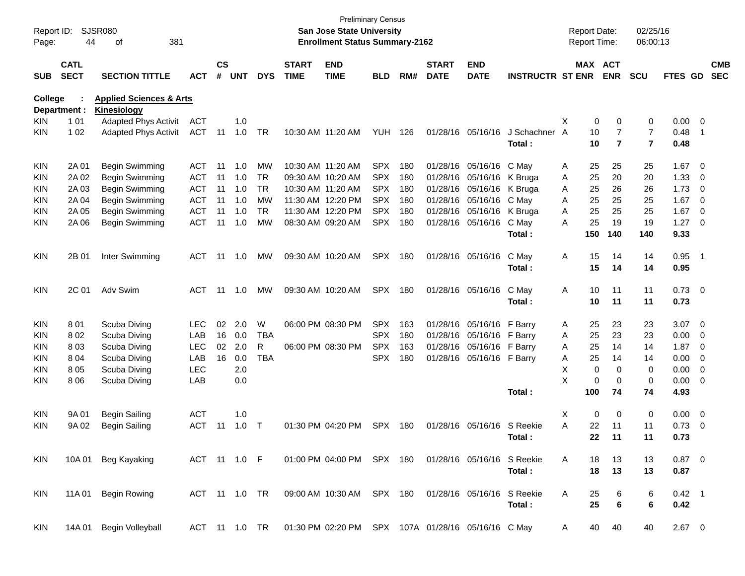| Report ID:<br>Page: | 44                         | SJSR080<br>381<br>οf                              |              |                    |            |               |                             | San Jose State University<br><b>Enrollment Status Summary-2162</b> | <b>Preliminary Census</b> |     |                             |                           |                         |   | <b>Report Date:</b><br>Report Time: |                | 02/25/16<br>06:00:13 |                |                         |                          |
|---------------------|----------------------------|---------------------------------------------------|--------------|--------------------|------------|---------------|-----------------------------|--------------------------------------------------------------------|---------------------------|-----|-----------------------------|---------------------------|-------------------------|---|-------------------------------------|----------------|----------------------|----------------|-------------------------|--------------------------|
| <b>SUB</b>          | <b>CATL</b><br><b>SECT</b> | <b>SECTION TITTLE</b>                             | <b>ACT</b>   | $\mathsf{cs}$<br># | <b>UNT</b> | <b>DYS</b>    | <b>START</b><br><b>TIME</b> | <b>END</b><br><b>TIME</b>                                          | <b>BLD</b>                | RM# | <b>START</b><br><b>DATE</b> | <b>END</b><br><b>DATE</b> | <b>INSTRUCTR ST ENR</b> |   | MAX ACT                             | <b>ENR</b>     | <b>SCU</b>           | FTES GD        |                         | <b>CMB</b><br><b>SEC</b> |
| <b>College</b>      | Department :               | <b>Applied Sciences &amp; Arts</b>                |              |                    |            |               |                             |                                                                    |                           |     |                             |                           |                         |   |                                     |                |                      |                |                         |                          |
| <b>KIN</b>          | 1 0 1                      | <b>Kinesiology</b><br><b>Adapted Phys Activit</b> | <b>ACT</b>   |                    | 1.0        |               |                             |                                                                    |                           |     |                             |                           |                         | Х | 0                                   | 0              | 0                    | 0.00           | - 0                     |                          |
| <b>KIN</b>          | 1 0 2                      | <b>Adapted Phys Activit</b>                       | <b>ACT</b>   | 11                 | 1.0        | TR            |                             | 10:30 AM 11:20 AM                                                  | YUH                       | 126 |                             | 01/28/16 05/16/16         | J Schachner             | A | 10                                  | 7              | $\overline{7}$       | 0.48           | -1                      |                          |
|                     |                            |                                                   |              |                    |            |               |                             |                                                                    |                           |     |                             |                           | Total:                  |   | 10                                  | $\overline{7}$ | $\overline{7}$       | 0.48           |                         |                          |
| KIN                 | 2A 01                      | Begin Swimming                                    | ACT          | -11                | 1.0        | МW            |                             | 10:30 AM 11:20 AM                                                  | <b>SPX</b>                | 180 |                             | 01/28/16 05/16/16 C May   |                         | Α | 25                                  | 25             | 25                   | 1.67           | $\overline{\mathbf{0}}$ |                          |
| <b>KIN</b>          | 2A 02                      | Begin Swimming                                    | <b>ACT</b>   | 11                 | 1.0        | <b>TR</b>     |                             | 09:30 AM 10:20 AM                                                  | <b>SPX</b>                | 180 |                             | 01/28/16 05/16/16 K Bruga |                         | A | 25                                  | 20             | 20                   | 1.33           | 0                       |                          |
| <b>KIN</b>          | 2A 03                      | Begin Swimming                                    | <b>ACT</b>   | 11                 | 1.0        | <b>TR</b>     |                             | 10:30 AM 11:20 AM                                                  | <b>SPX</b>                | 180 |                             | 01/28/16 05/16/16 K Bruga |                         | Α | 25                                  | 26             | 26                   | 1.73           | 0                       |                          |
| <b>KIN</b>          | 2A 04                      | Begin Swimming                                    | <b>ACT</b>   | -11                | 1.0        | <b>MW</b>     |                             | 11:30 AM 12:20 PM                                                  | <b>SPX</b>                | 180 |                             | 01/28/16 05/16/16         | C May                   | Α | 25                                  | 25             | 25                   | 1.67           | $\overline{0}$          |                          |
| <b>KIN</b>          | 2A 05                      | Begin Swimming                                    | <b>ACT</b>   | 11                 | 1.0        | TR.           |                             | 11:30 AM 12:20 PM                                                  | <b>SPX</b>                | 180 |                             | 01/28/16 05/16/16 K Bruga |                         | A | 25                                  | 25             | 25                   | 1.67           | - 0                     |                          |
| <b>KIN</b>          | 2A 06                      | <b>Begin Swimming</b>                             | <b>ACT</b>   | 11                 | 1.0        | <b>MW</b>     |                             | 08:30 AM 09:20 AM                                                  | <b>SPX</b>                | 180 |                             | 01/28/16 05/16/16         | C May                   | A | 25                                  | 19             | 19                   | 1.27           | - 0                     |                          |
|                     |                            |                                                   |              |                    |            |               |                             |                                                                    |                           |     |                             |                           | Total:                  |   | 150                                 | 140            | 140                  | 9.33           |                         |                          |
| KIN                 | 2B 01                      | Inter Swimming                                    | <b>ACT</b>   | 11                 | 1.0        | MW            |                             | 09:30 AM 10:20 AM                                                  | <b>SPX</b>                | 180 |                             | 01/28/16 05/16/16         | C May                   | Α | 15                                  | 14             | 14                   | 0.95           | - 1                     |                          |
|                     |                            |                                                   |              |                    |            |               |                             |                                                                    |                           |     |                             |                           | Total:                  |   | 15                                  | 14             | 14                   | 0.95           |                         |                          |
| <b>KIN</b>          | 2C 01                      | Adv Swim                                          | <b>ACT</b>   | 11                 | 1.0        | MW            |                             | 09:30 AM 10:20 AM                                                  | SPX                       | 180 |                             | 01/28/16 05/16/16         | C May                   | Α | 10                                  | 11             | 11                   | $0.73 \ 0$     |                         |                          |
|                     |                            |                                                   |              |                    |            |               |                             |                                                                    |                           |     |                             |                           | Total:                  |   | 10                                  | 11             | 11                   | 0.73           |                         |                          |
| <b>KIN</b>          | 801                        | Scuba Diving                                      | LEC          | 02                 | 2.0        | W             |                             | 06:00 PM 08:30 PM                                                  | <b>SPX</b>                | 163 |                             | 01/28/16 05/16/16 F Barry |                         | A | 25                                  | 23             | 23                   | $3.07\ 0$      |                         |                          |
| <b>KIN</b>          | 802                        | Scuba Diving                                      | LAB          | 16                 | 0.0        | <b>TBA</b>    |                             |                                                                    | <b>SPX</b>                | 180 |                             | 01/28/16 05/16/16 F Barry |                         | Α | 25                                  | 23             | 23                   | 0.00           | 0                       |                          |
| <b>KIN</b>          | 803                        | Scuba Diving                                      | <b>LEC</b>   | 02                 | 2.0        | R             |                             | 06:00 PM 08:30 PM                                                  | <b>SPX</b>                | 163 |                             | 01/28/16 05/16/16 F Barry |                         | Α | 25                                  | 14             | 14                   | 1.87           | 0                       |                          |
| <b>KIN</b>          | 804                        | Scuba Diving                                      | LAB          | 16                 | 0.0        | <b>TBA</b>    |                             |                                                                    | <b>SPX</b>                | 180 |                             | 01/28/16 05/16/16 F Barry |                         | Α | 25                                  | 14             | 14                   | 0.00           | 0                       |                          |
| <b>KIN</b>          | 805                        | Scuba Diving                                      | <b>LEC</b>   |                    | 2.0        |               |                             |                                                                    |                           |     |                             |                           |                         | х | $\mathbf 0$                         | $\mathbf 0$    | 0                    | 0.00           | 0                       |                          |
| <b>KIN</b>          | 806                        | Scuba Diving                                      | LAB          |                    | 0.0        |               |                             |                                                                    |                           |     |                             |                           |                         | X | 0                                   | $\mathbf 0$    | 0                    | 0.00           | $\overline{0}$          |                          |
|                     |                            |                                                   |              |                    |            |               |                             |                                                                    |                           |     |                             |                           | Total:                  |   | 100                                 | 74             | 74                   | 4.93           |                         |                          |
| <b>KIN</b>          | 9A 01                      | <b>Begin Sailing</b>                              | <b>ACT</b>   |                    | 1.0        |               |                             |                                                                    |                           |     |                             |                           |                         | X | 0                                   | 0              | 0                    | 0.00           | $\overline{\mathbf{0}}$ |                          |
| <b>KIN</b>          | 9A 02                      | <b>Begin Sailing</b>                              | <b>ACT</b>   | 11                 | 1.0        | T             |                             | 01:30 PM 04:20 PM                                                  | <b>SPX</b>                | 180 |                             | 01/28/16 05/16/16         | S Reekie                | Α | 22                                  | 11             | 11                   | 0.73           | $\overline{0}$          |                          |
|                     |                            |                                                   |              |                    |            |               |                             |                                                                    |                           |     |                             |                           | Total :                 |   | 22                                  | 11             | 11                   | 0.73           |                         |                          |
| KIN                 |                            | 10A 01 Beg Kayaking                               | ACT 11 1.0 F |                    |            |               |                             | 01:00 PM 04:00 PM SPX 180 01/28/16 05/16/16 S Reekie               |                           |     |                             |                           |                         | A | 18                                  | -13            | 13                   | $0.87 \quad 0$ |                         |                          |
|                     |                            |                                                   |              |                    |            |               |                             |                                                                    |                           |     |                             |                           | Total:                  |   | 18                                  | 13             | 13                   | 0.87           |                         |                          |
| KIN                 |                            | 11A 01 Begin Rowing                               |              |                    |            | ACT 11 1.0 TR |                             | 09:00 AM 10:30 AM SPX 180 01/28/16 05/16/16 S Reekie               |                           |     |                             |                           |                         | A | 25                                  | 6              | 6                    | $0.42$ 1       |                         |                          |
|                     |                            |                                                   |              |                    |            |               |                             |                                                                    |                           |     |                             |                           | Total:                  |   | 25                                  | 6              | 6                    | 0.42           |                         |                          |
| KIN                 |                            | 14A 01 Begin Volleyball                           |              |                    |            | ACT 11 1.0 TR |                             | 01:30 PM 02:20 PM SPX 107A 01/28/16 05/16/16 C May                 |                           |     |                             |                           |                         | A | 40                                  | 40             | 40                   | $2.67$ 0       |                         |                          |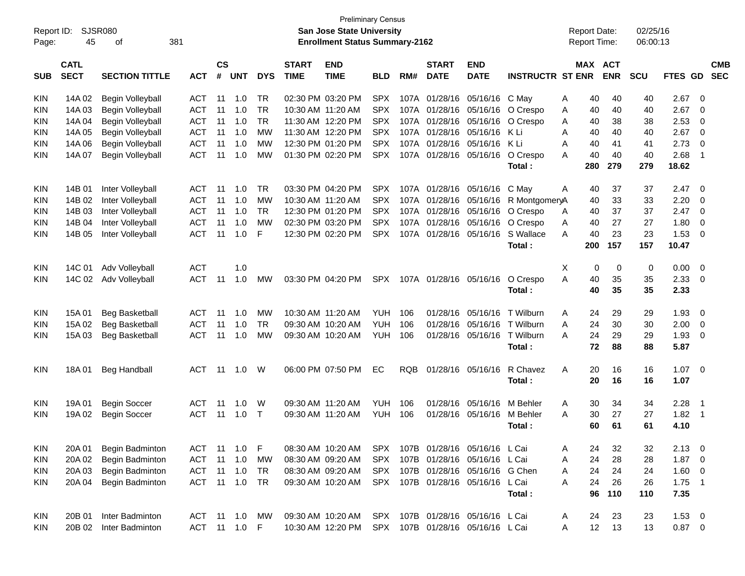| Report ID: |             | <b>Preliminary Census</b><br><b>SJSR080</b><br><b>San Jose State University</b><br>381<br>45<br><b>Enrollment Status Summary-2162</b><br>οf |            |               |                |             |                   |                   |            |      |                        |                                  |                         |   |                     | <b>Report Date:</b> | 02/25/16   |                |                            |            |
|------------|-------------|---------------------------------------------------------------------------------------------------------------------------------------------|------------|---------------|----------------|-------------|-------------------|-------------------|------------|------|------------------------|----------------------------------|-------------------------|---|---------------------|---------------------|------------|----------------|----------------------------|------------|
| Page:      |             |                                                                                                                                             |            |               |                |             |                   |                   |            |      |                        |                                  |                         |   | <b>Report Time:</b> |                     | 06:00:13   |                |                            |            |
|            |             |                                                                                                                                             |            |               |                |             |                   |                   |            |      |                        |                                  |                         |   |                     |                     |            |                |                            |            |
|            | <b>CATL</b> |                                                                                                                                             |            | $\mathsf{cs}$ |                |             | <b>START</b>      | <b>END</b>        |            |      | <b>START</b>           | <b>END</b>                       |                         |   | <b>MAX</b>          | <b>ACT</b>          |            |                |                            | <b>CMB</b> |
| SUB        | <b>SECT</b> | <b>SECTION TITTLE</b>                                                                                                                       | <b>ACT</b> | #             | <b>UNT</b>     | <b>DYS</b>  | <b>TIME</b>       | <b>TIME</b>       | <b>BLD</b> | RM#  | <b>DATE</b>            | <b>DATE</b>                      | <b>INSTRUCTR ST ENR</b> |   |                     | <b>ENR</b>          | <b>SCU</b> | <b>FTES GD</b> |                            | <b>SEC</b> |
| <b>KIN</b> | 14A 02      | Begin Volleyball                                                                                                                            | <b>ACT</b> | 11            | 1.0            | TR          |                   | 02:30 PM 03:20 PM | <b>SPX</b> |      | 107A 01/28/16          | 05/16/16                         | C May                   | Α | 40                  | 40                  | 40         | 2.67           | - 0                        |            |
| <b>KIN</b> | 14A 03      | Begin Volleyball                                                                                                                            | <b>ACT</b> | 11            | 1.0            | <b>TR</b>   |                   | 10:30 AM 11:20 AM | <b>SPX</b> |      | 107A 01/28/16          | 05/16/16                         | O Crespo                | Α | 40                  | 40                  | 40         | 2.67           | 0                          |            |
| <b>KIN</b> | 14A 04      | Begin Volleyball                                                                                                                            | <b>ACT</b> | 11            | 1.0            | <b>TR</b>   |                   | 11:30 AM 12:20 PM | <b>SPX</b> |      | 107A 01/28/16          | 05/16/16                         | O Crespo                | A | 40                  | 38                  | 38         | 2.53           | 0                          |            |
| <b>KIN</b> | 14A 05      | Begin Volleyball                                                                                                                            | <b>ACT</b> | 11            | 1.0            | <b>MW</b>   |                   | 11:30 AM 12:20 PM | SPX.       |      | 107A 01/28/16          | 05/16/16                         | -K Li                   | A | 40                  | 40                  | 40         | 2.67           | 0                          |            |
| <b>KIN</b> | 14A 06      | Begin Volleyball                                                                                                                            | <b>ACT</b> | 11            | 1.0            | МW          |                   | 12:30 PM 01:20 PM | SPX.       |      | 107A 01/28/16          | 05/16/16                         | K Li                    | Α | 40                  | 41                  | 41         | 2.73           | 0                          |            |
| <b>KIN</b> | 14A 07      | <b>Begin Volleyball</b>                                                                                                                     | ACT        | 11            | 1.0            | МW          |                   | 01:30 PM 02:20 PM | SPX.       |      | 107A 01/28/16          | 05/16/16                         | O Crespo                | Α | 40                  | 40                  | 40         | 2.68           | $\overline{1}$             |            |
|            |             |                                                                                                                                             |            |               |                |             |                   |                   |            |      |                        |                                  | Total:                  |   | 280                 | 279                 | 279        | 18.62          |                            |            |
|            |             |                                                                                                                                             |            |               |                |             |                   |                   |            |      |                        |                                  |                         |   |                     |                     |            |                |                            |            |
| <b>KIN</b> | 14B 01      | Inter Volleyball                                                                                                                            | ACT        | 11            | 1.0            | TR          |                   | 03:30 PM 04:20 PM | <b>SPX</b> |      | 107A 01/28/16          | 05/16/16                         | C May                   | Α | 40                  | 37                  | 37         | 2.47           | - 0                        |            |
| <b>KIN</b> | 14B 02      | Inter Volleyball                                                                                                                            | <b>ACT</b> | 11            | 1.0            | <b>MW</b>   |                   | 10:30 AM 11:20 AM | <b>SPX</b> |      | 107A 01/28/16          | 05/16/16                         | R MontgomeryA           |   | 40                  | 33                  | 33         | 2.20           | 0                          |            |
| <b>KIN</b> | 14B 03      | Inter Volleyball                                                                                                                            | <b>ACT</b> | 11            | 1.0            | <b>TR</b>   |                   | 12:30 PM 01:20 PM | SPX.       |      | 107A 01/28/16          | 05/16/16                         | O Crespo                | Α | 40                  | 37                  | 37         | 2.47           | 0                          |            |
| <b>KIN</b> | 14B 04      | Inter Volleyball                                                                                                                            | <b>ACT</b> | 11            | 1.0            | МW          |                   | 02:30 PM 03:20 PM | <b>SPX</b> |      | 107A 01/28/16          | 05/16/16                         | O Crespo                | A | 40                  | 27                  | 27         | 1.80           | 0                          |            |
| <b>KIN</b> | 14B 05      | Inter Volleyball                                                                                                                            | <b>ACT</b> | 11            | 1.0            | $\mathsf F$ |                   | 12:30 PM 02:20 PM | SPX.       |      | 107A 01/28/16          | 05/16/16                         | S Wallace               | A | 40                  | 23                  | 23         | 1.53           | 0                          |            |
|            |             |                                                                                                                                             |            |               |                |             |                   |                   |            |      |                        |                                  | Total:                  |   | 200                 | 157                 | 157        | 10.47          |                            |            |
|            |             |                                                                                                                                             |            |               |                |             |                   |                   |            |      |                        |                                  |                         |   |                     |                     |            |                |                            |            |
| <b>KIN</b> | 14C 01      | Adv Volleyball                                                                                                                              | <b>ACT</b> |               | 1.0            |             |                   |                   |            |      |                        |                                  |                         | X | 0                   | 0                   | 0          | 0.00           | - 0                        |            |
| <b>KIN</b> | 14C 02      | Adv Volleyball                                                                                                                              | <b>ACT</b> | 11            | 1.0            | MW          |                   | 03:30 PM 04:20 PM | <b>SPX</b> |      | 107A 01/28/16 05/16/16 |                                  | O Crespo                | A | 40                  | 35                  | 35         | 2.33           | - 0                        |            |
|            |             |                                                                                                                                             |            |               |                |             |                   |                   |            |      |                        |                                  | Total:                  |   | 40                  | 35                  | 35         | 2.33           |                            |            |
|            |             |                                                                                                                                             |            |               |                |             |                   |                   |            |      |                        |                                  |                         |   |                     |                     |            |                |                            |            |
| <b>KIN</b> | 15A 01      | <b>Beg Basketball</b>                                                                                                                       | ACT        | 11            | 1.0            | MW          | 10:30 AM 11:20 AM |                   | <b>YUH</b> | 106  | 01/28/16               | 05/16/16                         | T Wilburn               | A | 24                  | 29                  | 29         | 1.93           | 0                          |            |
| <b>KIN</b> | 15A 02      | Beg Basketball                                                                                                                              | <b>ACT</b> | 11            | 1.0            | <b>TR</b>   |                   | 09:30 AM 10:20 AM | <b>YUH</b> | 106  | 01/28/16               | 05/16/16                         | T Wilburn               | A | 24                  | 30                  | 30         | 2.00           | 0                          |            |
| <b>KIN</b> | 15A 03      | Beg Basketball                                                                                                                              | <b>ACT</b> | 11            | 1.0            | МW          |                   | 09:30 AM 10:20 AM | <b>YUH</b> | 106  | 01/28/16               | 05/16/16                         | T Wilburn               | A | 24                  | 29                  | 29         | 1.93           | 0                          |            |
|            |             |                                                                                                                                             |            |               |                |             |                   |                   |            |      |                        |                                  | Total:                  |   | 72                  | 88                  | 88         | 5.87           |                            |            |
|            |             |                                                                                                                                             |            |               |                |             |                   |                   |            |      |                        |                                  |                         |   |                     |                     |            |                |                            |            |
| <b>KIN</b> | 18A 01      | <b>Beg Handball</b>                                                                                                                         | <b>ACT</b> | 11            | 1.0            | W           |                   | 06:00 PM 07:50 PM | EC         | RQB. | 01/28/16               | 05/16/16                         | R Chavez                | A | 20                  | 16                  | 16         | 1.07           | $\overline{\mathbf{0}}$    |            |
|            |             |                                                                                                                                             |            |               |                |             |                   |                   |            |      |                        |                                  | Total:                  |   | 20                  | 16                  | 16         | 1.07           |                            |            |
| <b>KIN</b> | 19A 01      | <b>Begin Soccer</b>                                                                                                                         | ACT        | 11            | 1.0            | W           | 09:30 AM 11:20 AM |                   | YUH        | 106  | 01/28/16               | 05/16/16                         | M Behler                | A | 30                  | 34                  | 34         | 2.28           | $\overline{1}$             |            |
| <b>KIN</b> | 19A 02      | <b>Begin Soccer</b>                                                                                                                         | ACT        | 11            | 1.0            | Т           |                   | 09:30 AM 11:20 AM | <b>YUH</b> | 106  | 01/28/16               | 05/16/16                         | M Behler                | Α | 30                  | 27                  | 27         | 1.82           | $\overline{1}$             |            |
|            |             |                                                                                                                                             |            |               |                |             |                   |                   |            |      |                        |                                  | Total:                  |   | 60                  | 61                  | 61         | 4.10           |                            |            |
|            |             |                                                                                                                                             |            |               |                |             |                   |                   |            |      |                        |                                  |                         |   |                     |                     |            |                |                            |            |
| <b>KIN</b> | 20A 01      | Begin Badminton                                                                                                                             | ACT        |               | 11  1.0        | - F         |                   | 08:30 AM 10:20 AM |            |      |                        | SPX 107B 01/28/16 05/16/16 L Cai |                         | Α | 24                  | 32                  | 32         | $2.13 \t 0$    |                            |            |
| <b>KIN</b> | 20A 02      | Begin Badminton                                                                                                                             | ACT        | 11            | 1.0            | МW          |                   | 08:30 AM 09:20 AM | SPX        |      |                        | 107B 01/28/16 05/16/16 L Cai     |                         | A | 24                  | 28                  | 28         | 1.87           | $\overline{0}$             |            |
| KIN        | 20A 03      | Begin Badminton                                                                                                                             | ACT        | 11            | 1.0            | <b>TR</b>   |                   | 08:30 AM 09:20 AM | SPX        |      |                        | 107B 01/28/16 05/16/16 G Chen    |                         | A | 24                  | 24                  | 24         | 1.60           | $\overline{0}$             |            |
| <b>KIN</b> | 20A 04      | Begin Badminton                                                                                                                             | <b>ACT</b> |               | $11 \quad 1.0$ | TR          |                   | 09:30 AM 10:20 AM | <b>SPX</b> |      |                        | 107B 01/28/16 05/16/16 L Cai     |                         | A | 24                  | 26                  | 26         | 1.75           | $\overline{\phantom{0}}$ 1 |            |
|            |             |                                                                                                                                             |            |               |                |             |                   |                   |            |      |                        |                                  | Total:                  |   | 96                  | 110                 | 110        | 7.35           |                            |            |
|            |             |                                                                                                                                             |            |               |                |             |                   |                   |            |      |                        |                                  |                         |   |                     |                     |            |                |                            |            |
| KIN        | 20B 01      | Inter Badminton                                                                                                                             | ACT        |               | 11  1.0        | MW          |                   | 09:30 AM 10:20 AM |            |      |                        | SPX 107B 01/28/16 05/16/16 L Cai |                         | A | 24                  | 23                  | 23         | $1.53 \t 0$    |                            |            |
| <b>KIN</b> | 20B 02      | Inter Badminton                                                                                                                             | <b>ACT</b> |               | 11 1.0 F       |             |                   | 10:30 AM 12:20 PM |            |      |                        | SPX 107B 01/28/16 05/16/16 L Cai |                         | A | 12                  | 13                  | 13         | $0.87 \ 0$     |                            |            |
|            |             |                                                                                                                                             |            |               |                |             |                   |                   |            |      |                        |                                  |                         |   |                     |                     |            |                |                            |            |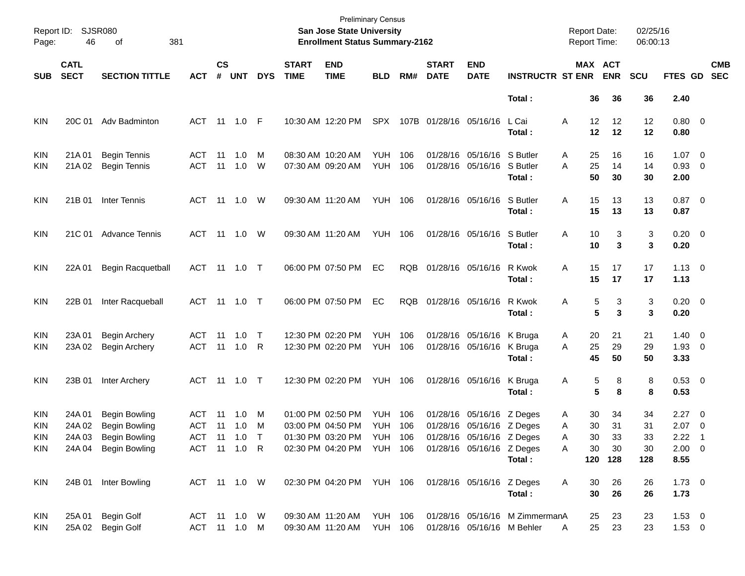| Page:                                  | Report ID: SJSR080<br>46            | 381<br>οf                                                                                    |                                            |                    |               |             |                             | San Jose State University<br><b>Enrollment Status Summary-2162</b>                       | <b>Preliminary Census</b>           |            |                             |                                                                                                                  |                                | <b>Report Date:</b><br><b>Report Time:</b> |                                 | 02/25/16<br>06:00:13        |                                                 |                                                        |
|----------------------------------------|-------------------------------------|----------------------------------------------------------------------------------------------|--------------------------------------------|--------------------|---------------|-------------|-----------------------------|------------------------------------------------------------------------------------------|-------------------------------------|------------|-----------------------------|------------------------------------------------------------------------------------------------------------------|--------------------------------|--------------------------------------------|---------------------------------|-----------------------------|-------------------------------------------------|--------------------------------------------------------|
| <b>SUB</b>                             | <b>CATL</b><br><b>SECT</b>          | <b>SECTION TITTLE</b>                                                                        | <b>ACT</b>                                 | $\mathsf{cs}$<br># | <b>UNT</b>    | <b>DYS</b>  | <b>START</b><br><b>TIME</b> | <b>END</b><br><b>TIME</b>                                                                | <b>BLD</b>                          | RM#        | <b>START</b><br><b>DATE</b> | <b>END</b><br><b>DATE</b>                                                                                        | <b>INSTRUCTR ST ENR</b>        | MAX ACT                                    | <b>ENR</b>                      | <b>SCU</b>                  | FTES GD                                         | <b>CMB</b><br><b>SEC</b>                               |
|                                        |                                     |                                                                                              |                                            |                    |               |             |                             |                                                                                          |                                     |            |                             |                                                                                                                  | Total:                         | 36                                         | 36                              | 36                          | 2.40                                            |                                                        |
| <b>KIN</b>                             | 20C 01                              | Adv Badminton                                                                                | ACT                                        |                    | 11  1.0  F    |             |                             | 10:30 AM 12:20 PM                                                                        | <b>SPX</b>                          |            | 107B 01/28/16 05/16/16      |                                                                                                                  | L Cai<br>Total:                | 12<br>Α<br>12                              | 12<br>12                        | 12<br>12                    | $0.80 \ 0$<br>0.80                              |                                                        |
| <b>KIN</b><br><b>KIN</b>               | 21A 01<br>21A 02                    | <b>Begin Tennis</b><br><b>Begin Tennis</b>                                                   | ACT<br><b>ACT</b>                          | -11<br>11          | 1.0<br>1.0    | м<br>W      |                             | 08:30 AM 10:20 AM<br>07:30 AM 09:20 AM                                                   | <b>YUH</b><br><b>YUH</b>            | 106<br>106 |                             | 01/28/16 05/16/16 S Butler<br>01/28/16 05/16/16                                                                  | S Butler<br>Total:             | 25<br>A<br>25<br>A<br>50                   | 16<br>14<br>30                  | 16<br>14<br>30              | $1.07 \t 0$<br>$0.93$ 0<br>2.00                 |                                                        |
| <b>KIN</b>                             | 21B 01                              | Inter Tennis                                                                                 | ACT 11 1.0 W                               |                    |               |             |                             | 09:30 AM 11:20 AM                                                                        | <b>YUH 106</b>                      |            |                             | 01/28/16 05/16/16                                                                                                | S Butler<br>Total:             | 15<br>Α<br>15                              | 13<br>13                        | 13<br>13                    | $0.87$ 0<br>0.87                                |                                                        |
| <b>KIN</b>                             | 21C 01                              | <b>Advance Tennis</b>                                                                        | ACT 11 1.0 W                               |                    |               |             |                             | 09:30 AM 11:20 AM                                                                        | YUH                                 | 106        |                             | 01/28/16 05/16/16                                                                                                | S Butler<br>Total:             | 10<br>Α<br>10                              | 3<br>3                          | 3<br>3                      | $0.20 \ 0$<br>0.20                              |                                                        |
| <b>KIN</b>                             | 22A 01                              | <b>Begin Racquetball</b>                                                                     | ACT 11 1.0 T                               |                    |               |             |                             | 06:00 PM 07:50 PM                                                                        | EC                                  | <b>RQB</b> |                             | 01/28/16 05/16/16                                                                                                | R Kwok<br>Total:               | Α<br>15<br>15                              | 17<br>17                        | 17<br>17                    | $1.13 \ 0$<br>1.13                              |                                                        |
| <b>KIN</b>                             | 22B 01                              | Inter Racqueball                                                                             | ACT 11 1.0 T                               |                    |               |             |                             | 06:00 PM 07:50 PM                                                                        | EC                                  | <b>RQB</b> |                             | 01/28/16 05/16/16                                                                                                | R Kwok<br>Total:               | 5<br>Α<br>5                                | 3<br>3                          | 3<br>3                      | $0.20 \ 0$<br>0.20                              |                                                        |
| <b>KIN</b><br>KIN                      | 23A 01<br>23A 02                    | <b>Begin Archery</b><br><b>Begin Archery</b>                                                 | ACT<br><b>ACT</b>                          | 11                 | 1.0<br>11 1.0 | $\top$<br>R |                             | 12:30 PM 02:20 PM<br>12:30 PM 02:20 PM                                                   | <b>YUH</b><br><b>YUH</b>            | 106<br>106 |                             | 01/28/16 05/16/16<br>01/28/16 05/16/16                                                                           | K Bruga<br>K Bruga<br>Total:   | 20<br>A<br>25<br>A<br>45                   | 21<br>29<br>50                  | 21<br>29<br>50              | $1.40 \quad 0$<br>$1.93 \ 0$<br>3.33            |                                                        |
| <b>KIN</b>                             | 23B 01                              | Inter Archery                                                                                | ACT 11 1.0 T                               |                    |               |             |                             | 12:30 PM 02:20 PM                                                                        | YUH                                 | 106        |                             | 01/28/16 05/16/16                                                                                                | K Bruga<br>Total:              | Α<br>5<br>5                                | 8<br>8                          | 8<br>8                      | $0.53$ 0<br>0.53                                |                                                        |
| <b>KIN</b><br><b>KIN</b><br>KIN<br>KIN | 24A 01<br>24A 02<br>24A03<br>24A 04 | <b>Begin Bowling</b><br><b>Begin Bowling</b><br><b>Begin Bowling</b><br><b>Begin Bowling</b> | ACT<br>ACT<br>ACT 11 1.0 T<br>ACT 11 1.0 R | 11                 | 1.0<br>11 1.0 | м<br>м      |                             | 01:00 PM 02:50 PM<br>03:00 PM 04:50 PM<br>01:30 PM 03:20 PM YUH 106<br>02:30 PM 04:20 PM | <b>YUH</b><br>YUH<br><b>YUH 106</b> | 106<br>106 |                             | 01/28/16 05/16/16 Z Deges<br>01/28/16 05/16/16 Z Deges<br>01/28/16 05/16/16 Z Deges<br>01/28/16 05/16/16 Z Deges | Total:                         | 30<br>A<br>30<br>Α<br>30<br>A<br>30<br>A   | 34<br>31<br>33<br>30<br>120 128 | 34<br>31<br>33<br>30<br>128 | 2.27<br>$2.07$ 0<br>2.22<br>$2.00 \t 0$<br>8.55 | $\overline{\phantom{0}}$<br>$\overline{\phantom{0}}$ 1 |
| KIN                                    | 24B 01                              | Inter Bowling                                                                                | ACT 11 1.0 W                               |                    |               |             |                             | 02:30 PM 04:20 PM YUH 106                                                                |                                     |            |                             | 01/28/16 05/16/16 Z Deges                                                                                        | Total:                         | 30<br>Α<br>30                              | 26<br>26                        | 26<br>26                    | $1.73 \t 0$<br>1.73                             |                                                        |
| KIN<br>KIN                             | 25A 01<br>25A 02                    | Begin Golf<br><b>Begin Golf</b>                                                              | ACT 11 1.0 W<br>ACT 11 1.0 M               |                    |               |             |                             | 09:30 AM 11:20 AM<br>09:30 AM 11:20 AM                                                   | <b>YUH 106</b><br><b>YUH 106</b>    |            |                             | 01/28/16 05/16/16 M Behler                                                                                       | 01/28/16 05/16/16 M ZimmermanA | 25<br>25<br>A                              | 23<br>23                        | 23<br>23                    | $1.53 \t 0$<br>$1.53 \t 0$                      |                                                        |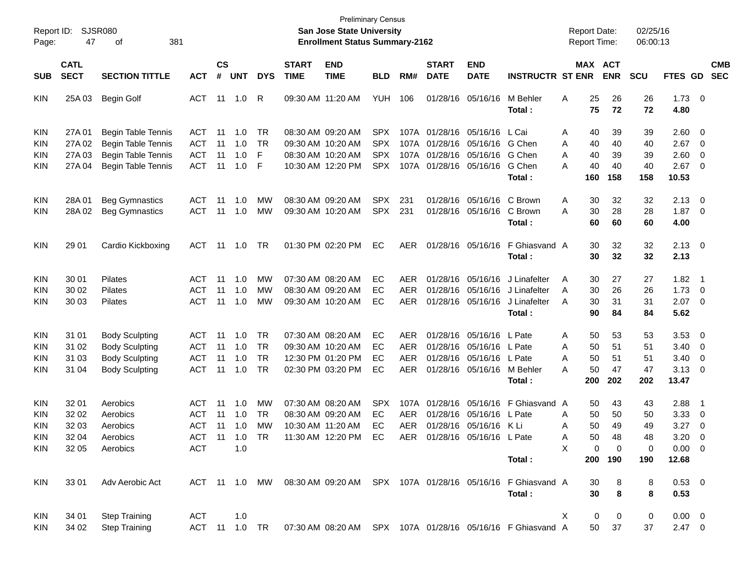| Report ID:<br>Page: | 47                         | SJSR080<br>381<br>οf      |               |                             |                |            |                             | <b>San Jose State University</b><br><b>Enrollment Status Summary-2162</b> | <b>Preliminary Census</b> |            |                             |                           |                                                                          | <b>Report Date:</b><br><b>Report Time:</b> |                       | 02/25/16<br>06:00:13 |                    |                          |                          |
|---------------------|----------------------------|---------------------------|---------------|-----------------------------|----------------|------------|-----------------------------|---------------------------------------------------------------------------|---------------------------|------------|-----------------------------|---------------------------|--------------------------------------------------------------------------|--------------------------------------------|-----------------------|----------------------|--------------------|--------------------------|--------------------------|
| <b>SUB</b>          | <b>CATL</b><br><b>SECT</b> | <b>SECTION TITTLE</b>     | <b>ACT</b>    | $\mathbf{c}\mathbf{s}$<br># | <b>UNT</b>     | <b>DYS</b> | <b>START</b><br><b>TIME</b> | <b>END</b><br><b>TIME</b>                                                 | <b>BLD</b>                | RM#        | <b>START</b><br><b>DATE</b> | <b>END</b><br><b>DATE</b> | <b>INSTRUCTR ST ENR</b>                                                  |                                            | MAX ACT<br><b>ENR</b> | <b>SCU</b>           | FTES GD            |                          | <b>CMB</b><br><b>SEC</b> |
|                     |                            |                           |               |                             |                |            |                             |                                                                           |                           |            |                             |                           |                                                                          |                                            |                       |                      |                    |                          |                          |
| KIN                 | 25A 03                     | Begin Golf                | ACT           |                             | $11 \quad 1.0$ | R          | 09:30 AM 11:20 AM           |                                                                           | <b>YUH</b>                | 106        |                             | 01/28/16 05/16/16         | M Behler<br>Total :                                                      | Α<br>75                                    | 25<br>26<br>72        | 26<br>72             | $1.73 \ 0$<br>4.80 |                          |                          |
| <b>KIN</b>          | 27A 01                     | <b>Begin Table Tennis</b> | ACT           | 11                          | 1.0            | TR         |                             | 08:30 AM 09:20 AM                                                         | <b>SPX</b>                |            |                             | 107A 01/28/16 05/16/16    | L Cai                                                                    | 40<br>A                                    | 39                    | 39                   | $2.60 \t 0$        |                          |                          |
| KIN                 | 27A 02                     | <b>Begin Table Tennis</b> | ACT           | 11                          | 1.0            | TR         |                             | 09:30 AM 10:20 AM                                                         | <b>SPX</b>                |            | 107A 01/28/16 05/16/16      |                           | G Chen                                                                   | A                                          | 40<br>40              | 40                   | 2.67               | $\overline{\phantom{0}}$ |                          |
| KIN                 | 27A 03                     | <b>Begin Table Tennis</b> | <b>ACT</b>    | 11                          | 1.0            | F          |                             | 08:30 AM 10:20 AM                                                         | <b>SPX</b>                |            |                             | 107A 01/28/16 05/16/16    | G Chen                                                                   | 40<br>A                                    | 39                    | 39                   | 2.60               | 0                        |                          |
| KIN                 | 27A 04                     | <b>Begin Table Tennis</b> | <b>ACT</b>    | 11                          | 1.0            | F          |                             | 10:30 AM 12:20 PM                                                         | <b>SPX</b>                |            |                             | 107A 01/28/16 05/16/16    | G Chen                                                                   | 40<br>A                                    | 40                    | 40                   | 2.67               | $\overline{\phantom{0}}$ |                          |
|                     |                            |                           |               |                             |                |            |                             |                                                                           |                           |            |                             |                           | Total :                                                                  | 160                                        | 158                   | 158                  | 10.53              |                          |                          |
| KIN                 | 28A 01                     | <b>Beg Gymnastics</b>     | ACT           | 11                          | 1.0            | MW         |                             | 08:30 AM 09:20 AM                                                         | <b>SPX</b>                | 231        |                             | 01/28/16 05/16/16         | C Brown                                                                  | A                                          | 32<br>30              | 32                   | 2.13               | $\overline{\phantom{0}}$ |                          |
| KIN                 | 28A 02                     | <b>Beg Gymnastics</b>     | ACT           | 11                          | 1.0            | <b>MW</b>  |                             | 09:30 AM 10:20 AM                                                         | <b>SPX</b>                | 231        |                             | 01/28/16 05/16/16         | C Brown                                                                  | A                                          | 30<br>28              | 28                   | $1.87 \t 0$        |                          |                          |
|                     |                            |                           |               |                             |                |            |                             |                                                                           |                           |            |                             |                           | Total :                                                                  | 60                                         | 60                    | 60                   | 4.00               |                          |                          |
| KIN                 | 29 01                      | Cardio Kickboxing         | ACT           | 11                          | 1.0            | TR         |                             | 01:30 PM 02:20 PM                                                         | EC                        | AER        |                             | 01/28/16 05/16/16         | F Ghiasvand A                                                            |                                            | 32<br>30              | 32                   | $2.13 \ 0$         |                          |                          |
|                     |                            |                           |               |                             |                |            |                             |                                                                           |                           |            |                             |                           | Total :                                                                  |                                            | 30<br>32              | 32                   | 2.13               |                          |                          |
| <b>KIN</b>          | 30 01                      | Pilates                   | ACT           | 11                          | 1.0            | MW         |                             | 07:30 AM 08:20 AM                                                         | ЕC                        | AER.       |                             | 01/28/16 05/16/16         | J Linafelter                                                             | Α                                          | 30<br>27              | 27                   | $1.82$ 1           |                          |                          |
| KIN                 | 30 02                      | Pilates                   | <b>ACT</b>    | 11                          | 1.0            | МW         |                             | 08:30 AM 09:20 AM                                                         | ЕC                        | <b>AER</b> |                             | 01/28/16 05/16/16         | J Linafelter                                                             | A                                          | 26<br>30              | 26                   | 1.73               | $\overline{\phantom{0}}$ |                          |
| KIN                 | 30 03                      | <b>Pilates</b>            | <b>ACT</b>    | 11                          | 1.0            | <b>MW</b>  |                             | 09:30 AM 10:20 AM                                                         | ЕC                        | <b>AER</b> |                             | 01/28/16 05/16/16         | J Linafelter                                                             | A                                          | 30<br>31              | 31                   | $2.07$ 0           |                          |                          |
|                     |                            |                           |               |                             |                |            |                             |                                                                           |                           |            |                             |                           | Total:                                                                   | 90                                         | 84                    | 84                   | 5.62               |                          |                          |
| <b>KIN</b>          | 31 01                      | <b>Body Sculpting</b>     | ACT           | 11                          | 1.0            | TR         |                             | 07:30 AM 08:20 AM                                                         | ЕC                        | AER.       |                             | 01/28/16 05/16/16         | L Pate                                                                   | A                                          | 53<br>50              | 53                   | 3.53               | $\overline{\phantom{0}}$ |                          |
| KIN                 | 31 02                      | <b>Body Sculpting</b>     | ACT           | 11                          | 1.0            | TR         |                             | 09:30 AM 10:20 AM                                                         | EC                        | AER.       |                             | 01/28/16 05/16/16         | L Pate                                                                   | 50<br>Α                                    | 51                    | 51                   | 3.40               | $\overline{\mathbf{0}}$  |                          |
| KIN                 | 31 03                      | <b>Body Sculpting</b>     | <b>ACT</b>    | 11                          | 1.0            | TR         |                             | 12:30 PM 01:20 PM                                                         | ЕC                        | AER        |                             | 01/28/16 05/16/16         | L Pate                                                                   | 50<br>Α                                    | 51                    | 51                   | 3.40               | $\overline{\mathbf{0}}$  |                          |
| KIN                 | 31 04                      | <b>Body Sculpting</b>     | ACT           | 11                          | 1.0            | TR         |                             | 02:30 PM 03:20 PM                                                         | ЕC                        | <b>AER</b> |                             | 01/28/16 05/16/16         | M Behler                                                                 | 50<br>Α                                    | 47                    | 47                   | 3.13               | - 0                      |                          |
|                     |                            |                           |               |                             |                |            |                             |                                                                           |                           |            |                             |                           | Total :                                                                  | 200                                        | 202                   | 202                  | 13.47              |                          |                          |
| <b>KIN</b>          | 32 01                      | Aerobics                  | ACT           | 11                          | 1.0            | MW         |                             | 07:30 AM 08:20 AM                                                         | <b>SPX</b>                |            | 107A 01/28/16 05/16/16      |                           | F Ghiasvand A                                                            |                                            | 50<br>43              | 43                   | 2.88               | $\overline{\phantom{0}}$ |                          |
| KIN                 | 32 02                      | Aerobics                  | ACT           | 11                          | 1.0            | TR         |                             | 08:30 AM 09:20 AM                                                         | ЕC                        | <b>AER</b> |                             | 01/28/16 05/16/16         | L Pate                                                                   | 50<br>A                                    | 50                    | 50                   | 3.33               | $\overline{\mathbf{0}}$  |                          |
| KIN                 | 32 03                      | Aerobics                  | <b>ACT</b>    | 11                          | 1.0            | MW         |                             | 10:30 AM 11:20 AM                                                         | EC                        | <b>AER</b> |                             | 01/28/16 05/16/16 K Li    |                                                                          | 50<br>Α                                    | 49                    | 49                   | 3.27               | - 0                      |                          |
| KIN                 | 32 04                      | Aerobics                  | ACT           |                             |                | TR         |                             | 11:30 AM 12:20 PM                                                         | EC.                       | AER        |                             | 01/28/16 05/16/16 L Pate  |                                                                          | Α                                          | 50<br>48              | 48                   | 3.20               | - 0                      |                          |
| KIN                 | 32 05                      | Aerobics                  | <b>ACT</b>    |                             | 1.0            |            |                             |                                                                           |                           |            |                             |                           |                                                                          | X                                          | 0<br>$\mathbf 0$      | 0                    | $0.00 \t 0$        |                          |                          |
|                     |                            |                           |               |                             |                |            |                             |                                                                           |                           |            |                             |                           | Total :                                                                  |                                            | 200 190               | 190                  | 12.68              |                          |                          |
| KIN                 | 33 01                      | Adv Aerobic Act           |               |                             |                |            |                             |                                                                           |                           |            |                             |                           | ACT 11 1.0 MW 08:30 AM 09:20 AM SPX 107A 01/28/16 05/16/16 F Ghiasvand A |                                            | 30<br>8               | 8                    | $0.53$ 0           |                          |                          |
|                     |                            |                           |               |                             |                |            |                             |                                                                           |                           |            |                             |                           | Total:                                                                   |                                            | 8<br>30               | 8                    | 0.53               |                          |                          |
| KIN                 | 34 01                      | <b>Step Training</b>      | ACT           |                             | 1.0            |            |                             |                                                                           |                           |            |                             |                           |                                                                          | X.                                         | 0<br>0                | 0                    | $0.00 \quad 0$     |                          |                          |
| <b>KIN</b>          | 34 02                      | <b>Step Training</b>      | ACT 11 1.0 TR |                             |                |            |                             |                                                                           |                           |            |                             |                           | 07:30 AM 08:20 AM SPX 107A 01/28/16 05/16/16 F Ghiasvand A               |                                            | 50<br>37              | 37                   | $2.47 \t 0$        |                          |                          |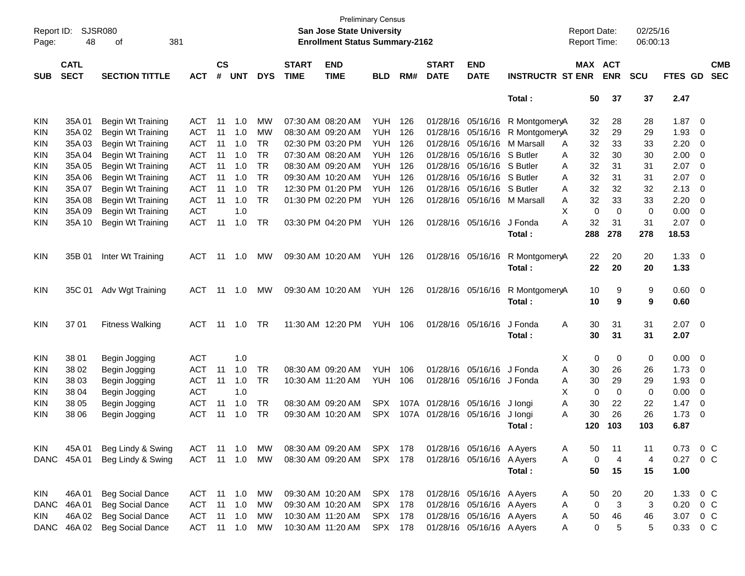| Page:      | Report ID:<br>SJSR080<br>48<br>381<br>οf<br><b>CATL</b> |                         |            |                    |               |            |                             | <b>San Jose State University</b><br><b>Enrollment Status Summary-2162</b> | <b>Preliminary Census</b> |     |                             |                           |                         | <b>Report Date:</b><br>Report Time: |             | 02/25/16<br>06:00:13 |          |                |                          |
|------------|---------------------------------------------------------|-------------------------|------------|--------------------|---------------|------------|-----------------------------|---------------------------------------------------------------------------|---------------------------|-----|-----------------------------|---------------------------|-------------------------|-------------------------------------|-------------|----------------------|----------|----------------|--------------------------|
| <b>SUB</b> | <b>SECT</b>                                             | <b>SECTION TITTLE</b>   | <b>ACT</b> | $\mathsf{cs}$<br># | <b>UNT</b>    | <b>DYS</b> | <b>START</b><br><b>TIME</b> | <b>END</b><br><b>TIME</b>                                                 | <b>BLD</b>                | RM# | <b>START</b><br><b>DATE</b> | <b>END</b><br><b>DATE</b> | <b>INSTRUCTR ST ENR</b> | <b>MAX ACT</b>                      | <b>ENR</b>  | <b>SCU</b>           | FTES GD  |                | <b>CMB</b><br><b>SEC</b> |
|            |                                                         |                         |            |                    |               |            |                             |                                                                           |                           |     |                             |                           | Total:                  | 50                                  | 37          | 37                   | 2.47     |                |                          |
| KIN        | 35A01                                                   | Begin Wt Training       | <b>ACT</b> | 11                 | 1.0           | МW         |                             | 07:30 AM 08:20 AM                                                         | YUH                       | 126 | 01/28/16                    | 05/16/16                  | R MontgomeryA           | 32                                  | 28          | 28                   | 1.87     | 0              |                          |
| KIN        | 35A 02                                                  | Begin Wt Training       | <b>ACT</b> | -11                | 1.0           | МW         |                             | 08:30 AM 09:20 AM                                                         | <b>YUH</b>                | 126 | 01/28/16                    | 05/16/16                  | R MontgomeryA           | 32                                  | 29          | 29                   | 1.93     | 0              |                          |
| KIN        | 35A03                                                   | Begin Wt Training       | <b>ACT</b> | -11                | 1.0           | <b>TR</b>  |                             | 02:30 PM 03:20 PM                                                         | <b>YUH</b>                | 126 | 01/28/16                    | 05/16/16                  | M Marsall<br>A          | 32                                  | 33          | 33                   | 2.20     | 0              |                          |
| KIN        | 35A 04                                                  | Begin Wt Training       | <b>ACT</b> | 11                 | 1.0           | <b>TR</b>  |                             | 07:30 AM 08:20 AM                                                         | <b>YUH</b>                | 126 | 01/28/16                    | 05/16/16 S Butler         | A                       | 32                                  | 30          | 30                   | 2.00     | 0              |                          |
| KIN        | 35A 05                                                  | Begin Wt Training       | <b>ACT</b> | 11                 | 1.0           | <b>TR</b>  |                             | 08:30 AM 09:20 AM                                                         | <b>YUH</b>                | 126 | 01/28/16                    | 05/16/16 S Butler         | A                       | 32                                  | 31          | 31                   | 2.07     | 0              |                          |
| KIN        | 35A 06                                                  | Begin Wt Training       | <b>ACT</b> | -11                | 1.0           | <b>TR</b>  |                             | 09:30 AM 10:20 AM                                                         | <b>YUH</b>                | 126 | 01/28/16                    | 05/16/16 S Butler         | A                       | 32                                  | 31          | 31                   | 2.07     | 0              |                          |
| KIN        | 35A 07                                                  | Begin Wt Training       | <b>ACT</b> | 11                 | 1.0           | <b>TR</b>  |                             | 12:30 PM 01:20 PM                                                         | <b>YUH</b>                | 126 | 01/28/16                    | 05/16/16 S Butler         | A                       | 32                                  | 32          | 32                   | 2.13     | 0              |                          |
| KIN        | 35A 08                                                  | Begin Wt Training       | <b>ACT</b> | 11                 | 1.0           | TR         |                             | 01:30 PM 02:20 PM                                                         | <b>YUH</b>                | 126 | 01/28/16                    |                           | 05/16/16 M Marsall<br>A | 32                                  | 33          | 33                   | 2.20     | 0              |                          |
| KIN        | 35A 09                                                  | Begin Wt Training       | <b>ACT</b> |                    | 1.0           |            |                             |                                                                           |                           |     |                             |                           | X                       | $\mathbf 0$                         | $\mathbf 0$ | 0                    | 0.00     | 0              |                          |
| KIN        | 35A 10                                                  | Begin Wt Training       | <b>ACT</b> | 11                 | 1.0           | <b>TR</b>  |                             | 03:30 PM 04:20 PM                                                         | <b>YUH</b>                | 126 | 01/28/16                    | 05/16/16                  | J Fonda<br>A            | 32                                  | 31          | 31                   | 2.07     | 0              |                          |
|            |                                                         |                         |            |                    |               |            |                             |                                                                           |                           |     |                             |                           | Total :                 | 288                                 | 278         | 278                  | 18.53    |                |                          |
|            |                                                         |                         |            |                    |               |            |                             |                                                                           |                           |     |                             |                           |                         |                                     |             |                      |          |                |                          |
| KIN        | 35B 01                                                  | Inter Wt Training       | ACT        | -11                | 1.0           | МW         |                             | 09:30 AM 10:20 AM                                                         | YUH                       | 126 | 01/28/16 05/16/16           |                           | R MontgomeryA           | 22                                  | 20          | 20                   | 1.33     | - 0            |                          |
|            |                                                         |                         |            |                    |               |            |                             |                                                                           |                           |     |                             |                           | Total:                  | 22                                  | 20          | 20                   | 1.33     |                |                          |
|            |                                                         |                         |            |                    |               |            |                             |                                                                           |                           |     |                             |                           |                         |                                     |             |                      |          |                |                          |
| KIN        | 35C 01                                                  | Adv Wgt Training        | ACT        | -11                | 1.0           | МW         |                             | 09:30 AM 10:20 AM                                                         | <b>YUH 126</b>            |     | 01/28/16 05/16/16           |                           | R MontgomeryA           | 10                                  | 9           | 9                    | 0.60     | - 0            |                          |
|            |                                                         |                         |            |                    |               |            |                             |                                                                           |                           |     |                             |                           | Total:                  | 10                                  | 9           | 9                    | 0.60     |                |                          |
|            | 37 01                                                   |                         | ACT        |                    | 1.0           | TR         |                             | 11:30 AM 12:20 PM                                                         | YUH                       | 106 | 01/28/16 05/16/16           |                           | J Fonda<br>A            | 30                                  |             | 31                   | 2.07     | - 0            |                          |
| KIN        |                                                         | <b>Fitness Walking</b>  |            | -11                |               |            |                             |                                                                           |                           |     |                             |                           |                         | 30                                  | 31<br>31    | 31                   | 2.07     |                |                          |
|            |                                                         |                         |            |                    |               |            |                             |                                                                           |                           |     |                             |                           | Total :                 |                                     |             |                      |          |                |                          |
| KIN        | 38 01                                                   | Begin Jogging           | <b>ACT</b> |                    | 1.0           |            |                             |                                                                           |                           |     |                             |                           | Х                       | 0                                   | 0           | 0                    | 0.00     | 0              |                          |
| KIN        | 38 02                                                   | Begin Jogging           | <b>ACT</b> | 11                 | 1.0           | <b>TR</b>  |                             | 08:30 AM 09:20 AM                                                         | <b>YUH</b>                | 106 | 01/28/16                    | 05/16/16                  | J Fonda<br>A            | 30                                  | 26          | 26                   | 1.73     | 0              |                          |
| <b>KIN</b> | 38 03                                                   | Begin Jogging           | <b>ACT</b> | 11                 | 1.0           | TR         |                             | 10:30 AM 11:20 AM                                                         | <b>YUH</b>                | 106 | 01/28/16                    | 05/16/16 J Fonda          | A                       | 30                                  | 29          | 29                   | 1.93     | 0              |                          |
| <b>KIN</b> | 38 04                                                   | Begin Jogging           | <b>ACT</b> |                    | 1.0           |            |                             |                                                                           |                           |     |                             |                           | X                       | 0                                   | $\mathbf 0$ | 0                    | 0.00     | 0              |                          |
| KIN        | 38 05                                                   | Begin Jogging           | <b>ACT</b> | 11                 | 1.0           | TR         |                             | 08:30 AM 09:20 AM                                                         | <b>SPX</b>                |     | 107A 01/28/16               | 05/16/16                  | J longi<br>A            | 30                                  | 22          | 22                   | 1.47     | 0              |                          |
| KIN        | 38 06                                                   | Begin Jogging           | <b>ACT</b> | -11                | 1.0           | <b>TR</b>  |                             | 09:30 AM 10:20 AM                                                         | <b>SPX</b>                |     | 107A 01/28/16               | 05/16/16                  | A<br>J longi            | 30                                  | 26          | 26                   | 1.73     | 0              |                          |
|            |                                                         |                         |            |                    |               |            |                             |                                                                           |                           |     |                             |                           | Total :                 | 120                                 | 103         | 103                  | 6.87     |                |                          |
|            |                                                         |                         |            |                    |               |            |                             |                                                                           |                           |     |                             |                           |                         |                                     |             |                      |          |                |                          |
| <b>KIN</b> | 45A 01                                                  | Beg Lindy & Swing       | ACT 11 1.0 |                    |               | MW         |                             | 08:30 AM 09:20 AM                                                         | SPX 178                   |     |                             | 01/28/16 05/16/16 A Ayers | A                       | 50                                  | 11          | 11                   | 0.73     | 0 <sup>C</sup> |                          |
|            | DANC 45A 01                                             | Beg Lindy & Swing       | ACT 11     |                    | 1.0           | MW         |                             | 08:30 AM 09:20 AM                                                         | SPX 178                   |     |                             | 01/28/16 05/16/16 A Ayers | Α                       | 0                                   | 4           | $\overline{4}$       | 0.27     | 0 <sup>C</sup> |                          |
|            |                                                         |                         |            |                    |               |            |                             |                                                                           |                           |     |                             |                           | Total:                  | 50                                  | 15          | 15                   | 1.00     |                |                          |
|            |                                                         |                         |            |                    |               |            |                             |                                                                           |                           |     |                             |                           |                         |                                     |             |                      |          |                |                          |
| KIN        | 46A 01                                                  | <b>Beg Social Dance</b> | ACT 11 1.0 |                    |               | MW         |                             | 09:30 AM 10:20 AM                                                         | SPX 178                   |     |                             | 01/28/16 05/16/16 A Ayers | A                       | 50                                  | 20          | 20                   | 1.33     | 0 <sup>C</sup> |                          |
| DANC       | 46A 01                                                  | <b>Beg Social Dance</b> | <b>ACT</b> | 11                 | 1.0           | MW         |                             | 09:30 AM 10:20 AM                                                         | SPX 178                   |     |                             | 01/28/16 05/16/16 A Ayers | A                       | 0                                   | 3           | 3                    | 0.20     | 0 <sup>C</sup> |                          |
| <b>KIN</b> | 46A 02                                                  | <b>Beg Social Dance</b> | ACT        | 11                 | 1.0           | MW         |                             | 10:30 AM 11:20 AM                                                         | SPX 178                   |     |                             | 01/28/16 05/16/16 A Ayers | A                       | 50                                  | 46          | 46                   | 3.07     | $0\,C$         |                          |
|            | DANC 46A 02                                             | <b>Beg Social Dance</b> |            |                    | ACT 11 1.0 MW |            |                             | 10:30 AM 11:20 AM                                                         | SPX 178                   |     |                             | 01/28/16 05/16/16 A Ayers | A                       | 0                                   | 5           | 5                    | 0.33 0 C |                |                          |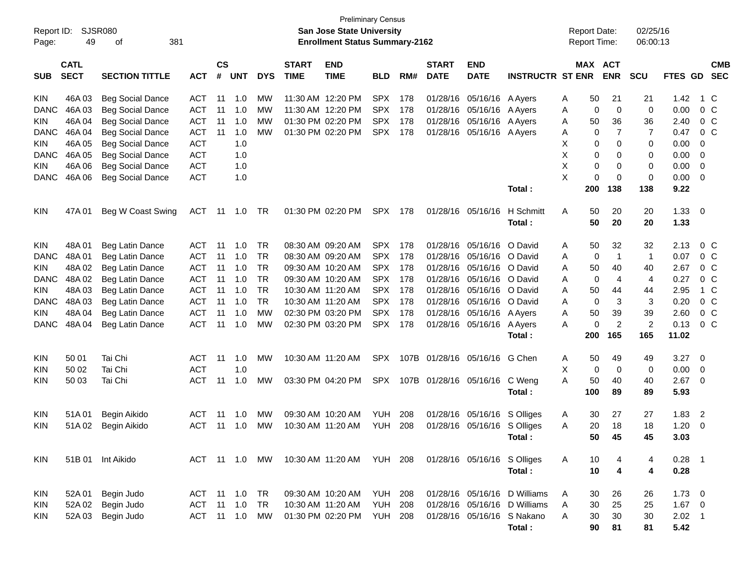| Report ID:<br>Page: | 49                         | SJSR080<br>381<br>οf    |            |                    |                |            |                             | <b>Preliminary Census</b><br>San Jose State University<br><b>Enrollment Status Summary-2162</b> |                |     |                             |                               |                              |   | <b>Report Date:</b><br><b>Report Time:</b> |                | 02/25/16<br>06:00:13 |                |                          |                          |
|---------------------|----------------------------|-------------------------|------------|--------------------|----------------|------------|-----------------------------|-------------------------------------------------------------------------------------------------|----------------|-----|-----------------------------|-------------------------------|------------------------------|---|--------------------------------------------|----------------|----------------------|----------------|--------------------------|--------------------------|
| <b>SUB</b>          | <b>CATL</b><br><b>SECT</b> | <b>SECTION TITTLE</b>   | <b>ACT</b> | $\mathsf{cs}$<br># | <b>UNT</b>     | <b>DYS</b> | <b>START</b><br><b>TIME</b> | <b>END</b><br><b>TIME</b>                                                                       | <b>BLD</b>     | RM# | <b>START</b><br><b>DATE</b> | <b>END</b><br><b>DATE</b>     | <b>INSTRUCTR ST ENR</b>      |   | MAX ACT                                    | <b>ENR</b>     | <b>SCU</b>           | <b>FTES GD</b> |                          | <b>CMB</b><br><b>SEC</b> |
| <b>KIN</b>          | 46A03                      | <b>Beg Social Dance</b> | <b>ACT</b> | 11                 | 1.0            | <b>MW</b>  |                             | 11:30 AM 12:20 PM                                                                               | <b>SPX</b>     | 178 | 01/28/16                    | 05/16/16                      | A Ayers                      | A | 50                                         | 21             | 21                   | 1.42           |                          | 1 C                      |
| <b>DANC</b>         | 46A03                      | <b>Beg Social Dance</b> | <b>ACT</b> | 11                 | 1.0            | MW         |                             | 11:30 AM 12:20 PM                                                                               | <b>SPX</b>     | 178 | 01/28/16                    | 05/16/16                      | A Ayers                      | A | 0                                          | 0              | 0                    | 0.00           |                          | 0 <sup>C</sup>           |
| KIN                 | 46A 04                     | <b>Beg Social Dance</b> | <b>ACT</b> | 11                 | 1.0            | MW         |                             | 01:30 PM 02:20 PM                                                                               | <b>SPX</b>     | 178 | 01/28/16                    | 05/16/16                      | A Ayers                      | A | 50                                         | 36             | 36                   | 2.40           |                          | 0 <sup>C</sup>           |
| <b>DANC</b>         | 46A 04                     | <b>Beg Social Dance</b> | <b>ACT</b> | 11                 | 1.0            | MW         |                             | 01:30 PM 02:20 PM                                                                               | <b>SPX</b>     | 178 | 01/28/16                    | 05/16/16 A Ayers              |                              | A | 0                                          | 7              | 7                    | 0.47           |                          | $0\,C$                   |
| KIN                 | 46A 05                     | <b>Beg Social Dance</b> | <b>ACT</b> |                    | 1.0            |            |                             |                                                                                                 |                |     |                             |                               |                              | X | 0                                          | 0              | 0                    | 0.00           | 0                        |                          |
| <b>DANC</b>         | 46A 05                     | <b>Beg Social Dance</b> | <b>ACT</b> |                    | 1.0            |            |                             |                                                                                                 |                |     |                             |                               |                              | X | 0                                          | 0              | 0                    | 0.00           | - 0                      |                          |
| KIN                 | 46A 06                     | <b>Beg Social Dance</b> | <b>ACT</b> |                    | 1.0            |            |                             |                                                                                                 |                |     |                             |                               |                              | X | 0                                          | 0              | 0                    | 0.00           | $\overline{\mathbf{0}}$  |                          |
| <b>DANC</b>         | 46A 06                     | <b>Beg Social Dance</b> | <b>ACT</b> |                    | 1.0            |            |                             |                                                                                                 |                |     |                             |                               |                              | X | 0                                          | 0              | 0                    | 0.00           | - 0                      |                          |
|                     |                            |                         |            |                    |                |            |                             |                                                                                                 |                |     |                             |                               | Total:                       |   | 200                                        | 138            | 138                  | 9.22           |                          |                          |
| <b>KIN</b>          | 47A 01                     | Beg W Coast Swing       | ACT        | 11                 | 1.0            | TR         |                             | 01:30 PM 02:20 PM                                                                               | SPX 178        |     | 01/28/16 05/16/16           |                               | H Schmitt                    | A | 50                                         | 20             | 20                   | 1.33           | $\overline{\phantom{0}}$ |                          |
|                     |                            |                         |            |                    |                |            |                             |                                                                                                 |                |     |                             |                               | Total:                       |   | 50                                         | 20             | 20                   | 1.33           |                          |                          |
| <b>KIN</b>          | 48A01                      | Beg Latin Dance         | <b>ACT</b> | 11                 | 1.0            | <b>TR</b>  |                             | 08:30 AM 09:20 AM                                                                               | <b>SPX</b>     | 178 | 01/28/16                    | 05/16/16                      | O David                      | A | 50                                         | 32             | 32                   | 2.13           |                          | $0\,C$                   |
| <b>DANC</b>         | 48A01                      | Beg Latin Dance         | <b>ACT</b> | 11                 | 1.0            | <b>TR</b>  |                             | 08:30 AM 09:20 AM                                                                               | <b>SPX</b>     | 178 | 01/28/16                    | 05/16/16                      | O David                      | A | 0                                          | $\mathbf{1}$   | $\mathbf{1}$         | 0.07           |                          | 0 <sup>C</sup>           |
| KIN                 | 48A 02                     | Beg Latin Dance         | <b>ACT</b> | 11                 | 1.0            | <b>TR</b>  |                             | 09:30 AM 10:20 AM                                                                               | <b>SPX</b>     | 178 | 01/28/16                    | 05/16/16                      | O David                      | A | 50                                         | 40             | 40                   | 2.67           |                          | 0 <sup>C</sup>           |
| <b>DANC</b>         | 48A02                      | Beg Latin Dance         | <b>ACT</b> | 11                 | 1.0            | <b>TR</b>  |                             | 09:30 AM 10:20 AM                                                                               | <b>SPX</b>     | 178 | 01/28/16                    | 05/16/16                      | O David                      | A | 0                                          | $\overline{4}$ | 4                    | 0.27           |                          | 0 <sup>C</sup>           |
| KIN                 | 48A03                      | Beg Latin Dance         | <b>ACT</b> | 11                 | 1.0            | <b>TR</b>  |                             | 10:30 AM 11:20 AM                                                                               | <b>SPX</b>     | 178 | 01/28/16                    | 05/16/16                      | O David                      | A | 50                                         | 44             | 44                   | 2.95           |                          | 1 C                      |
| <b>DANC</b>         | 48A03                      | Beg Latin Dance         | <b>ACT</b> | 11                 | 1.0            | <b>TR</b>  |                             | 10:30 AM 11:20 AM                                                                               | <b>SPX</b>     | 178 | 01/28/16                    | 05/16/16                      | O David                      | A | $\mathbf 0$                                | 3              | 3                    | 0.20           |                          | 0 <sup>C</sup>           |
| KIN                 | 48A 04                     | Beg Latin Dance         | <b>ACT</b> | 11                 | 1.0            | <b>MW</b>  |                             | 02:30 PM 03:20 PM                                                                               | <b>SPX</b>     | 178 | 01/28/16                    | 05/16/16                      | A Ayers                      | Α | 50                                         | 39             | 39                   | 2.60           |                          | 0 <sup>C</sup>           |
| <b>DANC</b>         | 48A 04                     | Beg Latin Dance         | <b>ACT</b> | 11                 | 1.0            | MW         |                             | 02:30 PM 03:20 PM                                                                               | SPX 178        |     |                             | 01/28/16 05/16/16             | A Ayers                      | Α | 0                                          | $\overline{c}$ | 2                    | 0.13           |                          | $0\,C$                   |
|                     |                            |                         |            |                    |                |            |                             |                                                                                                 |                |     |                             |                               | Total:                       |   | 200                                        | 165            | 165                  | 11.02          |                          |                          |
| <b>KIN</b>          | 50 01                      | Tai Chi                 | <b>ACT</b> | 11                 | 1.0            | MW         |                             | 10:30 AM 11:20 AM                                                                               | SPX            |     |                             | 107B 01/28/16 05/16/16 G Chen |                              | A | 50                                         | 49             | 49                   | 3.27           | $\overline{\mathbf{0}}$  |                          |
| KIN                 | 50 02                      | Tai Chi                 | <b>ACT</b> |                    | 1.0            |            |                             |                                                                                                 |                |     |                             |                               |                              | X | 0                                          | $\mathbf 0$    | 0                    | 0.00           | $\overline{\mathbf{0}}$  |                          |
| KIN                 | 50 03                      | Tai Chi                 | <b>ACT</b> | 11                 | 1.0            | MW         |                             | 03:30 PM 04:20 PM                                                                               | SPX            |     |                             | 107B 01/28/16 05/16/16        | C Weng                       | A | 50                                         | 40             | 40                   | 2.67           | - 0                      |                          |
|                     |                            |                         |            |                    |                |            |                             |                                                                                                 |                |     |                             |                               | Total:                       |   | 100                                        | 89             | 89                   | 5.93           |                          |                          |
| <b>KIN</b>          | 51A 01                     | Begin Aikido            | <b>ACT</b> | 11                 | 1.0            | MW         |                             | 09:30 AM 10:20 AM                                                                               | YUH            | 208 | 01/28/16                    | 05/16/16                      | S Olliges                    | A | 30                                         | 27             | 27                   | 1.83           | $\overline{2}$           |                          |
| KIN                 | 51A02                      | Begin Aikido            | ACT        | 11                 | 1.0            | <b>MW</b>  | 10:30 AM 11:20 AM           |                                                                                                 | YUH            | 208 |                             | 01/28/16 05/16/16             | S Olliges                    | A | 20                                         | 18             | 18                   | 1.20           | $\mathbf 0$              |                          |
|                     |                            |                         |            |                    |                |            |                             |                                                                                                 |                |     |                             |                               | Total:                       |   | 50                                         | 45             | 45                   | 3.03           |                          |                          |
| <b>KIN</b>          |                            | 51B 01 Int Aikido       |            |                    |                |            |                             | ACT 11 1.0 MW 10:30 AM 11:20 AM YUH 208                                                         |                |     |                             | 01/28/16 05/16/16 S Olliges   |                              | A | 10                                         | 4              | 4                    | $0.28$ 1       |                          |                          |
|                     |                            |                         |            |                    |                |            |                             |                                                                                                 |                |     |                             |                               | Total:                       |   | 10                                         | 4              | 4                    | 0.28           |                          |                          |
| KIN                 | 52A 01                     | Begin Judo              | ACT 11 1.0 |                    |                | TR         |                             | 09:30 AM 10:20 AM                                                                               | YUH 208        |     |                             |                               | 01/28/16 05/16/16 D Williams | A | 30                                         | 26             | 26                   | $1.73 \t 0$    |                          |                          |
| <b>KIN</b>          | 52A 02                     | Begin Judo              | ACT        |                    | $11 \quad 1.0$ | TR         | 10:30 AM 11:20 AM           |                                                                                                 | <b>YUH 208</b> |     |                             | 01/28/16 05/16/16             | D Williams                   | A | 30                                         | 25             | 25                   | $1.67$ 0       |                          |                          |
| <b>KIN</b>          | 52A 03                     | Begin Judo              | ACT 11 1.0 |                    |                | MW         |                             | 01:30 PM 02:20 PM                                                                               | <b>YUH 208</b> |     |                             |                               | 01/28/16 05/16/16 S Nakano   | A | 30                                         | 30             | 30                   | $2.02$ 1       |                          |                          |
|                     |                            |                         |            |                    |                |            |                             |                                                                                                 |                |     |                             |                               | Total:                       |   | 90                                         | 81             | 81                   | 5.42           |                          |                          |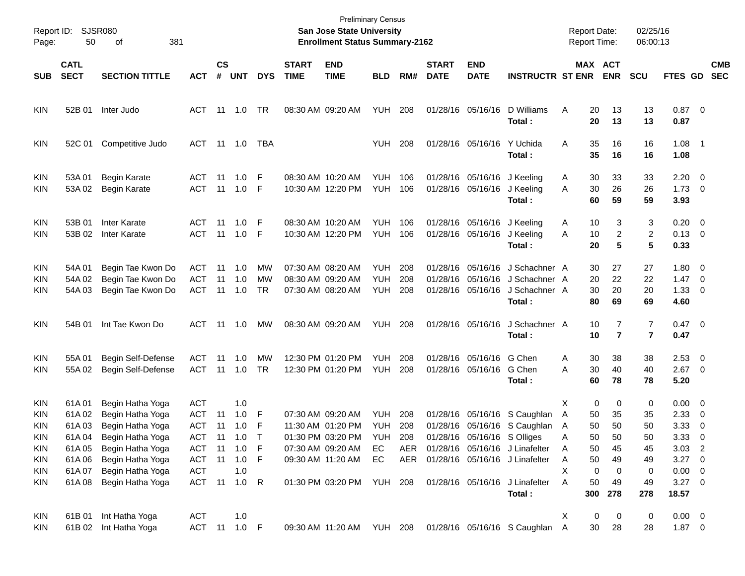| Report ID:<br>Page:                                         | 50                                                    | SJSR080<br>381<br>οf                                                                                                 |                                                                               |                                      |                                 |                |                                                             | <b>Preliminary Census</b><br><b>San Jose State University</b><br><b>Enrollment Status Summary-2162</b> |                                                   |                   |                             |                                                      |                                                                                                                                          | <b>Report Date:</b><br><b>Report Time:</b>               |                                      | 02/25/16<br>06:00:13            |                                                               |                                                            |                          |
|-------------------------------------------------------------|-------------------------------------------------------|----------------------------------------------------------------------------------------------------------------------|-------------------------------------------------------------------------------|--------------------------------------|---------------------------------|----------------|-------------------------------------------------------------|--------------------------------------------------------------------------------------------------------|---------------------------------------------------|-------------------|-----------------------------|------------------------------------------------------|------------------------------------------------------------------------------------------------------------------------------------------|----------------------------------------------------------|--------------------------------------|---------------------------------|---------------------------------------------------------------|------------------------------------------------------------|--------------------------|
| <b>SUB</b>                                                  | <b>CATL</b><br><b>SECT</b>                            | <b>SECTION TITTLE</b>                                                                                                | <b>ACT</b>                                                                    | $\mathbf{c}\mathbf{s}$<br>$\pmb{\#}$ | <b>UNT</b>                      | <b>DYS</b>     | <b>START</b><br><b>TIME</b>                                 | <b>END</b><br><b>TIME</b>                                                                              | <b>BLD</b>                                        | RM#               | <b>START</b><br><b>DATE</b> | <b>END</b><br><b>DATE</b>                            | <b>INSTRUCTR ST ENR</b>                                                                                                                  |                                                          | MAX ACT<br><b>ENR</b>                | <b>SCU</b>                      | FTES GD                                                       |                                                            | <b>CMB</b><br><b>SEC</b> |
| <b>KIN</b>                                                  | 52B 01                                                | Inter Judo                                                                                                           | ACT                                                                           | 11                                   | 1.0                             | TR             | 08:30 AM 09:20 AM                                           |                                                                                                        | <b>YUH 208</b>                                    |                   |                             | 01/28/16 05/16/16                                    | D Williams<br>Total :                                                                                                                    | A<br>20<br>20                                            | 13<br>13                             | 13<br>13                        | $0.87$ 0<br>0.87                                              |                                                            |                          |
| <b>KIN</b>                                                  | 52C 01                                                | Competitive Judo                                                                                                     | ACT                                                                           |                                      | 11  1.0                         | TBA            |                                                             |                                                                                                        | <b>YUH</b>                                        | 208               |                             | 01/28/16 05/16/16 Y Uchida                           | Total :                                                                                                                                  | 35<br>A<br>35                                            | 16<br>16                             | 16<br>16                        | $1.08$ 1<br>1.08                                              |                                                            |                          |
| <b>KIN</b><br><b>KIN</b>                                    | 53A 01<br>53A02                                       | Begin Karate<br>Begin Karate                                                                                         | ACT<br>ACT                                                                    | 11<br>11                             | 1.0<br>1.0 F                    | -F             | 08:30 AM 10:20 AM                                           | 10:30 AM 12:20 PM                                                                                      | YUH<br><b>YUH</b>                                 | 106<br>106        |                             | 01/28/16 05/16/16                                    | 01/28/16 05/16/16 J Keeling<br>J Keeling<br>Total :                                                                                      | 30<br>A<br>30<br>A<br>60                                 | 33<br>26<br>59                       | 33<br>26<br>59                  | $2.20 \t 0$<br>$1.73 \t 0$<br>3.93                            |                                                            |                          |
| <b>KIN</b><br><b>KIN</b>                                    | 53B 01<br>53B 02                                      | <b>Inter Karate</b><br><b>Inter Karate</b>                                                                           | ACT<br>ACT                                                                    | 11<br>11                             | 1.0<br>1.0                      | -F<br>- F      | 08:30 AM 10:20 AM                                           | 10:30 AM 12:20 PM                                                                                      | YUH<br>YUH                                        | 106<br>106        |                             | 01/28/16 05/16/16                                    | 01/28/16 05/16/16 J Keeling<br>J Keeling<br>Total :                                                                                      | 10<br>A<br>10<br>A<br>20                                 | 3<br>$\overline{c}$<br>5             | 3<br>2<br>5                     | $0.20 \ 0$<br>$0.13 \quad 0$<br>0.33                          |                                                            |                          |
| <b>KIN</b><br><b>KIN</b><br><b>KIN</b>                      | 54A 01<br>54A 02<br>54A 03                            | Begin Tae Kwon Do<br>Begin Tae Kwon Do<br>Begin Tae Kwon Do                                                          | ACT<br>ACT<br>ACT                                                             | 11<br>11<br>11                       | 1.0<br>1.0<br>1.0               | МW<br>МW<br>TR | 07:30 AM 08:20 AM<br>08:30 AM 09:20 AM<br>07:30 AM 08:20 AM |                                                                                                        | <b>YUH</b><br><b>YUH</b><br><b>YUH</b>            | 208<br>208<br>208 |                             |                                                      | 01/28/16 05/16/16 J Schachner A<br>01/28/16 05/16/16 J Schachner A<br>01/28/16 05/16/16 J Schachner A<br>Total :                         | 30<br>20<br>30<br>80                                     | 27<br>22<br>20<br>69                 | 27<br>22<br>20<br>69            | $1.80 \t 0$<br>$1.47 \quad 0$<br>$1.33 \ 0$<br>4.60           |                                                            |                          |
| <b>KIN</b>                                                  | 54B 01                                                | Int Tae Kwon Do                                                                                                      | ACT                                                                           | 11                                   | 1.0                             | МW             | 08:30 AM 09:20 AM                                           |                                                                                                        | <b>YUH 208</b>                                    |                   |                             | 01/28/16 05/16/16                                    | J Schachner A<br>Total :                                                                                                                 | 10<br>10                                                 | 7<br>$\overline{7}$                  | 7<br>$\overline{7}$             | $0.47 \quad 0$<br>0.47                                        |                                                            |                          |
| <b>KIN</b><br><b>KIN</b>                                    | 55A 01<br>55A 02                                      | Begin Self-Defense<br>Begin Self-Defense                                                                             | ACT<br>ACT                                                                    | 11                                   | 1.0<br>11  1.0                  | МW<br>TR       | 12:30 PM 01:20 PM                                           | 12:30 PM 01:20 PM                                                                                      | <b>YUH</b><br>YUH                                 | 208<br>208        |                             | 01/28/16 05/16/16 G Chen<br>01/28/16 05/16/16 G Chen | Total :                                                                                                                                  | 30<br>A<br>30<br>A<br>60                                 | 38<br>40<br>78                       | 38<br>40<br>78                  | $2.53$ 0<br>$2.67$ 0<br>5.20                                  |                                                            |                          |
| <b>KIN</b><br><b>KIN</b><br>KIN<br>KIN<br><b>KIN</b><br>KIN | 61A01<br>61A 02<br>61A03<br>61A 04<br>61A 05<br>61A06 | Begin Hatha Yoga<br>Begin Hatha Yoga<br>Begin Hatha Yoga<br>Begin Hatha Yoga<br>Begin Hatha Yoga<br>Begin Hatha Yoga | <b>ACT</b><br><b>ACT</b><br><b>ACT</b><br>ACT<br>ACT 11 1.0 F<br>ACT 11 1.0 F | 11<br>11                             | 1.0<br>1.0<br>1.0<br>11  1.0  T | - F<br>-F      | 07:30 AM 09:20 AM                                           | 11:30 AM 01:20 PM<br>01:30 PM 03:20 PM<br>07:30 AM 09:20 AM EC<br>09:30 AM 11:20 AM                    | <b>YUH</b><br><b>YUH</b><br><b>YUH 208</b><br>EC. | 208<br>208        |                             | 01/28/16 05/16/16 S Olliges                          | 01/28/16 05/16/16 S Caughlan<br>01/28/16 05/16/16 S Caughlan<br>AER 01/28/16 05/16/16 J Linafelter<br>AER 01/28/16 05/16/16 J Linafelter | Х<br>50<br>A<br>50<br>A<br>50<br>A<br>50<br>A<br>50<br>A | 0<br>0<br>35<br>50<br>50<br>45<br>49 | 0<br>35<br>50<br>50<br>45<br>49 | $0.00 \t 0$<br>2.33<br>3.33<br>3.33<br>$3.03$ 2<br>$3.27 \ 0$ | $\overline{\phantom{0}}$<br>$\overline{\mathbf{0}}$<br>- 0 |                          |
| <b>KIN</b><br>KIN                                           | 61A 07<br>61A08                                       | Begin Hatha Yoga<br>Begin Hatha Yoga                                                                                 | ACT<br>ACT 11 1.0 R                                                           |                                      | 1.0                             |                |                                                             |                                                                                                        |                                                   |                   |                             |                                                      | 01:30 PM 03:20 PM YUH 208 01/28/16 05/16/16 J Linafelter<br>Total :                                                                      | Χ<br>A<br>50<br>300                                      | 0<br>0<br>49<br>278                  | 0<br>49<br>278                  | $0.00 \t 0$<br>$3.27 \ 0$<br>18.57                            |                                                            |                          |
| KIN<br>KIN                                                  |                                                       | 61B 01 Int Hatha Yoga<br>61B 02 Int Hatha Yoga                                                                       | ACT<br>ACT 11 1.0 F                                                           |                                      | 1.0                             |                |                                                             |                                                                                                        |                                                   |                   |                             |                                                      | 09:30 AM 11:20 AM YUH 208 01/28/16 05/16/16 S Caughlan A                                                                                 | X.<br>30                                                 | 0<br>0<br>28                         | 0<br>28                         | $0.00 \quad 0$<br>$1.87 \t 0$                                 |                                                            |                          |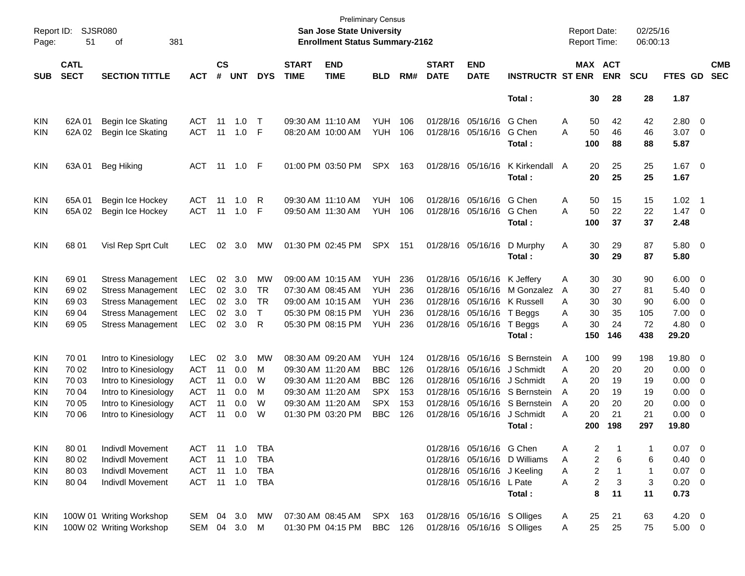| Page:      | <b>SJSR080</b><br>Report ID:<br>381<br>51<br>οf |                          |                |                    |                |              |                             | <b>San Jose State University</b><br><b>Enrollment Status Summary-2162</b> | <b>Preliminary Census</b> |     |                             |                             |                               |   | <b>Report Date:</b><br><b>Report Time:</b> |            | 02/25/16<br>06:00:13 |                |                          |                          |
|------------|-------------------------------------------------|--------------------------|----------------|--------------------|----------------|--------------|-----------------------------|---------------------------------------------------------------------------|---------------------------|-----|-----------------------------|-----------------------------|-------------------------------|---|--------------------------------------------|------------|----------------------|----------------|--------------------------|--------------------------|
| <b>SUB</b> | <b>CATL</b><br><b>SECT</b>                      | <b>SECTION TITTLE</b>    | <b>ACT</b>     | $\mathsf{cs}$<br># | <b>UNT</b>     | <b>DYS</b>   | <b>START</b><br><b>TIME</b> | <b>END</b><br><b>TIME</b>                                                 | <b>BLD</b>                | RM# | <b>START</b><br><b>DATE</b> | <b>END</b><br><b>DATE</b>   | <b>INSTRUCTR ST ENR</b>       |   | MAX ACT                                    | <b>ENR</b> | <b>SCU</b>           | FTES GD        |                          | <b>CMB</b><br><b>SEC</b> |
|            |                                                 |                          |                |                    |                |              |                             |                                                                           |                           |     |                             |                             | Total:                        |   | 30                                         | 28         | 28                   | 1.87           |                          |                          |
| <b>KIN</b> | 62A 01                                          | Begin Ice Skating        | ACT            | 11                 | 1.0            | $\top$       |                             | 09:30 AM 11:10 AM                                                         | <b>YUH</b>                | 106 |                             | 01/28/16 05/16/16           | G Chen                        | Α | 50                                         | 42         | 42                   | 2.80 0         |                          |                          |
| <b>KIN</b> | 62A 02                                          | Begin Ice Skating        | <b>ACT</b>     | 11                 | 1.0            | F            |                             | 08:20 AM 10:00 AM                                                         | <b>YUH</b>                | 106 |                             | 01/28/16 05/16/16           | G Chen                        | Α | 50                                         | 46         | 46                   | $3.07$ 0       |                          |                          |
|            |                                                 |                          |                |                    |                |              |                             |                                                                           |                           |     |                             |                             | Total:                        |   | 100                                        | 88         | 88                   | 5.87           |                          |                          |
| <b>KIN</b> | 63A 01                                          | <b>Beg Hiking</b>        | ACT            | -11                | 1.0            | - F          |                             | 01:00 PM 03:50 PM                                                         | <b>SPX</b>                | 163 |                             | 01/28/16 05/16/16           | K Kirkendall                  | A | 20                                         | 25         | 25                   | $1.67$ 0       |                          |                          |
|            |                                                 |                          |                |                    |                |              |                             |                                                                           |                           |     |                             |                             | Total:                        |   | 20                                         | 25         | 25                   | 1.67           |                          |                          |
| <b>KIN</b> | 65A01                                           | Begin Ice Hockey         | ACT            | 11                 | 1.0            | R            | 09:30 AM 11:10 AM           |                                                                           | <b>YUH</b>                | 106 |                             | 01/28/16 05/16/16           | G Chen                        | Α | 50                                         | 15         | 15                   | $1.02$ 1       |                          |                          |
| <b>KIN</b> | 65A 02                                          | Begin Ice Hockey         | <b>ACT</b>     | 11                 | 1.0            | -F           |                             | 09:50 AM 11:30 AM                                                         | <b>YUH</b>                | 106 |                             | 01/28/16 05/16/16           | G Chen                        | A | 50                                         | 22         | 22                   | $1.47 \quad 0$ |                          |                          |
|            |                                                 |                          |                |                    |                |              |                             |                                                                           |                           |     |                             |                             | Total:                        |   | 100                                        | 37         | 37                   | 2.48           |                          |                          |
| <b>KIN</b> | 68 01                                           | Visl Rep Sprt Cult       | <b>LEC</b>     | 02                 | 3.0            | МW           |                             | 01:30 PM 02:45 PM                                                         | <b>SPX</b>                | 151 |                             | 01/28/16 05/16/16           | D Murphy                      | Α | 30                                         | 29         | 87                   | 5.80 0         |                          |                          |
|            |                                                 |                          |                |                    |                |              |                             |                                                                           |                           |     |                             |                             | Total:                        |   | 30                                         | 29         | 87                   | 5.80           |                          |                          |
| <b>KIN</b> | 69 01                                           | <b>Stress Management</b> | <b>LEC</b>     | 02                 | 3.0            | MW           |                             | 09:00 AM 10:15 AM                                                         | <b>YUH</b>                | 236 |                             | 01/28/16 05/16/16           | K Jeffery                     | Α | 30                                         | 30         | 90                   | $6.00 \quad 0$ |                          |                          |
| KIN        | 69 02                                           | <b>Stress Management</b> | <b>LEC</b>     | 02                 | 3.0            | <b>TR</b>    |                             | 07:30 AM 08:45 AM                                                         | <b>YUH</b>                | 236 |                             | 01/28/16 05/16/16           | M Gonzalez                    | A | 30                                         | 27         | 81                   | 5.40           | $\overline{\phantom{0}}$ |                          |
| KIN        | 6903                                            | <b>Stress Management</b> | <b>LEC</b>     | 02                 | 3.0            | <b>TR</b>    |                             | 09:00 AM 10:15 AM                                                         | <b>YUH</b>                | 236 |                             |                             | 01/28/16 05/16/16 K Russell   | A | 30                                         | 30         | 90                   | 6.00           | $\overline{\phantom{0}}$ |                          |
| KIN        | 69 04                                           | <b>Stress Management</b> | <b>LEC</b>     | 02                 | 3.0            | $\mathsf{T}$ |                             | 05:30 PM 08:15 PM                                                         | <b>YUH</b>                | 236 |                             | 01/28/16 05/16/16           | T Beggs                       | A | 30                                         | 35         | 105                  | 7.00           | $\overline{\phantom{0}}$ |                          |
| <b>KIN</b> | 69 05                                           | <b>Stress Management</b> | <b>LEC</b>     | 02 <sub>2</sub>    | 3.0            | R            |                             | 05:30 PM 08:15 PM                                                         | YUH                       | 236 |                             | 01/28/16 05/16/16           | T Beggs                       | Α | 30                                         | 24         | 72                   | 4.80           | $\overline{\phantom{0}}$ |                          |
|            |                                                 |                          |                |                    |                |              |                             |                                                                           |                           |     |                             |                             | Total:                        |   | 150                                        | 146        | 438                  | 29.20          |                          |                          |
| <b>KIN</b> | 70 01                                           | Intro to Kinesiology     | <b>LEC</b>     | 02                 | 3.0            | MW           |                             | 08:30 AM 09:20 AM                                                         | <b>YUH</b>                | 124 |                             | 01/28/16 05/16/16           | S Bernstein                   | A | 100                                        | 99         | 198                  | 19.80 0        |                          |                          |
| KIN        | 70 02                                           | Intro to Kinesiology     | <b>ACT</b>     | 11                 | 0.0            | M            |                             | 09:30 AM 11:20 AM                                                         | <b>BBC</b>                | 126 |                             |                             | 01/28/16 05/16/16 J Schmidt   | A | 20                                         | 20         | 20                   | 0.00           | $\overline{\phantom{0}}$ |                          |
| KIN        | 70 03                                           | Intro to Kinesiology     | <b>ACT</b>     | 11                 | 0.0            | W            |                             | 09:30 AM 11:20 AM                                                         | <b>BBC</b>                | 126 |                             |                             | 01/28/16 05/16/16 J Schmidt   | A | 20                                         | 19         | 19                   | 0.00           | $\overline{\mathbf{0}}$  |                          |
| KIN        | 70 04                                           | Intro to Kinesiology     | <b>ACT</b>     | 11                 | 0.0            | M            |                             | 09:30 AM 11:20 AM                                                         | <b>SPX</b>                | 153 |                             |                             | 01/28/16 05/16/16 S Bernstein | A | 20                                         | 19         | 19                   | 0.00           | $\overline{\phantom{0}}$ |                          |
| KIN        | 70 05                                           | Intro to Kinesiology     | <b>ACT</b>     | 11                 | 0.0            | W            |                             | 09:30 AM 11:20 AM                                                         | <b>SPX</b>                | 153 |                             |                             | 01/28/16 05/16/16 S Bernstein | A | 20                                         | 20         | 20                   | 0.00           | $\overline{0}$           |                          |
| <b>KIN</b> | 70 06                                           | Intro to Kinesiology     | <b>ACT</b>     | 11                 | 0.0            | W            |                             | 01:30 PM 03:20 PM                                                         | <b>BBC</b>                | 126 |                             | 01/28/16 05/16/16           | J Schmidt                     | A | 20                                         | 21         | 21                   | 0.00           | $\overline{\phantom{0}}$ |                          |
|            |                                                 |                          |                |                    |                |              |                             |                                                                           |                           |     |                             |                             | Total :                       |   | 200                                        | 198        | 297                  | 19.80          |                          |                          |
| <b>KIN</b> | 80 01                                           | Indivdl Movement         | ACT            |                    | $11 \quad 1.0$ | TBA          |                             |                                                                           |                           |     |                             | 01/28/16 05/16/16 G Chen    |                               | Α | 2                                          |            | 1                    | $0.07$ 0       |                          |                          |
| <b>KIN</b> | 80 02                                           | <b>Indivdl Movement</b>  | ACT            | 11                 | 1.0            | <b>TBA</b>   |                             |                                                                           |                           |     |                             |                             | 01/28/16 05/16/16 D Williams  | Α | 2                                          | 6          | 6                    | $0.40 \ 0$     |                          |                          |
| <b>KIN</b> | 80 03                                           | <b>Indivdl Movement</b>  | ACT            |                    | 11 1.0         | TBA          |                             |                                                                           |                           |     |                             |                             | 01/28/16 05/16/16 J Keeling   | Α | 2                                          |            | 1                    | $0.07$ 0       |                          |                          |
| <b>KIN</b> | 80 04                                           | <b>Indivdl Movement</b>  | ACT 11 1.0 TBA |                    |                |              |                             |                                                                           |                           |     |                             | 01/28/16 05/16/16 L Pate    |                               | Α | $\overline{\mathbf{c}}$                    | 3          | 3                    | $0.20 \ 0$     |                          |                          |
|            |                                                 |                          |                |                    |                |              |                             |                                                                           |                           |     |                             |                             | Total:                        |   | 8                                          | 11         | 11                   | 0.73           |                          |                          |
| KIN        |                                                 | 100W 01 Writing Workshop | SEM 04 3.0     |                    |                | MW           |                             | 07:30 AM 08:45 AM                                                         | SPX 163                   |     |                             | 01/28/16 05/16/16 S Olliges |                               | A | 25                                         | 21         | 63                   | $4.20 \ 0$     |                          |                          |
| <b>KIN</b> |                                                 | 100W 02 Writing Workshop |                |                    | SEM 04 3.0 M   |              |                             | 01:30 PM 04:15 PM                                                         | BBC 126                   |     |                             | 01/28/16 05/16/16 S Olliges |                               | Α | 25                                         | 25         | 75                   | $5.00 \t 0$    |                          |                          |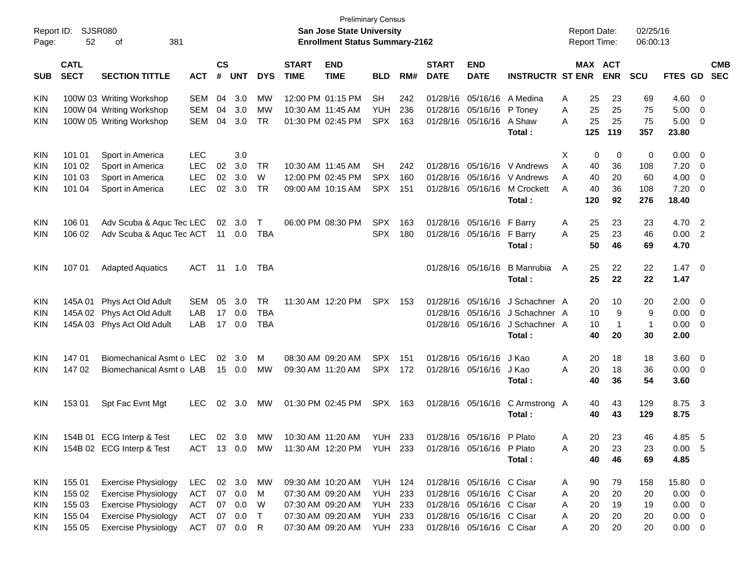| Report ID:<br>Page: | 52                         | <b>SJSR080</b><br>381<br>οf                              |                     |                |            |            |                             | <b>Preliminary Census</b><br><b>San Jose State University</b><br><b>Enrollment Status Summary-2162</b> |                                  |     |                             |                            |                                 |   |     | <b>Report Date:</b><br><b>Report Time:</b> | 02/25/16<br>06:00:13 |                |                          |            |
|---------------------|----------------------------|----------------------------------------------------------|---------------------|----------------|------------|------------|-----------------------------|--------------------------------------------------------------------------------------------------------|----------------------------------|-----|-----------------------------|----------------------------|---------------------------------|---|-----|--------------------------------------------|----------------------|----------------|--------------------------|------------|
| <b>SUB</b>          | <b>CATL</b><br><b>SECT</b> | <b>SECTION TITTLE</b>                                    | <b>ACT</b>          | <b>CS</b><br># | <b>UNT</b> | <b>DYS</b> | <b>START</b><br><b>TIME</b> | <b>END</b><br><b>TIME</b>                                                                              | <b>BLD</b>                       | RM# | <b>START</b><br><b>DATE</b> | <b>END</b><br><b>DATE</b>  | <b>INSTRUCTR ST ENR</b>         |   |     | <b>MAX ACT</b><br><b>ENR</b>               | <b>SCU</b>           | FTES GD SEC    |                          | <b>CMB</b> |
| KIN                 |                            | 100W 03 Writing Workshop                                 | SEM                 | 04             | 3.0        | MW         |                             | 12:00 PM 01:15 PM                                                                                      | <b>SH</b>                        | 242 |                             | 01/28/16 05/16/16 A Medina |                                 | A | 25  | 23                                         | 69                   | 4.60           | $\overline{\mathbf{0}}$  |            |
| <b>KIN</b>          |                            | 100W 04 Writing Workshop                                 | SEM                 | 04             | 3.0        | <b>MW</b>  | 10:30 AM 11:45 AM           |                                                                                                        | <b>YUH</b>                       | 236 |                             | 01/28/16 05/16/16          | P Toney                         | A | 25  | 25                                         | 75                   | 5.00           | $\overline{0}$           |            |
| <b>KIN</b>          |                            | 100W 05 Writing Workshop                                 | SEM                 | 04             | 3.0        | TR         |                             | 01:30 PM 02:45 PM                                                                                      | <b>SPX</b>                       | 163 |                             | 01/28/16 05/16/16          | A Shaw                          | A | 25  | 25                                         | 75                   | 5.00           | 0                        |            |
|                     |                            |                                                          |                     |                |            |            |                             |                                                                                                        |                                  |     |                             |                            | Total:                          |   | 125 | 119                                        | 357                  | 23.80          |                          |            |
| KIN                 | 101 01                     | Sport in America                                         | <b>LEC</b>          |                | 3.0        |            |                             |                                                                                                        |                                  |     |                             |                            |                                 | X | 0   | 0                                          | 0                    | 0.00           | $\overline{\mathbf{0}}$  |            |
| KIN                 | 101 02                     | Sport in America                                         | <b>LEC</b>          | 02             | 3.0        | TR         | 10:30 AM 11:45 AM           |                                                                                                        | <b>SH</b>                        | 242 |                             | 01/28/16 05/16/16          | V Andrews                       | A | 40  | 36                                         | 108                  | 7.20           | $\overline{0}$           |            |
| KIN                 | 101 03                     | Sport in America                                         | <b>LEC</b>          | 02             | 3.0        | W          |                             | 12:00 PM 02:45 PM                                                                                      | <b>SPX</b>                       | 160 |                             |                            | 01/28/16 05/16/16 V Andrews     | A | 40  | 20                                         | 60                   | 4.00           | 0                        |            |
| <b>KIN</b>          | 101 04                     | Sport in America                                         | <b>LEC</b>          |                | 02 3.0     | TR         |                             | 09:00 AM 10:15 AM                                                                                      | <b>SPX</b>                       | 151 |                             | 01/28/16 05/16/16          | M Crockett                      | A | 40  | 36                                         | 108                  | 7.20           | 0                        |            |
|                     |                            |                                                          |                     |                |            |            |                             |                                                                                                        |                                  |     |                             |                            | Total:                          |   | 120 | 92                                         | 276                  | 18.40          |                          |            |
| KIN                 | 106 01                     | Adv Scuba & Aquc Tec LEC                                 |                     |                | 02 3.0     | T          |                             | 06:00 PM 08:30 PM                                                                                      | <b>SPX</b>                       | 163 |                             | 01/28/16 05/16/16 F Barry  |                                 | A | 25  | 23                                         | 23                   | 4.70           | $\overline{\phantom{0}}$ |            |
| <b>KIN</b>          | 106 02                     | Adv Scuba & Aquc Tec ACT 11 0.0                          |                     |                |            | TBA        |                             |                                                                                                        | <b>SPX</b>                       | 180 |                             | 01/28/16 05/16/16 F Barry  |                                 | A | 25  | 23                                         | 46                   | 0.00           | $\overline{2}$           |            |
|                     |                            |                                                          |                     |                |            |            |                             |                                                                                                        |                                  |     |                             |                            | Total:                          |   | 50  | 46                                         | 69                   | 4.70           |                          |            |
| <b>KIN</b>          | 107 01                     | <b>Adapted Aquatics</b>                                  | ACT                 |                | 11 1.0     | TBA        |                             |                                                                                                        |                                  |     |                             | 01/28/16 05/16/16          | <b>B</b> Manrubia               | A | 25  | 22                                         | 22                   | $1.47 \quad 0$ |                          |            |
|                     |                            |                                                          |                     |                |            |            |                             |                                                                                                        |                                  |     |                             |                            | Total:                          |   | 25  | 22                                         | 22                   | 1.47           |                          |            |
| KIN                 | 145A 01                    | Phys Act Old Adult                                       | <b>SEM</b>          | 05             | 3.0        | TR         |                             | 11:30 AM 12:20 PM                                                                                      | SPX                              | 153 |                             | 01/28/16 05/16/16          | J Schachner A                   |   | 20  | 10                                         | 20                   | 2.00           | $\overline{\phantom{0}}$ |            |
| KIN                 |                            | 145A 02 Phys Act Old Adult                               | LAB                 | 17             | 0.0        | <b>TBA</b> |                             |                                                                                                        |                                  |     |                             |                            | 01/28/16 05/16/16 J Schachner A |   | 10  | 9                                          | 9                    | 0.00           | $\overline{\mathbf{0}}$  |            |
| <b>KIN</b>          |                            | 145A 03 Phys Act Old Adult                               | LAB                 | 17             | 0.0        | <b>TBA</b> |                             |                                                                                                        |                                  |     |                             | 01/28/16 05/16/16          | J Schachner A                   |   | 10  | -1                                         | $\mathbf 1$          | 0.00           | 0                        |            |
|                     |                            |                                                          |                     |                |            |            |                             |                                                                                                        |                                  |     |                             |                            | Total:                          |   | 40  | 20                                         | 30                   | 2.00           |                          |            |
| KIN                 | 14701                      | Biomechanical Asmt o LEC                                 |                     | 02             | 3.0        | м          |                             | 08:30 AM 09:20 AM                                                                                      | <b>SPX</b>                       | 151 |                             | 01/28/16 05/16/16          | J Kao                           | A | 20  | 18                                         | 18                   | 3.60           | $\overline{\mathbf{0}}$  |            |
| <b>KIN</b>          | 147 02                     | Biomechanical Asmt o LAB                                 |                     |                | 15 0.0     | MW         |                             | 09:30 AM 11:20 AM                                                                                      | <b>SPX</b>                       | 172 |                             | 01/28/16 05/16/16          | J Kao                           | A | 20  | 18                                         | 36                   | 0.00           | $\overline{\mathbf{0}}$  |            |
|                     |                            |                                                          |                     |                |            |            |                             |                                                                                                        |                                  |     |                             |                            | Total :                         |   | 40  | 36                                         | 54                   | 3.60           |                          |            |
| <b>KIN</b>          | 153 01                     | Spt Fac Evnt Mgt                                         | <b>LEC</b>          |                | 02 3.0     | <b>MW</b>  | 01:30 PM 02:45 PM           |                                                                                                        | <b>SPX</b>                       | 163 |                             | 01/28/16 05/16/16          | C Armstrong A                   |   | 40  | 43                                         | 129                  | 8.75 3         |                          |            |
|                     |                            |                                                          |                     |                |            |            |                             |                                                                                                        |                                  |     |                             |                            | Total :                         |   | 40  | 43                                         | 129                  | 8.75           |                          |            |
| KIN                 |                            | 154B 01 ECG Interp & Test                                |                     |                |            |            |                             | LEC 02 3.0 MW 10:30 AM 11:20 AM                                                                        | YUH                              | 233 |                             | 01/28/16 05/16/16          | P Plato                         | A | 20. | 23                                         | 46                   | 4.85           | - 5                      |            |
| KIN                 |                            | 154B 02 ECG Interp & Test                                | ACT 13 0.0 MW       |                |            |            |                             | 11:30 AM 12:20 PM YUH 233                                                                              |                                  |     |                             | 01/28/16 05/16/16 P Plato  |                                 | Α | 20  | 23                                         | 23                   | 0.00 5         |                          |            |
|                     |                            |                                                          |                     |                |            |            |                             |                                                                                                        |                                  |     |                             |                            | Total:                          |   | 40  | 46                                         | 69                   | 4.85           |                          |            |
|                     |                            |                                                          |                     |                |            |            |                             |                                                                                                        |                                  |     |                             |                            |                                 |   |     |                                            |                      |                |                          |            |
| KIN                 | 155 01                     | <b>Exercise Physiology</b>                               | LEC.                |                | 02 3.0     | МW         |                             | 09:30 AM 10:20 AM                                                                                      | <b>YUH 124</b>                   |     |                             | 01/28/16 05/16/16 C Cisar  |                                 | A | 90  | 79                                         | 158                  | 15.80 0        |                          |            |
| <b>KIN</b>          | 155 02                     | <b>Exercise Physiology</b>                               | ACT                 |                | 07 0.0     | M          |                             | 07:30 AM 09:20 AM                                                                                      | YUH                              | 233 |                             | 01/28/16 05/16/16 C Cisar  |                                 | Α | 20  | 20                                         | 20                   | $0.00 \t 0$    |                          |            |
| <b>KIN</b>          | 155 03                     | <b>Exercise Physiology</b>                               | ACT                 |                | 07 0.0     | W          |                             | 07:30 AM 09:20 AM                                                                                      | <b>YUH 233</b>                   |     |                             | 01/28/16 05/16/16 C Cisar  |                                 | A | 20  | 19                                         | 19                   | $0.00 \quad 0$ |                          |            |
| <b>KIN</b>          | 155 04<br>155 05           | <b>Exercise Physiology</b><br><b>Exercise Physiology</b> | ACT<br>ACT 07 0.0 R |                | 07 0.0     | $\top$     |                             | 07:30 AM 09:20 AM                                                                                      | <b>YUH 233</b><br><b>YUH 233</b> |     |                             | 01/28/16 05/16/16 C Cisar  |                                 | A | 20  | 20                                         | 20                   | $0.00 \t 0$    |                          |            |
| <b>KIN</b>          |                            |                                                          |                     |                |            |            |                             | 07:30 AM 09:20 AM                                                                                      |                                  |     |                             | 01/28/16 05/16/16 C Cisar  |                                 | A | 20  | 20                                         | 20                   | $0.00 \t 0$    |                          |            |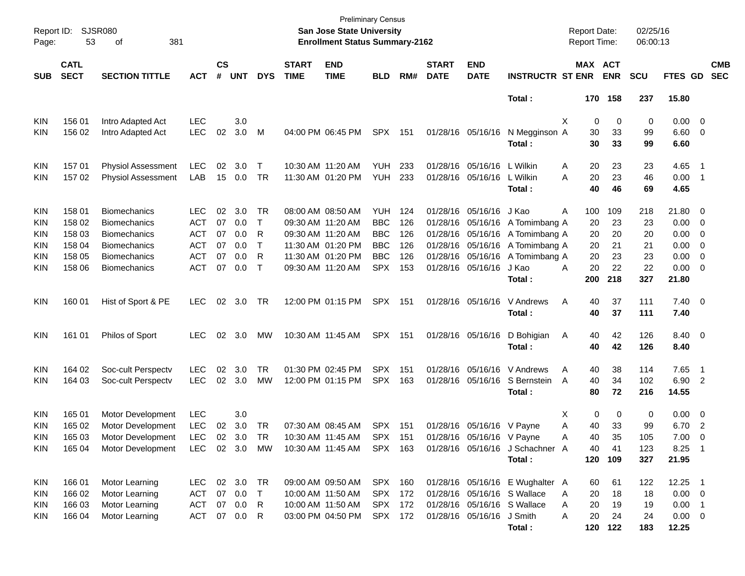| Page:      | <b>SJSR080</b><br>Report ID:<br>381<br>53<br>οf |                                                                                           |               |                    |            |              |                             | <b>Preliminary Census</b><br>San Jose State University<br><b>Enrollment Status Summary-2162</b> |            |     |                             |                           |                                 | <b>Report Date:</b><br><b>Report Time:</b> |                       | 02/25/16<br>06:00:13 |                    |                          |                          |
|------------|-------------------------------------------------|-------------------------------------------------------------------------------------------|---------------|--------------------|------------|--------------|-----------------------------|-------------------------------------------------------------------------------------------------|------------|-----|-----------------------------|---------------------------|---------------------------------|--------------------------------------------|-----------------------|----------------------|--------------------|--------------------------|--------------------------|
| <b>SUB</b> | <b>CATL</b><br><b>SECT</b>                      | <b>SECTION TITTLE</b>                                                                     | <b>ACT</b>    | $\mathsf{cs}$<br># | <b>UNT</b> | <b>DYS</b>   | <b>START</b><br><b>TIME</b> | <b>END</b><br><b>TIME</b>                                                                       | <b>BLD</b> | RM# | <b>START</b><br><b>DATE</b> | <b>END</b><br><b>DATE</b> | <b>INSTRUCTR ST ENR</b>         |                                            | MAX ACT<br><b>ENR</b> | <b>SCU</b>           | <b>FTES GD</b>     |                          | <b>CMB</b><br><b>SEC</b> |
|            |                                                 |                                                                                           |               |                    |            |              |                             |                                                                                                 |            |     |                             |                           | Total:                          |                                            | 170 158               | 237                  | 15.80              |                          |                          |
| <b>KIN</b> | 156 01                                          | Intro Adapted Act                                                                         | <b>LEC</b>    |                    | 3.0        |              |                             |                                                                                                 |            |     |                             |                           |                                 | X                                          | 0<br>0                | 0                    | $0.00 \t 0$        |                          |                          |
| <b>KIN</b> | 156 02                                          | Intro Adapted Act                                                                         | <b>LEC</b>    | 02                 | 3.0        | M            |                             | 04:00 PM 06:45 PM                                                                               | SPX        | 151 |                             | 01/28/16 05/16/16         | N Megginson A<br>Total:         | 30<br>30                                   | 33<br>33              | 99<br>99             | $6.60$ 0<br>6.60   |                          |                          |
| <b>KIN</b> | 157 01                                          | <b>Physiol Assessment</b>                                                                 | <b>LEC</b>    | 02                 | 3.0        | $\top$       |                             | 10:30 AM 11:20 AM                                                                               | YUH.       | 233 |                             | 01/28/16 05/16/16         | L Wilkin                        | 20<br>Α                                    | 23                    | 23                   | 4.65               | $\blacksquare$ 1         |                          |
| <b>KIN</b> | 157 02                                          | <b>Physiol Assessment</b>                                                                 | LAB           | 15                 | 0.0        | TR           |                             | 11:30 AM 01:20 PM                                                                               | <b>YUH</b> | 233 |                             | 01/28/16 05/16/16         | L Wilkin<br>Total:              | 20<br>Α<br>40                              | 23<br>46              | 46<br>69             | $0.00$ 1<br>4.65   |                          |                          |
| KIN        | 158 01                                          | <b>Biomechanics</b>                                                                       | LEC.          | 02                 | 3.0        | TR           |                             | 08:00 AM 08:50 AM                                                                               | <b>YUH</b> | 124 |                             | 01/28/16 05/16/16         | J Kao                           | 100<br>Α                                   | 109                   | 218                  | 21.80 0            |                          |                          |
| KIN        | 158 02                                          | <b>Biomechanics</b>                                                                       | <b>ACT</b>    | 07                 | 0.0        | $\mathsf{T}$ |                             | 09:30 AM 11:20 AM                                                                               | <b>BBC</b> | 126 |                             |                           | 01/28/16 05/16/16 A Tomimbang A | 20                                         | 23                    | 23                   | $0.00 \t 0$        |                          |                          |
| KIN        | 158 03                                          | <b>Biomechanics</b>                                                                       | <b>ACT</b>    | 07                 | 0.0        | R            |                             | 09:30 AM 11:20 AM                                                                               | <b>BBC</b> | 126 |                             | 01/28/16 05/16/16         | A Tomimbang A                   | 20                                         | 20                    | 20                   | 0.00               | $\overline{\phantom{0}}$ |                          |
| KIN        | 158 04                                          | <b>Biomechanics</b>                                                                       | <b>ACT</b>    | 07                 | 0.0        | $\mathsf{T}$ |                             | 11:30 AM 01:20 PM                                                                               | <b>BBC</b> | 126 |                             | 01/28/16 05/16/16         | A Tomimbang A                   | 20                                         | 21                    | 21                   | 0.00               | $\overline{\phantom{0}}$ |                          |
| KIN        | 158 05                                          | <b>Biomechanics</b>                                                                       | <b>ACT</b>    | 07                 | 0.0        | R            |                             | 11:30 AM 01:20 PM                                                                               | <b>BBC</b> | 126 |                             | 01/28/16 05/16/16         | A Tomimbang A                   | 20                                         | 23                    | 23                   | 0.00               | $\overline{\phantom{0}}$ |                          |
| KIN        | 158 06                                          | <b>Biomechanics</b>                                                                       | <b>ACT</b>    | 07                 | 0.0        | $\top$       |                             | 09:30 AM 11:20 AM                                                                               | <b>SPX</b> | 153 |                             | 01/28/16 05/16/16         | J Kao                           | 20<br>A                                    | 22                    | 22                   | $0.00 \t 0$        |                          |                          |
|            |                                                 |                                                                                           |               |                    |            |              |                             |                                                                                                 |            |     |                             |                           | Total:                          | 200                                        | 218                   | 327                  | 21.80              |                          |                          |
| <b>KIN</b> | 160 01                                          | Hist of Sport & PE                                                                        | LEC.          | 02                 | 3.0        | TR           |                             | 12:00 PM 01:15 PM                                                                               | <b>SPX</b> | 151 |                             | 01/28/16 05/16/16         | V Andrews<br>Total:             | Α<br>40<br>40                              | 37<br>37              | 111<br>111           | $7.40 \ 0$<br>7.40 |                          |                          |
| <b>KIN</b> | 161 01                                          | <b>Philos of Sport</b>                                                                    | LEC.          |                    | 02 3.0     | МW           |                             | 10:30 AM 11:45 AM                                                                               | SPX 151    |     |                             | 01/28/16 05/16/16         | D Bohigian                      | 40<br>A                                    | 42                    | 126                  | 8.40 0             |                          |                          |
|            |                                                 |                                                                                           |               |                    |            |              |                             |                                                                                                 |            |     |                             |                           | Total:                          | 40                                         | 42                    | 126                  | 8.40               |                          |                          |
| <b>KIN</b> | 164 02                                          | Soc-cult Perspectv                                                                        | <b>LEC</b>    | 02                 | 3.0        | TR           |                             | 01:30 PM 02:45 PM                                                                               | <b>SPX</b> | 151 |                             | 01/28/16 05/16/16         | V Andrews                       | Α<br>40                                    | 38                    | 114                  | 7.65               | $\overline{\phantom{1}}$ |                          |
| <b>KIN</b> | 164 03                                          | Soc-cult Perspectv                                                                        | <b>LEC</b>    | 02                 | 3.0        | MW           |                             | 12:00 PM 01:15 PM                                                                               | <b>SPX</b> | 163 |                             | 01/28/16 05/16/16         | S Bernstein                     | 40<br>A                                    | 34                    | 102                  | 6.90 2             |                          |                          |
|            |                                                 |                                                                                           |               |                    |            |              |                             |                                                                                                 |            |     |                             |                           | Total:                          | 80                                         | 72                    | 216                  | 14.55              |                          |                          |
| <b>KIN</b> | 165 01                                          | Motor Development                                                                         | <b>LEC</b>    |                    | 3.0        |              |                             |                                                                                                 |            |     |                             |                           |                                 | X                                          | 0<br>$\mathbf 0$      | 0                    | $0.00 \t 0$        |                          |                          |
| KIN        | 165 02                                          | Motor Development                                                                         | <b>LEC</b>    | 02                 | 3.0        | TR           |                             | 07:30 AM 08:45 AM                                                                               | <b>SPX</b> | 151 |                             | 01/28/16 05/16/16 V Payne |                                 | 40<br>Α                                    | 33                    | 99                   | 6.70               | $\overline{\phantom{0}}$ |                          |
| <b>KIN</b> | 165 03                                          | Motor Development                                                                         | LEC           |                    | 02 3.0 TR  |              |                             | 10:30 AM 11:45 AM                                                                               | SPX 151    |     |                             | 01/28/16 05/16/16 V Payne |                                 | 40<br>Α                                    | 35                    | 105                  | $7.00 \t 0$        |                          |                          |
| KIN.       | 165 04                                          | Motor Development LEC 02 3.0 MW 10:30 AM 11:45 AM SPX 163 01/28/16 05/16/16 J Schachner A |               |                    |            |              |                             |                                                                                                 |            |     |                             |                           |                                 | 40                                         | 41                    | 123                  | $8.25$ 1           |                          |                          |
|            |                                                 |                                                                                           |               |                    |            |              |                             |                                                                                                 |            |     |                             |                           | Total:                          |                                            | 120 109               | 327                  | 21.95              |                          |                          |
| KIN        | 166 01                                          | Motor Learning                                                                            | LEC 02 3.0 TR |                    |            |              |                             | 09:00 AM 09:50 AM                                                                               | SPX 160    |     |                             |                           | 01/28/16 05/16/16 E Wughalter A | 60                                         | 61                    | 122                  | 12.25 1            |                          |                          |
| KIN        | 166 02                                          | Motor Learning                                                                            | ACT           |                    | 07 0.0     | $\top$       |                             | 10:00 AM 11:50 AM                                                                               | SPX 172    |     |                             |                           | 01/28/16 05/16/16 S Wallace     | A<br>20                                    | 18                    | 18                   | $0.00 \t 0$        |                          |                          |
| <b>KIN</b> | 166 03                                          | Motor Learning                                                                            | ACT 07 0.0 R  |                    |            |              |                             | 10:00 AM 11:50 AM                                                                               | SPX 172    |     |                             |                           | 01/28/16 05/16/16 S Wallace     | 20<br>A                                    | 19                    | 19                   | $0.00$ 1           |                          |                          |
| KIN        | 166 04                                          | Motor Learning                                                                            | ACT 07 0.0 R  |                    |            |              |                             | 03:00 PM 04:50 PM SPX 172                                                                       |            |     |                             | 01/28/16 05/16/16 J Smith |                                 | 20<br>A                                    | 24                    | 24                   | $0.00 \t 0$        |                          |                          |
|            |                                                 |                                                                                           |               |                    |            |              |                             |                                                                                                 |            |     |                             |                           | Total:                          |                                            | 120 122               | 183                  | 12.25              |                          |                          |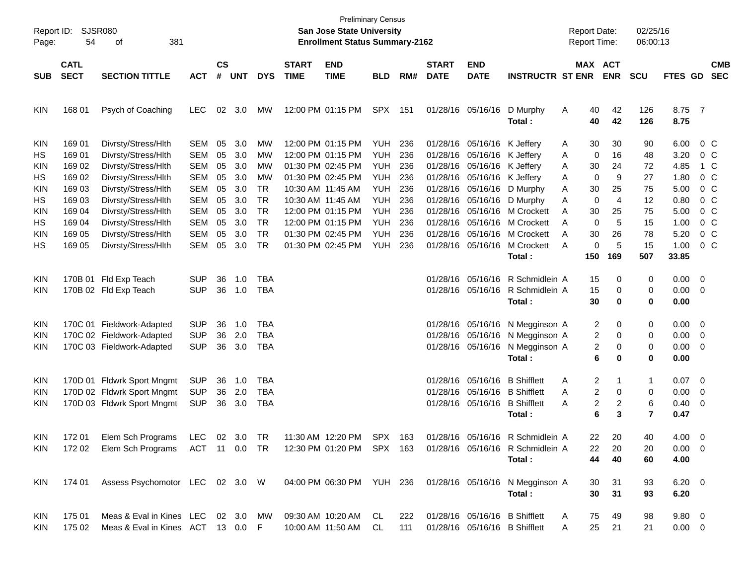| Page:      | <b>SJSR080</b><br>Report ID:<br>381<br>54<br>οf |                                                                                                   |               |                    |            |            |                             | <b>Preliminary Census</b><br>San Jose State University<br><b>Enrollment Status Summary-2162</b> |            |     |                             |                             |                                  | <b>Report Date:</b><br><b>Report Time:</b> |             |                         | 02/25/16<br>06:00:13 |                |                          |                          |
|------------|-------------------------------------------------|---------------------------------------------------------------------------------------------------|---------------|--------------------|------------|------------|-----------------------------|-------------------------------------------------------------------------------------------------|------------|-----|-----------------------------|-----------------------------|----------------------------------|--------------------------------------------|-------------|-------------------------|----------------------|----------------|--------------------------|--------------------------|
| <b>SUB</b> | <b>CATL</b><br><b>SECT</b>                      | <b>SECTION TITTLE</b>                                                                             | <b>ACT</b>    | $\mathsf{cs}$<br># | <b>UNT</b> | <b>DYS</b> | <b>START</b><br><b>TIME</b> | <b>END</b><br><b>TIME</b>                                                                       | <b>BLD</b> | RM# | <b>START</b><br><b>DATE</b> | <b>END</b><br><b>DATE</b>   | <b>INSTRUCTR ST ENR</b>          |                                            |             | MAX ACT<br><b>ENR</b>   | <b>SCU</b>           | FTES GD        |                          | <b>CMB</b><br><b>SEC</b> |
|            |                                                 |                                                                                                   |               |                    |            |            |                             |                                                                                                 |            |     |                             |                             |                                  |                                            |             |                         |                      |                |                          |                          |
| <b>KIN</b> | 168 01                                          | Psych of Coaching                                                                                 | <b>LEC</b>    | 02                 | 3.0        | МW         |                             | 12:00 PM 01:15 PM                                                                               | SPX        | 151 |                             | 01/28/16 05/16/16           | D Murphy<br>Total:               | A                                          | 40<br>40    | 42<br>42                | 126<br>126           | 8.75 7<br>8.75 |                          |                          |
| <b>KIN</b> | 169 01                                          | Divrsty/Stress/Hlth                                                                               | <b>SEM</b>    | 05                 | 3.0        | MW         |                             | 12:00 PM 01:15 PM                                                                               | YUH        | 236 |                             | 01/28/16 05/16/16 K Jeffery |                                  | A                                          | 30          | 30                      | 90                   | 6.00           |                          | $0\,$ C                  |
| HS         | 169 01                                          | Divrsty/Stress/Hlth                                                                               | <b>SEM</b>    | 05                 | 3.0        | MW         |                             | 12:00 PM 01:15 PM                                                                               | <b>YUH</b> | 236 |                             | 01/28/16 05/16/16 K Jeffery |                                  | A                                          | 0           | 16                      | 48                   | 3.20           |                          | 0 <sup>o</sup>           |
| KIN        | 169 02                                          | Divrsty/Stress/Hlth                                                                               | <b>SEM</b>    | 05                 | 3.0        | MW         |                             | 01:30 PM 02:45 PM                                                                               | <b>YUH</b> | 236 |                             | 01/28/16 05/16/16 K Jeffery |                                  | A                                          | 30          | 24                      | 72                   | 4.85           |                          | 1 C                      |
| HS         | 169 02                                          | Divrsty/Stress/Hlth                                                                               | <b>SEM</b>    | 05                 | 3.0        | MW         |                             | 01:30 PM 02:45 PM                                                                               | <b>YUH</b> | 236 |                             | 01/28/16 05/16/16 K Jeffery |                                  | A                                          | 0           | 9                       | 27                   | 1.80           |                          | 0 <sup>o</sup>           |
| KIN        | 169 03                                          | Divrsty/Stress/Hlth                                                                               | <b>SEM</b>    | 05                 | 3.0        | <b>TR</b>  |                             | 10:30 AM 11:45 AM                                                                               | <b>YUH</b> | 236 |                             | 01/28/16 05/16/16           | D Murphy                         | A                                          | 30          | 25                      | 75                   | 5.00           |                          | 0 <sup>o</sup>           |
| HS         | 169 03                                          | Divrsty/Stress/Hlth                                                                               | <b>SEM</b>    | 05                 | 3.0        | <b>TR</b>  |                             | 10:30 AM 11:45 AM                                                                               | <b>YUH</b> | 236 |                             | 01/28/16 05/16/16           | D Murphy                         | A                                          | $\mathbf 0$ | $\overline{4}$          | 12                   | 0.80           |                          | 0 <sup>o</sup>           |
| KIN        | 169 04                                          | Divrsty/Stress/Hlth                                                                               | <b>SEM</b>    | 05                 | 3.0        | <b>TR</b>  |                             | 12:00 PM 01:15 PM                                                                               | <b>YUH</b> | 236 |                             | 01/28/16 05/16/16           | <b>M</b> Crockett                | Α                                          | 30          | 25                      | 75                   | 5.00           |                          | 0 <sup>o</sup>           |
| HS         | 169 04                                          | Divrsty/Stress/Hlth                                                                               | <b>SEM</b>    | 05                 | 3.0        | <b>TR</b>  |                             | 12:00 PM 01:15 PM                                                                               | <b>YUH</b> | 236 |                             | 01/28/16 05/16/16           | M Crockett                       | A                                          | $\mathbf 0$ | 5                       | 15                   | 1.00           |                          | 0 <sup>o</sup>           |
| KIN        | 169 05                                          | Divrsty/Stress/Hlth                                                                               | <b>SEM</b>    | 05                 | 3.0        | <b>TR</b>  |                             | 01:30 PM 02:45 PM                                                                               | <b>YUH</b> | 236 |                             | 01/28/16 05/16/16           | M Crockett                       | A                                          | 30          | 26                      | 78                   | 5.20           |                          | 0 <sup>o</sup>           |
| HS         | 169 05                                          | Divrsty/Stress/Hlth                                                                               | <b>SEM</b>    | 05                 | 3.0        | <b>TR</b>  |                             | 01:30 PM 02:45 PM                                                                               | <b>YUH</b> | 236 |                             | 01/28/16 05/16/16           | <b>M Crockett</b>                | A                                          | 0           | 5                       | 15                   | 1.00           |                          | 0 <sup>o</sup>           |
|            |                                                 |                                                                                                   |               |                    |            |            |                             |                                                                                                 |            |     |                             |                             | Total:                           |                                            | 150         | 169                     | 507                  | 33.85          |                          |                          |
| <b>KIN</b> |                                                 |                                                                                                   | <b>SUP</b>    | 36                 | 1.0        | TBA        |                             |                                                                                                 |            |     |                             | 01/28/16 05/16/16           | R Schmidlein A                   |                                            | 15          |                         |                      | $0.00 \t 0$    |                          |                          |
|            |                                                 | 170B 01 Fld Exp Teach                                                                             |               |                    |            |            |                             |                                                                                                 |            |     |                             | 01/28/16 05/16/16           |                                  |                                            |             | 0                       | 0                    |                |                          |                          |
| <b>KIN</b> |                                                 | 170B 02 Fld Exp Teach                                                                             | <b>SUP</b>    | 36                 | 1.0        | TBA        |                             |                                                                                                 |            |     |                             |                             | R Schmidlein A                   |                                            | 15          | 0                       | 0                    | $0.00 \t 0$    |                          |                          |
|            |                                                 |                                                                                                   |               |                    |            |            |                             |                                                                                                 |            |     |                             |                             | Total:                           |                                            | 30          | 0                       | 0                    | 0.00           |                          |                          |
| <b>KIN</b> |                                                 | 170C 01 Fieldwork-Adapted                                                                         | <b>SUP</b>    | 36                 | 1.0        | TBA        |                             |                                                                                                 |            |     |                             | 01/28/16 05/16/16           | N Megginson A                    |                                            | 2           | 0                       | 0                    | $0.00 \t 0$    |                          |                          |
| <b>KIN</b> |                                                 | 170C 02 Fieldwork-Adapted                                                                         | <b>SUP</b>    | 36                 | 2.0        | <b>TBA</b> |                             |                                                                                                 |            |     |                             | 01/28/16 05/16/16           | N Megginson A                    |                                            | 2           | 0                       | 0                    | 0.00           | $\overline{\phantom{0}}$ |                          |
| <b>KIN</b> |                                                 | 170C 03 Fieldwork-Adapted                                                                         | <b>SUP</b>    | 36                 | 3.0        | <b>TBA</b> |                             |                                                                                                 |            |     |                             | 01/28/16 05/16/16           | N Megginson A                    |                                            | 2           | 0                       | 0                    | $0.00 \t 0$    |                          |                          |
|            |                                                 |                                                                                                   |               |                    |            |            |                             |                                                                                                 |            |     |                             |                             | Total:                           |                                            | 6           | 0                       | 0                    | 0.00           |                          |                          |
|            |                                                 |                                                                                                   |               |                    |            |            |                             |                                                                                                 |            |     |                             |                             |                                  |                                            |             |                         |                      |                |                          |                          |
| <b>KIN</b> |                                                 | 170D 01 Fldwrk Sport Mngmt                                                                        | <b>SUP</b>    | 36                 | 1.0        | TBA        |                             |                                                                                                 |            |     |                             | 01/28/16 05/16/16           | <b>B</b> Shifflett               | A                                          | 2           | 1                       | 1                    | $0.07$ 0       |                          |                          |
| <b>KIN</b> |                                                 | 170D 02 Fldwrk Sport Mngmt                                                                        | <b>SUP</b>    | 36                 | 2.0        | <b>TBA</b> |                             |                                                                                                 |            |     |                             | 01/28/16 05/16/16           | <b>B</b> Shifflett               | Α                                          | 2           | 0                       | 0                    | 0.00           | $\overline{\mathbf{0}}$  |                          |
| <b>KIN</b> |                                                 | 170D 03 Fldwrk Sport Mngmt                                                                        | <b>SUP</b>    | 36                 | 3.0        | <b>TBA</b> |                             |                                                                                                 |            |     |                             | 01/28/16 05/16/16           | <b>B</b> Shifflett               | Α                                          | 2           | $\overline{\mathbf{c}}$ | 6                    | 0.40           | $\overline{\phantom{0}}$ |                          |
|            |                                                 |                                                                                                   |               |                    |            |            |                             |                                                                                                 |            |     |                             |                             | Total :                          |                                            | 6           | 3                       | $\overline{7}$       | 0.47           |                          |                          |
| <b>KIN</b> | 172 01                                          | Elem Sch Programs                                                                                 | LEC 02 3.0 TR |                    |            |            |                             | 11:30 AM 12:20 PM                                                                               | <b>SPX</b> | 163 |                             |                             | 01/28/16 05/16/16 R Schmidlein A |                                            | 22.         | 20                      | 40                   | $4.00 \quad 0$ |                          |                          |
| KIN.       |                                                 | 172 02 Elem Sch Programs ACT 11 0.0 TR 12:30 PM 01:20 PM SPX 163 01/28/16 05/16/16 R Schmidlein A |               |                    |            |            |                             |                                                                                                 |            |     |                             |                             |                                  |                                            | 22          | 20                      | 20                   | $0.00 \t 0$    |                          |                          |
|            |                                                 |                                                                                                   |               |                    |            |            |                             |                                                                                                 |            |     |                             |                             | Total:                           |                                            | 44          | 40                      | 60                   | 4.00           |                          |                          |
|            |                                                 | 174 01 Assess Psychomotor LEC 02 3.0 W 04:00 PM 06:30 PM YUH 236 01/28/16 05/16/16 N Megginson A  |               |                    |            |            |                             |                                                                                                 |            |     |                             |                             |                                  |                                            |             |                         |                      |                |                          |                          |
| <b>KIN</b> |                                                 |                                                                                                   |               |                    |            |            |                             |                                                                                                 |            |     |                             |                             |                                  |                                            | 30          | 31                      | 93                   | $6.20 \quad 0$ |                          |                          |
|            |                                                 |                                                                                                   |               |                    |            |            |                             |                                                                                                 |            |     |                             |                             | Total:                           |                                            | 30          | 31                      | 93                   | 6.20           |                          |                          |
| <b>KIN</b> | 175 01                                          | Meas & Eval in Kines LEC 02 3.0 MW 09:30 AM 10:20 AM CL                                           |               |                    |            |            |                             |                                                                                                 |            | 222 |                             |                             | 01/28/16 05/16/16 B Shifflett    | A                                          | 75          | 49                      | 98                   | $9.80\ 0$      |                          |                          |
| KIN.       | 175 02                                          | Meas & Eval in Kines ACT 13 0.0 F                                                                 |               |                    |            |            |                             | 10:00 AM 11:50 AM CL                                                                            |            | 111 |                             |                             | 01/28/16 05/16/16 B Shifflett    | A                                          |             | 25 21                   | 21                   | $0.00 \t 0$    |                          |                          |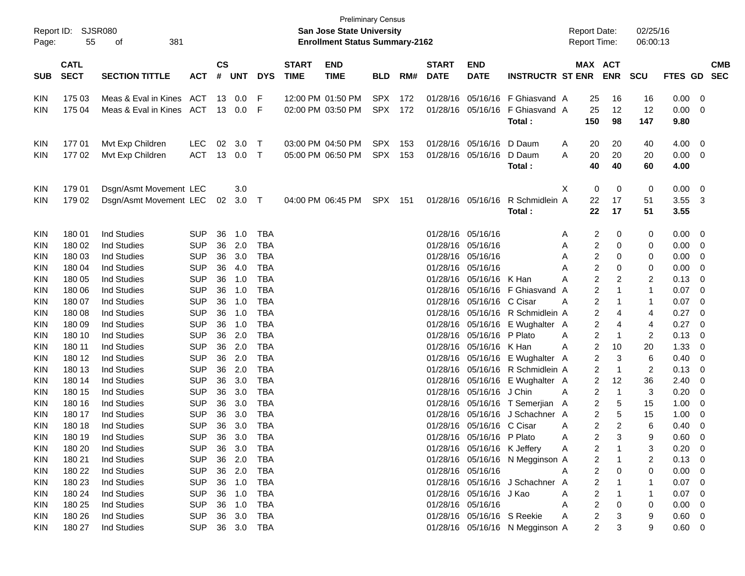| Report ID:<br>Page: | 55                         | SJSR080<br>381<br>οf              |                          |                             |                      |                          |                             | San Jose State University<br><b>Enrollment Status Summary-2162</b> | <b>Preliminary Census</b> |      |                             |                                                        |                                  |   | <b>Report Date:</b> | <b>Report Time:</b>   | 02/25/16<br>06:00:13 |              |        |                          |
|---------------------|----------------------------|-----------------------------------|--------------------------|-----------------------------|----------------------|--------------------------|-----------------------------|--------------------------------------------------------------------|---------------------------|------|-----------------------------|--------------------------------------------------------|----------------------------------|---|---------------------|-----------------------|----------------------|--------------|--------|--------------------------|
| <b>SUB</b>          | <b>CATL</b><br><b>SECT</b> | <b>SECTION TITTLE</b>             | <b>ACT</b>               | $\mathbf{c}\mathbf{s}$<br># | UNT                  | <b>DYS</b>               | <b>START</b><br><b>TIME</b> | <b>END</b><br><b>TIME</b>                                          | <b>BLD</b>                | RM#  | <b>START</b><br><b>DATE</b> | <b>END</b><br><b>DATE</b>                              | <b>INSTRUCTR ST ENR</b>          |   |                     | MAX ACT<br><b>ENR</b> | <b>SCU</b>           | FTES GD      |        | <b>CMB</b><br><b>SEC</b> |
|                     |                            |                                   |                          |                             |                      |                          |                             |                                                                    |                           |      |                             |                                                        |                                  |   |                     |                       |                      |              |        |                          |
| KIN                 | 175 03                     | Meas & Eval in Kines ACT          |                          |                             | 13 0.0               | F                        |                             | 12:00 PM 01:50 PM                                                  | SPX 172                   |      |                             |                                                        | 01/28/16 05/16/16 F Ghiasvand A  |   | 25                  | 16                    | 16                   | 0.00         | - 0    |                          |
| <b>KIN</b>          | 175 04                     | Meas & Eval in Kines              | ACT                      |                             | 13 0.0               | F                        |                             | 02:00 PM 03:50 PM                                                  | SPX                       | 172  |                             |                                                        | 01/28/16 05/16/16 F Ghiasvand A  |   | 25                  | 12                    | 12                   | 0.00         | - 0    |                          |
|                     |                            |                                   |                          |                             |                      |                          |                             |                                                                    |                           |      |                             |                                                        | Total:                           |   | 150                 | 98                    | 147                  | 9.80         |        |                          |
| KIN                 | 17701                      | Mvt Exp Children                  | <b>LEC</b>               | 02                          | 3.0                  | $\top$                   |                             | 03:00 PM 04:50 PM                                                  | SPX                       | -153 |                             | 01/28/16 05/16/16 D Daum                               |                                  | A | 20                  | 20                    | 40                   | 4.00         | - 0    |                          |
| <b>KIN</b>          | 17702                      | Mvt Exp Children                  | <b>ACT</b>               |                             | 13 0.0               | $\top$                   |                             | 05:00 PM 06:50 PM                                                  | SPX                       | 153  |                             | 01/28/16 05/16/16                                      | D Daum                           | A | 20                  | 20                    | 20                   | 0.00         | - 0    |                          |
|                     |                            |                                   |                          |                             |                      |                          |                             |                                                                    |                           |      |                             |                                                        | Total:                           |   | 40                  | 40                    | 60                   | 4.00         |        |                          |
|                     |                            |                                   |                          |                             |                      |                          |                             |                                                                    |                           |      |                             |                                                        |                                  |   |                     |                       |                      |              |        |                          |
| KIN                 | 179 01                     | Dsgn/Asmt Movement LEC            |                          |                             | 3.0                  |                          |                             |                                                                    |                           |      |                             |                                                        |                                  | Χ | 0                   | 0                     | 0                    | 0.00         | - 0    |                          |
| <b>KIN</b>          | 179 02                     | Dsgn/Asmt Movement LEC            |                          | 02                          | 3.0 T                |                          |                             | 04:00 PM 06:45 PM                                                  | SPX                       | 151  |                             | 01/28/16 05/16/16                                      | R Schmidlein A                   |   | 22                  | 17                    | 51                   | 3.55         | - 3    |                          |
|                     |                            |                                   |                          |                             |                      |                          |                             |                                                                    |                           |      |                             |                                                        | Total:                           |   | 22                  | 17                    | 51                   | 3.55         |        |                          |
| KIN                 | 180 01                     | <b>Ind Studies</b>                | <b>SUP</b>               | 36                          | 1.0                  | TBA                      |                             |                                                                    |                           |      |                             | 01/28/16 05/16/16                                      |                                  | Α | 2                   | 0                     | 0                    | 0.00         | - 0    |                          |
| KIN                 | 180 02                     | <b>Ind Studies</b>                | <b>SUP</b>               | 36                          | 2.0                  | <b>TBA</b>               |                             |                                                                    |                           |      |                             | 01/28/16 05/16/16                                      |                                  | Α | 2                   | 0                     | 0                    | 0.00         | - 0    |                          |
| <b>KIN</b>          | 180 03                     | <b>Ind Studies</b>                | <b>SUP</b>               | 36                          | 3.0                  | <b>TBA</b>               |                             |                                                                    |                           |      |                             | 01/28/16 05/16/16                                      |                                  | A | 2                   | 0                     | 0                    | 0.00         | 0      |                          |
| KIN                 | 180 04                     | <b>Ind Studies</b>                | <b>SUP</b>               | 36                          | 4.0                  | TBA                      |                             |                                                                    |                           |      |                             | 01/28/16 05/16/16                                      |                                  | A | 2                   | 0                     | 0                    | 0.00         | 0      |                          |
| KIN                 | 180 05                     | <b>Ind Studies</b>                | <b>SUP</b>               | 36                          | 1.0                  | <b>TBA</b>               |                             |                                                                    |                           |      |                             | 01/28/16 05/16/16 K Han                                |                                  | A | $\overline{c}$      | 2                     | $\overline{c}$       | 0.13         | - 0    |                          |
| KIN                 | 180 06                     | <b>Ind Studies</b>                | <b>SUP</b>               | 36                          | 1.0                  | <b>TBA</b>               |                             |                                                                    |                           |      |                             |                                                        | 01/28/16 05/16/16 F Ghiasvand    | A | 2                   | -1                    | 1                    | 0.07         | - 0    |                          |
| KIN                 | 180 07                     | <b>Ind Studies</b>                | <b>SUP</b>               | 36                          | 1.0                  | <b>TBA</b>               |                             |                                                                    |                           |      |                             | 01/28/16 05/16/16 C Cisar                              |                                  | A | 2                   | -1                    | 1                    | 0.07         | - 0    |                          |
| KIN                 | 180 08                     | <b>Ind Studies</b>                | <b>SUP</b>               | 36                          | 1.0                  | <b>TBA</b>               |                             |                                                                    |                           |      |                             |                                                        | 01/28/16 05/16/16 R Schmidlein A |   | 2                   | 4                     | 4                    | 0.27         | - 0    |                          |
| KIN                 | 180 09                     | <b>Ind Studies</b>                | <b>SUP</b>               | 36                          | 1.0                  | <b>TBA</b>               |                             |                                                                    |                           |      |                             |                                                        | 01/28/16 05/16/16 E Wughalter    | A | 2                   | 4                     | 4                    | 0.27         | - 0    |                          |
| KIN                 | 180 10                     | <b>Ind Studies</b>                | <b>SUP</b>               | 36                          | 2.0                  | <b>TBA</b>               |                             |                                                                    |                           |      |                             | 01/28/16 05/16/16 P Plato                              |                                  | A | 2                   | -1                    | 2                    | 0.13         | - 0    |                          |
| KIN                 | 180 11                     | <b>Ind Studies</b>                | <b>SUP</b>               | 36                          | 2.0                  | <b>TBA</b>               |                             |                                                                    |                           |      |                             | 01/28/16 05/16/16 K Han                                |                                  | A | 2                   | 10                    | 20                   | 1.33         | - 0    |                          |
| <b>KIN</b>          | 180 12                     | <b>Ind Studies</b>                | <b>SUP</b>               | 36                          | 2.0                  | <b>TBA</b>               |                             |                                                                    |                           |      |                             |                                                        | 01/28/16 05/16/16 E Wughalter    | A | 2                   | 3                     | 6                    | 0.40         | - 0    |                          |
| <b>KIN</b>          | 180 13                     | <b>Ind Studies</b>                | <b>SUP</b>               | 36                          | 2.0                  | <b>TBA</b>               |                             |                                                                    |                           |      |                             |                                                        | 01/28/16 05/16/16 R Schmidlein A |   | 2                   | -1                    | 2                    | 0.13         | - 0    |                          |
| KIN                 | 180 14                     | <b>Ind Studies</b>                | <b>SUP</b>               | 36                          | 3.0                  | <b>TBA</b>               |                             |                                                                    |                           |      |                             |                                                        | 01/28/16 05/16/16 E Wughalter A  |   | 2                   | 12                    | 36                   | 2.40         | 0      |                          |
| KIN                 | 180 15                     | <b>Ind Studies</b>                | <b>SUP</b>               | 36                          | 3.0                  | <b>TBA</b>               |                             |                                                                    |                           |      |                             | 01/28/16 05/16/16 J Chin                               |                                  | Α | 2                   | $\overline{1}$        | 3                    | 0.20         | 0      |                          |
| <b>KIN</b>          | 180 16                     | <b>Ind Studies</b>                | <b>SUP</b>               | 36                          | 3.0                  | <b>TBA</b>               |                             |                                                                    |                           |      |                             |                                                        | 01/28/16 05/16/16 T Semerjian    | A | 2                   | 5                     | 15                   | 1.00         | 0      |                          |
| <b>KIN</b>          | 180 17                     | <b>Ind Studies</b>                | <b>SUP</b>               | 36                          | 3.0                  | TBA                      |                             |                                                                    |                           |      |                             |                                                        | 01/28/16 05/16/16 J Schachner A  |   | 2                   | 5<br>2                | 15                   | 1.00         | 0      |                          |
| <b>KIN</b>          | 180 18                     | <b>Ind Studies</b><br>Ind Studies | <b>SUP</b><br><b>SUP</b> | 36                          | 3.0                  | <b>TBA</b><br><b>TBA</b> |                             |                                                                    |                           |      |                             | 01/28/16 05/16/16 C Cisar<br>01/28/16 05/16/16 P Plato |                                  | A | $\overline{c}$<br>2 |                       | 6<br>9               | 0.40<br>0.60 | 0<br>0 |                          |
| KIN<br>KIN          | 180 19<br>180 20           | Ind Studies                       | <b>SUP</b>               |                             | 36 3.0<br>36 3.0 TBA |                          |                             |                                                                    |                           |      |                             | 01/28/16 05/16/16 K Jeffery                            |                                  | A | 2                   | -1                    | 3                    | $0.20 \ 0$   |        |                          |
| KIN                 | 180 21                     | Ind Studies                       | <b>SUP</b>               |                             | 36 2.0               | TBA                      |                             |                                                                    |                           |      |                             |                                                        | 01/28/16 05/16/16 N Megginson A  | A | 2                   | $\mathbf 1$           | 2                    | $0.13 \ 0$   |        |                          |
| KIN                 | 180 22                     | Ind Studies                       | <b>SUP</b>               |                             | 36 2.0               | TBA                      |                             |                                                                    |                           |      |                             | 01/28/16 05/16/16                                      |                                  | A | 2                   | 0                     | 0                    | $0.00 \t 0$  |        |                          |
| KIN                 | 180 23                     | Ind Studies                       | <b>SUP</b>               |                             | 36 1.0               | TBA                      |                             |                                                                    |                           |      |                             |                                                        | 01/28/16 05/16/16 J Schachner A  |   | 2                   |                       | 1                    | $0.07$ 0     |        |                          |
| KIN                 | 180 24                     | Ind Studies                       | <b>SUP</b>               |                             | 36 1.0               | TBA                      |                             |                                                                    |                           |      |                             | 01/28/16 05/16/16 J Kao                                |                                  | A | 2                   | -1                    | 1                    | $0.07$ 0     |        |                          |
| KIN                 | 180 25                     | Ind Studies                       | <b>SUP</b>               |                             | 36 1.0               | TBA                      |                             |                                                                    |                           |      |                             | 01/28/16 05/16/16                                      |                                  | A | $\overline{2}$      | 0                     | 0                    | $0.00 \t 0$  |        |                          |
| KIN                 | 180 26                     | Ind Studies                       | <b>SUP</b>               |                             | 36 3.0               | TBA                      |                             |                                                                    |                           |      |                             |                                                        | 01/28/16 05/16/16 S Reekie       | A | $\overline{a}$      | 3                     | 9                    | 0.60 0       |        |                          |
| KIN                 | 180 27                     | Ind Studies                       | SUP 36 3.0 TBA           |                             |                      |                          |                             |                                                                    |                           |      |                             |                                                        | 01/28/16 05/16/16 N Megginson A  |   | $\overline{2}$      | 3                     | 9                    | $0.60 \t 0$  |        |                          |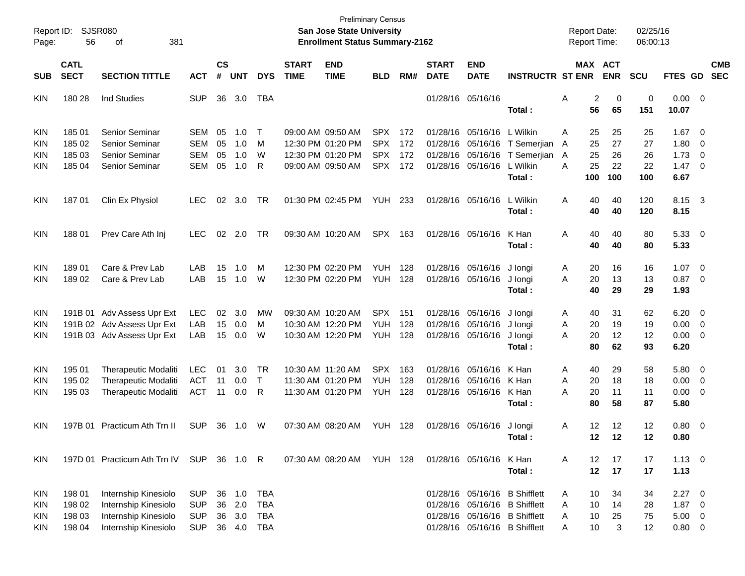| Page:                                                | <b>SJSR080</b><br>Report ID:<br>381<br>56<br>οf |                                                                                              |                                                      |                             |                                      |                          |                             | San Jose State University<br><b>Enrollment Status Summary-2162</b> | <b>Preliminary Census</b>              |                   |                             |                                                             |                                                                                                                                  |                  | <b>Report Date:</b>  | <b>Report Time:</b>   | 02/25/16<br>06:00:13 |                                                      |                          |                          |
|------------------------------------------------------|-------------------------------------------------|----------------------------------------------------------------------------------------------|------------------------------------------------------|-----------------------------|--------------------------------------|--------------------------|-----------------------------|--------------------------------------------------------------------|----------------------------------------|-------------------|-----------------------------|-------------------------------------------------------------|----------------------------------------------------------------------------------------------------------------------------------|------------------|----------------------|-----------------------|----------------------|------------------------------------------------------|--------------------------|--------------------------|
| <b>SUB</b>                                           | <b>CATL</b><br><b>SECT</b>                      | <b>SECTION TITTLE</b>                                                                        | <b>ACT</b>                                           | $\mathsf{cs}$<br>$\pmb{\#}$ | <b>UNT</b>                           | <b>DYS</b>               | <b>START</b><br><b>TIME</b> | <b>END</b><br><b>TIME</b>                                          | <b>BLD</b>                             | RM#               | <b>START</b><br><b>DATE</b> | <b>END</b><br><b>DATE</b>                                   | <b>INSTRUCTR ST ENR</b>                                                                                                          |                  |                      | MAX ACT<br><b>ENR</b> | <b>SCU</b>           | FTES GD                                              |                          | <b>CMB</b><br><b>SEC</b> |
| <b>KIN</b>                                           | 180 28                                          | <b>Ind Studies</b>                                                                           | <b>SUP</b>                                           | 36                          | 3.0                                  | TBA                      |                             |                                                                    |                                        |                   |                             | 01/28/16 05/16/16                                           | Total :                                                                                                                          | Α                | 2<br>56              | 0<br>65               | 0<br>151             | $0.00 \t 0$<br>10.07                                 |                          |                          |
| <b>KIN</b><br><b>KIN</b>                             | 185 01<br>185 02<br>185 03                      | Senior Seminar<br>Senior Seminar<br>Senior Seminar                                           | <b>SEM</b><br><b>SEM</b><br><b>SEM</b>               | 05<br>05<br>05              | 1.0<br>1.0<br>1.0                    | $\top$<br>M<br>W         |                             | 09:00 AM 09:50 AM<br>12:30 PM 01:20 PM<br>12:30 PM 01:20 PM        | <b>SPX</b><br><b>SPX</b><br><b>SPX</b> | 172<br>172<br>172 |                             | 01/28/16 05/16/16<br>01/28/16 05/16/16<br>01/28/16 05/16/16 | L Wilkin<br>T Semerjian                                                                                                          | A<br>A           | 25<br>25<br>25       | 25<br>27<br>26        | 25<br>27<br>26       | $1.67 \t 0$<br>$1.80 \ 0$<br>1.73                    | $\overline{\phantom{0}}$ |                          |
| <b>KIN</b><br>KIN                                    | 185 04                                          | Senior Seminar                                                                               | <b>SEM</b>                                           | 05                          | 1.0                                  | R                        |                             | 09:00 AM 09:50 AM                                                  | <b>SPX</b>                             | 172               |                             | 01/28/16 05/16/16                                           | T Semerjian<br>L Wilkin<br>Total:                                                                                                | A<br>A           | 25<br>100            | 22<br>100             | 22<br>100            | $1.47 \ 0$<br>6.67                                   |                          |                          |
| <b>KIN</b>                                           | 18701                                           | Clin Ex Physiol                                                                              | LEC.                                                 | 02                          | 3.0                                  | TR                       |                             | 01:30 PM 02:45 PM                                                  | YUH                                    | 233               |                             | 01/28/16 05/16/16                                           | L Wilkin<br>Total:                                                                                                               | Α                | 40<br>40             | 40<br>40              | 120<br>120           | 8.15 3<br>8.15                                       |                          |                          |
| <b>KIN</b>                                           | 18801                                           | Prev Care Ath Inj                                                                            | <b>LEC</b>                                           | 02                          | 2.0                                  | TR                       |                             | 09:30 AM 10:20 AM                                                  | <b>SPX</b>                             | 163               |                             | 01/28/16 05/16/16                                           | K Han<br>Total:                                                                                                                  | Α                | 40<br>40             | 40<br>40              | 80<br>80             | 5.33 0<br>5.33                                       |                          |                          |
| <b>KIN</b><br><b>KIN</b>                             | 18901<br>18902                                  | Care & Prev Lab<br>Care & Prev Lab                                                           | LAB<br>LAB                                           | 15                          | 1.0<br>15 1.0                        | M<br>W                   |                             | 12:30 PM 02:20 PM<br>12:30 PM 02:20 PM                             | <b>YUH</b><br><b>YUH</b>               | 128<br>128        |                             | 01/28/16 05/16/16<br>01/28/16 05/16/16                      | J longi<br>J longi<br>Total:                                                                                                     | A<br>A           | 20<br>20<br>40       | 16<br>13<br>29        | 16<br>13<br>29       | $1.07 \t 0$<br>$0.87$ 0<br>1.93                      |                          |                          |
| <b>KIN</b><br><b>KIN</b><br><b>KIN</b>               |                                                 | 191B 01 Adv Assess Upr Ext<br>191B 02 Adv Assess Upr Ext<br>191B 03 Adv Assess Upr Ext       | LEC.<br>LAB<br>LAB                                   | 02<br>15<br>15              | 3.0<br>0.0<br>0.0                    | MW<br>M<br>W             |                             | 09:30 AM 10:20 AM<br>10:30 AM 12:20 PM<br>10:30 AM 12:20 PM        | <b>SPX</b><br><b>YUH</b><br><b>YUH</b> | 151<br>128<br>128 |                             | 01/28/16 05/16/16<br>01/28/16 05/16/16<br>01/28/16 05/16/16 | J longi<br>J longi<br>J longi<br>Total:                                                                                          | A<br>A<br>A      | 40<br>20<br>20<br>80 | 31<br>19<br>12<br>62  | 62<br>19<br>12<br>93 | $6.20 \quad 0$<br>$0.00 \t 0$<br>$0.00 \t 0$<br>6.20 |                          |                          |
| <b>KIN</b><br><b>KIN</b><br><b>KIN</b>               | 195 01<br>195 02<br>195 03                      | Therapeutic Modaliti<br><b>Therapeutic Modaliti</b><br>Therapeutic Modaliti                  | LEC.<br>ACT<br>ACT                                   | 01<br>11<br>11              | 3.0<br>0.0<br>0.0                    | TR<br>$\top$<br>R        |                             | 10:30 AM 11:20 AM<br>11:30 AM 01:20 PM<br>11:30 AM 01:20 PM        | <b>SPX</b><br><b>YUH</b><br><b>YUH</b> | 163<br>128<br>128 |                             | 01/28/16 05/16/16<br>01/28/16 05/16/16<br>01/28/16 05/16/16 | K Han<br>K Han<br>K Han<br>Total :                                                                                               | A<br>A<br>Α      | 40<br>20<br>20<br>80 | 29<br>18<br>11<br>58  | 58<br>18<br>11<br>87 | 5.80 0<br>$0.00 \t 0$<br>$0.00 \t 0$<br>5.80         |                          |                          |
| <b>KIN</b>                                           |                                                 | 197B 01 Practicum Ath Trn II                                                                 | <b>SUP</b>                                           | 36                          | 1.0                                  | W                        |                             | 07:30 AM 08:20 AM                                                  | YUH                                    | 128               |                             | 01/28/16 05/16/16                                           | J longi<br>Total:                                                                                                                | Α                | 12<br>12             | 12<br>12              | 12<br>12             | $0.80 \ 0$<br>0.80                                   |                          |                          |
| KIN.                                                 |                                                 | 197D 01 Practicum Ath Trn IV SUP 36 1.0 R                                                    |                                                      |                             |                                      |                          |                             | 07:30 AM 08:20 AM YUH 128                                          |                                        |                   |                             | 01/28/16 05/16/16 K Han                                     | Total:                                                                                                                           | A                | 12<br>12             | 17<br>17              | 17<br>17             | $1.13 \ 0$<br>1.13                                   |                          |                          |
| <b>KIN</b><br><b>KIN</b><br><b>KIN</b><br><b>KIN</b> | 198 01<br>198 02<br>198 03<br>198 04            | Internship Kinesiolo<br>Internship Kinesiolo<br>Internship Kinesiolo<br>Internship Kinesiolo | <b>SUP</b><br><b>SUP</b><br><b>SUP</b><br><b>SUP</b> | 36<br>36                    | 36 1.0<br>2.0<br>3.0<br>36  4.0  TBA | <b>TBA</b><br>TBA<br>TBA |                             |                                                                    |                                        |                   |                             |                                                             | 01/28/16 05/16/16 B Shifflett<br>01/28/16 05/16/16 B Shifflett<br>01/28/16 05/16/16 B Shifflett<br>01/28/16 05/16/16 B Shifflett | A<br>A<br>A<br>A | 10<br>10<br>10<br>10 | 34<br>14<br>25<br>3   | 34<br>28<br>75<br>12 | $2.27$ 0<br>$1.87 \ 0$<br>$5.00 \t 0$<br>$0.80 \t 0$ |                          |                          |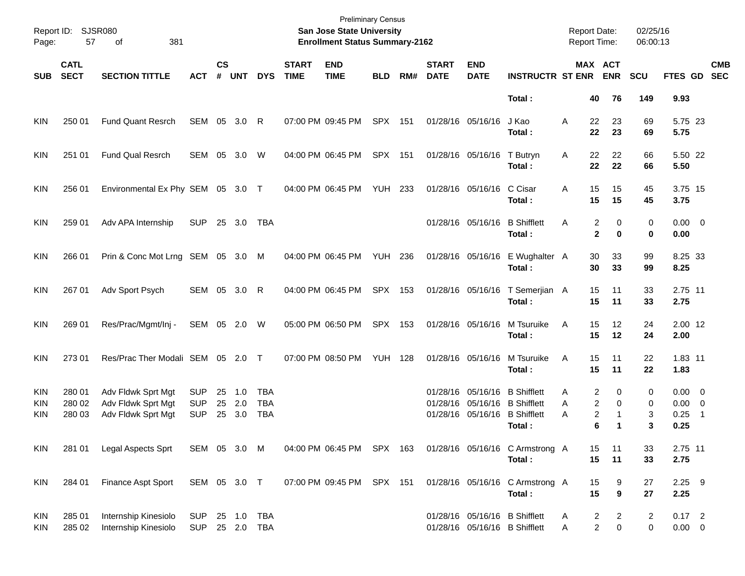| Page:                                  | Report ID: SJSR080<br>57   | 381<br>of                                                      |                                        |                    |                            |                                 |                             | <b>Preliminary Census</b><br>San Jose State University<br><b>Enrollment Status Summary-2162</b> |                |     |                             |                           |                                                                                                           | <b>Report Date:</b><br><b>Report Time:</b> |                                                              | 02/25/16<br>06:00:13 |                                            |            |
|----------------------------------------|----------------------------|----------------------------------------------------------------|----------------------------------------|--------------------|----------------------------|---------------------------------|-----------------------------|-------------------------------------------------------------------------------------------------|----------------|-----|-----------------------------|---------------------------|-----------------------------------------------------------------------------------------------------------|--------------------------------------------|--------------------------------------------------------------|----------------------|--------------------------------------------|------------|
| <b>SUB</b>                             | <b>CATL</b><br><b>SECT</b> | <b>SECTION TITTLE</b>                                          | <b>ACT</b>                             | $\mathsf{cs}$<br># | <b>UNT</b>                 | <b>DYS</b>                      | <b>START</b><br><b>TIME</b> | <b>END</b><br><b>TIME</b>                                                                       | <b>BLD</b>     | RM# | <b>START</b><br><b>DATE</b> | <b>END</b><br><b>DATE</b> | <b>INSTRUCTR ST ENR</b>                                                                                   |                                            | MAX ACT<br><b>ENR</b>                                        | <b>SCU</b>           | FTES GD SEC                                | <b>CMB</b> |
|                                        |                            |                                                                |                                        |                    |                            |                                 |                             |                                                                                                 |                |     |                             |                           | Total:                                                                                                    |                                            | 76<br>40                                                     | 149                  | 9.93                                       |            |
| <b>KIN</b>                             | 250 01                     | <b>Fund Quant Resrch</b>                                       | SEM 05 3.0 R                           |                    |                            |                                 |                             | 07:00 PM 09:45 PM                                                                               | SPX 151        |     |                             | 01/28/16 05/16/16         | J Kao<br>Total:                                                                                           | Α                                          | 23<br>22<br>22<br>23                                         | 69<br>69             | 5.75 23<br>5.75                            |            |
| <b>KIN</b>                             | 251 01                     | <b>Fund Qual Resrch</b>                                        | SEM                                    | 05                 | 3.0                        | W                               |                             | 04:00 PM 06:45 PM                                                                               | SPX 151        |     |                             | 01/28/16 05/16/16         | T Butryn<br>Total:                                                                                        | Α                                          | 22<br>22<br>22<br>22                                         | 66<br>66             | 5.50 22<br>5.50                            |            |
| <b>KIN</b>                             | 256 01                     | Environmental Ex Phy SEM 05 3.0 T                              |                                        |                    |                            |                                 |                             | 04:00 PM 06:45 PM                                                                               | YUH 233        |     |                             | 01/28/16 05/16/16         | C Cisar<br>Total:                                                                                         | 15<br>A<br>15                              | 15<br>15                                                     | 45<br>45             | 3.75 15<br>3.75                            |            |
| <b>KIN</b>                             | 259 01                     | Adv APA Internship                                             | <b>SUP</b>                             |                    | 25 3.0                     | TBA                             |                             |                                                                                                 |                |     |                             | 01/28/16 05/16/16         | <b>B</b> Shifflett<br>Total:                                                                              | Α                                          | 2<br>0<br>$\mathbf 2$<br>$\bf{0}$                            | 0<br>0               | $0.00 \t 0$<br>0.00                        |            |
| <b>KIN</b>                             | 266 01                     | Prin & Conc Mot Lrng SEM 05 3.0 M                              |                                        |                    |                            |                                 |                             | 04:00 PM 06:45 PM                                                                               | <b>YUH 236</b> |     |                             | 01/28/16 05/16/16         | E Wughalter A<br>Total:                                                                                   |                                            | 30<br>33<br>30<br>33                                         | 99<br>99             | 8.25 33<br>8.25                            |            |
| <b>KIN</b>                             | 267 01                     | Adv Sport Psych                                                | SEM 05 3.0                             |                    |                            | R                               |                             | 04:00 PM 06:45 PM                                                                               | SPX 153        |     |                             | 01/28/16 05/16/16         | T Semerjian A<br>Total:                                                                                   | 15<br>15                                   | 11<br>11                                                     | 33<br>33             | 2.75 11<br>2.75                            |            |
| <b>KIN</b>                             | 269 01                     | Res/Prac/Mgmt/Inj -                                            | SEM 05 2.0                             |                    |                            | W                               |                             | 05:00 PM 06:50 PM                                                                               | SPX 153        |     |                             | 01/28/16 05/16/16         | M Tsuruike<br>Total:                                                                                      | 15<br>A<br>15                              | 12<br>12                                                     | 24<br>24             | 2.00 12<br>2.00                            |            |
| <b>KIN</b>                             | 273 01                     | Res/Prac Ther Modali SEM 05 2.0 T                              |                                        |                    |                            |                                 |                             | 07:00 PM 08:50 PM                                                                               | <b>YUH 128</b> |     |                             | 01/28/16 05/16/16         | M Tsuruike<br>Total:                                                                                      | 15<br>A<br>15                              | 11<br>11                                                     | 22<br>22             | 1.83 11<br>1.83                            |            |
| <b>KIN</b><br><b>KIN</b><br><b>KIN</b> | 280 01<br>280 02<br>280 03 | Adv Fldwk Sprt Mgt<br>Adv Fldwk Sprt Mgt<br>Adv Fldwk Sprt Mgt | <b>SUP</b><br><b>SUP</b><br><b>SUP</b> | 25<br>25<br>25     | 1.0<br>2.0<br>3.0          | TBA<br><b>TBA</b><br><b>TBA</b> |                             |                                                                                                 |                |     |                             |                           | 01/28/16 05/16/16 B Shifflett<br>01/28/16 05/16/16 B Shifflett<br>01/28/16 05/16/16 B Shifflett<br>Total: | Α<br>Α<br>Α                                | 2<br>0<br>2<br>0<br>2<br>$\mathbf 1$<br>6<br>$\mathbf 1$     | 0<br>0<br>3<br>3     | $0.00 \t 0$<br>$0.00 \t 0$<br>0.25<br>0.25 | -1         |
| KIN                                    | 281 01                     | <b>Legal Aspects Sprt</b>                                      | SEM 05 3.0 M                           |                    |                            |                                 |                             | 04:00 PM 06:45 PM SPX 163                                                                       |                |     |                             |                           | 01/28/16 05/16/16 C Armstrong A<br>Total:                                                                 |                                            | 15<br>11<br>15<br>11                                         | 33<br>33             | 2.75 11<br>2.75                            |            |
| KIN                                    | 284 01                     | Finance Aspt Sport                                             | SEM 05 3.0 T                           |                    |                            |                                 |                             | 07:00 PM 09:45 PM SPX 151                                                                       |                |     |                             |                           | 01/28/16 05/16/16 C Armstrong A<br>Total:                                                                 |                                            | 15<br>9<br>15<br>$\boldsymbol{9}$                            | 27<br>27             | $2.25$ 9<br>2.25                           |            |
| KIN<br>KIN                             | 285 01<br>285 02           | Internship Kinesiolo<br>Internship Kinesiolo                   | <b>SUP</b><br>SUP                      |                    | 25 1.0 TBA<br>25  2.0  TBA |                                 |                             |                                                                                                 |                |     |                             |                           | 01/28/16 05/16/16 B Shifflett<br>01/28/16 05/16/16 B Shifflett                                            | A<br>Α                                     | 2<br>$\overline{a}$<br>$\overline{c}$<br>$\mathsf{O}\xspace$ | $\overline{2}$<br>0  | $0.17$ 2<br>$0.00 \t 0$                    |            |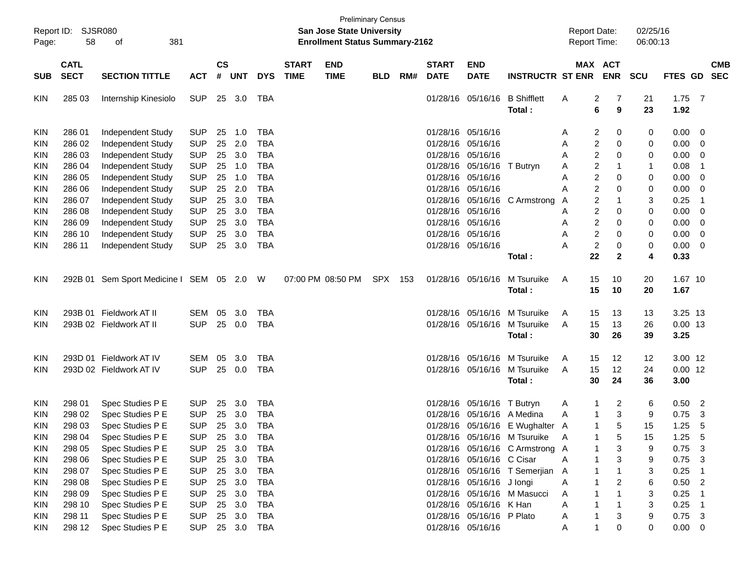| Page:      | Report ID: SJSR080<br>58   | 381<br>оf                                 |            |                |            |            |                             | <b>San Jose State University</b><br><b>Enrollment Status Summary-2162</b> | <b>Preliminary Census</b> |     |                             |                               |                                 | <b>Report Date:</b><br><b>Report Time:</b> |                         |              | 02/25/16<br>06:00:13 |             |                            |            |
|------------|----------------------------|-------------------------------------------|------------|----------------|------------|------------|-----------------------------|---------------------------------------------------------------------------|---------------------------|-----|-----------------------------|-------------------------------|---------------------------------|--------------------------------------------|-------------------------|--------------|----------------------|-------------|----------------------------|------------|
| SUB        | <b>CATL</b><br><b>SECT</b> | <b>SECTION TITTLE</b>                     | <b>ACT</b> | <b>CS</b><br># | <b>UNT</b> | <b>DYS</b> | <b>START</b><br><b>TIME</b> | <b>END</b><br><b>TIME</b>                                                 | <b>BLD</b>                | RM# | <b>START</b><br><b>DATE</b> | <b>END</b><br><b>DATE</b>     | <b>INSTRUCTR ST ENR</b>         | MAX ACT                                    |                         | <b>ENR</b>   | <b>SCU</b>           | FTES GD SEC |                            | <b>CMB</b> |
|            |                            |                                           |            |                |            |            |                             |                                                                           |                           |     |                             |                               |                                 |                                            |                         |              |                      |             |                            |            |
| <b>KIN</b> | 285 03                     | Internship Kinesiolo                      | <b>SUP</b> |                | 25 3.0     | TBA        |                             |                                                                           |                           |     |                             | 01/28/16 05/16/16 B Shifflett |                                 | Α                                          | 2                       | 7            | 21                   | 1.75        | $\overline{7}$             |            |
|            |                            |                                           |            |                |            |            |                             |                                                                           |                           |     |                             |                               | Total:                          |                                            | 6                       | 9            | 23                   | 1.92        |                            |            |
| <b>KIN</b> | 286 01                     | Independent Study                         | <b>SUP</b> | 25             | 1.0        | <b>TBA</b> |                             |                                                                           |                           |     |                             | 01/28/16 05/16/16             |                                 | Α                                          | 2                       | 0            | 0                    | 0.00        | $\overline{0}$             |            |
| <b>KIN</b> | 286 02                     | Independent Study                         | <b>SUP</b> | 25             | 2.0        | <b>TBA</b> |                             |                                                                           |                           |     |                             | 01/28/16 05/16/16             |                                 | A                                          | $\overline{c}$          | 0            | 0                    | 0.00        | $\overline{\mathbf{0}}$    |            |
| <b>KIN</b> | 286 03                     | Independent Study                         | <b>SUP</b> | 25             | 3.0        | <b>TBA</b> |                             |                                                                           |                           |     |                             | 01/28/16 05/16/16             |                                 | Α                                          | $\overline{c}$          | 0            | 0                    | 0.00        | $\overline{0}$             |            |
| <b>KIN</b> | 286 04                     | Independent Study                         | <b>SUP</b> | 25             | 1.0        | <b>TBA</b> |                             |                                                                           |                           |     |                             | 01/28/16 05/16/16 T Butryn    |                                 | Α                                          | 2                       |              | $\mathbf 1$          | 0.08        | - 1                        |            |
| <b>KIN</b> | 286 05                     | Independent Study                         | <b>SUP</b> | 25             | 1.0        | <b>TBA</b> |                             |                                                                           |                           |     |                             | 01/28/16 05/16/16             |                                 | Α                                          | $\overline{c}$          | 0            | 0                    | 0.00        | $\overline{0}$             |            |
| <b>KIN</b> | 286 06                     | Independent Study                         | <b>SUP</b> | 25             | 2.0        | <b>TBA</b> |                             |                                                                           |                           |     | 01/28/16 05/16/16           |                               |                                 | A                                          | $\overline{c}$          | 0            | 0                    | 0.00        | $\overline{0}$             |            |
| <b>KIN</b> | 286 07                     | Independent Study                         | <b>SUP</b> | 25             | 3.0        | <b>TBA</b> |                             |                                                                           |                           |     |                             |                               | 01/28/16 05/16/16 C Armstrong   | A                                          | $\overline{\mathbf{c}}$ |              | 3                    | 0.25        | - 1                        |            |
| <b>KIN</b> | 286 08                     | Independent Study                         | <b>SUP</b> | 25             | 3.0        | <b>TBA</b> |                             |                                                                           |                           |     | 01/28/16 05/16/16           |                               |                                 | Α                                          | 2                       | 0            | 0                    | 0.00        | $\overline{0}$             |            |
| <b>KIN</b> | 286 09                     | Independent Study                         | <b>SUP</b> | 25             | 3.0        | <b>TBA</b> |                             |                                                                           |                           |     |                             | 01/28/16 05/16/16             |                                 | Α                                          | $\overline{c}$          | 0            | 0                    | 0.00        | $\overline{0}$             |            |
| <b>KIN</b> | 286 10                     | Independent Study                         | <b>SUP</b> | 25             | 3.0        | <b>TBA</b> |                             |                                                                           |                           |     |                             | 01/28/16 05/16/16             |                                 | A                                          | $\overline{c}$          | 0            | 0                    | 0.00        | 0                          |            |
| <b>KIN</b> | 286 11                     | Independent Study                         | <b>SUP</b> | 25             | 3.0        | <b>TBA</b> |                             |                                                                           |                           |     |                             | 01/28/16 05/16/16             |                                 | А                                          | $\overline{c}$          | 0            | 0                    | 0.00        | $\overline{0}$             |            |
|            |                            |                                           |            |                |            |            |                             |                                                                           |                           |     |                             |                               | Total:                          |                                            | 22                      | $\mathbf{2}$ | 4                    | 0.33        |                            |            |
| <b>KIN</b> |                            | 292B 01 Sem Sport Medicine I SEM 05 2.0 W |            |                |            |            |                             | 07:00 PM 08:50 PM                                                         | SPX 153                   |     |                             | 01/28/16 05/16/16             | M Tsuruike                      | A                                          | 15                      | 10           | 20                   | 1.67 10     |                            |            |
|            |                            |                                           |            |                |            |            |                             |                                                                           |                           |     |                             |                               | Total:                          |                                            | 15                      | 10           | 20                   | 1.67        |                            |            |
|            |                            |                                           |            |                |            |            |                             |                                                                           |                           |     |                             |                               |                                 |                                            |                         |              |                      |             |                            |            |
| <b>KIN</b> |                            | 293B 01 Fieldwork AT II                   | <b>SEM</b> | 05             | 3.0        | <b>TBA</b> |                             |                                                                           |                           |     |                             |                               | 01/28/16 05/16/16 M Tsuruike    | A                                          | 15                      | 13           | 13                   | 3.25 13     |                            |            |
| KIN        |                            | 293B 02 Fieldwork AT II                   | <b>SUP</b> |                | 25 0.0     | <b>TBA</b> |                             |                                                                           |                           |     |                             |                               | 01/28/16 05/16/16 M Tsuruike    | A                                          | 15                      | 13           | 26                   | $0.00$ 13   |                            |            |
|            |                            |                                           |            |                |            |            |                             |                                                                           |                           |     |                             |                               | Total:                          |                                            | 30                      | 26           | 39                   | 3.25        |                            |            |
| <b>KIN</b> |                            | 293D 01 Fieldwork AT IV                   | <b>SEM</b> | 05             | 3.0        | <b>TBA</b> |                             |                                                                           |                           |     |                             |                               | 01/28/16 05/16/16 M Tsuruike    | A                                          | 15                      | 12           | 12                   | 3.00 12     |                            |            |
| KIN        |                            | 293D 02 Fieldwork AT IV                   | <b>SUP</b> |                | 25 0.0     | <b>TBA</b> |                             |                                                                           |                           |     |                             |                               | 01/28/16 05/16/16 M Tsuruike    | A                                          | 15                      | 12           | 24                   | $0.00$ 12   |                            |            |
|            |                            |                                           |            |                |            |            |                             |                                                                           |                           |     |                             |                               | Total:                          |                                            | 30                      | 24           | 36                   | 3.00        |                            |            |
|            |                            |                                           |            |                |            |            |                             |                                                                           |                           |     |                             |                               |                                 |                                            |                         |              |                      |             |                            |            |
| <b>KIN</b> | 298 01                     | Spec Studies P E                          | <b>SUP</b> | 25             | 3.0        | TBA        |                             |                                                                           |                           |     |                             | 01/28/16 05/16/16 T Butryn    |                                 | A                                          | 1                       | 2            | 6                    | 0.50        | $\overline{\phantom{0}}$   |            |
| <b>KIN</b> | 298 02                     | Spec Studies P E                          | <b>SUP</b> | 25             | 3.0        | <b>TBA</b> |                             |                                                                           |                           |     |                             | 01/28/16 05/16/16 A Medina    |                                 | A                                          | 1                       | 3            | 9                    | 0.75        | 3                          |            |
| KIN        | 298 03                     | Spec Studies P E                          | <b>SUP</b> | 25             | 3.0        | <b>TBA</b> |                             |                                                                           |                           |     |                             |                               | 01/28/16 05/16/16 E Wughalter A |                                            | -1                      | 5            | 15                   | 1.25        | -5                         |            |
| KIN        | 298 04                     | Spec Studies P E                          | SUP 25 3.0 |                |            | <b>TBA</b> |                             |                                                                           |                           |     |                             |                               | 01/28/16 05/16/16 M Tsuruike    | - A                                        |                         | 5            | 15                   | 1.25        | $-5$                       |            |
| <b>KIN</b> | 298 05                     | Spec Studies P E                          | <b>SUP</b> | 25             | 3.0        | TBA        |                             |                                                                           |                           |     |                             |                               | 01/28/16 05/16/16 C Armstrong A |                                            |                         | 3            | 9                    | 0.75        | - 3                        |            |
| <b>KIN</b> | 298 06                     | Spec Studies P E                          | <b>SUP</b> | 25             | 3.0        | <b>TBA</b> |                             |                                                                           |                           |     |                             | 01/28/16 05/16/16 C Cisar     |                                 | A                                          |                         | 3            | 9                    | 0.75        | $\overline{\mathbf{3}}$    |            |
| <b>KIN</b> | 298 07                     | Spec Studies P E                          | <b>SUP</b> | 25             | 3.0        | <b>TBA</b> |                             |                                                                           |                           |     |                             |                               | 01/28/16 05/16/16 T Semerjian   | A                                          |                         |              | 3                    | 0.25        | $\overline{\phantom{0}}$ 1 |            |
| <b>KIN</b> | 298 08                     | Spec Studies P E                          | <b>SUP</b> | 25             | 3.0        | <b>TBA</b> |                             |                                                                           |                           |     |                             | 01/28/16 05/16/16 J longi     |                                 | Α                                          |                         | 2            | 6                    | 0.50        | $\overline{\phantom{0}}$   |            |
| KIN        | 298 09                     | Spec Studies P E                          | <b>SUP</b> | 25             | 3.0        | <b>TBA</b> |                             |                                                                           |                           |     |                             |                               | 01/28/16 05/16/16 M Masucci     | Α                                          |                         |              | 3                    | 0.25        | $\overline{\phantom{0}}$ 1 |            |
| KIN        | 298 10                     | Spec Studies P E                          | <b>SUP</b> | 25             | 3.0        | TBA        |                             |                                                                           |                           |     |                             | 01/28/16 05/16/16 K Han       |                                 | Α                                          |                         |              | 3                    | 0.25        | $\overline{\phantom{0}}$ 1 |            |
| <b>KIN</b> | 298 11                     | Spec Studies P E                          | <b>SUP</b> | 25             | 3.0        | TBA        |                             |                                                                           |                           |     |                             | 01/28/16 05/16/16 P Plato     |                                 | Α                                          |                         | 3            | 9                    | $0.75$ 3    |                            |            |
| <b>KIN</b> | 298 12                     | Spec Studies P E                          | <b>SUP</b> |                | 25 3.0 TBA |            |                             |                                                                           |                           |     |                             | 01/28/16 05/16/16             |                                 | A                                          |                         | 0            | 0                    | $0.00 \t 0$ |                            |            |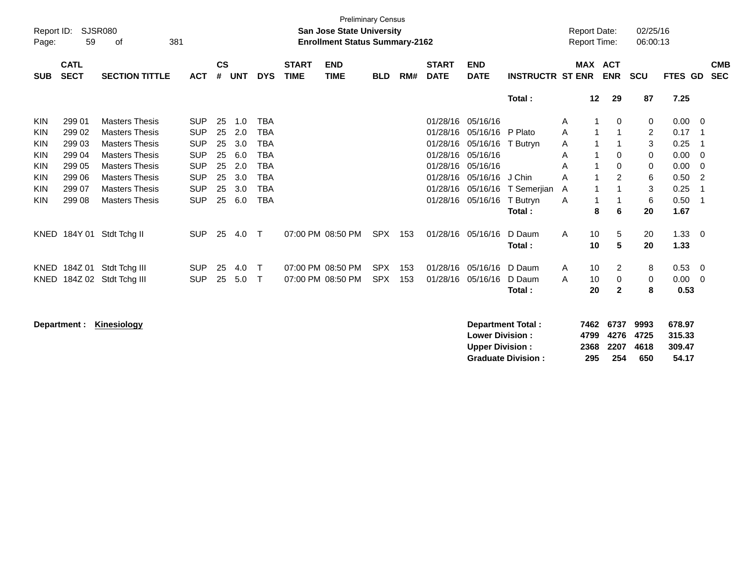| Report ID:<br>Page: | 59                         | <b>SJSR080</b><br>of  | 381        |                    |            |             |                             | <b>San Jose State University</b><br><b>Enrollment Status Summary-2162</b> | <b>Preliminary Census</b> |     |                             |                                                  |                                                       |   | <b>Report Date:</b><br><b>Report Time:</b> |                             | 02/25/16<br>06:00:13        |                                     |                          |            |
|---------------------|----------------------------|-----------------------|------------|--------------------|------------|-------------|-----------------------------|---------------------------------------------------------------------------|---------------------------|-----|-----------------------------|--------------------------------------------------|-------------------------------------------------------|---|--------------------------------------------|-----------------------------|-----------------------------|-------------------------------------|--------------------------|------------|
| <b>SUB</b>          | <b>CATL</b><br><b>SECT</b> | <b>SECTION TITTLE</b> | <b>ACT</b> | $\mathsf{cs}$<br># | <b>UNT</b> | <b>DYS</b>  | <b>START</b><br><b>TIME</b> | <b>END</b><br><b>TIME</b>                                                 | <b>BLD</b>                | RM# | <b>START</b><br><b>DATE</b> | <b>END</b><br><b>DATE</b>                        | <b>INSTRUCTR ST ENR</b>                               |   | MAX ACT                                    | <b>ENR</b>                  | <b>SCU</b>                  | FTES GD                             | <b>SEC</b>               | <b>CMB</b> |
|                     |                            |                       |            |                    |            |             |                             |                                                                           |                           |     |                             |                                                  | Total:                                                |   | 12 <sub>2</sub>                            | 29                          | 87                          | 7.25                                |                          |            |
| <b>KIN</b>          | 299 01                     | <b>Masters Thesis</b> | <b>SUP</b> | 25                 | 1.0        | <b>TBA</b>  |                             |                                                                           |                           |     | 01/28/16                    | 05/16/16                                         |                                                       | A | 1                                          | 0                           | 0                           | 0.00                                | - 0                      |            |
| <b>KIN</b>          | 299 02                     | <b>Masters Thesis</b> | <b>SUP</b> | 25                 | 2.0        | <b>TBA</b>  |                             |                                                                           |                           |     | 01/28/16                    | 05/16/16                                         | P Plato                                               | A | 1                                          |                             | 2                           | 0.17                                |                          |            |
| <b>KIN</b>          | 299 03                     | <b>Masters Thesis</b> | <b>SUP</b> | 25                 | 3.0        | <b>TBA</b>  |                             |                                                                           |                           |     | 01/28/16                    | 05/16/16                                         | T Butryn                                              | Α | 1                                          |                             | 3                           | 0.25                                | - 1                      |            |
| <b>KIN</b>          | 299 04                     | <b>Masters Thesis</b> | <b>SUP</b> | 25                 | 6.0        | <b>TBA</b>  |                             |                                                                           |                           |     | 01/28/16                    | 05/16/16                                         |                                                       | A | 1                                          | 0                           | 0                           | 0.00                                | - 0                      |            |
| <b>KIN</b>          | 299 05                     | <b>Masters Thesis</b> | <b>SUP</b> | 25                 | 2.0        | <b>TBA</b>  |                             |                                                                           |                           |     | 01/28/16                    | 05/16/16                                         |                                                       | Α | 1                                          | 0                           | 0                           | 0.00                                | - 0                      |            |
| <b>KIN</b>          | 299 06                     | <b>Masters Thesis</b> | <b>SUP</b> | 25                 | 3.0        | <b>TBA</b>  |                             |                                                                           |                           |     | 01/28/16                    | 05/16/16                                         | J Chin                                                | A |                                            | $\overline{2}$              | 6                           | 0.50                                | $\overline{2}$           |            |
| <b>KIN</b>          | 299 07                     | <b>Masters Thesis</b> | <b>SUP</b> | 25                 | 3.0        | <b>TBA</b>  |                             |                                                                           |                           |     | 01/28/16                    | 05/16/16                                         | T Semerjian                                           | A | 1                                          |                             | 3                           | 0.25                                |                          |            |
| <b>KIN</b>          | 299 08                     | <b>Masters Thesis</b> | <b>SUP</b> | 25                 | 6.0        | <b>TBA</b>  |                             |                                                                           |                           |     | 01/28/16                    | 05/16/16                                         | T Butryn                                              | A | 1                                          |                             | 6                           | 0.50                                | - 1                      |            |
|                     |                            |                       |            |                    |            |             |                             |                                                                           |                           |     |                             |                                                  | Total:                                                |   | 8                                          | 6                           | 20                          | 1.67                                |                          |            |
|                     | KNED 184Y 01               | Stdt Tchg II          | <b>SUP</b> | 25                 | 4.0        | $\top$      |                             | 07:00 PM 08:50 PM                                                         | SPX                       | 153 | 01/28/16                    | 05/16/16                                         | D Daum                                                | A | 10                                         | 5                           | 20                          | 1.33                                | $\overline{\phantom{0}}$ |            |
|                     |                            |                       |            |                    |            |             |                             |                                                                           |                           |     |                             |                                                  | Total:                                                |   | 10                                         | 5                           | 20                          | 1.33                                |                          |            |
|                     | KNED 184Z 01               | Stdt Tchg III         | <b>SUP</b> | 25                 | 4.0        | Т           |                             | 07:00 PM 08:50 PM                                                         | <b>SPX</b>                | 153 | 01/28/16                    | 05/16/16                                         | D Daum                                                | A | 10                                         | $\overline{2}$              | 8                           | 0.53                                | $\overline{\mathbf{0}}$  |            |
| <b>KNED</b>         |                            | 184Z 02 Stdt Tchg III | <b>SUP</b> | 25                 | 5.0        | $\mathsf T$ |                             | 07:00 PM 08:50 PM                                                         | <b>SPX</b>                | 153 | 01/28/16                    | 05/16/16                                         | D Daum                                                | A | 10                                         | 0                           | 0                           | 0.00                                | $\overline{\mathbf{0}}$  |            |
|                     |                            |                       |            |                    |            |             |                             |                                                                           |                           |     |                             |                                                  | Total:                                                |   | 20                                         | $\mathbf{2}$                | 8                           | 0.53                                |                          |            |
|                     | Department :               | <b>Kinesiology</b>    |            |                    |            |             |                             |                                                                           |                           |     |                             | <b>Lower Division:</b><br><b>Upper Division:</b> | <b>Department Total:</b><br><b>Graduate Division:</b> |   | 7462<br>4799<br>2368<br>295                | 6737<br>4276<br>2207<br>254 | 9993<br>4725<br>4618<br>650 | 678.97<br>315.33<br>309.47<br>54.17 |                          |            |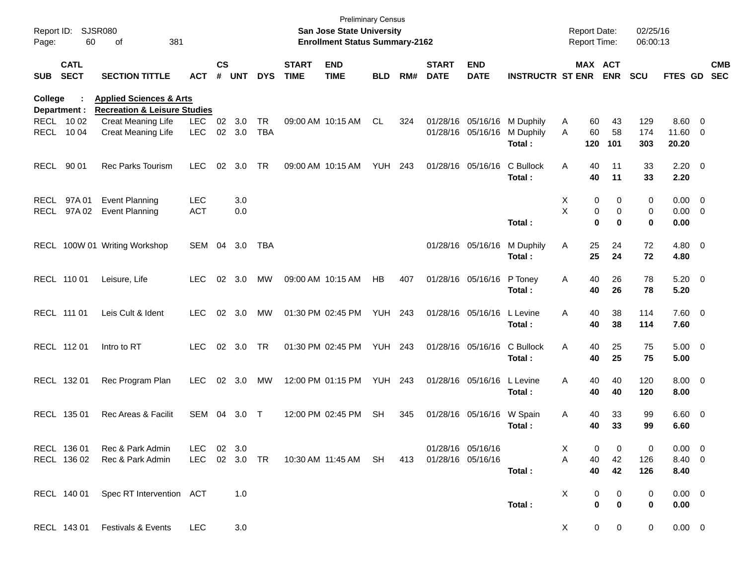| Report ID:<br>Page: | 60                         | <b>SJSR080</b><br>381<br>of                                                   |               |               |        |            |                             | <b>Preliminary Census</b><br>San Jose State University<br><b>Enrollment Status Summary-2162</b> |                |       |                             |                           |                             | <b>Report Date:</b><br><b>Report Time:</b> |             |                       | 02/25/16<br>06:00:13 |                     |            |
|---------------------|----------------------------|-------------------------------------------------------------------------------|---------------|---------------|--------|------------|-----------------------------|-------------------------------------------------------------------------------------------------|----------------|-------|-----------------------------|---------------------------|-----------------------------|--------------------------------------------|-------------|-----------------------|----------------------|---------------------|------------|
| <b>SUB</b>          | <b>CATL</b><br><b>SECT</b> | <b>SECTION TITTLE</b>                                                         | <b>ACT</b>    | $\mathsf{cs}$ | # UNT  | <b>DYS</b> | <b>START</b><br><b>TIME</b> | <b>END</b><br><b>TIME</b>                                                                       | <b>BLD</b>     | RM#   | <b>START</b><br><b>DATE</b> | <b>END</b><br><b>DATE</b> | <b>INSTRUCTR ST ENR</b>     |                                            |             | MAX ACT<br><b>ENR</b> | <b>SCU</b>           | FTES GD SEC         | <b>CMB</b> |
| College             | Department :               | <b>Applied Sciences &amp; Arts</b><br><b>Recreation &amp; Leisure Studies</b> |               |               |        |            |                             |                                                                                                 |                |       |                             |                           |                             |                                            |             |                       |                      |                     |            |
|                     | RECL 10 02                 | Creat Meaning Life                                                            | <b>LEC</b>    | 02            | 3.0    | TR         |                             | 09:00 AM 10:15 AM                                                                               | CL.            | 324   |                             |                           | 01/28/16 05/16/16 M Duphily | A                                          | 60          | 43                    | 129                  | 8.60 0              |            |
| RECL                | 10 04                      | Creat Meaning Life                                                            | <b>LEC</b>    | 02            | 3.0    | TBA        |                             |                                                                                                 |                |       |                             | 01/28/16 05/16/16         | M Duphily<br>Total:         | A                                          | 60<br>120   | 58<br>101             | 174<br>303           | 11.60 0<br>20.20    |            |
| RECL                | 90 01                      | <b>Rec Parks Tourism</b>                                                      | <b>LEC</b>    | 02            | 3.0    | TR         |                             | 09:00 AM 10:15 AM                                                                               | YUH            | - 243 |                             | 01/28/16 05/16/16         | C Bullock<br>Total:         | A                                          | 40<br>40    | 11<br>11              | 33<br>33             | $2.20 \t 0$<br>2.20 |            |
| <b>RECL</b>         | 97A 01                     | <b>Event Planning</b>                                                         | <b>LEC</b>    |               | 3.0    |            |                             |                                                                                                 |                |       |                             |                           |                             | Χ                                          | 0           | 0                     | 0                    | $0.00 \t 0$         |            |
| RECL                | 97A 02                     | <b>Event Planning</b>                                                         | <b>ACT</b>    |               | 0.0    |            |                             |                                                                                                 |                |       |                             |                           |                             | X                                          | 0           | 0                     | 0                    | $0.00 \t 0$         |            |
|                     |                            |                                                                               |               |               |        |            |                             |                                                                                                 |                |       |                             |                           | Total:                      |                                            | $\bf{0}$    | 0                     | 0                    | 0.00                |            |
|                     |                            | RECL 100W 01 Writing Workshop                                                 | SEM 04        |               | 3.0    | TBA        |                             |                                                                                                 |                |       |                             | 01/28/16 05/16/16         | M Duphily<br>Total:         | Α                                          | 25<br>25    | 24<br>24              | 72<br>72             | $4.80$ 0<br>4.80    |            |
|                     | RECL 110 01                | Leisure, Life                                                                 | <b>LEC</b>    | 02            | 3.0    | MW         |                             | 09:00 AM 10:15 AM                                                                               | <b>HB</b>      | 407   |                             | 01/28/16 05/16/16         | P Toney<br>Total:           | Α                                          | 40<br>40    | 26<br>26              | 78<br>78             | $5.20 \ 0$<br>5.20  |            |
|                     | RECL 111 01                | Leis Cult & Ident                                                             | <b>LEC</b>    | 02            | 3.0    | MW         |                             | 01:30 PM 02:45 PM                                                                               | <b>YUH 243</b> |       |                             | 01/28/16 05/16/16         | L Levine<br>Total:          | A                                          | 40<br>40    | 38<br>38              | 114<br>114           | 7.60 0<br>7.60      |            |
|                     | RECL 112 01                | Intro to RT                                                                   | <b>LEC</b>    | 02            | 3.0    | TR         |                             | 01:30 PM 02:45 PM                                                                               | <b>YUH 243</b> |       |                             | 01/28/16 05/16/16         | C Bullock<br>Total:         | Α                                          | 40<br>40    | 25<br>25              | 75<br>75             | $5.00 \t 0$<br>5.00 |            |
|                     | RECL 132 01                | Rec Program Plan                                                              | <b>LEC</b>    | 02            | 3.0    | MW         |                             | 12:00 PM 01:15 PM                                                                               | <b>YUH 243</b> |       |                             | 01/28/16 05/16/16         | L Levine<br>Total:          | Α                                          | 40<br>40    | 40<br>40              | 120<br>120           | $8.00 \t 0$<br>8.00 |            |
|                     | RECL 135 01                | Rec Areas & Facilit                                                           | SEM 04        |               | 3.0    | $\top$     |                             | 12:00 PM 02:45 PM                                                                               | <b>SH</b>      | 345   |                             | 01/28/16 05/16/16         | W Spain<br>Total:           | A                                          | 40<br>40    | 33<br>33              | 99<br>99             | $6.60$ 0<br>6.60    |            |
|                     | RECL 136 01                | Rec & Park Admin                                                              | LEC           |               | 02 3.0 |            |                             |                                                                                                 |                |       |                             | 01/28/16 05/16/16         |                             | X                                          | 0           | 0                     | 0                    | $0.00 \t 0$         |            |
|                     | RECL 136 02                | Rec & Park Admin                                                              | LEC 02 3.0 TR |               |        |            |                             | 10:30 AM_11:45 AM  SH                                                                           |                | 413   | 01/28/16 05/16/16           |                           |                             | A                                          | 40          | 42                    | 126                  | 8.40 0              |            |
|                     |                            |                                                                               |               |               |        |            |                             |                                                                                                 |                |       |                             |                           | Total:                      |                                            | 40          | 42                    | 126                  | 8.40                |            |
|                     | RECL 140 01                | Spec RT Intervention ACT                                                      |               |               | 1.0    |            |                             |                                                                                                 |                |       |                             |                           |                             | X                                          | 0           | 0                     | 0                    | $0.00 \t 0$         |            |
|                     |                            |                                                                               |               |               |        |            |                             |                                                                                                 |                |       |                             |                           | Total:                      |                                            | $\mathbf 0$ | $\mathbf 0$           | 0                    | 0.00                |            |
|                     | RECL 143 01                | Festivals & Events                                                            | <b>LEC</b>    |               | 3.0    |            |                             |                                                                                                 |                |       |                             |                           |                             | X                                          | 0           | 0                     | 0                    | $0.00 \t 0$         |            |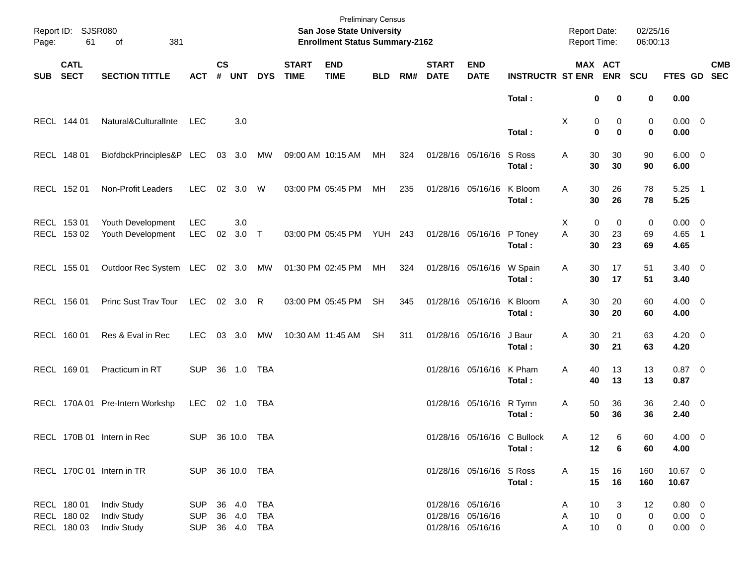| Report ID:<br>Page: | 61                                        | <b>SJSR080</b><br>381<br>of                                    |                                        |                    |            |                          |                             | <b>Preliminary Census</b><br><b>San Jose State University</b><br><b>Enrollment Status Summary-2162</b> |                |     |                             |                                                             |                                       | <b>Report Date:</b><br>Report Time: |                                   | 02/25/16<br>06:00:13 |                                          |                          |
|---------------------|-------------------------------------------|----------------------------------------------------------------|----------------------------------------|--------------------|------------|--------------------------|-----------------------------|--------------------------------------------------------------------------------------------------------|----------------|-----|-----------------------------|-------------------------------------------------------------|---------------------------------------|-------------------------------------|-----------------------------------|----------------------|------------------------------------------|--------------------------|
| <b>SUB</b>          | <b>CATL</b><br><b>SECT</b>                | <b>SECTION TITTLE</b>                                          | <b>ACT</b>                             | $\mathsf{cs}$<br># | <b>UNT</b> | <b>DYS</b>               | <b>START</b><br><b>TIME</b> | <b>END</b><br><b>TIME</b>                                                                              | <b>BLD</b>     | RM# | <b>START</b><br><b>DATE</b> | <b>END</b><br><b>DATE</b>                                   | <b>INSTRUCTR ST ENR</b>               |                                     | <b>MAX ACT</b><br><b>ENR</b>      | <b>SCU</b>           | FTES GD                                  | <b>CMB</b><br><b>SEC</b> |
|                     |                                           |                                                                |                                        |                    |            |                          |                             |                                                                                                        |                |     |                             |                                                             | Total:                                |                                     | 0<br>0                            | 0                    | 0.00                                     |                          |
|                     | RECL 144 01                               | Natural&CulturalInte                                           | <b>LEC</b>                             |                    | 3.0        |                          |                             |                                                                                                        |                |     |                             |                                                             | Total:                                | X                                   | 0<br>0<br>$\mathbf 0$<br>$\bf{0}$ | 0<br>$\mathbf 0$     | $0.00 \t 0$<br>0.00                      |                          |
|                     | RECL 148 01                               | BiofdbckPrinciples&P LEC                                       |                                        | 03 3.0             |            | MW                       |                             | 09:00 AM 10:15 AM                                                                                      | МH             | 324 |                             | 01/28/16 05/16/16                                           | S Ross<br>Total:                      | A<br>30                             | 30<br>30<br>30                    | 90<br>90             | $6.00 \quad 0$<br>6.00                   |                          |
|                     | RECL 152 01                               | Non-Profit Leaders                                             | <b>LEC</b>                             | 02 3.0             |            | W                        |                             | 03:00 PM 05:45 PM                                                                                      | МH             | 235 |                             | 01/28/16 05/16/16                                           | K Bloom<br>Total:                     | 30<br>Α                             | 26<br>30<br>26                    | 78<br>78             | $5.25$ 1<br>5.25                         |                          |
|                     | RECL 153 01<br>RECL 153 02                | Youth Development<br>Youth Development                         | <b>LEC</b><br><b>LEC</b>               | 02                 | 3.0<br>3.0 | $\top$                   |                             | 03:00 PM 05:45 PM                                                                                      | <b>YUH 243</b> |     |                             | 01/28/16 05/16/16                                           | P Toney<br>Total:                     | X<br>A<br>30                        | 0<br>0<br>23<br>30<br>23          | 0<br>69<br>69        | $0.00 \t 0$<br>4.65<br>4.65              | $\overline{\phantom{0}}$ |
|                     | RECL 155 01                               | Outdoor Rec System LEC 02 3.0                                  |                                        |                    |            | МW                       |                             | 01:30 PM 02:45 PM                                                                                      | МH             | 324 |                             | 01/28/16 05/16/16                                           | W Spain<br>Total:                     | Α<br>30<br>30                       | 17<br>17                          | 51<br>51             | $3.40 \ 0$<br>3.40                       |                          |
|                     | RECL 156 01                               | Princ Sust Trav Tour                                           | LEC                                    |                    | 02 3.0 R   |                          |                             | 03:00 PM 05:45 PM                                                                                      | <b>SH</b>      | 345 |                             | 01/28/16 05/16/16                                           | K Bloom<br>Total:                     | A<br>30                             | 20<br>30<br>20                    | 60<br>60             | $4.00 \ 0$<br>4.00                       |                          |
|                     | RECL 160 01                               | Res & Eval in Rec                                              | <b>LEC</b>                             | 03                 | 3.0        | MW                       |                             | 10:30 AM 11:45 AM                                                                                      | <b>SH</b>      | 311 |                             | 01/28/16 05/16/16                                           | J Baur<br>Total:                      | Α<br>30                             | 21<br>30<br>21                    | 63<br>63             | $4.20 \ 0$<br>4.20                       |                          |
|                     | RECL 169 01                               | Practicum in RT                                                | <b>SUP</b>                             | 36 1.0             |            | TBA                      |                             |                                                                                                        |                |     |                             | 01/28/16 05/16/16                                           | K Pham<br>Total:                      | Α                                   | 40<br>13<br>40<br>13              | 13<br>13             | $0.87$ 0<br>0.87                         |                          |
|                     |                                           | RECL 170A 01 Pre-Intern Workshp                                | LEC                                    | 02 1.0             |            | TBA                      |                             |                                                                                                        |                |     |                             | 01/28/16 05/16/16 R Tymn                                    | Total:                                | Α<br>50                             | 36<br>50<br>36                    | 36<br>36             | $2.40 \ 0$<br>2.40                       |                          |
|                     |                                           | RECL 170B 01 Intern in Rec                                     | SUP 36 10.0 TBA                        |                    |            |                          |                             |                                                                                                        |                |     |                             |                                                             | 01/28/16 05/16/16 C Bullock<br>Total: | Α                                   | 12<br>6<br>12<br>6                | 60<br>60             | 4.00 0<br>4.00                           |                          |
|                     |                                           | RECL 170C 01 Intern in TR                                      | SUP 36 10.0 TBA                        |                    |            |                          |                             |                                                                                                        |                |     |                             | 01/28/16 05/16/16 S Ross                                    | Total:                                | 15<br>A<br>15                       | 16<br>16                          | 160<br>160           | 10.67 0<br>10.67                         |                          |
|                     | RECL 180 01<br>RECL 180 02<br>RECL 180 03 | <b>Indiv Study</b><br><b>Indiv Study</b><br><b>Indiv Study</b> | SUP 36 4.0<br><b>SUP</b><br><b>SUP</b> | 36 4.0<br>36 4.0   |            | TBA<br><b>TBA</b><br>TBA |                             |                                                                                                        |                |     |                             | 01/28/16 05/16/16<br>01/28/16 05/16/16<br>01/28/16 05/16/16 |                                       | 10<br>A<br>10<br>Α<br>Α             | 3<br>$\mathbf 0$<br>10<br>0       | 12<br>0<br>0         | 0.80 0<br>$0.00 \t 0$<br>$0.00\quad$ $0$ |                          |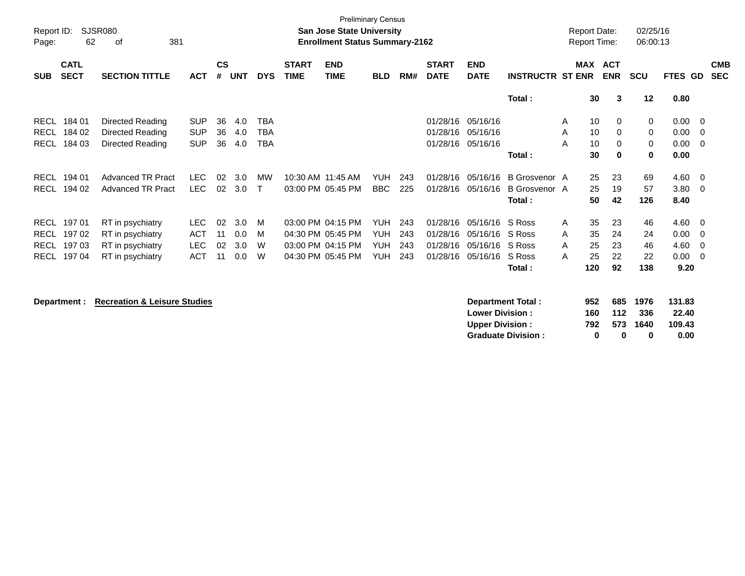| <b>CATL</b><br><b>SECT</b><br><b>SUB</b><br>184 01<br><b>RECL</b><br><b>RECL</b><br>184 02 | <b>SECTION TITTLE</b><br>Directed Reading<br>Directed Reading | ACT<br><b>SUP</b> | <b>CS</b><br>#<br>36 | <b>UNT</b><br>4.0 | <b>DYS</b> | <b>START</b><br><b>TIME</b> | <b>END</b><br><b>TIME</b> | <b>BLD</b> | RM# | <b>START</b><br><b>DATE</b> | <b>END</b><br><b>DATE</b> | <b>INSTRUCTR ST ENR</b> | MAX     | <b>ACT</b><br><b>ENR</b> | <b>SCU</b>  | FTES GD | <b>CMB</b><br><b>SEC</b> |
|--------------------------------------------------------------------------------------------|---------------------------------------------------------------|-------------------|----------------------|-------------------|------------|-----------------------------|---------------------------|------------|-----|-----------------------------|---------------------------|-------------------------|---------|--------------------------|-------------|---------|--------------------------|
|                                                                                            |                                                               |                   |                      |                   |            |                             |                           |            |     |                             |                           |                         |         |                          |             |         |                          |
|                                                                                            |                                                               |                   |                      |                   |            |                             |                           |            |     |                             |                           | Total:                  | 30      | 3                        | 12          | 0.80    |                          |
|                                                                                            |                                                               |                   |                      |                   | TBA        |                             |                           |            |     | 01/28/16                    | 05/16/16                  |                         | 10<br>A | $\mathbf{0}$             | 0           | 0.00    | $\overline{\phantom{0}}$ |
|                                                                                            |                                                               | <b>SUP</b>        | 36                   | 4.0               | TBA        |                             |                           |            |     | 01/28/16                    | 05/16/16                  |                         | 10<br>A | 0                        | 0           | 0.00    | $\overline{\mathbf{0}}$  |
| <b>RECL</b><br>184 03                                                                      | Directed Reading                                              | <b>SUP</b>        | 36                   | 4.0               | TBA        |                             |                           |            |     | 01/28/16                    | 05/16/16                  |                         | 10<br>A | 0                        | 0           | 0.00    | $\overline{0}$           |
|                                                                                            |                                                               |                   |                      |                   |            |                             |                           |            |     |                             |                           | Total:                  | 30      | 0                        | $\mathbf 0$ | 0.00    |                          |
| <b>RECL</b><br>194 01                                                                      | <b>Advanced TR Pract</b>                                      | <b>LEC</b>        | 02                   | 3.0               | МW         |                             | 10:30 AM 11:45 AM         | <b>YUH</b> | 243 | 01/28/16                    | 05/16/16                  | B Grosvenor A           | 25      | 23                       | 69          | 4.60 0  |                          |
| RECL<br>194 02                                                                             | <b>Advanced TR Pract</b>                                      | LEC.              | 02                   | 3.0               | т          |                             | 03:00 PM 05:45 PM         | BBC        | 225 | 01/28/16                    | 05/16/16                  | B Grosvenor A           | 25      | 19                       | 57          | 3.80    | $\overline{0}$           |
|                                                                                            |                                                               |                   |                      |                   |            |                             |                           |            |     |                             |                           | Total:                  | 50      | 42                       | 126         | 8.40    |                          |
| 19701<br><b>RECL</b>                                                                       | RT in psychiatry                                              | <b>LEC</b>        | 02                   | 3.0               | M          |                             | 03:00 PM 04:15 PM         | <b>YUH</b> | 243 | 01/28/16                    | 05/16/16                  | S Ross                  | 35<br>A | 23                       | 46          | 4.60    | $\overline{\phantom{0}}$ |
| RECL<br>19702                                                                              | RT in psychiatry                                              | <b>ACT</b>        | 11                   | 0.0               | M          |                             | 04:30 PM 05:45 PM         | <b>YUH</b> | 243 | 01/28/16                    | 05/16/16                  | S Ross                  | 35<br>A | 24                       | 24          | 0.00    | $\overline{\mathbf{0}}$  |
| <b>RECL</b><br>19703                                                                       | RT in psychiatry                                              | <b>LEC</b>        | 02                   | 3.0               | W          |                             | 03:00 PM 04:15 PM         | <b>YUH</b> | 243 | 01/28/16                    | 05/16/16                  | S Ross                  | 25<br>A | 23                       | 46          | 4.60    | $\overline{\mathbf{0}}$  |
| 197 04<br><b>RECL</b>                                                                      | RT in psychiatry                                              | <b>ACT</b>        | 11                   | 0.0               | W          |                             | 04:30 PM 05:45 PM         | <b>YUH</b> | 243 | 01/28/16                    | 05/16/16                  | S Ross                  | 25<br>A | 22                       | 22          | 0.00    | $\overline{\mathbf{0}}$  |
|                                                                                            |                                                               |                   |                      |                   |            |                             |                           |            |     |                             |                           | Total:                  | 120     | 92                       | 138         | 9.20    |                          |

**Department : Recreation & Leisure Studies** 

| Department Total:         | 952 |     | 685 1976 | 131.83 |
|---------------------------|-----|-----|----------|--------|
| <b>Lower Division:</b>    | 160 | 112 | - 336    | 22.40  |
| Upper Division:           | 792 |     | 573 1640 | 109.43 |
| <b>Graduate Division:</b> | n   | n   | o        | 0.00   |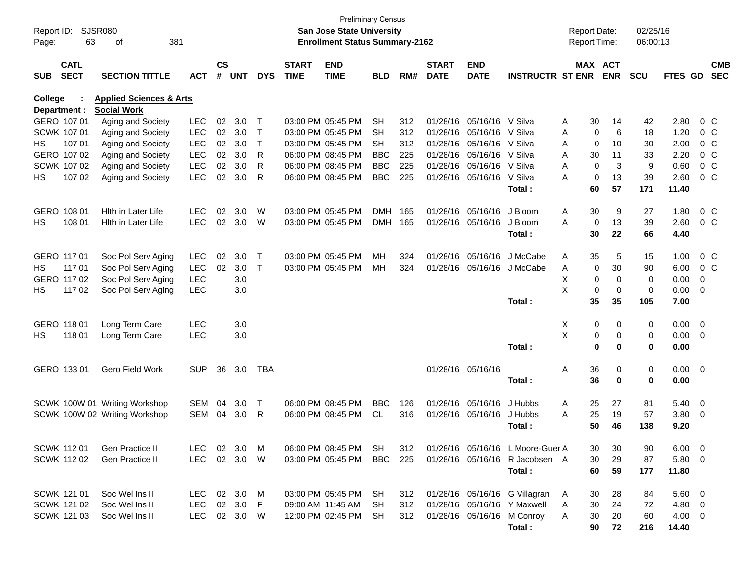| Report ID:<br>Page: | 63                 | <b>SJSR080</b><br>381<br>οf        |            |               |            |              |                   | San Jose State University<br><b>Enrollment Status Summary-2162</b> | <b>Preliminary Census</b> |     |              |                           |                                  | <b>Report Date:</b><br>Report Time: |             |             | 02/25/16<br>06:00:13 |                |                          |                |
|---------------------|--------------------|------------------------------------|------------|---------------|------------|--------------|-------------------|--------------------------------------------------------------------|---------------------------|-----|--------------|---------------------------|----------------------------------|-------------------------------------|-------------|-------------|----------------------|----------------|--------------------------|----------------|
|                     | <b>CATL</b>        |                                    |            | $\mathsf{cs}$ |            |              | <b>START</b>      | <b>END</b>                                                         |                           |     | <b>START</b> | <b>END</b>                |                                  |                                     | MAX ACT     |             |                      |                |                          | <b>CMB</b>     |
| <b>SUB</b>          | <b>SECT</b>        | <b>SECTION TITTLE</b>              | <b>ACT</b> | #             | <b>UNT</b> | <b>DYS</b>   | <b>TIME</b>       | <b>TIME</b>                                                        | <b>BLD</b>                | RM# | <b>DATE</b>  | <b>DATE</b>               | <b>INSTRUCTR ST ENR</b>          |                                     | <b>ENR</b>  |             | <b>SCU</b>           | FTES GD        |                          | <b>SEC</b>     |
| College             |                    | <b>Applied Sciences &amp; Arts</b> |            |               |            |              |                   |                                                                    |                           |     |              |                           |                                  |                                     |             |             |                      |                |                          |                |
|                     | Department :       | <b>Social Work</b>                 |            |               |            |              |                   |                                                                    |                           |     |              |                           |                                  |                                     |             |             |                      |                |                          |                |
|                     | GERO 107 01        | Aging and Society                  | <b>LEC</b> | 02            | 3.0        | $\top$       |                   | 03:00 PM 05:45 PM                                                  | <b>SH</b>                 | 312 |              | 01/28/16 05/16/16 V Silva |                                  | 30<br>A                             |             | 14          | 42                   | 2.80           |                          | 0 <sup>o</sup> |
|                     | SCWK 107 01        | Aging and Society                  | <b>LEC</b> | 02            | 3.0        | $\mathsf{T}$ |                   | 03:00 PM 05:45 PM                                                  | SН                        | 312 |              | 01/28/16 05/16/16 V Silva |                                  | A                                   | $\mathbf 0$ | 6           | 18                   | 1.20           |                          | 0 <sup>o</sup> |
| HS                  | 107 01             | Aging and Society                  | <b>LEC</b> | 02            | 3.0        | $\mathsf{T}$ |                   | 03:00 PM 05:45 PM                                                  | SН                        | 312 |              | 01/28/16 05/16/16 V Silva |                                  | A                                   | $\mathbf 0$ | 10          | 30                   | 2.00           |                          | 0 <sup>o</sup> |
|                     | GERO 107 02        | Aging and Society                  | <b>LEC</b> | 02            | 3.0        | R            |                   | 06:00 PM 08:45 PM                                                  | <b>BBC</b>                | 225 |              | 01/28/16 05/16/16 V Silva |                                  | 30<br>A                             | 11          |             | 33                   | 2.20           |                          | 0 <sup>o</sup> |
|                     | SCWK 107 02        | Aging and Society                  | <b>LEC</b> | 02            | 3.0        | R            |                   | 06:00 PM 08:45 PM                                                  | <b>BBC</b>                | 225 |              | 01/28/16 05/16/16 V Silva |                                  | A                                   | $\mathbf 0$ | 3           | 9                    | 0.60           |                          | 0 <sup>o</sup> |
| HS                  | 107 02             | Aging and Society                  | <b>LEC</b> | 02            | 3.0        | R            |                   | 06:00 PM 08:45 PM                                                  | <b>BBC</b>                | 225 |              | 01/28/16 05/16/16 V Silva |                                  | A                                   | $\mathbf 0$ | 13          | 39                   | 2.60           |                          | 0 <sup>o</sup> |
|                     |                    |                                    |            |               |            |              |                   |                                                                    |                           |     |              |                           | Total:                           | 60                                  |             | 57          | 171                  | 11.40          |                          |                |
|                     | GERO 108 01        | Hith in Later Life                 | <b>LEC</b> | 02            | 3.0        | W            |                   | 03:00 PM 05:45 PM                                                  | <b>DMH</b>                | 165 |              | 01/28/16 05/16/16         | J Bloom                          | 30<br>Α                             |             | 9           | 27                   | 1.80           |                          | 0 <sup>o</sup> |
| HS                  | 108 01             | <b>Hith in Later Life</b>          | <b>LEC</b> | 02            | 3.0        | W            |                   | 03:00 PM 05:45 PM                                                  | <b>DMH</b>                | 165 |              | 01/28/16 05/16/16         | J Bloom                          | A                                   | $\mathbf 0$ | 13          | 39                   | 2.60           |                          | 0 <sup>o</sup> |
|                     |                    |                                    |            |               |            |              |                   |                                                                    |                           |     |              |                           | Total:                           | 30                                  |             | 22          | 66                   | 4.40           |                          |                |
|                     | GERO 117 01        | Soc Pol Serv Aging                 | <b>LEC</b> | 02            | 3.0        | $\mathsf{T}$ |                   | 03:00 PM 05:45 PM                                                  | MН                        | 324 |              | 01/28/16 05/16/16         | J McCabe                         | 35<br>A                             |             | 5           | 15                   | 1.00           |                          | 0 <sup>o</sup> |
| HS                  | 117 01             | Soc Pol Serv Aging                 | <b>LEC</b> | 02            | 3.0        | $\mathsf{T}$ |                   | 03:00 PM 05:45 PM                                                  | MН                        | 324 |              | 01/28/16 05/16/16         | J McCabe                         | Α                                   | 0           | 30          | 90                   | 6.00           | $0\,$ C                  |                |
|                     | GERO 117 02        | Soc Pol Serv Aging                 | <b>LEC</b> |               | 3.0        |              |                   |                                                                    |                           |     |              |                           |                                  | X                                   | 0           | $\mathbf 0$ | 0                    | 0.00           | $\overline{\phantom{0}}$ |                |
| HS                  | 117 02             | Soc Pol Serv Aging                 | <b>LEC</b> |               | 3.0        |              |                   |                                                                    |                           |     |              |                           |                                  | X                                   | 0           | $\mathbf 0$ | 0                    | $0.00 \t 0$    |                          |                |
|                     |                    |                                    |            |               |            |              |                   |                                                                    |                           |     |              |                           | Total:                           | 35                                  |             | 35          | 105                  | 7.00           |                          |                |
|                     | GERO 118 01        | Long Term Care                     | <b>LEC</b> |               | 3.0        |              |                   |                                                                    |                           |     |              |                           |                                  | х                                   | 0           | 0           | 0                    | $0.00 \t 0$    |                          |                |
| HS                  | 118 01             | Long Term Care                     | <b>LEC</b> |               | 3.0        |              |                   |                                                                    |                           |     |              |                           |                                  | X                                   | 0           | 0           | 0                    | $0.00 \t 0$    |                          |                |
|                     |                    |                                    |            |               |            |              |                   |                                                                    |                           |     |              |                           | Total:                           |                                     | $\mathbf 0$ | 0           | 0                    | 0.00           |                          |                |
|                     | GERO 133 01        | Gero Field Work                    | <b>SUP</b> | 36            | 3.0        | <b>TBA</b>   |                   |                                                                    |                           |     |              | 01/28/16 05/16/16         |                                  | 36<br>Α                             |             | 0           | 0                    | $0.00 \t 0$    |                          |                |
|                     |                    |                                    |            |               |            |              |                   |                                                                    |                           |     |              |                           | Total:                           | 36                                  |             | $\mathbf 0$ | 0                    | 0.00           |                          |                |
|                     |                    |                                    |            |               |            |              |                   |                                                                    |                           |     |              |                           |                                  |                                     |             |             |                      |                |                          |                |
|                     |                    | SCWK 100W 01 Writing Workshop      | <b>SEM</b> | 04            | 3.0        | $\top$       |                   | 06:00 PM 08:45 PM                                                  | <b>BBC</b>                | 126 |              | 01/28/16 05/16/16         | J Hubbs                          | 25<br>A                             |             | 27          | 81                   | 5.40 0         |                          |                |
|                     |                    | SCWK 100W 02 Writing Workshop      | <b>SEM</b> | 04            | 3.0        | R            |                   | 06:00 PM 08:45 PM                                                  | CL.                       | 316 |              | 01/28/16 05/16/16         | J Hubbs                          | 25<br>A                             | 19          |             | 57                   | 3.80 0         |                          |                |
|                     |                    |                                    |            |               |            |              |                   |                                                                    |                           |     |              |                           | Total :                          | 50                                  | 46          |             | 138                  | 9.20           |                          |                |
|                     | SCWK 112 01        | Gen Practice II                    | LEC        |               | 02 3.0     | M            |                   | 06:00 PM 08:45 PM                                                  | SH                        | 312 |              |                           | 01/28/16 05/16/16 L Moore-Guer A | 30                                  |             | 30          | 90                   | $6.00 \quad 0$ |                          |                |
|                     | <b>SCWK 112 02</b> | Gen Practice II                    | <b>LEC</b> |               | 02 3.0     | W            |                   | 03:00 PM 05:45 PM                                                  | <b>BBC</b>                | 225 |              |                           | 01/28/16 05/16/16 R Jacobsen A   | 30                                  | 29          |             | 87                   | 5.80 0         |                          |                |
|                     |                    |                                    |            |               |            |              |                   |                                                                    |                           |     |              |                           | Total:                           | 60                                  |             | 59          | 177                  | 11.80          |                          |                |
|                     | SCWK 121 01        | Soc Wel Ins II                     | LEC        |               | 02 3.0     | M            |                   | 03:00 PM 05:45 PM                                                  | SH                        | 312 |              |                           | 01/28/16 05/16/16 G Villagran    | 30<br>A                             | 28          |             | 84                   | 5.60 0         |                          |                |
|                     | SCWK 121 02        | Soc Wel Ins II                     | <b>LEC</b> |               | 02 3.0     | -F           | 09:00 AM 11:45 AM |                                                                    | SH                        | 312 |              |                           | 01/28/16 05/16/16 Y Maxwell      | 30<br>A                             |             | 24          | 72                   | $4.80$ 0       |                          |                |
|                     | SCWK 121 03        | Soc Wel Ins II                     | <b>LEC</b> |               | 02 3.0 W   |              |                   | 12:00 PM 02:45 PM                                                  | <b>SH</b>                 | 312 |              |                           | 01/28/16 05/16/16 M Conroy       | 30<br>A                             |             | 20          | 60                   | 4.00 0         |                          |                |
|                     |                    |                                    |            |               |            |              |                   |                                                                    |                           |     |              |                           | Total:                           | 90                                  |             | 72          | 216                  | 14.40          |                          |                |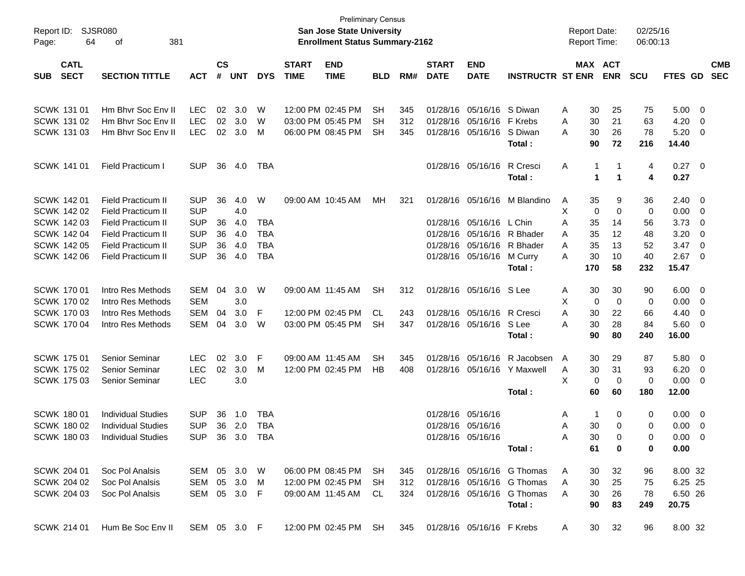| Report ID:                | SJSR080                   |              |                        |            |            |              | <b>Preliminary Census</b><br>San Jose State University |            |     |              |                            |                            |   | <b>Report Date:</b> |            | 02/25/16   |             |                |            |
|---------------------------|---------------------------|--------------|------------------------|------------|------------|--------------|--------------------------------------------------------|------------|-----|--------------|----------------------------|----------------------------|---|---------------------|------------|------------|-------------|----------------|------------|
| 64<br>Page:               | 381<br>οf                 |              |                        |            |            |              | <b>Enrollment Status Summary-2162</b>                  |            |     |              |                            |                            |   | Report Time:        |            | 06:00:13   |             |                |            |
| <b>CATL</b>               |                           |              | $\mathbf{c}\mathbf{s}$ |            |            | <b>START</b> | <b>END</b>                                             |            |     | <b>START</b> | <b>END</b>                 |                            |   | MAX ACT             |            |            |             |                | <b>CMB</b> |
| <b>SECT</b><br><b>SUB</b> | <b>SECTION TITTLE</b>     | <b>ACT</b>   | #                      | <b>UNT</b> | <b>DYS</b> | <b>TIME</b>  | <b>TIME</b>                                            | <b>BLD</b> | RM# | <b>DATE</b>  | <b>DATE</b>                | <b>INSTRUCTR ST ENR</b>    |   |                     | <b>ENR</b> | <b>SCU</b> | FTES GD     |                | <b>SEC</b> |
| SCWK 131 01               | Hm Bhvr Soc Env II        | <b>LEC</b>   | 02                     | 3.0        | W          |              | 12:00 PM 02:45 PM                                      | <b>SH</b>  | 345 |              | 01/28/16 05/16/16          | S Diwan                    | Α | 30                  | 25         | 75         | 5.00        | - 0            |            |
| <b>SCWK 131 02</b>        | Hm Bhvr Soc Env II        | <b>LEC</b>   | 02                     | 3.0        | W          |              | 03:00 PM 05:45 PM                                      | SH         | 312 |              | 01/28/16 05/16/16          | F Krebs                    | A | 30                  | 21         | 63         | 4.20        | 0              |            |
| SCWK 131 03               | Hm Bhyr Soc Env II        | <b>LEC</b>   | 02                     | 3.0        | M          |              | 06:00 PM 08:45 PM                                      | SН         | 345 |              | 01/28/16 05/16/16          | S Diwan                    | A | 30                  | 26         | 78         | 5.20        | 0              |            |
|                           |                           |              |                        |            |            |              |                                                        |            |     |              |                            | Total:                     |   | 90                  | 72         | 216        | 14.40       |                |            |
| <b>SCWK 141 01</b>        | Field Practicum I         | <b>SUP</b>   | 36                     | 4.0        | <b>TBA</b> |              |                                                        |            |     |              | 01/28/16 05/16/16          | R Cresci                   | Α | 1                   | -1         | 4          | $0.27 \t 0$ |                |            |
|                           |                           |              |                        |            |            |              |                                                        |            |     |              |                            | Total:                     |   | 1                   | 1          | 4          | 0.27        |                |            |
| <b>SCWK 142 01</b>        | <b>Field Practicum II</b> | <b>SUP</b>   | 36                     | 4.0        | W          |              | 09:00 AM 10:45 AM                                      | MН         | 321 |              | 01/28/16 05/16/16          | M Blandino                 | A | 35                  | 9          | 36         | 2.40        | $\overline{0}$ |            |
| SCWK 142 02               | <b>Field Practicum II</b> | <b>SUP</b>   |                        | 4.0        |            |              |                                                        |            |     |              |                            |                            | X | 0                   | 0          | 0          | 0.00        | 0              |            |
| <b>SCWK 142 03</b>        | <b>Field Practicum II</b> | <b>SUP</b>   | 36                     | 4.0        | TBA        |              |                                                        |            |     |              | 01/28/16 05/16/16          | L Chin                     | Α | 35                  | 14         | 56         | 3.73        | 0              |            |
| <b>SCWK 142 04</b>        | <b>Field Practicum II</b> | <b>SUP</b>   | 36                     | 4.0        | TBA        |              |                                                        |            |     |              | 01/28/16 05/16/16          | R Bhader                   | A | 35                  | 12         | 48         | 3.20        | 0              |            |
| <b>SCWK 142 05</b>        | <b>Field Practicum II</b> | <b>SUP</b>   | 36                     | 4.0        | <b>TBA</b> |              |                                                        |            |     |              | 01/28/16 05/16/16          | R Bhader                   | A | 35                  | 13         | 52         | 3.47        | 0              |            |
| <b>SCWK 142 06</b>        | <b>Field Practicum II</b> | <b>SUP</b>   | 36                     | 4.0        | <b>TBA</b> |              |                                                        |            |     |              | 01/28/16 05/16/16          | M Curry                    | A | 30                  | 10         | 40         | 2.67        | 0              |            |
|                           |                           |              |                        |            |            |              |                                                        |            |     |              |                            | Total:                     |   | 170                 | 58         | 232        | 15.47       |                |            |
| <b>SCWK 170 01</b>        | Intro Res Methods         | <b>SEM</b>   | 04                     | 3.0        | W          |              | 09:00 AM 11:45 AM                                      | <b>SH</b>  | 312 |              | 01/28/16 05/16/16          | S Lee                      | A | 30                  | 30         | 90         | 6.00        | $\overline{0}$ |            |
| SCWK 170 02               | Intro Res Methods         | <b>SEM</b>   |                        | 3.0        |            |              |                                                        |            |     |              |                            |                            | Х | 0                   | 0          | 0          | 0.00        | 0              |            |
| <b>SCWK 17003</b>         | Intro Res Methods         | <b>SEM</b>   | 04                     | 3.0        | F          |              | 12:00 PM 02:45 PM                                      | CL         | 243 |              | 01/28/16 05/16/16 R Cresci |                            | A | 30                  | 22         | 66         | 4.40        | 0              |            |
| <b>SCWK 170 04</b>        | Intro Res Methods         | <b>SEM</b>   | 04                     | 3.0        | W          |              | 03:00 PM 05:45 PM                                      | SH         | 347 |              | 01/28/16 05/16/16          | S Lee                      | A | 30<br>90            | 28<br>80   | 84         | 5.60        | 0              |            |
|                           |                           |              |                        |            |            |              |                                                        |            |     |              |                            | Total:                     |   |                     |            | 240        | 16.00       |                |            |
| <b>SCWK 175 01</b>        | Senior Seminar            | <b>LEC</b>   | 02                     | 3.0        | F          |              | 09:00 AM 11:45 AM                                      | <b>SH</b>  | 345 |              | 01/28/16 05/16/16          | R Jacobsen                 | A | 30                  | 29         | 87         | 5.80        | $\overline{0}$ |            |
| SCWK 175 02               | Senior Seminar            | <b>LEC</b>   | 02                     | 3.0        | M          |              | 12:00 PM 02:45 PM                                      | HB         | 408 |              | 01/28/16 05/16/16          | Y Maxwell                  | Α | 30                  | 31         | 93         | 6.20        | 0              |            |
| SCWK 175 03               | <b>Senior Seminar</b>     | <b>LEC</b>   |                        | 3.0        |            |              |                                                        |            |     |              |                            |                            | X | 0                   | 0          | 0          | 0.00        | 0              |            |
|                           |                           |              |                        |            |            |              |                                                        |            |     |              |                            | Total:                     |   | 60                  | 60         | 180        | 12.00       |                |            |
| <b>SCWK 180 01</b>        | <b>Individual Studies</b> | <b>SUP</b>   | 36                     | 1.0        | TBA        |              |                                                        |            |     |              | 01/28/16 05/16/16          |                            | A | $\mathbf{1}$        | 0          | 0          | 0.00        | - 0            |            |
| <b>SCWK 180 02</b>        | <b>Individual Studies</b> | <b>SUP</b>   | 36                     | 2.0        | <b>TBA</b> |              |                                                        |            |     |              | 01/28/16 05/16/16          |                            | Α | 30                  | 0          | 0          | 0.00        | 0              |            |
| SCWK 180 03               | <b>Individual Studies</b> | <b>SUP</b>   |                        | 36 3.0     | <b>TBA</b> |              |                                                        |            |     |              | 01/28/16 05/16/16          |                            | A | 30.                 | $\Omega$   | 0          | 0.00        | $\mathbf{0}$   |            |
|                           |                           |              |                        |            |            |              |                                                        |            |     |              |                            | Total:                     |   | 61                  | 0          | 0          | 0.00        |                |            |
| SCWK 204 01               | Soc Pol Analsis           | SEM 05 3.0 W |                        |            |            |              | 06:00 PM 08:45 PM                                      | -SH        | 345 |              |                            | 01/28/16 05/16/16 G Thomas | A | 30                  | 32         | 96         | 8.00 32     |                |            |
| SCWK 204 02               | Soc Pol Analsis           | SEM          |                        | 05 3.0 M   |            |              | 12:00 PM 02:45 PM                                      | SH         | 312 |              |                            | 01/28/16 05/16/16 G Thomas | Α | 30                  | 25         | 75         | 6.25 25     |                |            |
| SCWK 204 03               | Soc Pol Analsis           | SEM 05 3.0 F |                        |            |            |              | 09:00 AM 11:45 AM                                      | CL.        | 324 |              |                            | 01/28/16 05/16/16 G Thomas | Α | 30                  | 26         | 78         | 6.50 26     |                |            |
|                           |                           |              |                        |            |            |              |                                                        |            |     |              |                            | Total:                     |   | 90                  | 83         | 249        | 20.75       |                |            |
| SCWK 214 01               | Hum Be Soc Env II         | SEM 05 3.0 F |                        |            |            |              | 12:00 PM 02:45 PM SH                                   |            | 345 |              | 01/28/16 05/16/16 F Krebs  |                            | A | 30                  | 32         | 96         | 8.00 32     |                |            |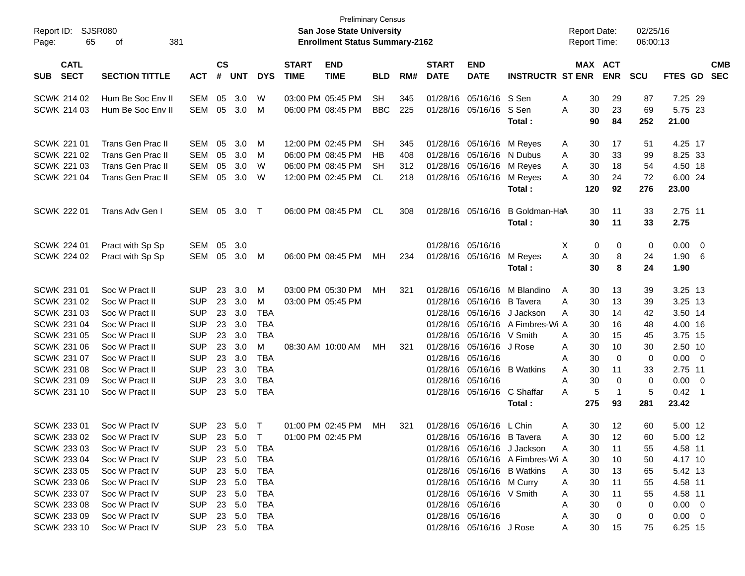| Report ID:<br>65<br>Page:                | <b>SJSR080</b><br>381<br>οf |                |                         |            |            |                             | <b>San Jose State University</b><br><b>Enrollment Status Summary-2162</b> | <b>Preliminary Census</b> |     |                             |                            |                                  | <b>Report Date:</b><br>Report Time: |          |                       | 02/25/16<br>06:00:13 |                  |                            |            |
|------------------------------------------|-----------------------------|----------------|-------------------------|------------|------------|-----------------------------|---------------------------------------------------------------------------|---------------------------|-----|-----------------------------|----------------------------|----------------------------------|-------------------------------------|----------|-----------------------|----------------------|------------------|----------------------------|------------|
| <b>CATL</b><br><b>SECT</b><br><b>SUB</b> | <b>SECTION TITTLE</b>       | <b>ACT</b>     | <b>CS</b><br>$\pmb{\#}$ | <b>UNT</b> | <b>DYS</b> | <b>START</b><br><b>TIME</b> | <b>END</b><br><b>TIME</b>                                                 | <b>BLD</b>                | RM# | <b>START</b><br><b>DATE</b> | <b>END</b><br><b>DATE</b>  | <b>INSTRUCTR ST ENR</b>          |                                     |          | MAX ACT<br><b>ENR</b> | <b>SCU</b>           | FTES GD SEC      |                            | <b>CMB</b> |
|                                          |                             |                |                         |            |            |                             |                                                                           |                           |     |                             |                            |                                  |                                     |          |                       |                      |                  |                            |            |
| SCWK 214 02                              | Hum Be Soc Env II           | SEM            | 05                      | 3.0        | W          |                             | 03:00 PM 05:45 PM                                                         | <b>SH</b>                 | 345 |                             | 01/28/16 05/16/16 S Sen    |                                  | A                                   | 30       | 29                    | 87                   | 7.25 29          |                            |            |
| <b>SCWK 214 03</b>                       | Hum Be Soc Env II           | SEM            | 05                      | 3.0        | M          |                             | 06:00 PM 08:45 PM                                                         | <b>BBC</b>                | 225 |                             | 01/28/16 05/16/16          | S Sen<br>Total:                  | A                                   | 30<br>90 | 23<br>84              | 69<br>252            | 5.75 23<br>21.00 |                            |            |
| SCWK 221 01                              | Trans Gen Prac II           | SEM            | 05                      | 3.0        | M          |                             | 12:00 PM 02:45 PM                                                         | <b>SH</b>                 | 345 |                             | 01/28/16 05/16/16 M Reyes  |                                  | A                                   | 30       | 17                    | 51                   | 4.25 17          |                            |            |
| SCWK 221 02                              | Trans Gen Prac II           | <b>SEM</b>     | 05                      | 3.0        | M          |                             | 06:00 PM 08:45 PM                                                         | HВ                        | 408 |                             | 01/28/16 05/16/16 N Dubus  |                                  | A                                   | 30       | 33                    | 99                   | 8.25 33          |                            |            |
| <b>SCWK 221 03</b>                       | Trans Gen Prac II           | <b>SEM</b>     | 05                      | 3.0        | W          |                             | 06:00 PM 08:45 PM                                                         | SН                        | 312 |                             | 01/28/16 05/16/16          | M Reyes                          | A                                   | 30       | 18                    | 54                   | 4.50 18          |                            |            |
| <b>SCWK 221 04</b>                       | Trans Gen Prac II           | SEM            | 05                      | 3.0        | W          |                             | 12:00 PM 02:45 PM                                                         | CL.                       | 218 |                             | 01/28/16 05/16/16          | M Reyes                          | A                                   | 30       | 24                    | 72                   | 6.00 24          |                            |            |
|                                          |                             |                |                         |            |            |                             |                                                                           |                           |     |                             |                            | Total:                           |                                     | 120      | 92                    | 276                  | 23.00            |                            |            |
| <b>SCWK 222 01</b>                       | Trans Adv Gen I             | SEM            | 05                      | 3.0        | $\top$     |                             | 06:00 PM 08:45 PM                                                         | <b>CL</b>                 | 308 |                             | 01/28/16 05/16/16          | B Goldman-HaA                    |                                     | 30       | 11                    | 33                   | 2.75 11          |                            |            |
|                                          |                             |                |                         |            |            |                             |                                                                           |                           |     |                             |                            | Total:                           |                                     | 30       | 11                    | 33                   | 2.75             |                            |            |
| SCWK 224 01                              | Pract with Sp Sp            | SEM            | 05                      | 3.0        |            |                             |                                                                           |                           |     |                             | 01/28/16 05/16/16          |                                  | X                                   | 0        | 0                     | 0                    | 0.00             | - 0                        |            |
| SCWK 224 02                              | Pract with Sp Sp            | SEM            | 05                      | 3.0        | M          |                             | 06:00 PM 08:45 PM                                                         | MH                        | 234 |                             | 01/28/16 05/16/16          | M Reves                          | A                                   | 30       | 8                     | 24                   | 1.90             | - 6                        |            |
|                                          |                             |                |                         |            |            |                             |                                                                           |                           |     |                             |                            | Total:                           |                                     | 30       | 8                     | 24                   | 1.90             |                            |            |
| SCWK 231 01                              | Soc W Pract II              | <b>SUP</b>     | 23                      | 3.0        | M          |                             | 03:00 PM 05:30 PM                                                         | MН                        | 321 |                             | 01/28/16 05/16/16          | M Blandino                       | A                                   | 30       | 13                    | 39                   | 3.25 13          |                            |            |
| SCWK 231 02                              | Soc W Pract II              | <b>SUP</b>     | 23                      | 3.0        | М          |                             | 03:00 PM 05:45 PM                                                         |                           |     |                             | 01/28/16 05/16/16          | <b>B</b> Tavera                  | A                                   | 30       | 13                    | 39                   | 3.25 13          |                            |            |
| SCWK 231 03                              | Soc W Pract II              | <b>SUP</b>     | 23                      | 3.0        | <b>TBA</b> |                             |                                                                           |                           |     |                             | 01/28/16 05/16/16          | J Jackson                        | A                                   | 30       | 14                    | 42                   | 3.50 14          |                            |            |
| SCWK 231 04                              | Soc W Pract II              | <b>SUP</b>     | 23                      | 3.0        | <b>TBA</b> |                             |                                                                           |                           |     |                             |                            | 01/28/16 05/16/16 A Fimbres-Wi A |                                     | 30       | 16                    | 48                   | 4.00 16          |                            |            |
| SCWK 231 05                              | Soc W Pract II              | <b>SUP</b>     | 23                      | 3.0        | <b>TBA</b> |                             |                                                                           |                           |     |                             | 01/28/16 05/16/16 V Smith  |                                  | A                                   | 30       | 15                    | 45                   | 3.75 15          |                            |            |
| SCWK 231 06                              | Soc W Pract II              | <b>SUP</b>     | 23                      | 3.0        | м          |                             | 08:30 AM 10:00 AM                                                         | МH                        | 321 |                             | 01/28/16 05/16/16 J Rose   |                                  | Α                                   | 30       | 10                    | 30                   | 2.50 10          |                            |            |
| SCWK 231 07                              | Soc W Pract II              | <b>SUP</b>     | 23                      | 3.0        | <b>TBA</b> |                             |                                                                           |                           |     |                             | 01/28/16 05/16/16          |                                  | Α                                   | 30       | $\mathbf 0$           | 0                    | 0.00             | $\overline{\mathbf{0}}$    |            |
| <b>SCWK 231 08</b>                       | Soc W Pract II              | <b>SUP</b>     | 23                      | 3.0        | <b>TBA</b> |                             |                                                                           |                           |     |                             | 01/28/16 05/16/16          | <b>B</b> Watkins                 | A                                   | 30       | 11                    | 33                   | 2.75 11          |                            |            |
| SCWK 231 09                              | Soc W Pract II              | <b>SUP</b>     | 23                      | 3.0        | <b>TBA</b> |                             |                                                                           |                           |     |                             | 01/28/16 05/16/16          |                                  | Α                                   | 30       | 0                     | $\mathbf 0$          | 0.00             | $\overline{\mathbf{0}}$    |            |
| SCWK 231 10                              | Soc W Pract II              | <b>SUP</b>     |                         | 23 5.0     | <b>TBA</b> |                             |                                                                           |                           |     |                             | 01/28/16 05/16/16          | C Shaffar                        | A                                   | 5        | -1                    | 5                    | 0.42             | $\overline{\phantom{0}}$ 1 |            |
|                                          |                             |                |                         |            |            |                             |                                                                           |                           |     |                             |                            | Total :                          |                                     | 275      | 93                    | 281                  | 23.42            |                            |            |
| SCWK 233 01                              | Soc W Pract IV              | <b>SUP</b>     | 23                      | 5.0        | $\top$     |                             | 01:00 PM 02:45 PM                                                         | MH                        | 321 |                             | 01/28/16 05/16/16 L Chin   |                                  | A                                   | 30       | 12                    | 60                   | 5.00 12          |                            |            |
| SCWK 233 02                              | Soc W Pract IV              | <b>SUP</b>     |                         | 23 5.0 T   |            |                             | 01:00 PM 02:45 PM                                                         |                           |     |                             | 01/28/16 05/16/16 B Tavera |                                  | A                                   | 30       | 12                    | 60                   | 5.00 12          |                            |            |
| SCWK 233 03                              | Soc W Pract IV              | <b>SUP</b>     |                         |            | 23 5.0 TBA |                             |                                                                           |                           |     |                             |                            | 01/28/16 05/16/16 J Jackson      | A                                   | 30       | 11                    | 55                   | 4.58 11          |                            |            |
| SCWK 233 04                              | Soc W Pract IV              | <b>SUP</b>     |                         | 23 5.0     | TBA        |                             |                                                                           |                           |     |                             |                            | 01/28/16 05/16/16 A Fimbres-Wi A |                                     | 30       | 10                    | 50                   | 4.17 10          |                            |            |
| SCWK 233 05                              | Soc W Pract IV              | <b>SUP</b>     |                         | 23 5.0     | TBA        |                             |                                                                           |                           |     |                             |                            | 01/28/16 05/16/16 B Watkins      | A                                   | 30       | 13                    | 65                   | 5.42 13          |                            |            |
| SCWK 233 06                              | Soc W Pract IV              | <b>SUP</b>     |                         | 23 5.0     | TBA        |                             |                                                                           |                           |     |                             | 01/28/16 05/16/16 M Curry  |                                  | A                                   | 30       | 11                    | 55                   | 4.58 11          |                            |            |
| SCWK 233 07                              | Soc W Pract IV              | <b>SUP</b>     |                         | 23 5.0     | TBA        |                             |                                                                           |                           |     |                             | 01/28/16 05/16/16 V Smith  |                                  | A                                   | 30       | 11                    | 55                   | 4.58 11          |                            |            |
| <b>SCWK 233 08</b>                       | Soc W Pract IV              | <b>SUP</b>     |                         | 23 5.0     | TBA        |                             |                                                                           |                           |     |                             | 01/28/16 05/16/16          |                                  | A                                   | 30       | 0                     | 0                    | $0.00 \t 0$      |                            |            |
| SCWK 233 09                              | Soc W Pract IV              | <b>SUP</b>     |                         | 23 5.0     | TBA        |                             |                                                                           |                           |     |                             | 01/28/16 05/16/16          |                                  | A                                   | 30       | 0                     | 0                    | $0.00 \t 0$      |                            |            |
| <b>SCWK 233 10</b>                       | Soc W Pract IV              | SUP 23 5.0 TBA |                         |            |            |                             |                                                                           |                           |     |                             | 01/28/16 05/16/16 J Rose   |                                  | A                                   | 30       | 15                    | 75                   | 6.25 15          |                            |            |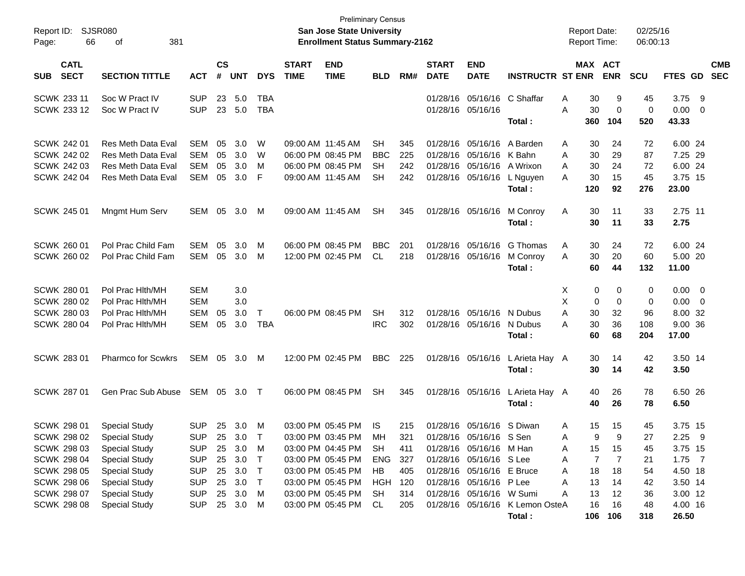| Report ID:<br>Page: | <b>SJSR080</b><br>66       | 381<br>οf                 |              |                    |            |              |                             | <b>Preliminary Census</b><br>San Jose State University<br><b>Enrollment Status Summary-2162</b> |            |     |                             |                            |                                  | <b>Report Date:</b><br><b>Report Time:</b> |                    | 02/25/16<br>06:00:13 |                  |                          |
|---------------------|----------------------------|---------------------------|--------------|--------------------|------------|--------------|-----------------------------|-------------------------------------------------------------------------------------------------|------------|-----|-----------------------------|----------------------------|----------------------------------|--------------------------------------------|--------------------|----------------------|------------------|--------------------------|
| <b>SUB</b>          | <b>CATL</b><br><b>SECT</b> | <b>SECTION TITTLE</b>     | <b>ACT</b>   | $\mathsf{cs}$<br># | <b>UNT</b> | <b>DYS</b>   | <b>START</b><br><b>TIME</b> | <b>END</b><br><b>TIME</b>                                                                       | <b>BLD</b> | RM# | <b>START</b><br><b>DATE</b> | <b>END</b><br><b>DATE</b>  | <b>INSTRUCTR ST ENR</b>          | MAX ACT                                    | <b>ENR</b>         | <b>SCU</b>           | FTES GD          | <b>CMB</b><br><b>SEC</b> |
| SCWK 233 11         |                            | Soc W Pract IV            | <b>SUP</b>   | 23                 | 5.0        | TBA          |                             |                                                                                                 |            |     |                             | 01/28/16 05/16/16          | C Shaffar                        | 30<br>A                                    | 9                  | 45                   | 3.75             | - 9                      |
| SCWK 233 12         |                            | Soc W Pract IV            | <b>SUP</b>   | 23                 | 5.0        | <b>TBA</b>   |                             |                                                                                                 |            |     |                             | 01/28/16 05/16/16          | Total:                           | 30<br>A<br>360                             | $\mathbf 0$<br>104 | 0<br>520             | 0.00<br>43.33    | $\overline{0}$           |
| SCWK 242 01         |                            | <b>Res Meth Data Eval</b> | SEM          | 05                 | 3.0        | W            |                             | 09:00 AM 11:45 AM                                                                               | SН         | 345 |                             | 01/28/16 05/16/16          | A Barden                         | Α<br>30                                    | 24                 | 72                   | 6.00 24          |                          |
| SCWK 242 02         |                            | Res Meth Data Eval        | <b>SEM</b>   | 05                 | 3.0        | W            |                             | 06:00 PM 08:45 PM                                                                               | <b>BBC</b> | 225 |                             | 01/28/16 05/16/16          | K Bahn                           | Α<br>30                                    | 29                 | 87                   | 7.25 29          |                          |
| SCWK 242 03         |                            | Res Meth Data Eval        | <b>SEM</b>   | 05                 | 3.0        | M            |                             | 06:00 PM 08:45 PM                                                                               | <b>SH</b>  | 242 |                             | 01/28/16 05/16/16          | A Wrixon                         | Α<br>30                                    | 24                 | 72                   | 6.00 24          |                          |
| SCWK 242 04         |                            | <b>Res Meth Data Eval</b> | <b>SEM</b>   | 05                 | 3.0        | F            |                             | 09:00 AM 11:45 AM                                                                               | SН         | 242 |                             | 01/28/16 05/16/16 L Nguyen | Total:                           | Α<br>30<br>120                             | 15<br>92           | 45<br>276            | 3.75 15<br>23.00 |                          |
| <b>SCWK 245 01</b>  |                            | Mngmt Hum Serv            | SEM          | 05                 | 3.0        | M            |                             | 09:00 AM 11:45 AM                                                                               | <b>SH</b>  | 345 |                             | 01/28/16 05/16/16          | M Conroy                         | Α<br>30                                    | 11                 | 33                   | 2.75 11          |                          |
|                     |                            |                           |              |                    |            |              |                             |                                                                                                 |            |     |                             |                            | Total:                           | 30                                         | 11                 | 33                   | 2.75             |                          |
| SCWK 260 01         |                            | Pol Prac Child Fam        | <b>SEM</b>   | 05                 | 3.0        | м            |                             | 06:00 PM 08:45 PM                                                                               | <b>BBC</b> | 201 |                             | 01/28/16 05/16/16          | G Thomas                         | A<br>30                                    | 24                 | 72                   | 6.00 24          |                          |
| SCWK 260 02         |                            | Pol Prac Child Fam        | SEM          | 05                 | 3.0        | M            |                             | 12:00 PM 02:45 PM                                                                               | CL         | 218 |                             | 01/28/16 05/16/16          | M Conroy<br>Total:               | 30<br>A<br>60                              | 20<br>44           | 60<br>132            | 5.00 20<br>11.00 |                          |
|                     |                            |                           |              |                    |            |              |                             |                                                                                                 |            |     |                             |                            |                                  |                                            |                    |                      |                  |                          |
| SCWK 280 01         |                            | Pol Prac Hith/MH          | <b>SEM</b>   |                    | 3.0        |              |                             |                                                                                                 |            |     |                             |                            |                                  | X<br>0                                     | 0                  | 0                    | 0.00             | $\overline{\mathbf{0}}$  |
| SCWK 280 02         |                            | Pol Prac Hith/MH          | <b>SEM</b>   |                    | 3.0        |              |                             |                                                                                                 |            |     |                             |                            |                                  | X<br>0                                     | $\mathbf 0$        | $\mathbf 0$          | 0.00             | $\overline{\mathbf{0}}$  |
| <b>SCWK 280 03</b>  |                            | Pol Prac Hith/MH          | <b>SEM</b>   | 05                 | 3.0        | $\mathsf{T}$ |                             | 06:00 PM 08:45 PM                                                                               | <b>SH</b>  | 312 |                             | 01/28/16 05/16/16          | N Dubus                          | Α<br>30                                    | 32                 | 96                   | 8.00 32          |                          |
| SCWK 280 04         |                            | Pol Prac Hith/MH          | <b>SEM</b>   | 05                 | 3.0        | <b>TBA</b>   |                             |                                                                                                 | <b>IRC</b> | 302 |                             | 01/28/16 05/16/16          | N Dubus<br>Total:                | 30<br>Α<br>60                              | 36<br>68           | 108<br>204           | 9.00 36<br>17.00 |                          |
| SCWK 283 01         |                            | <b>Pharmco for Scwkrs</b> | SEM 05       |                    | 3.0        | M            |                             | 12:00 PM 02:45 PM                                                                               | <b>BBC</b> | 225 |                             |                            | 01/28/16 05/16/16 L Arieta Hay A | 30                                         | 14                 | 42                   | 3.50 14          |                          |
|                     |                            |                           |              |                    |            |              |                             |                                                                                                 |            |     |                             |                            | Total:                           | 30                                         | 14                 | 42                   | 3.50             |                          |
| SCWK 287 01         |                            | Gen Prac Sub Abuse        | SEM 05       |                    | 3.0 T      |              |                             | 06:00 PM 08:45 PM                                                                               | <b>SH</b>  | 345 |                             |                            | 01/28/16 05/16/16 L Arieta Hay A | 40                                         | 26                 | 78                   | 6.50 26          |                          |
|                     |                            |                           |              |                    |            |              |                             |                                                                                                 |            |     |                             |                            | Total:                           | 40                                         | 26                 | 78                   | 6.50             |                          |
| <b>SCWK 298 01</b>  |                            | <b>Special Study</b>      | <b>SUP</b>   | 25                 | 3.0        | M            |                             | 03:00 PM 05:45 PM                                                                               | IS         | 215 |                             | 01/28/16 05/16/16 S Diwan  |                                  | 15<br>A                                    | 15                 | 45                   | 3.75 15          |                          |
| SCWK 298 02         |                            | <b>Special Study</b>      | SUP 25 3.0 T |                    |            |              |                             | 03:00 PM 03:45 PM MH                                                                            |            | 321 |                             | 01/28/16 05/16/16 S Sen    |                                  | A                                          | 9<br>9             | 27                   | $2.25$ 9         |                          |
| SCWK 298 03         |                            | <b>Special Study</b>      | <b>SUP</b>   | 25                 | 3.0        | M            |                             | 03:00 PM 04:45 PM                                                                               | SH         | 411 |                             | 01/28/16 05/16/16 M Han    |                                  | 15<br>Α                                    | 15                 | 45                   | 3.75 15          |                          |
| SCWK 298 04         |                            | <b>Special Study</b>      | <b>SUP</b>   | 25                 | 3.0        | $\top$       |                             | 03:00 PM 05:45 PM                                                                               | ENG        | 327 |                             | 01/28/16 05/16/16 S Lee    |                                  | 7<br>Α                                     | 7                  | 21                   | $1.75$ 7         |                          |
| SCWK 298 05         |                            | <b>Special Study</b>      | <b>SUP</b>   | 25                 | 3.0        | $\top$       |                             | 03:00 PM 05:45 PM                                                                               | HB         | 405 |                             | 01/28/16 05/16/16 E Bruce  |                                  | 18<br>Α                                    | 18                 | 54                   | 4.50 18          |                          |
| <b>SCWK 298 06</b>  |                            | <b>Special Study</b>      | <b>SUP</b>   | 25                 | 3.0        | $\top$       |                             | 03:00 PM 05:45 PM                                                                               | HGH        | 120 |                             | 01/28/16 05/16/16 P Lee    |                                  | 13<br>Α                                    | 14                 | 42                   | 3.50 14          |                          |
| <b>SCWK 298 07</b>  |                            | <b>Special Study</b>      | <b>SUP</b>   | 25                 | 3.0        | M            |                             | 03:00 PM 05:45 PM                                                                               | SH         | 314 |                             | 01/28/16 05/16/16 W Sumi   |                                  | Α<br>13                                    | 12                 | 36                   | 3.00 12          |                          |
| <b>SCWK 298 08</b>  |                            | <b>Special Study</b>      | <b>SUP</b>   |                    | 25 3.0 M   |              |                             | 03:00 PM 05:45 PM                                                                               | CL         | 205 |                             |                            | 01/28/16 05/16/16 K Lemon OsteA  | 16                                         | 16                 | 48                   | 4.00 16          |                          |
|                     |                            |                           |              |                    |            |              |                             |                                                                                                 |            |     |                             |                            | Total:                           |                                            | 106 106            | 318                  | 26.50            |                          |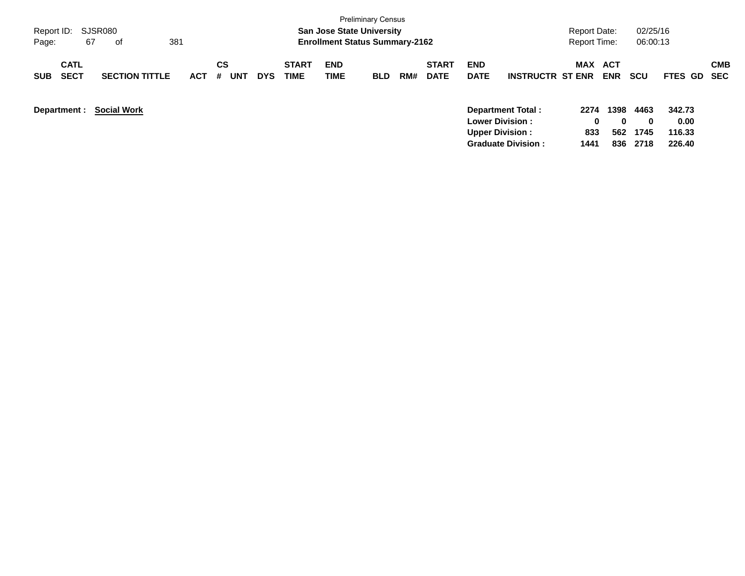|                                          |                       |            |                       |            |                             |                                       | <b>Preliminary Census</b> |     |                             |                           |                           |              |                   |                  |                |                          |
|------------------------------------------|-----------------------|------------|-----------------------|------------|-----------------------------|---------------------------------------|---------------------------|-----|-----------------------------|---------------------------|---------------------------|--------------|-------------------|------------------|----------------|--------------------------|
| Report ID:                               | SJSR080               |            |                       |            |                             | <b>San Jose State University</b>      |                           |     |                             |                           |                           | Report Date: |                   | 02/25/16         |                |                          |
| 67<br>Page:                              | 381<br>of             |            |                       |            |                             | <b>Enrollment Status Summary-2162</b> |                           |     |                             |                           |                           | Report Time: |                   | 06:00:13         |                |                          |
| <b>CATL</b><br><b>SECT</b><br><b>SUB</b> | <b>SECTION TITTLE</b> | <b>ACT</b> | <b>CS</b><br>#<br>UNT | <b>DYS</b> | <b>START</b><br><b>TIME</b> | <b>END</b><br>TIME                    | <b>BLD</b>                | RM# | <b>START</b><br><b>DATE</b> | <b>END</b><br><b>DATE</b> | <b>INSTRUCTR ST ENR</b>   | MAX          | ACT<br><b>ENR</b> | <b>SCU</b>       | <b>FTES GD</b> | <b>CMB</b><br><b>SEC</b> |
| Department :                             | <b>Social Work</b>    |            |                       |            |                             |                                       |                           |     |                             | <b>Lower Division:</b>    | <b>Department Total:</b>  | 2274<br>0    | 1398<br>0         | 4463<br>$\bf{0}$ | 342.73<br>0.00 |                          |
|                                          |                       |            |                       |            |                             |                                       |                           |     |                             | <b>Upper Division:</b>    |                           | 833          | 562               | 1745             | 116.33         |                          |
|                                          |                       |            |                       |            |                             |                                       |                           |     |                             |                           | <b>Graduate Division:</b> | 1441         | 836               | 2718             | 226.40         |                          |